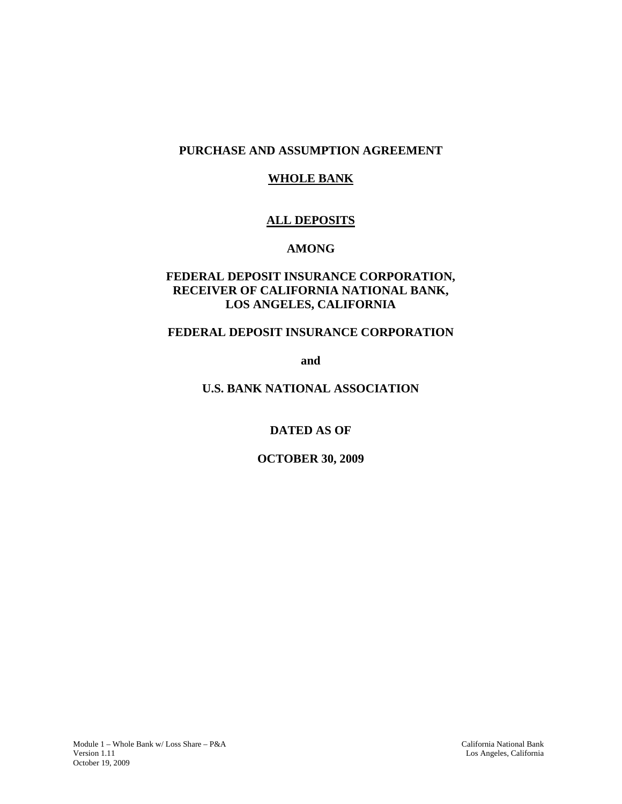#### **PURCHASE AND ASSUMPTION AGREEMENT**

### **WHOLE BANK**

### **ALL DEPOSITS**

### **AMONG**

### **FEDERAL DEPOSIT INSURANCE CORPORATION, RECEIVER OF CALIFORNIA NATIONAL BANK, LOS ANGELES, CALIFORNIA**

#### **FEDERAL DEPOSIT INSURANCE CORPORATION**

**and** 

#### **U.S. BANK NATIONAL ASSOCIATION**

**DATED AS OF**

**OCTOBER 30, 2009**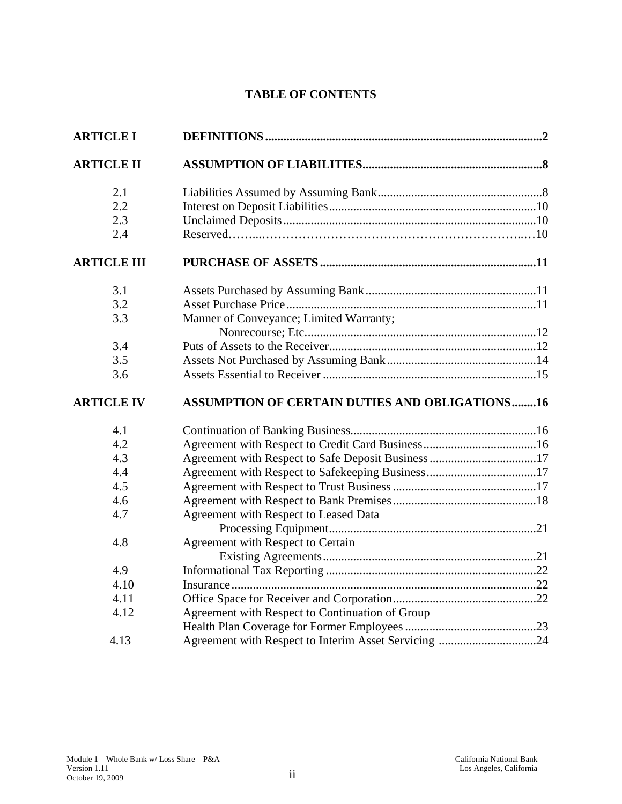# **TABLE OF CONTENTS**

| <b>ARTICLE I</b>   |                                                       |  |
|--------------------|-------------------------------------------------------|--|
| <b>ARTICLE II</b>  |                                                       |  |
| 2.1                |                                                       |  |
| 2.2                |                                                       |  |
| 2.3                |                                                       |  |
| 2.4                |                                                       |  |
| <b>ARTICLE III</b> |                                                       |  |
| 3.1                |                                                       |  |
| 3.2                |                                                       |  |
| 3.3                | Manner of Conveyance; Limited Warranty;               |  |
|                    |                                                       |  |
| 3.4                |                                                       |  |
| 3.5                |                                                       |  |
| 3.6                |                                                       |  |
| <b>ARTICLE IV</b>  | <b>ASSUMPTION OF CERTAIN DUTIES AND OBLIGATIONS16</b> |  |
| 4.1                |                                                       |  |
| 4.2                |                                                       |  |
| 4.3                |                                                       |  |
| 4.4                |                                                       |  |
| 4.5                |                                                       |  |
| 4.6                |                                                       |  |
| 4.7                | Agreement with Respect to Leased Data                 |  |
|                    |                                                       |  |
| 4.8                | Agreement with Respect to Certain                     |  |
|                    |                                                       |  |
|                    |                                                       |  |
| 4.9                |                                                       |  |
| 4.10               |                                                       |  |
| 4.11               |                                                       |  |
| 4.12               | Agreement with Respect to Continuation of Group       |  |
|                    | Agreement with Respect to Interim Asset Servicing 24  |  |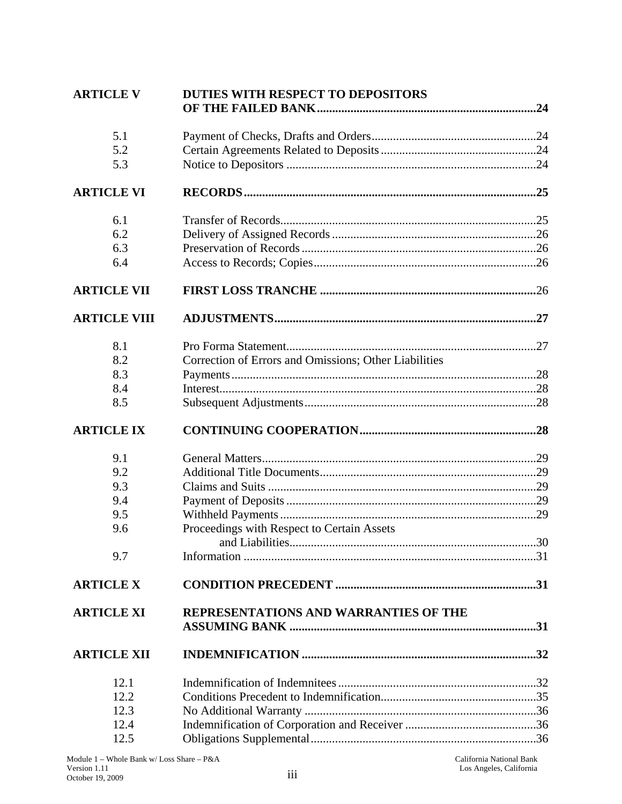| <b>ARTICLE V</b>    | <b>DUTIES WITH RESPECT TO DEPOSITORS</b>              |  |
|---------------------|-------------------------------------------------------|--|
|                     |                                                       |  |
| 5.1                 |                                                       |  |
| 5.2                 |                                                       |  |
| 5.3                 |                                                       |  |
| <b>ARTICLE VI</b>   |                                                       |  |
| 6.1                 |                                                       |  |
| 6.2                 |                                                       |  |
| 6.3                 |                                                       |  |
| 6.4                 |                                                       |  |
| <b>ARTICLE VII</b>  |                                                       |  |
| <b>ARTICLE VIII</b> |                                                       |  |
| 8.1                 |                                                       |  |
| 8.2                 | Correction of Errors and Omissions; Other Liabilities |  |
| 8.3                 |                                                       |  |
| 8.4                 |                                                       |  |
| 8.5                 |                                                       |  |
| <b>ARTICLE IX</b>   |                                                       |  |
| 9.1                 |                                                       |  |
| 9.2                 |                                                       |  |
| 9.3                 |                                                       |  |
| 9.4                 |                                                       |  |
| 9.5                 |                                                       |  |
| 9.6                 | Proceedings with Respect to Certain Assets            |  |
|                     |                                                       |  |
| 9.7                 |                                                       |  |
| <b>ARTICLE X</b>    |                                                       |  |
| <b>ARTICLE XI</b>   | REPRESENTATIONS AND WARRANTIES OF THE                 |  |
| <b>ARTICLE XII</b>  |                                                       |  |
| 12.1                |                                                       |  |
| 12.2                |                                                       |  |
| 12.3                |                                                       |  |
| 12.4                |                                                       |  |
| 12.5                |                                                       |  |
|                     |                                                       |  |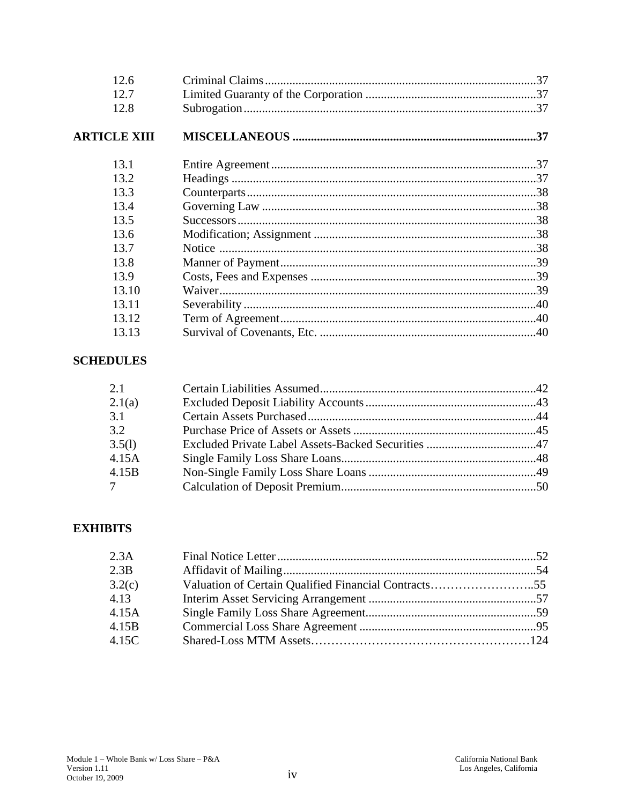| 12.6                |  |
|---------------------|--|
| 12.7                |  |
| 12.8                |  |
| <b>ARTICLE XIII</b> |  |
| 13.1                |  |
| 13.2                |  |
| 13.3                |  |
| 13.4                |  |
| 13.5                |  |
| 13.6                |  |
| 13.7                |  |
| 13.8                |  |
| 13.9                |  |
| 13.10               |  |
| 13.11               |  |
| 13.12               |  |
| 13.13               |  |

## **SCHEDULES**

| 2.1             |  |
|-----------------|--|
| 2.1(a)          |  |
| 3.1             |  |
| 3.2             |  |
| 3.5(l)          |  |
| 4.15A           |  |
| 4.15B           |  |
| $7\overline{ }$ |  |

# **EXHIBITS**

| 2.3A   |  |
|--------|--|
| 2.3B   |  |
| 3.2(c) |  |
| 4.13   |  |
| 4.15A  |  |
| 4.15B  |  |
| 4.15C  |  |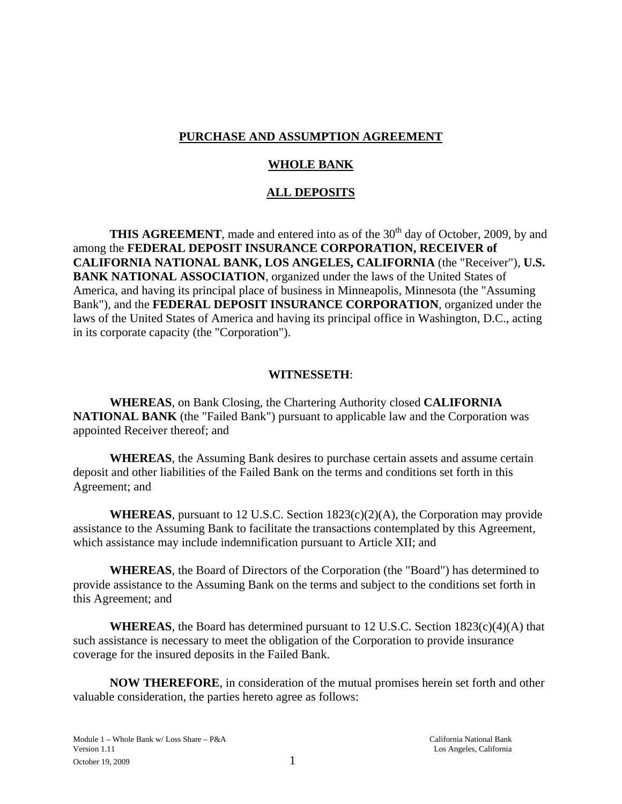### **PURCHASE AND ASSUMPTION AGREEMENT**

## **WHOLE BANK**

### **ALL DEPOSITS**

**THIS AGREEMENT**, made and entered into as of the 30<sup>th</sup> day of October, 2009, by and among the **FEDERAL DEPOSIT INSURANCE CORPORATION, RECEIVER of CALIFORNIA NATIONAL BANK, LOS ANGELES, CALIFORNIA** (the "Receiver"), **U.S. BANK NATIONAL ASSOCIATION**, organized under the laws of the United States of America, and having its principal place of business in Minneapolis, Minnesota (the "Assuming Bank"), and the **FEDERAL DEPOSIT INSURANCE CORPORATION**, organized under the laws of the United States of America and having its principal office in Washington, D.C., acting in its corporate capacity (the "Corporation").

#### **WITNESSETH**:

**WHEREAS**, on Bank Closing, the Chartering Authority closed **CALIFORNIA NATIONAL BANK** (the "Failed Bank") pursuant to applicable law and the Corporation was appointed Receiver thereof; and

**WHEREAS**, the Assuming Bank desires to purchase certain assets and assume certain deposit and other liabilities of the Failed Bank on the terms and conditions set forth in this Agreement; and

**WHEREAS**, pursuant to 12 U.S.C. Section 1823(c)(2)(A), the Corporation may provide assistance to the Assuming Bank to facilitate the transactions contemplated by this Agreement, which assistance may include indemnification pursuant to Article XII; and

**WHEREAS**, the Board of Directors of the Corporation (the "Board") has determined to provide assistance to the Assuming Bank on the terms and subject to the conditions set forth in this Agreement; and

**WHEREAS**, the Board has determined pursuant to 12 U.S.C. Section 1823(c)(4)(A) that such assistance is necessary to meet the obligation of the Corporation to provide insurance coverage for the insured deposits in the Failed Bank.

 **NOW THEREFORE**, in consideration of the mutual promises herein set forth and other valuable consideration, the parties hereto agree as follows: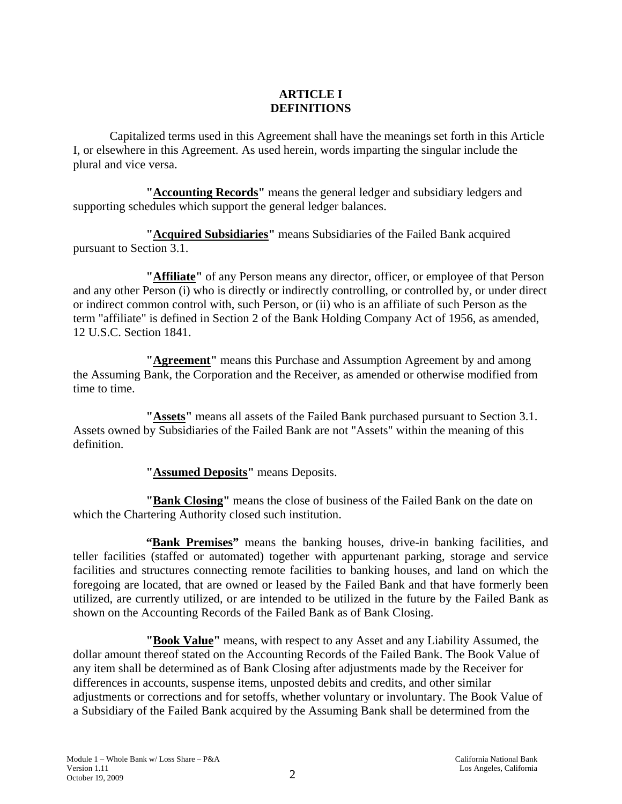## **ARTICLE I DEFINITIONS**

<span id="page-5-1"></span><span id="page-5-0"></span>Capitalized terms used in this Agreement shall have the meanings set forth in this Article I, or elsewhere in this Agreement. As used herein, words imparting the singular include the plural and vice versa.

**"Accounting Records"** means the general ledger and subsidiary ledgers and supporting schedules which support the general ledger balances.

**"Acquired Subsidiaries"** means Subsidiaries of the Failed Bank acquired pursuant to Section 3.1.

**"Affiliate"** of any Person means any director, officer, or employee of that Person and any other Person (i) who is directly or indirectly controlling, or controlled by, or under direct or indirect common control with, such Person, or (ii) who is an affiliate of such Person as the term "affiliate" is defined in Section 2 of the Bank Holding Company Act of 1956, as amended, 12 U.S.C. Section 1841.

**"Agreement"** means this Purchase and Assumption Agreement by and among the Assuming Bank, the Corporation and the Receiver, as amended or otherwise modified from time to time.

**"Assets"** means all assets of the Failed Bank purchased pursuant to Section 3.1. Assets owned by Subsidiaries of the Failed Bank are not "Assets" within the meaning of this definition.

**"Assumed Deposits"** means Deposits.

**"Bank Closing"** means the close of business of the Failed Bank on the date on which the Chartering Authority closed such institution.

**"Bank Premises"** means the banking houses, drive-in banking facilities, and teller facilities (staffed or automated) together with appurtenant parking, storage and service facilities and structures connecting remote facilities to banking houses, and land on which the foregoing are located, that are owned or leased by the Failed Bank and that have formerly been utilized, are currently utilized, or are intended to be utilized in the future by the Failed Bank as shown on the Accounting Records of the Failed Bank as of Bank Closing.

**"Book Value"** means, with respect to any Asset and any Liability Assumed, the dollar amount thereof stated on the Accounting Records of the Failed Bank. The Book Value of any item shall be determined as of Bank Closing after adjustments made by the Receiver for differences in accounts, suspense items, unposted debits and credits, and other similar adjustments or corrections and for setoffs, whether voluntary or involuntary. The Book Value of a Subsidiary of the Failed Bank acquired by the Assuming Bank shall be determined from the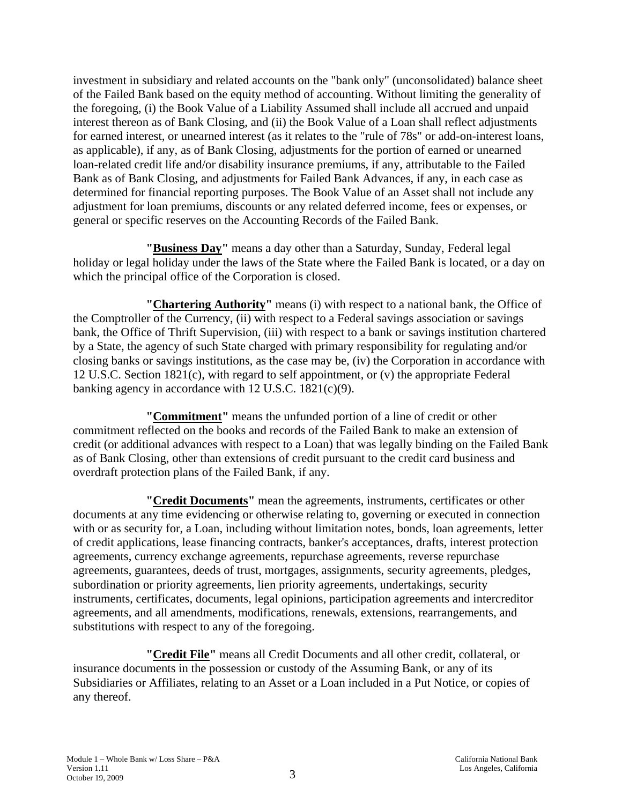<span id="page-6-0"></span>investment in subsidiary and related accounts on the "bank only" (unconsolidated) balance sheet of the Failed Bank based on the equity method of accounting. Without limiting the generality of the foregoing, (i) the Book Value of a Liability Assumed shall include all accrued and unpaid interest thereon as of Bank Closing, and (ii) the Book Value of a Loan shall reflect adjustments for earned interest, or unearned interest (as it relates to the "rule of 78s" or add-on-interest loans, as applicable), if any, as of Bank Closing, adjustments for the portion of earned or unearned loan-related credit life and/or disability insurance premiums, if any, attributable to the Failed Bank as of Bank Closing, and adjustments for Failed Bank Advances, if any, in each case as determined for financial reporting purposes. The Book Value of an Asset shall not include any adjustment for loan premiums, discounts or any related deferred income, fees or expenses, or general or specific reserves on the Accounting Records of the Failed Bank.

**"Business Day"** means a day other than a Saturday, Sunday, Federal legal holiday or legal holiday under the laws of the State where the Failed Bank is located, or a day on which the principal office of the Corporation is closed.

**"Chartering Authority"** means (i) with respect to a national bank, the Office of the Comptroller of the Currency, (ii) with respect to a Federal savings association or savings bank, the Office of Thrift Supervision, (iii) with respect to a bank or savings institution chartered by a State, the agency of such State charged with primary responsibility for regulating and/or closing banks or savings institutions, as the case may be, (iv) the Corporation in accordance with 12 U.S.C. Section 1821(c), with regard to self appointment, or (v) the appropriate Federal banking agency in accordance with 12 U.S.C. 1821(c)(9).

**"Commitment"** means the unfunded portion of a line of credit or other commitment reflected on the books and records of the Failed Bank to make an extension of credit (or additional advances with respect to a Loan) that was legally binding on the Failed Bank as of Bank Closing, other than extensions of credit pursuant to the credit card business and overdraft protection plans of the Failed Bank, if any.

**"Credit Documents"** mean the agreements, instruments, certificates or other documents at any time evidencing or otherwise relating to, governing or executed in connection with or as security for, a Loan, including without limitation notes, bonds, loan agreements, letter of credit applications, lease financing contracts, banker's acceptances, drafts, interest protection agreements, currency exchange agreements, repurchase agreements, reverse repurchase agreements, guarantees, deeds of trust, mortgages, assignments, security agreements, pledges, subordination or priority agreements, lien priority agreements, undertakings, security instruments, certificates, documents, legal opinions, participation agreements and intercreditor agreements, and all amendments, modifications, renewals, extensions, rearrangements, and substitutions with respect to any of the foregoing.

**"Credit File"** means all Credit Documents and all other credit, collateral, or insurance documents in the possession or custody of the Assuming Bank, or any of its Subsidiaries or Affiliates, relating to an Asset or a Loan included in a Put Notice, or copies of any thereof.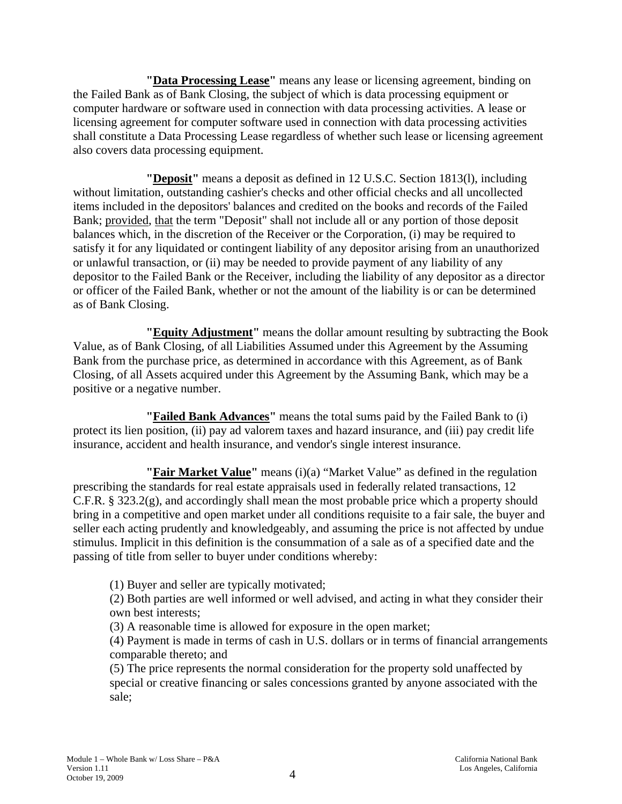<span id="page-7-0"></span> **"Data Processing Lease"** means any lease or licensing agreement, binding on the Failed Bank as of Bank Closing, the subject of which is data processing equipment or computer hardware or software used in connection with data processing activities. A lease or licensing agreement for computer software used in connection with data processing activities shall constitute a Data Processing Lease regardless of whether such lease or licensing agreement also covers data processing equipment.

**"Deposit"** means a deposit as defined in 12 U.S.C. Section 1813(l), including without limitation, outstanding cashier's checks and other official checks and all uncollected items included in the depositors' balances and credited on the books and records of the Failed Bank; provided, that the term "Deposit" shall not include all or any portion of those deposit balances which, in the discretion of the Receiver or the Corporation, (i) may be required to satisfy it for any liquidated or contingent liability of any depositor arising from an unauthorized or unlawful transaction, or (ii) may be needed to provide payment of any liability of any depositor to the Failed Bank or the Receiver, including the liability of any depositor as a director or officer of the Failed Bank, whether or not the amount of the liability is or can be determined as of Bank Closing.

**"Equity Adjustment"** means the dollar amount resulting by subtracting the Book Value, as of Bank Closing, of all Liabilities Assumed under this Agreement by the Assuming Bank from the purchase price, as determined in accordance with this Agreement, as of Bank Closing, of all Assets acquired under this Agreement by the Assuming Bank, which may be a positive or a negative number.

**"Failed Bank Advances"** means the total sums paid by the Failed Bank to (i) protect its lien position, (ii) pay ad valorem taxes and hazard insurance, and (iii) pay credit life insurance, accident and health insurance, and vendor's single interest insurance.

**"Fair Market Value"** means (i)(a) "Market Value" as defined in the regulation prescribing the standards for real estate appraisals used in federally related transactions, 12 C.F.R. § 323.2(g), and accordingly shall mean the most probable price which a property should bring in a competitive and open market under all conditions requisite to a fair sale, the buyer and seller each acting prudently and knowledgeably, and assuming the price is not affected by undue stimulus. Implicit in this definition is the consummation of a sale as of a specified date and the passing of title from seller to buyer under conditions whereby:

(1) Buyer and seller are typically motivated;

(2) Both parties are well informed or well advised, and acting in what they consider their own best interests;

(3) A reasonable time is allowed for exposure in the open market;

(4) Payment is made in terms of cash in U.S. dollars or in terms of financial arrangements comparable thereto; and

(5) The price represents the normal consideration for the property sold unaffected by special or creative financing or sales concessions granted by anyone associated with the sale;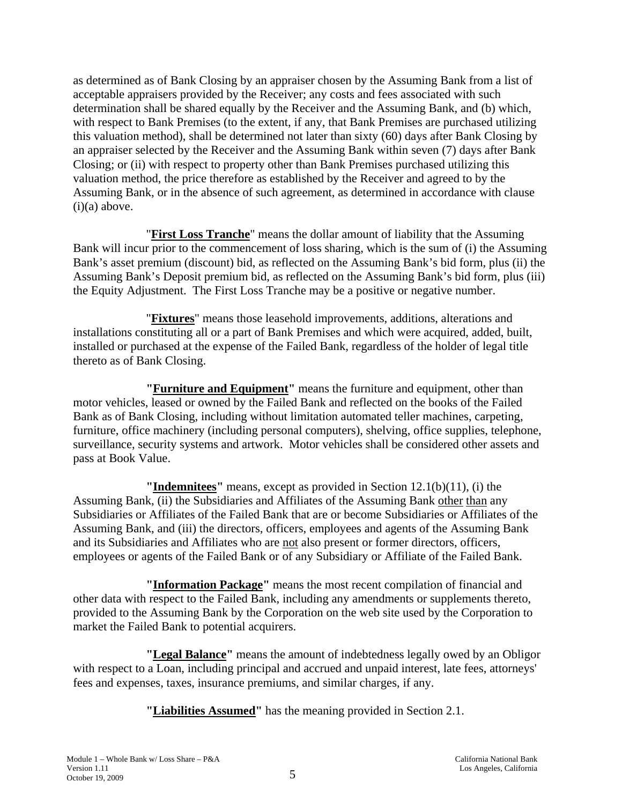as determined as of Bank Closing by an appraiser chosen by the Assuming Bank from a list of acceptable appraisers provided by the Receiver; any costs and fees associated with such determination shall be shared equally by the Receiver and the Assuming Bank, and (b) which, with respect to Bank Premises (to the extent, if any, that Bank Premises are purchased utilizing this valuation method), shall be determined not later than sixty (60) days after Bank Closing by an appraiser selected by the Receiver and the Assuming Bank within seven (7) days after Bank Closing; or (ii) with respect to property other than Bank Premises purchased utilizing this valuation method, the price therefore as established by the Receiver and agreed to by the Assuming Bank, or in the absence of such agreement, as determined in accordance with clause  $(i)(a)$  above.

"**First Loss Tranche**" means the dollar amount of liability that the Assuming Bank will incur prior to the commencement of loss sharing, which is the sum of (i) the Assuming Bank's asset premium (discount) bid, as reflected on the Assuming Bank's bid form, plus (ii) the Assuming Bank's Deposit premium bid, as reflected on the Assuming Bank's bid form, plus (iii) the Equity Adjustment. The First Loss Tranche may be a positive or negative number.

"**Fixtures**" means those leasehold improvements, additions, alterations and installations constituting all or a part of Bank Premises and which were acquired, added, built, installed or purchased at the expense of the Failed Bank, regardless of the holder of legal title thereto as of Bank Closing.

**"Furniture and Equipment"** means the furniture and equipment, other than motor vehicles, leased or owned by the Failed Bank and reflected on the books of the Failed Bank as of Bank Closing, including without limitation automated teller machines, carpeting, furniture, office machinery (including personal computers), shelving, office supplies, telephone, surveillance, security systems and artwork. Motor vehicles shall be considered other assets and pass at Book Value.

**"Indemnitees"** means, except as provided in Section 12.1(b)(11), (i) the Assuming Bank, (ii) the Subsidiaries and Affiliates of the Assuming Bank other than any Subsidiaries or Affiliates of the Failed Bank that are or become Subsidiaries or Affiliates of the Assuming Bank, and (iii) the directors, officers, employees and agents of the Assuming Bank and its Subsidiaries and Affiliates who are not also present or former directors, officers, employees or agents of the Failed Bank or of any Subsidiary or Affiliate of the Failed Bank.

**"Information Package"** means the most recent compilation of financial and other data with respect to the Failed Bank, including any amendments or supplements thereto, provided to the Assuming Bank by the Corporation on the web site used by the Corporation to market the Failed Bank to potential acquirers.

**"Legal Balance"** means the amount of indebtedness legally owed by an Obligor with respect to a Loan, including principal and accrued and unpaid interest, late fees, attorneys' fees and expenses, taxes, insurance premiums, and similar charges, if any.

 **"Liabilities Assumed"** has the meaning provided in Section 2.1.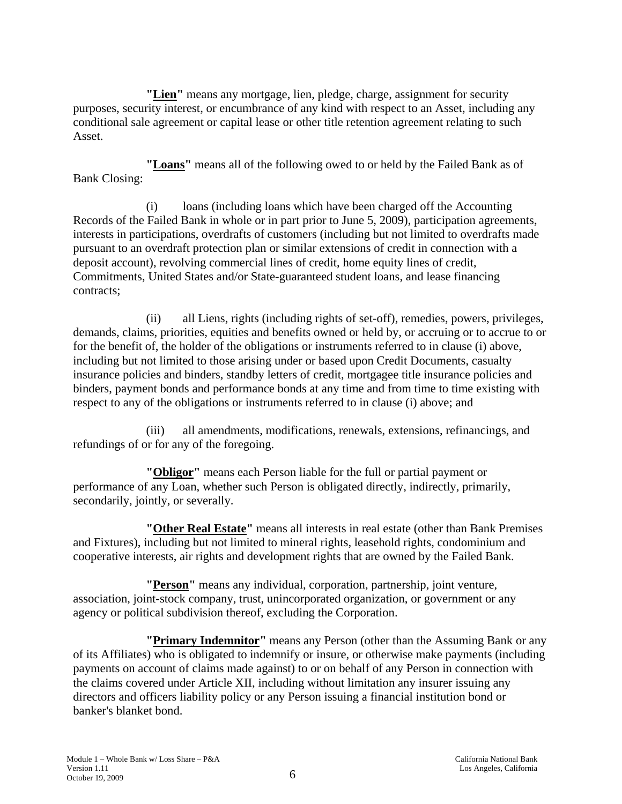**"Lien"** means any mortgage, lien, pledge, charge, assignment for security purposes, security interest, or encumbrance of any kind with respect to an Asset, including any conditional sale agreement or capital lease or other title retention agreement relating to such Asset.

**"Loans"** means all of the following owed to or held by the Failed Bank as of Bank Closing:

(i) loans (including loans which have been charged off the Accounting Records of the Failed Bank in whole or in part prior to June 5, 2009), participation agreements, interests in participations, overdrafts of customers (including but not limited to overdrafts made pursuant to an overdraft protection plan or similar extensions of credit in connection with a deposit account), revolving commercial lines of credit, home equity lines of credit, Commitments, United States and/or State-guaranteed student loans, and lease financing contracts;

(ii) all Liens, rights (including rights of set-off), remedies, powers, privileges, demands, claims, priorities, equities and benefits owned or held by, or accruing or to accrue to or for the benefit of, the holder of the obligations or instruments referred to in clause (i) above, including but not limited to those arising under or based upon Credit Documents, casualty insurance policies and binders, standby letters of credit, mortgagee title insurance policies and binders, payment bonds and performance bonds at any time and from time to time existing with respect to any of the obligations or instruments referred to in clause (i) above; and

(iii) all amendments, modifications, renewals, extensions, refinancings, and refundings of or for any of the foregoing.

**"Obligor"** means each Person liable for the full or partial payment or performance of any Loan, whether such Person is obligated directly, indirectly, primarily, secondarily, jointly, or severally.

**"Other Real Estate"** means all interests in real estate (other than Bank Premises and Fixtures), including but not limited to mineral rights, leasehold rights, condominium and cooperative interests, air rights and development rights that are owned by the Failed Bank.

**"Person"** means any individual, corporation, partnership, joint venture, association, joint-stock company, trust, unincorporated organization, or government or any agency or political subdivision thereof, excluding the Corporation.

**"Primary Indemnitor"** means any Person (other than the Assuming Bank or any of its Affiliates) who is obligated to indemnify or insure, or otherwise make payments (including payments on account of claims made against) to or on behalf of any Person in connection with the claims covered under Article XII, including without limitation any insurer issuing any directors and officers liability policy or any Person issuing a financial institution bond or banker's blanket bond.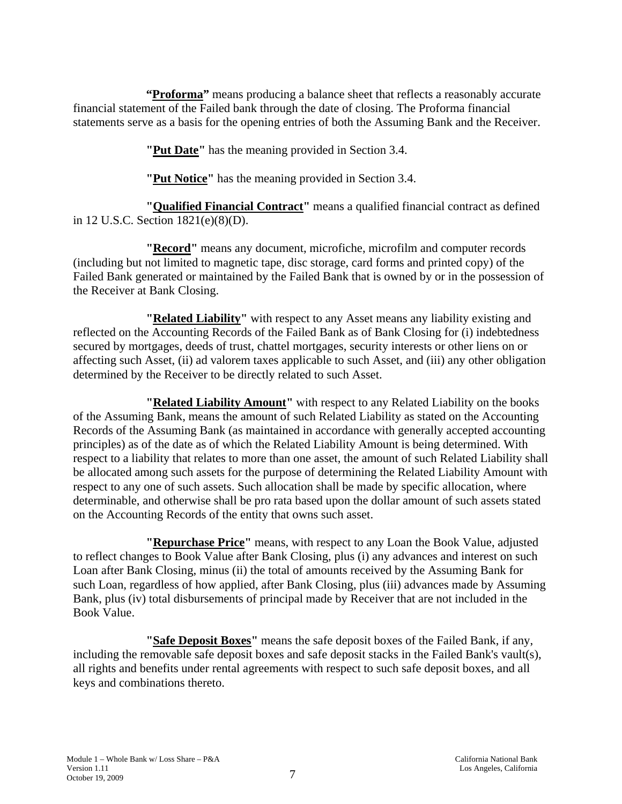**"Proforma"** means producing a balance sheet that reflects a reasonably accurate financial statement of the Failed bank through the date of closing. The Proforma financial statements serve as a basis for the opening entries of both the Assuming Bank and the Receiver.

**"Put Date"** has the meaning provided in Section 3.4.

**"Put Notice"** has the meaning provided in Section 3.4.

**"Qualified Financial Contract"** means a qualified financial contract as defined in 12 U.S.C. Section 1821(e)(8)(D).

**"Record"** means any document, microfiche, microfilm and computer records (including but not limited to magnetic tape, disc storage, card forms and printed copy) of the Failed Bank generated or maintained by the Failed Bank that is owned by or in the possession of the Receiver at Bank Closing.

**"Related Liability"** with respect to any Asset means any liability existing and reflected on the Accounting Records of the Failed Bank as of Bank Closing for (i) indebtedness secured by mortgages, deeds of trust, chattel mortgages, security interests or other liens on or affecting such Asset, (ii) ad valorem taxes applicable to such Asset, and (iii) any other obligation determined by the Receiver to be directly related to such Asset.

**"Related Liability Amount"** with respect to any Related Liability on the books of the Assuming Bank, means the amount of such Related Liability as stated on the Accounting Records of the Assuming Bank (as maintained in accordance with generally accepted accounting principles) as of the date as of which the Related Liability Amount is being determined. With respect to a liability that relates to more than one asset, the amount of such Related Liability shall be allocated among such assets for the purpose of determining the Related Liability Amount with respect to any one of such assets. Such allocation shall be made by specific allocation, where determinable, and otherwise shall be pro rata based upon the dollar amount of such assets stated on the Accounting Records of the entity that owns such asset.

 **"Repurchase Price"** means, with respect to any Loan the Book Value, adjusted to reflect changes to Book Value after Bank Closing, plus (i) any advances and interest on such Loan after Bank Closing, minus (ii) the total of amounts received by the Assuming Bank for such Loan, regardless of how applied, after Bank Closing, plus (iii) advances made by Assuming Bank, plus (iv) total disbursements of principal made by Receiver that are not included in the Book Value.

**"Safe Deposit Boxes"** means the safe deposit boxes of the Failed Bank, if any, including the removable safe deposit boxes and safe deposit stacks in the Failed Bank's vault(s), all rights and benefits under rental agreements with respect to such safe deposit boxes, and all keys and combinations thereto.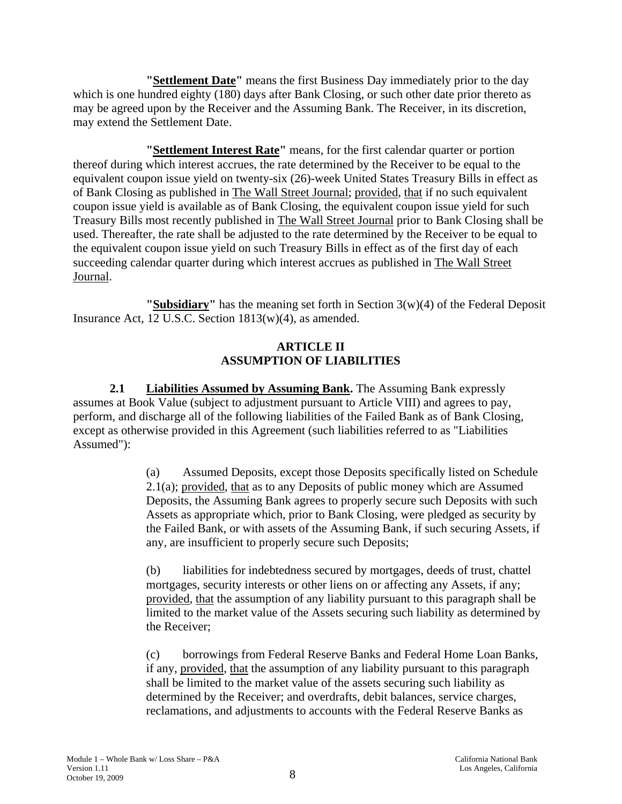<span id="page-11-0"></span> **"Settlement Date"** means the first Business Day immediately prior to the day which is one hundred eighty (180) days after Bank Closing, or such other date prior thereto as may be agreed upon by the Receiver and the Assuming Bank. The Receiver, in its discretion, may extend the Settlement Date.

**"Settlement Interest Rate"** means, for the first calendar quarter or portion thereof during which interest accrues, the rate determined by the Receiver to be equal to the equivalent coupon issue yield on twenty-six (26)-week United States Treasury Bills in effect as of Bank Closing as published in The Wall Street Journal; provided, that if no such equivalent coupon issue yield is available as of Bank Closing, the equivalent coupon issue yield for such Treasury Bills most recently published in The Wall Street Journal prior to Bank Closing shall be used. Thereafter, the rate shall be adjusted to the rate determined by the Receiver to be equal to the equivalent coupon issue yield on such Treasury Bills in effect as of the first day of each succeeding calendar quarter during which interest accrues as published in The Wall Street Journal.

**"Subsidiary"** has the meaning set forth in Section 3(w)(4) of the Federal Deposit Insurance Act, 12 U.S.C. Section 1813(w)(4), as amended.

## **ARTICLE II ASSUMPTION OF LIABILITIES**

 **2.1 Liabilities Assumed by Assuming Bank.** The Assuming Bank expressly assumes at Book Value (subject to adjustment pursuant to Article VIII) and agrees to pay, perform, and discharge all of the following liabilities of the Failed Bank as of Bank Closing, except as otherwise provided in this Agreement (such liabilities referred to as "Liabilities Assumed"):

> (a) Assumed Deposits, except those Deposits specifically listed on Schedule 2.1(a); provided, that as to any Deposits of public money which are Assumed Deposits, the Assuming Bank agrees to properly secure such Deposits with such Assets as appropriate which, prior to Bank Closing, were pledged as security by the Failed Bank, or with assets of the Assuming Bank, if such securing Assets, if any, are insufficient to properly secure such Deposits;

> (b) liabilities for indebtedness secured by mortgages, deeds of trust, chattel mortgages, security interests or other liens on or affecting any Assets, if any; provided, that the assumption of any liability pursuant to this paragraph shall be limited to the market value of the Assets securing such liability as determined by the Receiver;

> (c) borrowings from Federal Reserve Banks and Federal Home Loan Banks, if any, provided, that the assumption of any liability pursuant to this paragraph shall be limited to the market value of the assets securing such liability as determined by the Receiver; and overdrafts, debit balances, service charges, reclamations, and adjustments to accounts with the Federal Reserve Banks as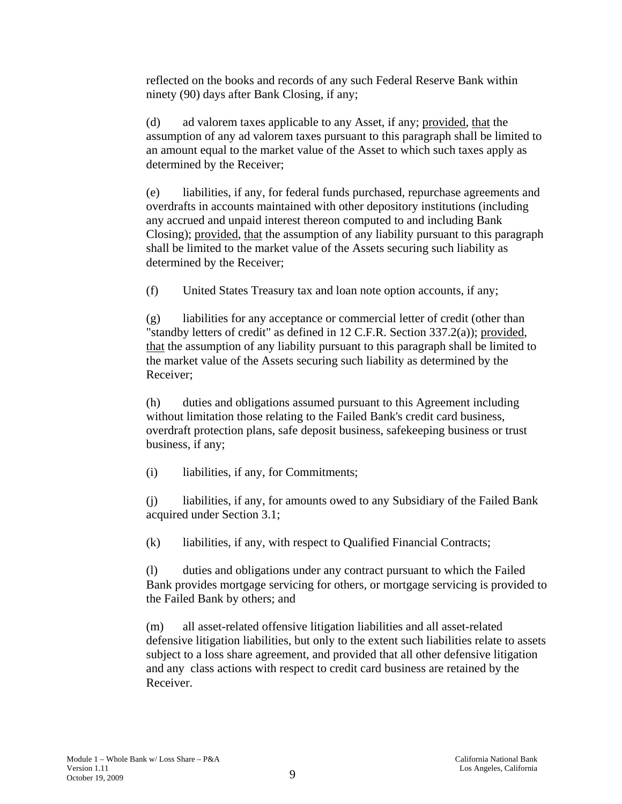reflected on the books and records of any such Federal Reserve Bank within ninety (90) days after Bank Closing, if any;

(d) ad valorem taxes applicable to any Asset, if any; provided, that the assumption of any ad valorem taxes pursuant to this paragraph shall be limited to an amount equal to the market value of the Asset to which such taxes apply as determined by the Receiver;

(e) liabilities, if any, for federal funds purchased, repurchase agreements and overdrafts in accounts maintained with other depository institutions (including any accrued and unpaid interest thereon computed to and including Bank Closing); provided, that the assumption of any liability pursuant to this paragraph shall be limited to the market value of the Assets securing such liability as determined by the Receiver;

(f) United States Treasury tax and loan note option accounts, if any;

(g) liabilities for any acceptance or commercial letter of credit (other than "standby letters of credit" as defined in 12 C.F.R. Section 337.2(a)); provided, that the assumption of any liability pursuant to this paragraph shall be limited to the market value of the Assets securing such liability as determined by the Receiver;

(h) duties and obligations assumed pursuant to this Agreement including without limitation those relating to the Failed Bank's credit card business, overdraft protection plans, safe deposit business, safekeeping business or trust business, if any;

(i) liabilities, if any, for Commitments;

(j) liabilities, if any, for amounts owed to any Subsidiary of the Failed Bank acquired under Section 3.1;

(k) liabilities, if any, with respect to Qualified Financial Contracts;

(l) duties and obligations under any contract pursuant to which the Failed Bank provides mortgage servicing for others, or mortgage servicing is provided to the Failed Bank by others; and

(m) all asset-related offensive litigation liabilities and all asset-related defensive litigation liabilities, but only to the extent such liabilities relate to assets subject to a loss share agreement, and provided that all other defensive litigation and any class actions with respect to credit card business are retained by the Receiver.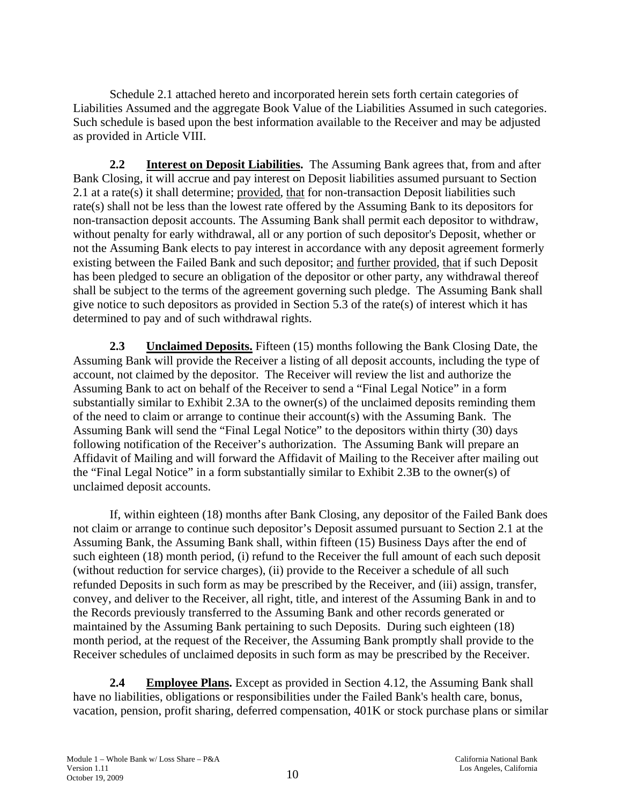<span id="page-13-0"></span>Schedule 2.1 attached hereto and incorporated herein sets forth certain categories of Liabilities Assumed and the aggregate Book Value of the Liabilities Assumed in such categories. Such schedule is based upon the best information available to the Receiver and may be adjusted as provided in Article VIII.

**2.2 Interest on Deposit Liabilities.** The Assuming Bank agrees that, from and after Bank Closing, it will accrue and pay interest on Deposit liabilities assumed pursuant to Section 2.1 at a rate(s) it shall determine; provided, that for non-transaction Deposit liabilities such rate(s) shall not be less than the lowest rate offered by the Assuming Bank to its depositors for non-transaction deposit accounts. The Assuming Bank shall permit each depositor to withdraw, without penalty for early withdrawal, all or any portion of such depositor's Deposit, whether or not the Assuming Bank elects to pay interest in accordance with any deposit agreement formerly existing between the Failed Bank and such depositor; and further provided, that if such Deposit has been pledged to secure an obligation of the depositor or other party, any withdrawal thereof shall be subject to the terms of the agreement governing such pledge. The Assuming Bank shall give notice to such depositors as provided in Section 5.3 of the rate(s) of interest which it has determined to pay and of such withdrawal rights.

**2.3 Unclaimed Deposits.** Fifteen (15) months following the Bank Closing Date, the Assuming Bank will provide the Receiver a listing of all deposit accounts, including the type of account, not claimed by the depositor. The Receiver will review the list and authorize the Assuming Bank to act on behalf of the Receiver to send a "Final Legal Notice" in a form substantially similar to Exhibit 2.3A to the owner(s) of the unclaimed deposits reminding them of the need to claim or arrange to continue their account(s) with the Assuming Bank. The Assuming Bank will send the "Final Legal Notice" to the depositors within thirty (30) days following notification of the Receiver's authorization. The Assuming Bank will prepare an Affidavit of Mailing and will forward the Affidavit of Mailing to the Receiver after mailing out the "Final Legal Notice" in a form substantially similar to Exhibit 2.3B to the owner(s) of unclaimed deposit accounts.

If, within eighteen (18) months after Bank Closing, any depositor of the Failed Bank does not claim or arrange to continue such depositor's Deposit assumed pursuant to Section 2.1 at the Assuming Bank, the Assuming Bank shall, within fifteen (15) Business Days after the end of such eighteen (18) month period, (i) refund to the Receiver the full amount of each such deposit (without reduction for service charges), (ii) provide to the Receiver a schedule of all such refunded Deposits in such form as may be prescribed by the Receiver, and (iii) assign, transfer, convey, and deliver to the Receiver, all right, title, and interest of the Assuming Bank in and to the Records previously transferred to the Assuming Bank and other records generated or maintained by the Assuming Bank pertaining to such Deposits. During such eighteen (18) month period, at the request of the Receiver, the Assuming Bank promptly shall provide to the Receiver schedules of unclaimed deposits in such form as may be prescribed by the Receiver.

**2.4 Employee Plans.** Except as provided in Section 4.12, the Assuming Bank shall have no liabilities, obligations or responsibilities under the Failed Bank's health care, bonus, vacation, pension, profit sharing, deferred compensation, 401K or stock purchase plans or similar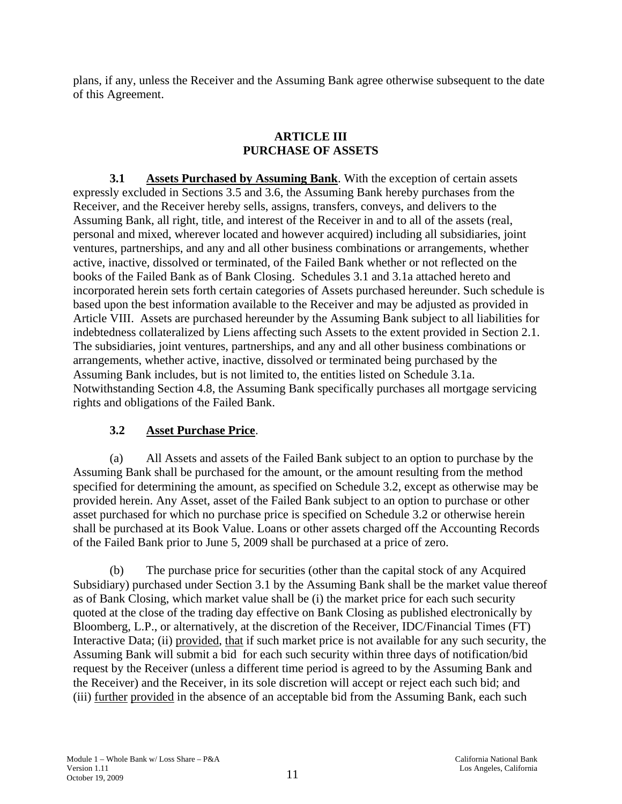<span id="page-14-0"></span>plans, if any, unless the Receiver and the Assuming Bank agree otherwise subsequent to the date of this Agreement.

## **ARTICLE III PURCHASE OF ASSETS**

Assuming Bank includes, but is not limited to, the entities listed on Schedule 3.1a.  **3.1 Assets Purchased by Assuming Bank**. With the exception of certain assets expressly excluded in Sections 3.5 and 3.6, the Assuming Bank hereby purchases from the Receiver, and the Receiver hereby sells, assigns, transfers, conveys, and delivers to the Assuming Bank, all right, title, and interest of the Receiver in and to all of the assets (real, personal and mixed, wherever located and however acquired) including all subsidiaries, joint ventures, partnerships, and any and all other business combinations or arrangements, whether active, inactive, dissolved or terminated, of the Failed Bank whether or not reflected on the books of the Failed Bank as of Bank Closing. Schedules 3.1 and 3.1a attached hereto and incorporated herein sets forth certain categories of Assets purchased hereunder. Such schedule is based upon the best information available to the Receiver and may be adjusted as provided in Article VIII. Assets are purchased hereunder by the Assuming Bank subject to all liabilities for indebtedness collateralized by Liens affecting such Assets to the extent provided in Section 2.1. The subsidiaries, joint ventures, partnerships, and any and all other business combinations or arrangements, whether active, inactive, dissolved or terminated being purchased by the Notwithstanding Section 4.8, the Assuming Bank specifically purchases all mortgage servicing rights and obligations of the Failed Bank.

### **3.2 Asset Purchase Price**.

(a) All Assets and assets of the Failed Bank subject to an option to purchase by the Assuming Bank shall be purchased for the amount, or the amount resulting from the method specified for determining the amount, as specified on Schedule 3.2, except as otherwise may be provided herein. Any Asset, asset of the Failed Bank subject to an option to purchase or other asset purchased for which no purchase price is specified on Schedule 3.2 or otherwise herein shall be purchased at its Book Value. Loans or other assets charged off the Accounting Records of the Failed Bank prior to June 5, 2009 shall be purchased at a price of zero.

(b) The purchase price for securities (other than the capital stock of any Acquired Subsidiary) purchased under Section 3.1 by the Assuming Bank shall be the market value thereof as of Bank Closing, which market value shall be (i) the market price for each such security quoted at the close of the trading day effective on Bank Closing as published electronically by Bloomberg, L.P., or alternatively, at the discretion of the Receiver, IDC/Financial Times (FT) Interactive Data; (ii) provided, that if such market price is not available for any such security, the Assuming Bank will submit a bid for each such security within three days of notification/bid request by the Receiver (unless a different time period is agreed to by the Assuming Bank and the Receiver) and the Receiver, in its sole discretion will accept or reject each such bid; and (iii) further provided in the absence of an acceptable bid from the Assuming Bank, each such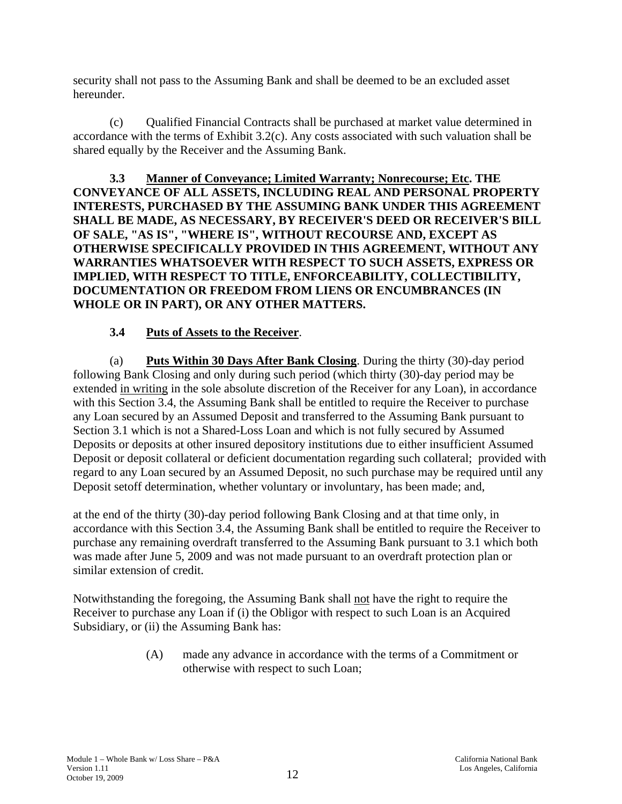<span id="page-15-0"></span>security shall not pass to the Assuming Bank and shall be deemed to be an excluded asset hereunder.

(c) Qualified Financial Contracts shall be purchased at market value determined in accordance with the terms of Exhibit 3.2(c). Any costs associated with such valuation shall be shared equally by the Receiver and the Assuming Bank.

**3.3 Manner of Conveyance; Limited Warranty; Nonrecourse; Etc. THE CONVEYANCE OF ALL ASSETS, INCLUDING REAL AND PERSONAL PROPERTY INTERESTS, PURCHASED BY THE ASSUMING BANK UNDER THIS AGREEMENT SHALL BE MADE, AS NECESSARY, BY RECEIVER'S DEED OR RECEIVER'S BILL OF SALE, "AS IS", "WHERE IS", WITHOUT RECOURSE AND, EXCEPT AS OTHERWISE SPECIFICALLY PROVIDED IN THIS AGREEMENT, WITHOUT ANY WARRANTIES WHATSOEVER WITH RESPECT TO SUCH ASSETS, EXPRESS OR IMPLIED, WITH RESPECT TO TITLE, ENFORCEABILITY, COLLECTIBILITY, DOCUMENTATION OR FREEDOM FROM LIENS OR ENCUMBRANCES (IN WHOLE OR IN PART), OR ANY OTHER MATTERS.** 

## **3.4 Puts of Assets to the Receiver**.

(a) **Puts Within 30 Days After Bank Closing**. During the thirty (30)-day period following Bank Closing and only during such period (which thirty (30)-day period may be extended in writing in the sole absolute discretion of the Receiver for any Loan), in accordance with this Section 3.4, the Assuming Bank shall be entitled to require the Receiver to purchase any Loan secured by an Assumed Deposit and transferred to the Assuming Bank pursuant to Section 3.1 which is not a Shared-Loss Loan and which is not fully secured by Assumed Deposits or deposits at other insured depository institutions due to either insufficient Assumed Deposit or deposit collateral or deficient documentation regarding such collateral; provided with regard to any Loan secured by an Assumed Deposit, no such purchase may be required until any Deposit setoff determination, whether voluntary or involuntary, has been made; and,

at the end of the thirty (30)-day period following Bank Closing and at that time only, in accordance with this Section 3.4, the Assuming Bank shall be entitled to require the Receiver to purchase any remaining overdraft transferred to the Assuming Bank pursuant to 3.1 which both was made after June 5, 2009 and was not made pursuant to an overdraft protection plan or similar extension of credit.

Notwithstanding the foregoing, the Assuming Bank shall not have the right to require the Receiver to purchase any Loan if (i) the Obligor with respect to such Loan is an Acquired Subsidiary, or (ii) the Assuming Bank has:

> (A) made any advance in accordance with the terms of a Commitment or otherwise with respect to such Loan;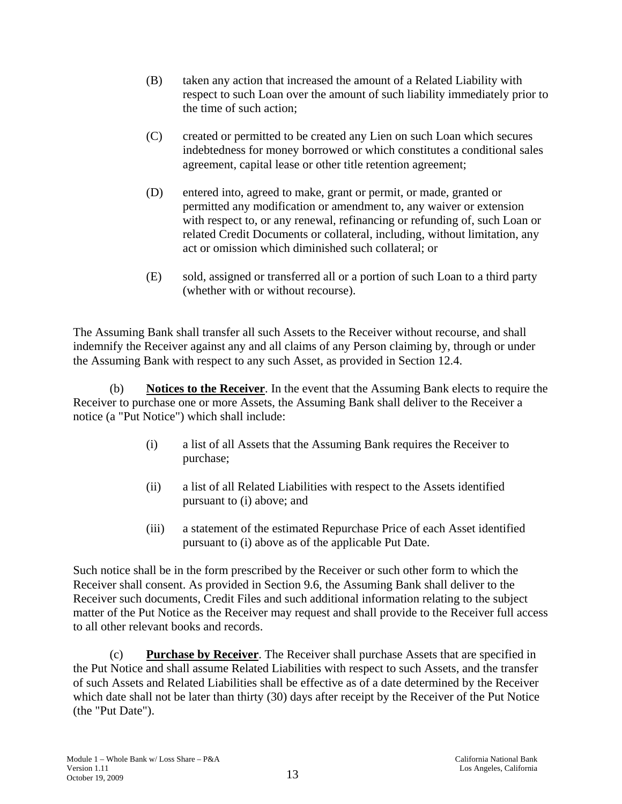- (B) taken any action that increased the amount of a Related Liability with respect to such Loan over the amount of such liability immediately prior to the time of such action;
- (C) created or permitted to be created any Lien on such Loan which secures indebtedness for money borrowed or which constitutes a conditional sales agreement, capital lease or other title retention agreement;
- (D) entered into, agreed to make, grant or permit, or made, granted or permitted any modification or amendment to, any waiver or extension with respect to, or any renewal, refinancing or refunding of, such Loan or related Credit Documents or collateral, including, without limitation, any act or omission which diminished such collateral; or
- (E) sold, assigned or transferred all or a portion of such Loan to a third party (whether with or without recourse).

The Assuming Bank shall transfer all such Assets to the Receiver without recourse, and shall indemnify the Receiver against any and all claims of any Person claiming by, through or under the Assuming Bank with respect to any such Asset, as provided in Section 12.4.

(b) **Notices to the Receiver**. In the event that the Assuming Bank elects to require the Receiver to purchase one or more Assets, the Assuming Bank shall deliver to the Receiver a notice (a "Put Notice") which shall include:

- (i) a list of all Assets that the Assuming Bank requires the Receiver to purchase;
- (ii) a list of all Related Liabilities with respect to the Assets identified pursuant to (i) above; and
- (iii) a statement of the estimated Repurchase Price of each Asset identified pursuant to (i) above as of the applicable Put Date.

Such notice shall be in the form prescribed by the Receiver or such other form to which the Receiver shall consent. As provided in Section 9.6, the Assuming Bank shall deliver to the Receiver such documents, Credit Files and such additional information relating to the subject matter of the Put Notice as the Receiver may request and shall provide to the Receiver full access to all other relevant books and records.

(c) **Purchase by Receiver**. The Receiver shall purchase Assets that are specified in the Put Notice and shall assume Related Liabilities with respect to such Assets, and the transfer of such Assets and Related Liabilities shall be effective as of a date determined by the Receiver which date shall not be later than thirty (30) days after receipt by the Receiver of the Put Notice (the "Put Date").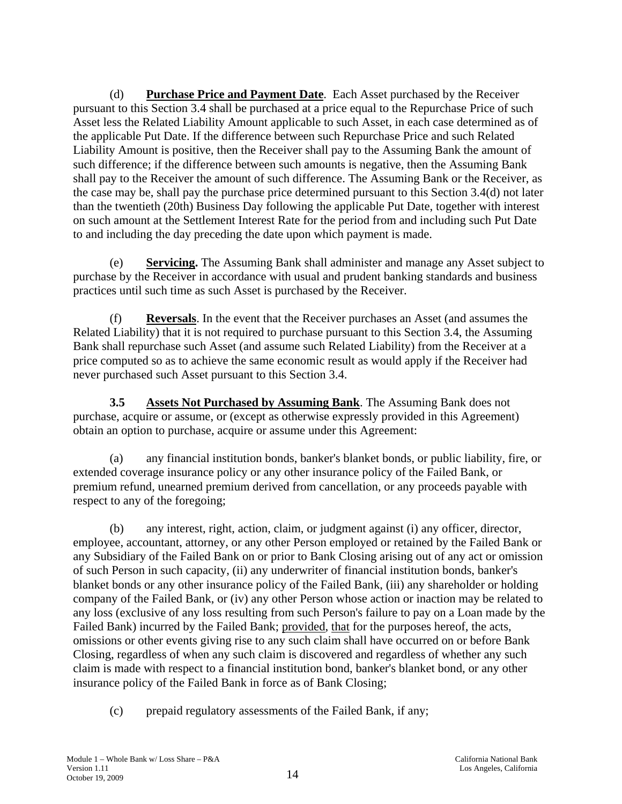<span id="page-17-0"></span> (d) **Purchase Price and Payment Date**. Each Asset purchased by the Receiver pursuant to this Section 3.4 shall be purchased at a price equal to the Repurchase Price of such Asset less the Related Liability Amount applicable to such Asset, in each case determined as of the applicable Put Date. If the difference between such Repurchase Price and such Related Liability Amount is positive, then the Receiver shall pay to the Assuming Bank the amount of such difference; if the difference between such amounts is negative, then the Assuming Bank shall pay to the Receiver the amount of such difference. The Assuming Bank or the Receiver, as the case may be, shall pay the purchase price determined pursuant to this Section 3.4(d) not later than the twentieth (20th) Business Day following the applicable Put Date, together with interest on such amount at the Settlement Interest Rate for the period from and including such Put Date to and including the day preceding the date upon which payment is made.

(e) **Servicing.** The Assuming Bank shall administer and manage any Asset subject to purchase by the Receiver in accordance with usual and prudent banking standards and business practices until such time as such Asset is purchased by the Receiver.

(f) **Reversals**. In the event that the Receiver purchases an Asset (and assumes the Related Liability) that it is not required to purchase pursuant to this Section 3.4, the Assuming Bank shall repurchase such Asset (and assume such Related Liability) from the Receiver at a price computed so as to achieve the same economic result as would apply if the Receiver had never purchased such Asset pursuant to this Section 3.4.

**3.5 Assets Not Purchased by Assuming Bank**. The Assuming Bank does not purchase, acquire or assume, or (except as otherwise expressly provided in this Agreement) obtain an option to purchase, acquire or assume under this Agreement:

(a) any financial institution bonds, banker's blanket bonds, or public liability, fire, or extended coverage insurance policy or any other insurance policy of the Failed Bank, or premium refund, unearned premium derived from cancellation, or any proceeds payable with respect to any of the foregoing;

(b) any interest, right, action, claim, or judgment against (i) any officer, director, employee, accountant, attorney, or any other Person employed or retained by the Failed Bank or any Subsidiary of the Failed Bank on or prior to Bank Closing arising out of any act or omission of such Person in such capacity, (ii) any underwriter of financial institution bonds, banker's blanket bonds or any other insurance policy of the Failed Bank, (iii) any shareholder or holding company of the Failed Bank, or (iv) any other Person whose action or inaction may be related to any loss (exclusive of any loss resulting from such Person's failure to pay on a Loan made by the Failed Bank) incurred by the Failed Bank; provided, that for the purposes hereof, the acts, omissions or other events giving rise to any such claim shall have occurred on or before Bank Closing, regardless of when any such claim is discovered and regardless of whether any such claim is made with respect to a financial institution bond, banker's blanket bond, or any other insurance policy of the Failed Bank in force as of Bank Closing;

(c) prepaid regulatory assessments of the Failed Bank, if any;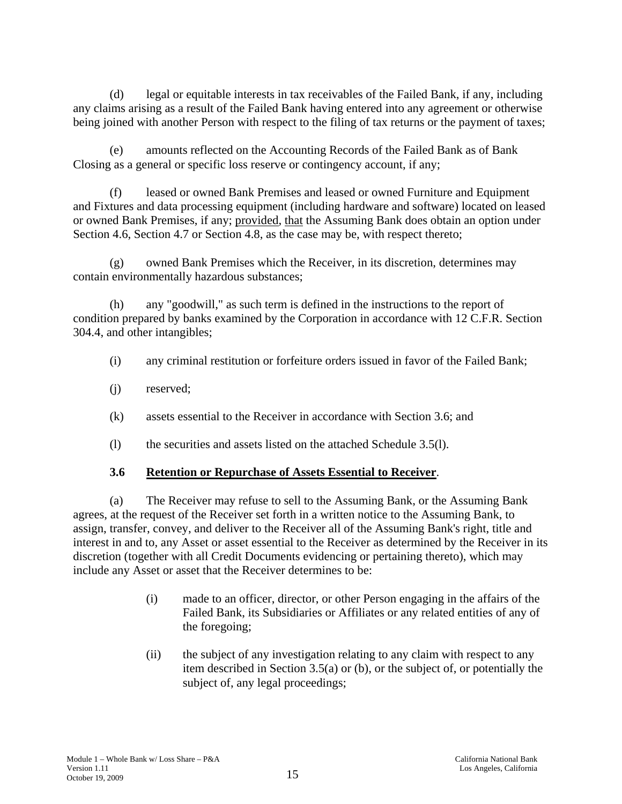<span id="page-18-0"></span>(d) legal or equitable interests in tax receivables of the Failed Bank, if any, including any claims arising as a result of the Failed Bank having entered into any agreement or otherwise being joined with another Person with respect to the filing of tax returns or the payment of taxes;

(e) amounts reflected on the Accounting Records of the Failed Bank as of Bank Closing as a general or specific loss reserve or contingency account, if any;

(f) leased or owned Bank Premises and leased or owned Furniture and Equipment and Fixtures and data processing equipment (including hardware and software) located on leased or owned Bank Premises, if any; provided, that the Assuming Bank does obtain an option under Section 4.6, Section 4.7 or Section 4.8, as the case may be, with respect thereto;

(g) owned Bank Premises which the Receiver, in its discretion, determines may contain environmentally hazardous substances;

(h) any "goodwill," as such term is defined in the instructions to the report of condition prepared by banks examined by the Corporation in accordance with 12 C.F.R. Section 304.4, and other intangibles;

- (i) any criminal restitution or forfeiture orders issued in favor of the Failed Bank;
- (j) reserved;
- (k) assets essential to the Receiver in accordance with Section 3.6; and
- (l) the securities and assets listed on the attached Schedule 3.5(l).

### **3.6 Retention or Repurchase of Assets Essential to Receiver**.

(a) The Receiver may refuse to sell to the Assuming Bank, or the Assuming Bank agrees, at the request of the Receiver set forth in a written notice to the Assuming Bank, to assign, transfer, convey, and deliver to the Receiver all of the Assuming Bank's right, title and interest in and to, any Asset or asset essential to the Receiver as determined by the Receiver in its discretion (together with all Credit Documents evidencing or pertaining thereto), which may include any Asset or asset that the Receiver determines to be:

- (i) made to an officer, director, or other Person engaging in the affairs of the Failed Bank, its Subsidiaries or Affiliates or any related entities of any of the foregoing;
- (ii) the subject of any investigation relating to any claim with respect to any item described in Section 3.5(a) or (b), or the subject of, or potentially the subject of, any legal proceedings;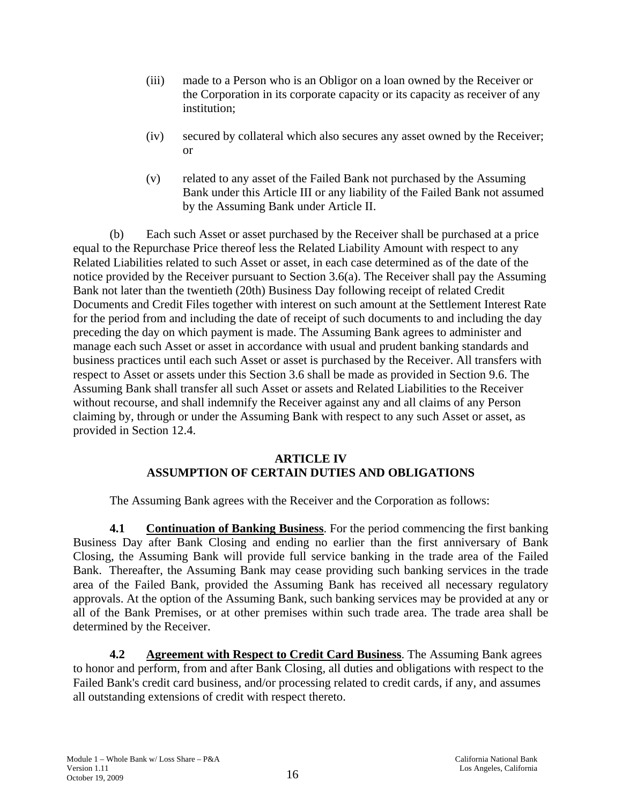- <span id="page-19-0"></span>(iii) made to a Person who is an Obligor on a loan owned by the Receiver or the Corporation in its corporate capacity or its capacity as receiver of any institution;
- (iv) secured by collateral which also secures any asset owned by the Receiver; or
- (v) related to any asset of the Failed Bank not purchased by the Assuming Bank under this Article III or any liability of the Failed Bank not assumed by the Assuming Bank under Article II.

(b) Each such Asset or asset purchased by the Receiver shall be purchased at a price equal to the Repurchase Price thereof less the Related Liability Amount with respect to any Related Liabilities related to such Asset or asset, in each case determined as of the date of the notice provided by the Receiver pursuant to Section 3.6(a). The Receiver shall pay the Assuming Bank not later than the twentieth (20th) Business Day following receipt of related Credit Documents and Credit Files together with interest on such amount at the Settlement Interest Rate for the period from and including the date of receipt of such documents to and including the day preceding the day on which payment is made. The Assuming Bank agrees to administer and manage each such Asset or asset in accordance with usual and prudent banking standards and business practices until each such Asset or asset is purchased by the Receiver. All transfers with respect to Asset or assets under this Section 3.6 shall be made as provided in Section 9.6. The Assuming Bank shall transfer all such Asset or assets and Related Liabilities to the Receiver without recourse, and shall indemnify the Receiver against any and all claims of any Person claiming by, through or under the Assuming Bank with respect to any such Asset or asset, as provided in Section 12.4.

## **ARTICLE IV ASSUMPTION OF CERTAIN DUTIES AND OBLIGATIONS**

The Assuming Bank agrees with the Receiver and the Corporation as follows:

**4.1 Continuation of Banking Business**. For the period commencing the first banking Business Day after Bank Closing and ending no earlier than the first anniversary of Bank Closing, the Assuming Bank will provide full service banking in the trade area of the Failed Bank. Thereafter, the Assuming Bank may cease providing such banking services in the trade area of the Failed Bank, provided the Assuming Bank has received all necessary regulatory approvals. At the option of the Assuming Bank, such banking services may be provided at any or all of the Bank Premises, or at other premises within such trade area. The trade area shall be determined by the Receiver.

**4.2 Agreement with Respect to Credit Card Business**. The Assuming Bank agrees to honor and perform, from and after Bank Closing, all duties and obligations with respect to the Failed Bank's credit card business, and/or processing related to credit cards, if any, and assumes all outstanding extensions of credit with respect thereto.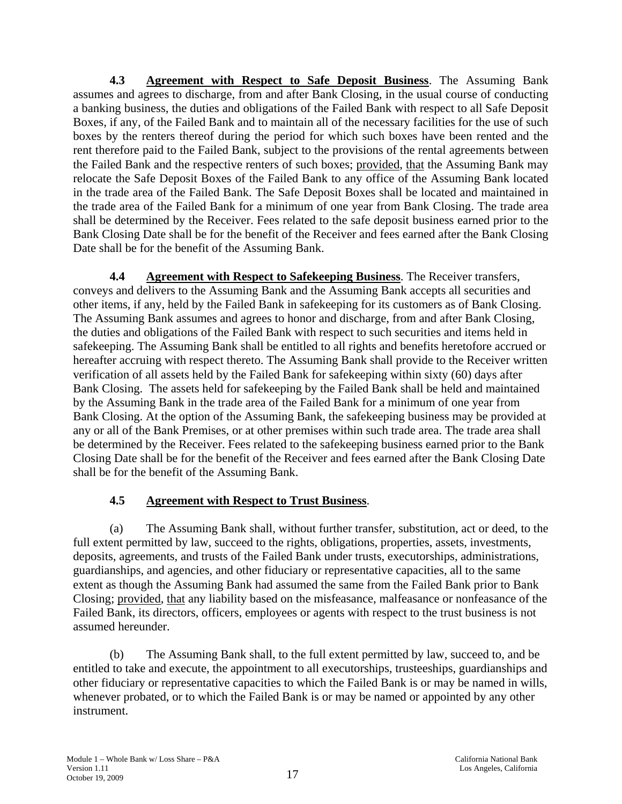<span id="page-20-0"></span>**4.3 Agreement with Respect to Safe Deposit Business**. The Assuming Bank assumes and agrees to discharge, from and after Bank Closing, in the usual course of conducting a banking business, the duties and obligations of the Failed Bank with respect to all Safe Deposit Boxes, if any, of the Failed Bank and to maintain all of the necessary facilities for the use of such boxes by the renters thereof during the period for which such boxes have been rented and the rent therefore paid to the Failed Bank, subject to the provisions of the rental agreements between the Failed Bank and the respective renters of such boxes; provided, that the Assuming Bank may relocate the Safe Deposit Boxes of the Failed Bank to any office of the Assuming Bank located in the trade area of the Failed Bank. The Safe Deposit Boxes shall be located and maintained in the trade area of the Failed Bank for a minimum of one year from Bank Closing. The trade area shall be determined by the Receiver. Fees related to the safe deposit business earned prior to the Bank Closing Date shall be for the benefit of the Receiver and fees earned after the Bank Closing Date shall be for the benefit of the Assuming Bank.

**4.4 Agreement with Respect to Safekeeping Business**. The Receiver transfers, conveys and delivers to the Assuming Bank and the Assuming Bank accepts all securities and other items, if any, held by the Failed Bank in safekeeping for its customers as of Bank Closing. The Assuming Bank assumes and agrees to honor and discharge, from and after Bank Closing, the duties and obligations of the Failed Bank with respect to such securities and items held in safekeeping. The Assuming Bank shall be entitled to all rights and benefits heretofore accrued or hereafter accruing with respect thereto. The Assuming Bank shall provide to the Receiver written verification of all assets held by the Failed Bank for safekeeping within sixty (60) days after Bank Closing. The assets held for safekeeping by the Failed Bank shall be held and maintained by the Assuming Bank in the trade area of the Failed Bank for a minimum of one year from Bank Closing. At the option of the Assuming Bank, the safekeeping business may be provided at any or all of the Bank Premises, or at other premises within such trade area. The trade area shall be determined by the Receiver. Fees related to the safekeeping business earned prior to the Bank Closing Date shall be for the benefit of the Receiver and fees earned after the Bank Closing Date shall be for the benefit of the Assuming Bank.

# **4.5 Agreement with Respect to Trust Business**.

(a) The Assuming Bank shall, without further transfer, substitution, act or deed, to the full extent permitted by law, succeed to the rights, obligations, properties, assets, investments, deposits, agreements, and trusts of the Failed Bank under trusts, executorships, administrations, guardianships, and agencies, and other fiduciary or representative capacities, all to the same extent as though the Assuming Bank had assumed the same from the Failed Bank prior to Bank Closing; provided, that any liability based on the misfeasance, malfeasance or nonfeasance of the Failed Bank, its directors, officers, employees or agents with respect to the trust business is not assumed hereunder.

(b) The Assuming Bank shall, to the full extent permitted by law, succeed to, and be entitled to take and execute, the appointment to all executorships, trusteeships, guardianships and other fiduciary or representative capacities to which the Failed Bank is or may be named in wills, whenever probated, or to which the Failed Bank is or may be named or appointed by any other instrument.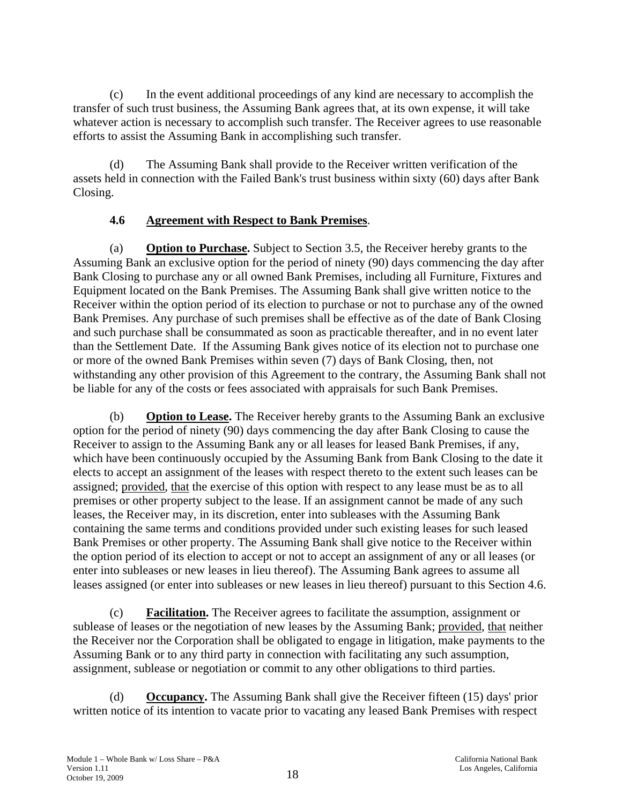<span id="page-21-0"></span>(c) In the event additional proceedings of any kind are necessary to accomplish the transfer of such trust business, the Assuming Bank agrees that, at its own expense, it will take whatever action is necessary to accomplish such transfer. The Receiver agrees to use reasonable efforts to assist the Assuming Bank in accomplishing such transfer.

(d) The Assuming Bank shall provide to the Receiver written verification of the assets held in connection with the Failed Bank's trust business within sixty (60) days after Bank Closing.

# **4.6 Agreement with Respect to Bank Premises**.

(a) **Option to Purchase.** Subject to Section 3.5, the Receiver hereby grants to the Assuming Bank an exclusive option for the period of ninety (90) days commencing the day after Bank Closing to purchase any or all owned Bank Premises, including all Furniture, Fixtures and Equipment located on the Bank Premises. The Assuming Bank shall give written notice to the Receiver within the option period of its election to purchase or not to purchase any of the owned Bank Premises. Any purchase of such premises shall be effective as of the date of Bank Closing and such purchase shall be consummated as soon as practicable thereafter, and in no event later than the Settlement Date. If the Assuming Bank gives notice of its election not to purchase one or more of the owned Bank Premises within seven (7) days of Bank Closing, then, not withstanding any other provision of this Agreement to the contrary, the Assuming Bank shall not be liable for any of the costs or fees associated with appraisals for such Bank Premises.

(b) **Option to Lease.** The Receiver hereby grants to the Assuming Bank an exclusive option for the period of ninety (90) days commencing the day after Bank Closing to cause the Receiver to assign to the Assuming Bank any or all leases for leased Bank Premises, if any, which have been continuously occupied by the Assuming Bank from Bank Closing to the date it elects to accept an assignment of the leases with respect thereto to the extent such leases can be assigned; provided, that the exercise of this option with respect to any lease must be as to all premises or other property subject to the lease. If an assignment cannot be made of any such leases, the Receiver may, in its discretion, enter into subleases with the Assuming Bank containing the same terms and conditions provided under such existing leases for such leased Bank Premises or other property. The Assuming Bank shall give notice to the Receiver within the option period of its election to accept or not to accept an assignment of any or all leases (or enter into subleases or new leases in lieu thereof). The Assuming Bank agrees to assume all leases assigned (or enter into subleases or new leases in lieu thereof) pursuant to this Section 4.6.

(c) **Facilitation.** The Receiver agrees to facilitate the assumption, assignment or sublease of leases or the negotiation of new leases by the Assuming Bank; provided, that neither the Receiver nor the Corporation shall be obligated to engage in litigation, make payments to the Assuming Bank or to any third party in connection with facilitating any such assumption, assignment, sublease or negotiation or commit to any other obligations to third parties.

(d) **Occupancy.** The Assuming Bank shall give the Receiver fifteen (15) days' prior written notice of its intention to vacate prior to vacating any leased Bank Premises with respect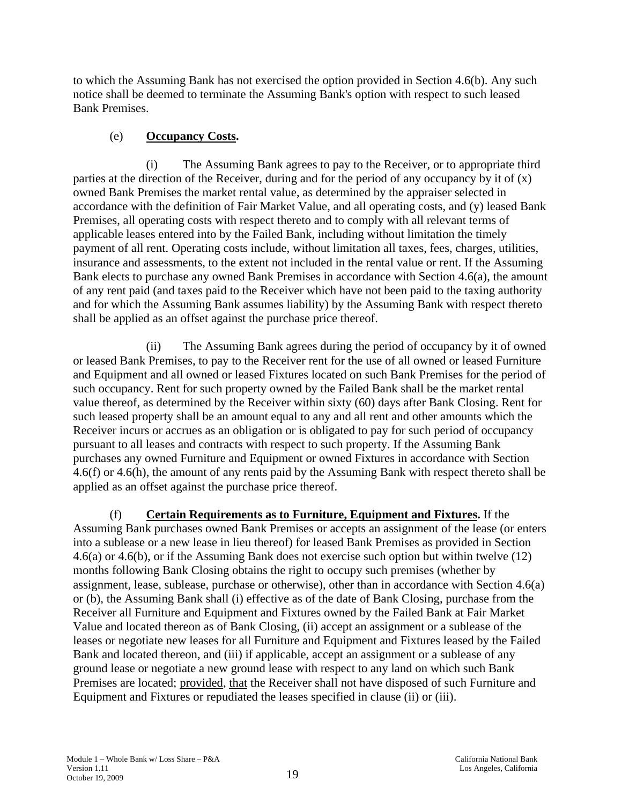to which the Assuming Bank has not exercised the option provided in Section 4.6(b). Any such notice shall be deemed to terminate the Assuming Bank's option with respect to such leased Bank Premises.

# (e) **Occupancy Costs.**

(i) The Assuming Bank agrees to pay to the Receiver, or to appropriate third parties at the direction of the Receiver, during and for the period of any occupancy by it of (x) owned Bank Premises the market rental value, as determined by the appraiser selected in accordance with the definition of Fair Market Value, and all operating costs, and (y) leased Bank Premises, all operating costs with respect thereto and to comply with all relevant terms of applicable leases entered into by the Failed Bank, including without limitation the timely payment of all rent. Operating costs include, without limitation all taxes, fees, charges, utilities, insurance and assessments, to the extent not included in the rental value or rent. If the Assuming Bank elects to purchase any owned Bank Premises in accordance with Section 4.6(a), the amount of any rent paid (and taxes paid to the Receiver which have not been paid to the taxing authority and for which the Assuming Bank assumes liability) by the Assuming Bank with respect thereto shall be applied as an offset against the purchase price thereof.

(ii) The Assuming Bank agrees during the period of occupancy by it of owned or leased Bank Premises, to pay to the Receiver rent for the use of all owned or leased Furniture and Equipment and all owned or leased Fixtures located on such Bank Premises for the period of such occupancy. Rent for such property owned by the Failed Bank shall be the market rental value thereof, as determined by the Receiver within sixty (60) days after Bank Closing. Rent for such leased property shall be an amount equal to any and all rent and other amounts which the Receiver incurs or accrues as an obligation or is obligated to pay for such period of occupancy pursuant to all leases and contracts with respect to such property. If the Assuming Bank purchases any owned Furniture and Equipment or owned Fixtures in accordance with Section 4.6(f) or 4.6(h), the amount of any rents paid by the Assuming Bank with respect thereto shall be applied as an offset against the purchase price thereof.

(f) **Certain Requirements as to Furniture, Equipment and Fixtures.** If the Assuming Bank purchases owned Bank Premises or accepts an assignment of the lease (or enters into a sublease or a new lease in lieu thereof) for leased Bank Premises as provided in Section 4.6(a) or 4.6(b), or if the Assuming Bank does not exercise such option but within twelve (12) months following Bank Closing obtains the right to occupy such premises (whether by assignment, lease, sublease, purchase or otherwise), other than in accordance with Section 4.6(a) or (b), the Assuming Bank shall (i) effective as of the date of Bank Closing, purchase from the Receiver all Furniture and Equipment and Fixtures owned by the Failed Bank at Fair Market Value and located thereon as of Bank Closing, (ii) accept an assignment or a sublease of the leases or negotiate new leases for all Furniture and Equipment and Fixtures leased by the Failed Bank and located thereon, and (iii) if applicable, accept an assignment or a sublease of any ground lease or negotiate a new ground lease with respect to any land on which such Bank Premises are located; provided, that the Receiver shall not have disposed of such Furniture and Equipment and Fixtures or repudiated the leases specified in clause (ii) or (iii).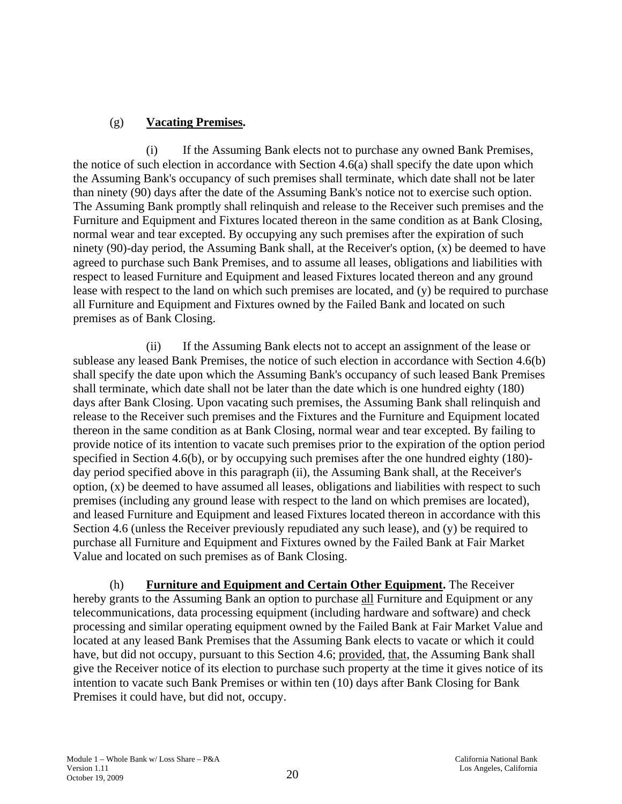### (g) **Vacating Premises.**

(i) If the Assuming Bank elects not to purchase any owned Bank Premises, the notice of such election in accordance with Section 4.6(a) shall specify the date upon which the Assuming Bank's occupancy of such premises shall terminate, which date shall not be later than ninety (90) days after the date of the Assuming Bank's notice not to exercise such option. The Assuming Bank promptly shall relinquish and release to the Receiver such premises and the Furniture and Equipment and Fixtures located thereon in the same condition as at Bank Closing, normal wear and tear excepted. By occupying any such premises after the expiration of such ninety (90)-day period, the Assuming Bank shall, at the Receiver's option, (x) be deemed to have agreed to purchase such Bank Premises, and to assume all leases, obligations and liabilities with respect to leased Furniture and Equipment and leased Fixtures located thereon and any ground lease with respect to the land on which such premises are located, and (y) be required to purchase all Furniture and Equipment and Fixtures owned by the Failed Bank and located on such premises as of Bank Closing.

(ii) If the Assuming Bank elects not to accept an assignment of the lease or sublease any leased Bank Premises, the notice of such election in accordance with Section 4.6(b) shall specify the date upon which the Assuming Bank's occupancy of such leased Bank Premises shall terminate, which date shall not be later than the date which is one hundred eighty (180) days after Bank Closing. Upon vacating such premises, the Assuming Bank shall relinquish and release to the Receiver such premises and the Fixtures and the Furniture and Equipment located thereon in the same condition as at Bank Closing, normal wear and tear excepted. By failing to provide notice of its intention to vacate such premises prior to the expiration of the option period specified in Section 4.6(b), or by occupying such premises after the one hundred eighty (180) day period specified above in this paragraph (ii), the Assuming Bank shall, at the Receiver's option, (x) be deemed to have assumed all leases, obligations and liabilities with respect to such premises (including any ground lease with respect to the land on which premises are located), and leased Furniture and Equipment and leased Fixtures located thereon in accordance with this Section 4.6 (unless the Receiver previously repudiated any such lease), and (y) be required to purchase all Furniture and Equipment and Fixtures owned by the Failed Bank at Fair Market Value and located on such premises as of Bank Closing.

(h) **Furniture and Equipment and Certain Other Equipment.** The Receiver hereby grants to the Assuming Bank an option to purchase all Furniture and Equipment or any telecommunications, data processing equipment (including hardware and software) and check processing and similar operating equipment owned by the Failed Bank at Fair Market Value and located at any leased Bank Premises that the Assuming Bank elects to vacate or which it could have, but did not occupy, pursuant to this Section 4.6; provided, that, the Assuming Bank shall give the Receiver notice of its election to purchase such property at the time it gives notice of its intention to vacate such Bank Premises or within ten (10) days after Bank Closing for Bank Premises it could have, but did not, occupy.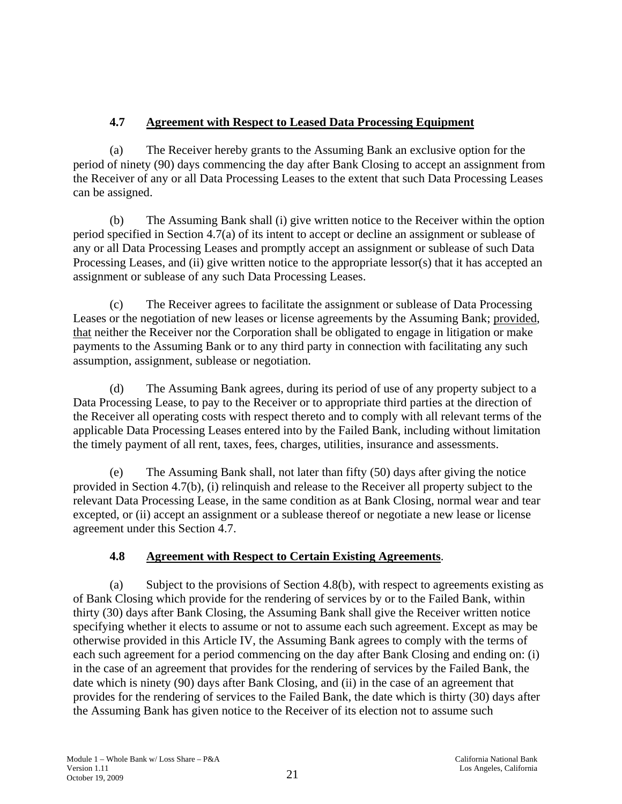# <span id="page-24-0"></span>**4.7 Agreement with Respect to Leased Data Processing Equipment**

(a) The Receiver hereby grants to the Assuming Bank an exclusive option for the period of ninety (90) days commencing the day after Bank Closing to accept an assignment from the Receiver of any or all Data Processing Leases to the extent that such Data Processing Leases can be assigned.

(b) The Assuming Bank shall (i) give written notice to the Receiver within the option period specified in Section 4.7(a) of its intent to accept or decline an assignment or sublease of any or all Data Processing Leases and promptly accept an assignment or sublease of such Data Processing Leases, and (ii) give written notice to the appropriate lessor(s) that it has accepted an assignment or sublease of any such Data Processing Leases.

(c) The Receiver agrees to facilitate the assignment or sublease of Data Processing Leases or the negotiation of new leases or license agreements by the Assuming Bank; provided, that neither the Receiver nor the Corporation shall be obligated to engage in litigation or make payments to the Assuming Bank or to any third party in connection with facilitating any such assumption, assignment, sublease or negotiation.

(d) The Assuming Bank agrees, during its period of use of any property subject to a Data Processing Lease, to pay to the Receiver or to appropriate third parties at the direction of the Receiver all operating costs with respect thereto and to comply with all relevant terms of the applicable Data Processing Leases entered into by the Failed Bank, including without limitation the timely payment of all rent, taxes, fees, charges, utilities, insurance and assessments.

(e) The Assuming Bank shall, not later than fifty (50) days after giving the notice provided in Section 4.7(b), (i) relinquish and release to the Receiver all property subject to the relevant Data Processing Lease, in the same condition as at Bank Closing, normal wear and tear excepted, or (ii) accept an assignment or a sublease thereof or negotiate a new lease or license agreement under this Section 4.7.

# **4.8 Agreement with Respect to Certain Existing Agreements**.

(a) Subject to the provisions of Section 4.8(b), with respect to agreements existing as of Bank Closing which provide for the rendering of services by or to the Failed Bank, within thirty (30) days after Bank Closing, the Assuming Bank shall give the Receiver written notice specifying whether it elects to assume or not to assume each such agreement. Except as may be otherwise provided in this Article IV, the Assuming Bank agrees to comply with the terms of each such agreement for a period commencing on the day after Bank Closing and ending on: (i) in the case of an agreement that provides for the rendering of services by the Failed Bank, the date which is ninety (90) days after Bank Closing, and (ii) in the case of an agreement that provides for the rendering of services to the Failed Bank, the date which is thirty (30) days after the Assuming Bank has given notice to the Receiver of its election not to assume such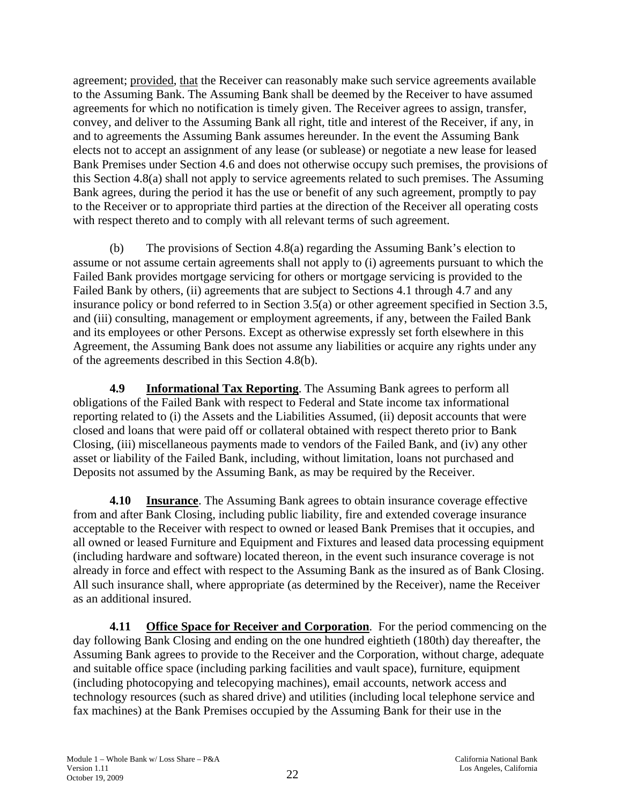<span id="page-25-0"></span>agreement; provided, that the Receiver can reasonably make such service agreements available to the Assuming Bank. The Assuming Bank shall be deemed by the Receiver to have assumed agreements for which no notification is timely given. The Receiver agrees to assign, transfer, convey, and deliver to the Assuming Bank all right, title and interest of the Receiver, if any, in and to agreements the Assuming Bank assumes hereunder. In the event the Assuming Bank elects not to accept an assignment of any lease (or sublease) or negotiate a new lease for leased Bank Premises under Section 4.6 and does not otherwise occupy such premises, the provisions of this Section 4.8(a) shall not apply to service agreements related to such premises. The Assuming Bank agrees, during the period it has the use or benefit of any such agreement, promptly to pay to the Receiver or to appropriate third parties at the direction of the Receiver all operating costs with respect thereto and to comply with all relevant terms of such agreement.

(b) The provisions of Section 4.8(a) regarding the Assuming Bank's election to assume or not assume certain agreements shall not apply to (i) agreements pursuant to which the Failed Bank provides mortgage servicing for others or mortgage servicing is provided to the Failed Bank by others, (ii) agreements that are subject to Sections 4.1 through 4.7 and any insurance policy or bond referred to in Section 3.5(a) or other agreement specified in Section 3.5, and (iii) consulting, management or employment agreements, if any, between the Failed Bank and its employees or other Persons. Except as otherwise expressly set forth elsewhere in this Agreement, the Assuming Bank does not assume any liabilities or acquire any rights under any of the agreements described in this Section 4.8(b).

**4.9** Informational Tax Reporting. The Assuming Bank agrees to perform all obligations of the Failed Bank with respect to Federal and State income tax informational reporting related to (i) the Assets and the Liabilities Assumed, (ii) deposit accounts that were closed and loans that were paid off or collateral obtained with respect thereto prior to Bank Closing, (iii) miscellaneous payments made to vendors of the Failed Bank, and (iv) any other asset or liability of the Failed Bank, including, without limitation, loans not purchased and Deposits not assumed by the Assuming Bank, as may be required by the Receiver.

**4.10 Insurance**. The Assuming Bank agrees to obtain insurance coverage effective from and after Bank Closing, including public liability, fire and extended coverage insurance acceptable to the Receiver with respect to owned or leased Bank Premises that it occupies, and all owned or leased Furniture and Equipment and Fixtures and leased data processing equipment (including hardware and software) located thereon, in the event such insurance coverage is not already in force and effect with respect to the Assuming Bank as the insured as of Bank Closing. All such insurance shall, where appropriate (as determined by the Receiver), name the Receiver as an additional insured.

**4.11 Office Space for Receiver and Corporation**. For the period commencing on the day following Bank Closing and ending on the one hundred eightieth (180th) day thereafter, the Assuming Bank agrees to provide to the Receiver and the Corporation, without charge, adequate and suitable office space (including parking facilities and vault space), furniture, equipment (including photocopying and telecopying machines), email accounts, network access and technology resources (such as shared drive) and utilities (including local telephone service and fax machines) at the Bank Premises occupied by the Assuming Bank for their use in the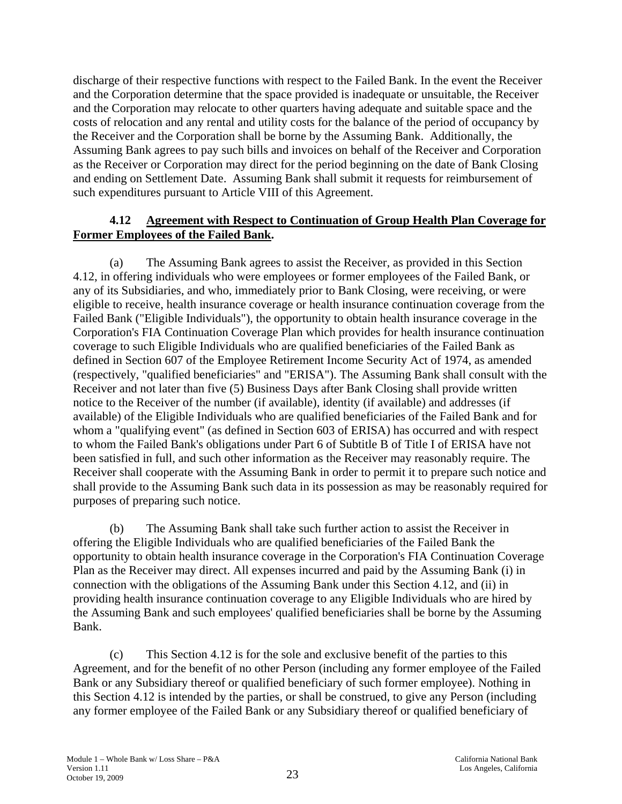<span id="page-26-0"></span>discharge of their respective functions with respect to the Failed Bank. In the event the Receiver and the Corporation determine that the space provided is inadequate or unsuitable, the Receiver and the Corporation may relocate to other quarters having adequate and suitable space and the costs of relocation and any rental and utility costs for the balance of the period of occupancy by the Receiver and the Corporation shall be borne by the Assuming Bank. Additionally, the Assuming Bank agrees to pay such bills and invoices on behalf of the Receiver and Corporation as the Receiver or Corporation may direct for the period beginning on the date of Bank Closing and ending on Settlement Date. Assuming Bank shall submit it requests for reimbursement of such expenditures pursuant to Article VIII of this Agreement.

### **4.12 Agreement with Respect to Continuation of Group Health Plan Coverage for Former Employees of the Failed Bank.**

(a) The Assuming Bank agrees to assist the Receiver, as provided in this Section 4.12, in offering individuals who were employees or former employees of the Failed Bank, or any of its Subsidiaries, and who, immediately prior to Bank Closing, were receiving, or were eligible to receive, health insurance coverage or health insurance continuation coverage from the Failed Bank ("Eligible Individuals"), the opportunity to obtain health insurance coverage in the Corporation's FIA Continuation Coverage Plan which provides for health insurance continuation coverage to such Eligible Individuals who are qualified beneficiaries of the Failed Bank as defined in Section 607 of the Employee Retirement Income Security Act of 1974, as amended (respectively, "qualified beneficiaries" and "ERISA"). The Assuming Bank shall consult with the Receiver and not later than five (5) Business Days after Bank Closing shall provide written notice to the Receiver of the number (if available), identity (if available) and addresses (if available) of the Eligible Individuals who are qualified beneficiaries of the Failed Bank and for whom a "qualifying event" (as defined in Section 603 of ERISA) has occurred and with respect to whom the Failed Bank's obligations under Part 6 of Subtitle B of Title I of ERISA have not been satisfied in full, and such other information as the Receiver may reasonably require. The Receiver shall cooperate with the Assuming Bank in order to permit it to prepare such notice and shall provide to the Assuming Bank such data in its possession as may be reasonably required for purposes of preparing such notice.

(b) The Assuming Bank shall take such further action to assist the Receiver in offering the Eligible Individuals who are qualified beneficiaries of the Failed Bank the opportunity to obtain health insurance coverage in the Corporation's FIA Continuation Coverage Plan as the Receiver may direct. All expenses incurred and paid by the Assuming Bank (i) in connection with the obligations of the Assuming Bank under this Section 4.12, and (ii) in providing health insurance continuation coverage to any Eligible Individuals who are hired by the Assuming Bank and such employees' qualified beneficiaries shall be borne by the Assuming Bank.

(c) This Section 4.12 is for the sole and exclusive benefit of the parties to this Agreement, and for the benefit of no other Person (including any former employee of the Failed Bank or any Subsidiary thereof or qualified beneficiary of such former employee). Nothing in this Section 4.12 is intended by the parties, or shall be construed, to give any Person (including any former employee of the Failed Bank or any Subsidiary thereof or qualified beneficiary of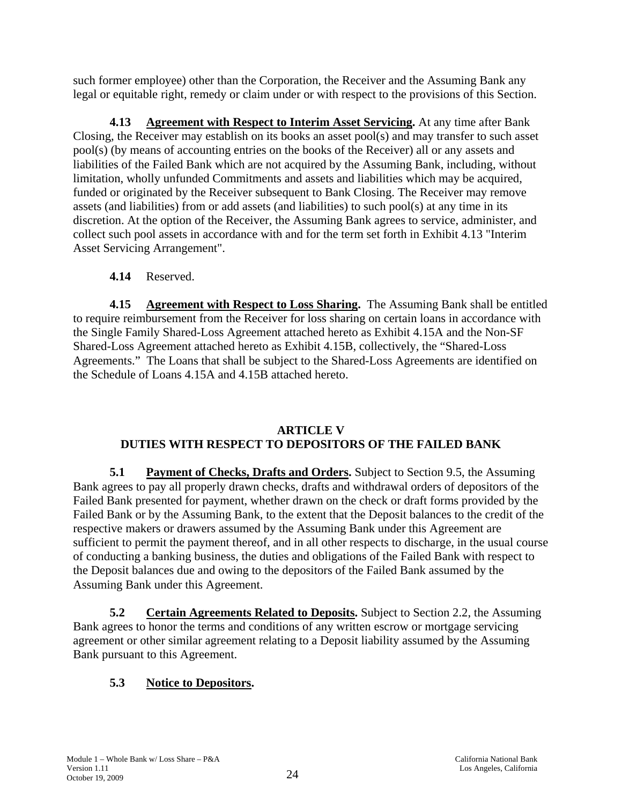<span id="page-27-0"></span>such former employee) other than the Corporation, the Receiver and the Assuming Bank any legal or equitable right, remedy or claim under or with respect to the provisions of this Section.

**4.13** Agreement with Respect to Interim Asset Servicing. At any time after Bank Closing, the Receiver may establish on its books an asset pool(s) and may transfer to such asset pool(s) (by means of accounting entries on the books of the Receiver) all or any assets and liabilities of the Failed Bank which are not acquired by the Assuming Bank, including, without limitation, wholly unfunded Commitments and assets and liabilities which may be acquired, funded or originated by the Receiver subsequent to Bank Closing. The Receiver may remove assets (and liabilities) from or add assets (and liabilities) to such pool(s) at any time in its discretion. At the option of the Receiver, the Assuming Bank agrees to service, administer, and collect such pool assets in accordance with and for the term set forth in Exhibit 4.13 "Interim Asset Servicing Arrangement".

# **4.14** Reserved.

**4.15 Agreement with Respect to Loss Sharing.** The Assuming Bank shall be entitled to require reimbursement from the Receiver for loss sharing on certain loans in accordance with the Single Family Shared-Loss Agreement attached hereto as Exhibit 4.15A and the Non-SF Shared-Loss Agreement attached hereto as Exhibit 4.15B, collectively, the "Shared-Loss Agreements." The Loans that shall be subject to the Shared-Loss Agreements are identified on the Schedule of Loans 4.15A and 4.15B attached hereto.

## **ARTICLE V DUTIES WITH RESPECT TO DEPOSITORS OF THE FAILED BANK**

**5.1 Payment of Checks, Drafts and Orders.** Subject to Section 9.5, the Assuming Bank agrees to pay all properly drawn checks, drafts and withdrawal orders of depositors of the Failed Bank presented for payment, whether drawn on the check or draft forms provided by the Failed Bank or by the Assuming Bank, to the extent that the Deposit balances to the credit of the respective makers or drawers assumed by the Assuming Bank under this Agreement are sufficient to permit the payment thereof, and in all other respects to discharge, in the usual course of conducting a banking business, the duties and obligations of the Failed Bank with respect to the Deposit balances due and owing to the depositors of the Failed Bank assumed by the Assuming Bank under this Agreement.

**5.2 Certain Agreements Related to Deposits.** Subject to Section 2.2, the Assuming Bank agrees to honor the terms and conditions of any written escrow or mortgage servicing agreement or other similar agreement relating to a Deposit liability assumed by the Assuming Bank pursuant to this Agreement.

# **5.3 Notice to Depositors.**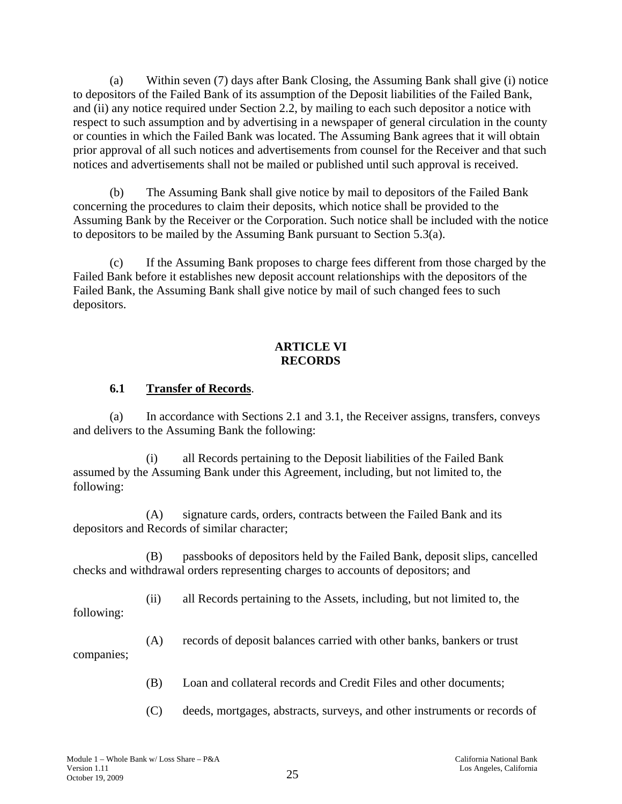<span id="page-28-0"></span>(a) Within seven (7) days after Bank Closing, the Assuming Bank shall give (i) notice to depositors of the Failed Bank of its assumption of the Deposit liabilities of the Failed Bank, and (ii) any notice required under Section 2.2, by mailing to each such depositor a notice with respect to such assumption and by advertising in a newspaper of general circulation in the county or counties in which the Failed Bank was located. The Assuming Bank agrees that it will obtain prior approval of all such notices and advertisements from counsel for the Receiver and that such notices and advertisements shall not be mailed or published until such approval is received.

(b) The Assuming Bank shall give notice by mail to depositors of the Failed Bank concerning the procedures to claim their deposits, which notice shall be provided to the Assuming Bank by the Receiver or the Corporation. Such notice shall be included with the notice to depositors to be mailed by the Assuming Bank pursuant to Section 5.3(a).

(c) If the Assuming Bank proposes to charge fees different from those charged by the Failed Bank before it establishes new deposit account relationships with the depositors of the Failed Bank, the Assuming Bank shall give notice by mail of such changed fees to such depositors.

### **ARTICLE VI RECORDS**

## **6.1 Transfer of Records**.

(a) In accordance with Sections 2.1 and 3.1, the Receiver assigns, transfers, conveys and delivers to the Assuming Bank the following:

(i) all Records pertaining to the Deposit liabilities of the Failed Bank assumed by the Assuming Bank under this Agreement, including, but not limited to, the following:

(A) signature cards, orders, contracts between the Failed Bank and its depositors and Records of similar character;

(B) passbooks of depositors held by the Failed Bank, deposit slips, cancelled checks and withdrawal orders representing charges to accounts of depositors; and

following: (ii) all Records pertaining to the Assets, including, but not limited to, the

companies; (A) records of deposit balances carried with other banks, bankers or trust

(B) Loan and collateral records and Credit Files and other documents;

(C) deeds, mortgages, abstracts, surveys, and other instruments or records of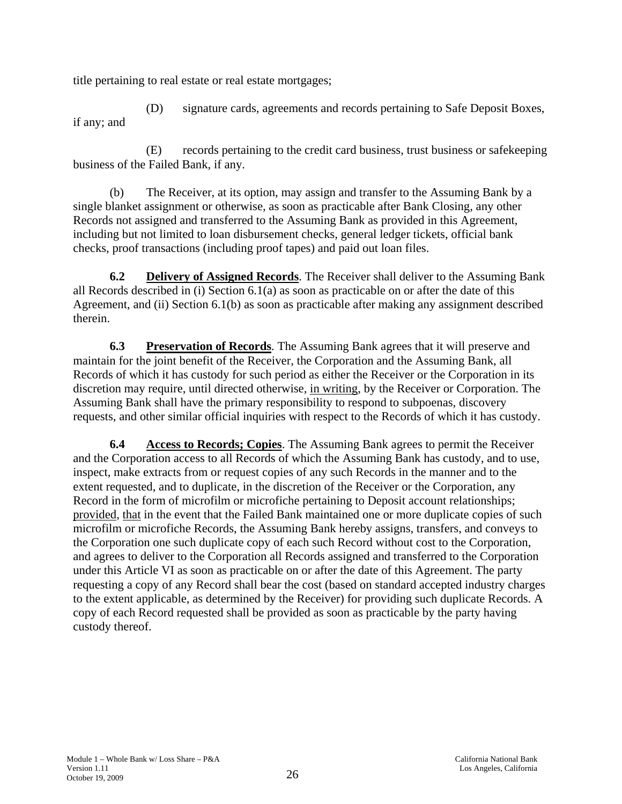<span id="page-29-0"></span>title pertaining to real estate or real estate mortgages;

(D) signature cards, agreements and records pertaining to Safe Deposit Boxes, if any; and

(E) records pertaining to the credit card business, trust business or safekeeping business of the Failed Bank, if any.

(b) The Receiver, at its option, may assign and transfer to the Assuming Bank by a single blanket assignment or otherwise, as soon as practicable after Bank Closing, any other Records not assigned and transferred to the Assuming Bank as provided in this Agreement, including but not limited to loan disbursement checks, general ledger tickets, official bank checks, proof transactions (including proof tapes) and paid out loan files.

**6.2 Delivery of Assigned Records**. The Receiver shall deliver to the Assuming Bank all Records described in (i) Section 6.1(a) as soon as practicable on or after the date of this Agreement, and (ii) Section 6.1(b) as soon as practicable after making any assignment described therein.

**6.3 Preservation of Records**. The Assuming Bank agrees that it will preserve and maintain for the joint benefit of the Receiver, the Corporation and the Assuming Bank, all Records of which it has custody for such period as either the Receiver or the Corporation in its discretion may require, until directed otherwise, in writing, by the Receiver or Corporation. The Assuming Bank shall have the primary responsibility to respond to subpoenas, discovery requests, and other similar official inquiries with respect to the Records of which it has custody.

**6.4** Access to Records; Copies. The Assuming Bank agrees to permit the Receiver and the Corporation access to all Records of which the Assuming Bank has custody, and to use, inspect, make extracts from or request copies of any such Records in the manner and to the extent requested, and to duplicate, in the discretion of the Receiver or the Corporation, any Record in the form of microfilm or microfiche pertaining to Deposit account relationships; provided, that in the event that the Failed Bank maintained one or more duplicate copies of such microfilm or microfiche Records, the Assuming Bank hereby assigns, transfers, and conveys to the Corporation one such duplicate copy of each such Record without cost to the Corporation, and agrees to deliver to the Corporation all Records assigned and transferred to the Corporation under this Article VI as soon as practicable on or after the date of this Agreement. The party requesting a copy of any Record shall bear the cost (based on standard accepted industry charges to the extent applicable, as determined by the Receiver) for providing such duplicate Records. A copy of each Record requested shall be provided as soon as practicable by the party having custody thereof.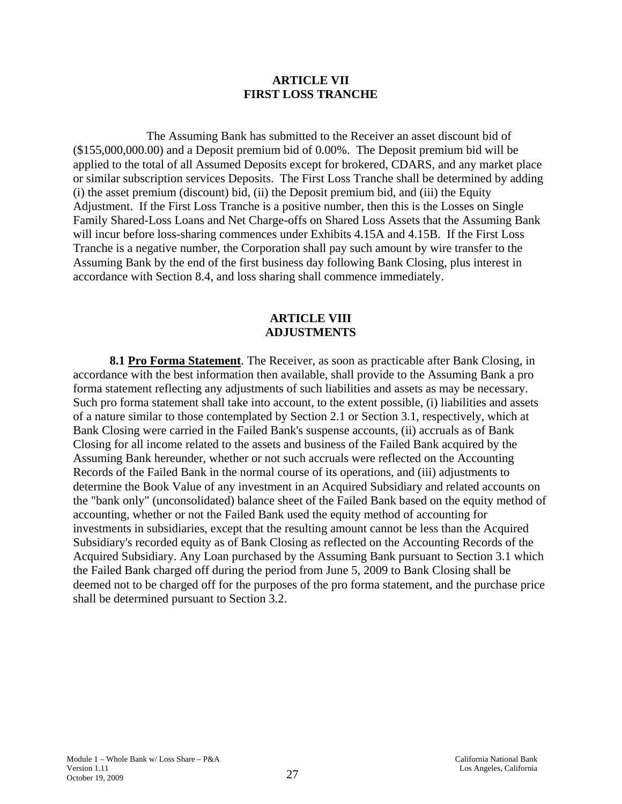#### **ARTICLE VII FIRST LOSS TRANCHE**

<span id="page-30-0"></span> The Assuming Bank has submitted to the Receiver an asset discount bid of (\$155,000,000.00) and a Deposit premium bid of 0.00%. The Deposit premium bid will be applied to the total of all Assumed Deposits except for brokered, CDARS, and any market place or similar subscription services Deposits. The First Loss Tranche shall be determined by adding (i) the asset premium (discount) bid, (ii) the Deposit premium bid, and (iii) the Equity Adjustment. If the First Loss Tranche is a positive number, then this is the Losses on Single Family Shared-Loss Loans and Net Charge-offs on Shared Loss Assets that the Assuming Bank will incur before loss-sharing commences under Exhibits 4.15A and 4.15B. If the First Loss Tranche is a negative number, the Corporation shall pay such amount by wire transfer to the Assuming Bank by the end of the first business day following Bank Closing, plus interest in accordance with Section 8.4, and loss sharing shall commence immediately.

#### **ARTICLE VIII ADJUSTMENTS**

**8.1 Pro Forma Statement**. The Receiver, as soon as practicable after Bank Closing, in accordance with the best information then available, shall provide to the Assuming Bank a pro forma statement reflecting any adjustments of such liabilities and assets as may be necessary. Such pro forma statement shall take into account, to the extent possible, (i) liabilities and assets of a nature similar to those contemplated by Section 2.1 or Section 3.1, respectively, which at Bank Closing were carried in the Failed Bank's suspense accounts, (ii) accruals as of Bank Closing for all income related to the assets and business of the Failed Bank acquired by the Assuming Bank hereunder, whether or not such accruals were reflected on the Accounting Records of the Failed Bank in the normal course of its operations, and (iii) adjustments to determine the Book Value of any investment in an Acquired Subsidiary and related accounts on the "bank only" (unconsolidated) balance sheet of the Failed Bank based on the equity method of accounting, whether or not the Failed Bank used the equity method of accounting for investments in subsidiaries, except that the resulting amount cannot be less than the Acquired Subsidiary's recorded equity as of Bank Closing as reflected on the Accounting Records of the Acquired Subsidiary. Any Loan purchased by the Assuming Bank pursuant to Section 3.1 which the Failed Bank charged off during the period from June 5, 2009 to Bank Closing shall be deemed not to be charged off for the purposes of the pro forma statement, and the purchase price shall be determined pursuant to Section 3.2.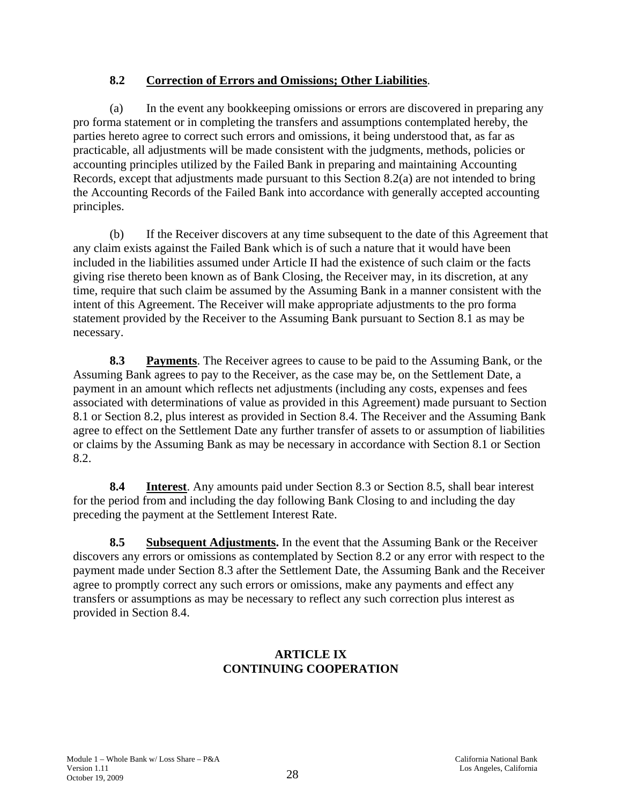# **8.2 Correction of Errors and Omissions; Other Liabilities**.

<span id="page-31-0"></span>(a) In the event any bookkeeping omissions or errors are discovered in preparing any pro forma statement or in completing the transfers and assumptions contemplated hereby, the parties hereto agree to correct such errors and omissions, it being understood that, as far as practicable, all adjustments will be made consistent with the judgments, methods, policies or accounting principles utilized by the Failed Bank in preparing and maintaining Accounting Records, except that adjustments made pursuant to this Section 8.2(a) are not intended to bring the Accounting Records of the Failed Bank into accordance with generally accepted accounting principles.

(b) If the Receiver discovers at any time subsequent to the date of this Agreement that any claim exists against the Failed Bank which is of such a nature that it would have been included in the liabilities assumed under Article II had the existence of such claim or the facts giving rise thereto been known as of Bank Closing, the Receiver may, in its discretion, at any time, require that such claim be assumed by the Assuming Bank in a manner consistent with the intent of this Agreement. The Receiver will make appropriate adjustments to the pro forma statement provided by the Receiver to the Assuming Bank pursuant to Section 8.1 as may be necessary.

**8.3 Payments**. The Receiver agrees to cause to be paid to the Assuming Bank, or the Assuming Bank agrees to pay to the Receiver, as the case may be, on the Settlement Date, a payment in an amount which reflects net adjustments (including any costs, expenses and fees associated with determinations of value as provided in this Agreement) made pursuant to Section 8.1 or Section 8.2, plus interest as provided in Section 8.4. The Receiver and the Assuming Bank agree to effect on the Settlement Date any further transfer of assets to or assumption of liabilities or claims by the Assuming Bank as may be necessary in accordance with Section 8.1 or Section 8.2.

**8.4 Interest**. Any amounts paid under Section 8.3 or Section 8.5, shall bear interest for the period from and including the day following Bank Closing to and including the day preceding the payment at the Settlement Interest Rate.

**8.5 Subsequent Adjustments.** In the event that the Assuming Bank or the Receiver discovers any errors or omissions as contemplated by Section 8.2 or any error with respect to the payment made under Section 8.3 after the Settlement Date, the Assuming Bank and the Receiver agree to promptly correct any such errors or omissions, make any payments and effect any transfers or assumptions as may be necessary to reflect any such correction plus interest as provided in Section 8.4.

# **ARTICLE IX CONTINUING COOPERATION**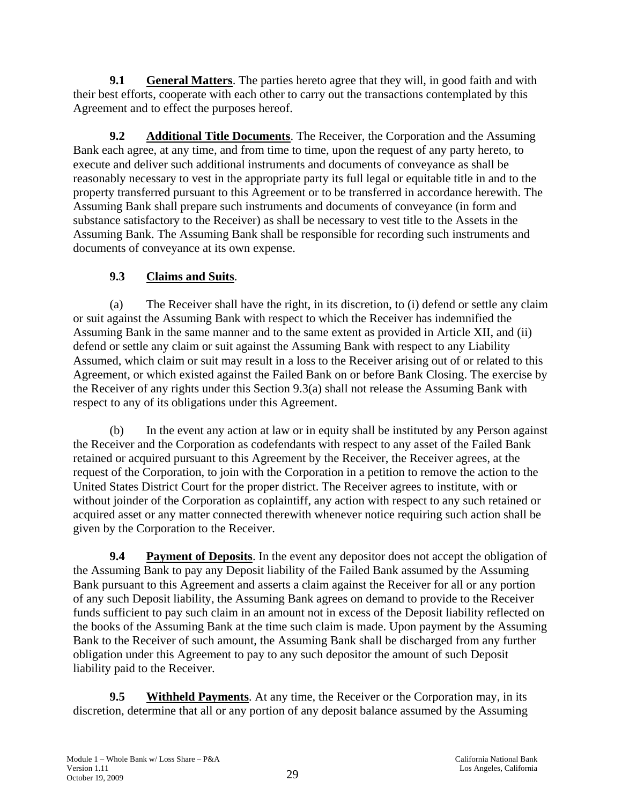<span id="page-32-0"></span>**9.1** General Matters. The parties hereto agree that they will, in good faith and with their best efforts, cooperate with each other to carry out the transactions contemplated by this Agreement and to effect the purposes hereof.

**9.2 Additional Title Documents**. The Receiver, the Corporation and the Assuming Bank each agree, at any time, and from time to time, upon the request of any party hereto, to execute and deliver such additional instruments and documents of conveyance as shall be reasonably necessary to vest in the appropriate party its full legal or equitable title in and to the property transferred pursuant to this Agreement or to be transferred in accordance herewith. The Assuming Bank shall prepare such instruments and documents of conveyance (in form and substance satisfactory to the Receiver) as shall be necessary to vest title to the Assets in the Assuming Bank. The Assuming Bank shall be responsible for recording such instruments and documents of conveyance at its own expense.

# **9.3 Claims and Suits**.

(a) The Receiver shall have the right, in its discretion, to (i) defend or settle any claim or suit against the Assuming Bank with respect to which the Receiver has indemnified the Assuming Bank in the same manner and to the same extent as provided in Article XII, and (ii) defend or settle any claim or suit against the Assuming Bank with respect to any Liability Assumed, which claim or suit may result in a loss to the Receiver arising out of or related to this Agreement, or which existed against the Failed Bank on or before Bank Closing. The exercise by the Receiver of any rights under this Section 9.3(a) shall not release the Assuming Bank with respect to any of its obligations under this Agreement.

(b) In the event any action at law or in equity shall be instituted by any Person against the Receiver and the Corporation as codefendants with respect to any asset of the Failed Bank retained or acquired pursuant to this Agreement by the Receiver, the Receiver agrees, at the request of the Corporation, to join with the Corporation in a petition to remove the action to the United States District Court for the proper district. The Receiver agrees to institute, with or without joinder of the Corporation as coplaintiff, any action with respect to any such retained or acquired asset or any matter connected therewith whenever notice requiring such action shall be given by the Corporation to the Receiver.

**9.4 Payment of Deposits**. In the event any depositor does not accept the obligation of the Assuming Bank to pay any Deposit liability of the Failed Bank assumed by the Assuming Bank pursuant to this Agreement and asserts a claim against the Receiver for all or any portion of any such Deposit liability, the Assuming Bank agrees on demand to provide to the Receiver funds sufficient to pay such claim in an amount not in excess of the Deposit liability reflected on the books of the Assuming Bank at the time such claim is made. Upon payment by the Assuming Bank to the Receiver of such amount, the Assuming Bank shall be discharged from any further obligation under this Agreement to pay to any such depositor the amount of such Deposit liability paid to the Receiver.

**9.5 Withheld Payments**. At any time, the Receiver or the Corporation may, in its discretion, determine that all or any portion of any deposit balance assumed by the Assuming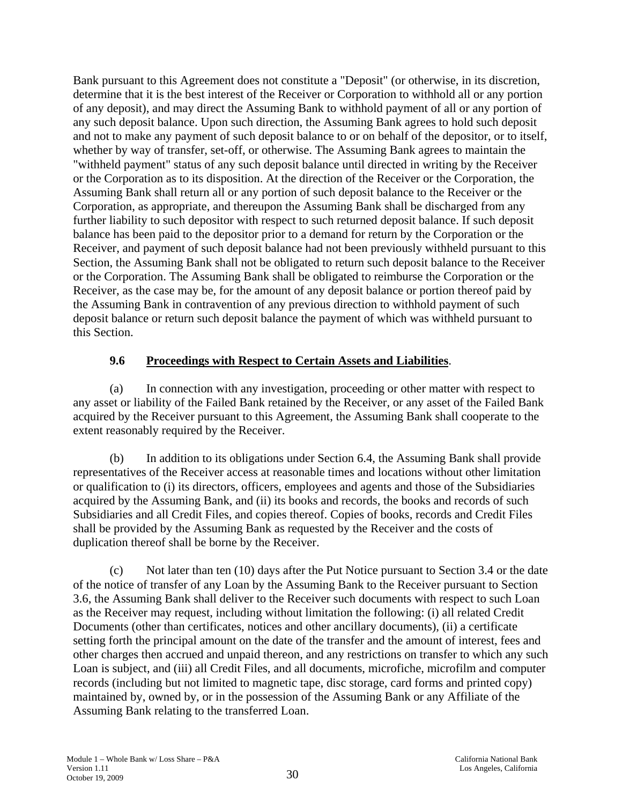<span id="page-33-0"></span>Bank pursuant to this Agreement does not constitute a "Deposit" (or otherwise, in its discretion, determine that it is the best interest of the Receiver or Corporation to withhold all or any portion of any deposit), and may direct the Assuming Bank to withhold payment of all or any portion of any such deposit balance. Upon such direction, the Assuming Bank agrees to hold such deposit and not to make any payment of such deposit balance to or on behalf of the depositor, or to itself, whether by way of transfer, set-off, or otherwise. The Assuming Bank agrees to maintain the "withheld payment" status of any such deposit balance until directed in writing by the Receiver or the Corporation as to its disposition. At the direction of the Receiver or the Corporation, the Assuming Bank shall return all or any portion of such deposit balance to the Receiver or the Corporation, as appropriate, and thereupon the Assuming Bank shall be discharged from any further liability to such depositor with respect to such returned deposit balance. If such deposit balance has been paid to the depositor prior to a demand for return by the Corporation or the Receiver, and payment of such deposit balance had not been previously withheld pursuant to this Section, the Assuming Bank shall not be obligated to return such deposit balance to the Receiver or the Corporation. The Assuming Bank shall be obligated to reimburse the Corporation or the Receiver, as the case may be, for the amount of any deposit balance or portion thereof paid by the Assuming Bank in contravention of any previous direction to withhold payment of such deposit balance or return such deposit balance the payment of which was withheld pursuant to this Section.

## **9.6 Proceedings with Respect to Certain Assets and Liabilities**.

(a) In connection with any investigation, proceeding or other matter with respect to any asset or liability of the Failed Bank retained by the Receiver, or any asset of the Failed Bank acquired by the Receiver pursuant to this Agreement, the Assuming Bank shall cooperate to the extent reasonably required by the Receiver.

(b) In addition to its obligations under Section 6.4, the Assuming Bank shall provide representatives of the Receiver access at reasonable times and locations without other limitation or qualification to (i) its directors, officers, employees and agents and those of the Subsidiaries acquired by the Assuming Bank, and (ii) its books and records, the books and records of such Subsidiaries and all Credit Files, and copies thereof. Copies of books, records and Credit Files shall be provided by the Assuming Bank as requested by the Receiver and the costs of duplication thereof shall be borne by the Receiver.

(c) Not later than ten (10) days after the Put Notice pursuant to Section 3.4 or the date of the notice of transfer of any Loan by the Assuming Bank to the Receiver pursuant to Section 3.6, the Assuming Bank shall deliver to the Receiver such documents with respect to such Loan as the Receiver may request, including without limitation the following: (i) all related Credit Documents (other than certificates, notices and other ancillary documents), (ii) a certificate setting forth the principal amount on the date of the transfer and the amount of interest, fees and other charges then accrued and unpaid thereon, and any restrictions on transfer to which any such Loan is subject, and (iii) all Credit Files, and all documents, microfiche, microfilm and computer records (including but not limited to magnetic tape, disc storage, card forms and printed copy) maintained by, owned by, or in the possession of the Assuming Bank or any Affiliate of the Assuming Bank relating to the transferred Loan.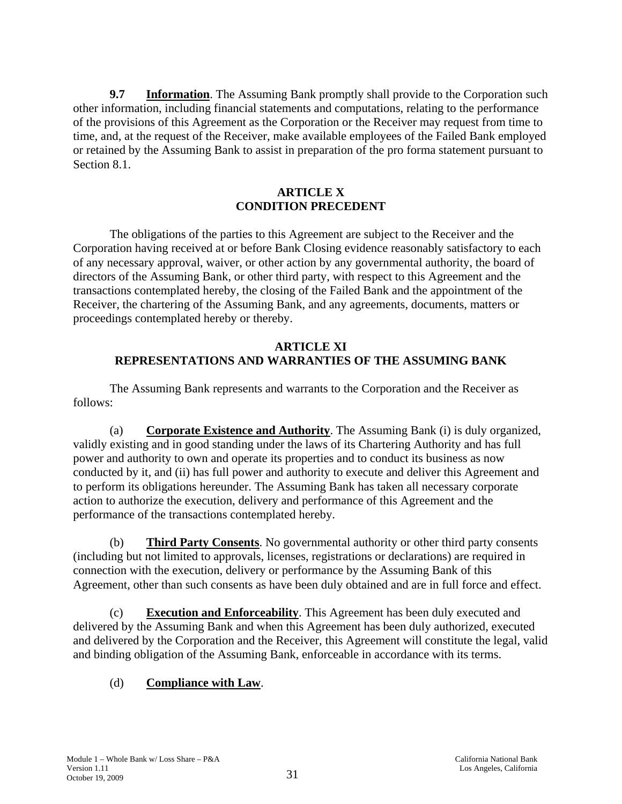<span id="page-34-0"></span>**9.7** Information. The Assuming Bank promptly shall provide to the Corporation such other information, including financial statements and computations, relating to the performance of the provisions of this Agreement as the Corporation or the Receiver may request from time to time, and, at the request of the Receiver, make available employees of the Failed Bank employed or retained by the Assuming Bank to assist in preparation of the pro forma statement pursuant to Section 8.1.

### **ARTICLE X CONDITION PRECEDENT**

The obligations of the parties to this Agreement are subject to the Receiver and the Corporation having received at or before Bank Closing evidence reasonably satisfactory to each of any necessary approval, waiver, or other action by any governmental authority, the board of directors of the Assuming Bank, or other third party, with respect to this Agreement and the transactions contemplated hereby, the closing of the Failed Bank and the appointment of the Receiver, the chartering of the Assuming Bank, and any agreements, documents, matters or proceedings contemplated hereby or thereby.

## **ARTICLE XI REPRESENTATIONS AND WARRANTIES OF THE ASSUMING BANK**

The Assuming Bank represents and warrants to the Corporation and the Receiver as follows:

(a) **Corporate Existence and Authority**. The Assuming Bank (i) is duly organized, validly existing and in good standing under the laws of its Chartering Authority and has full power and authority to own and operate its properties and to conduct its business as now conducted by it, and (ii) has full power and authority to execute and deliver this Agreement and to perform its obligations hereunder. The Assuming Bank has taken all necessary corporate action to authorize the execution, delivery and performance of this Agreement and the performance of the transactions contemplated hereby.

(b) **Third Party Consents**. No governmental authority or other third party consents (including but not limited to approvals, licenses, registrations or declarations) are required in connection with the execution, delivery or performance by the Assuming Bank of this Agreement, other than such consents as have been duly obtained and are in full force and effect.

(c) **Execution and Enforceability**. This Agreement has been duly executed and delivered by the Assuming Bank and when this Agreement has been duly authorized, executed and delivered by the Corporation and the Receiver, this Agreement will constitute the legal, valid and binding obligation of the Assuming Bank, enforceable in accordance with its terms.

## (d) **Compliance with Law**.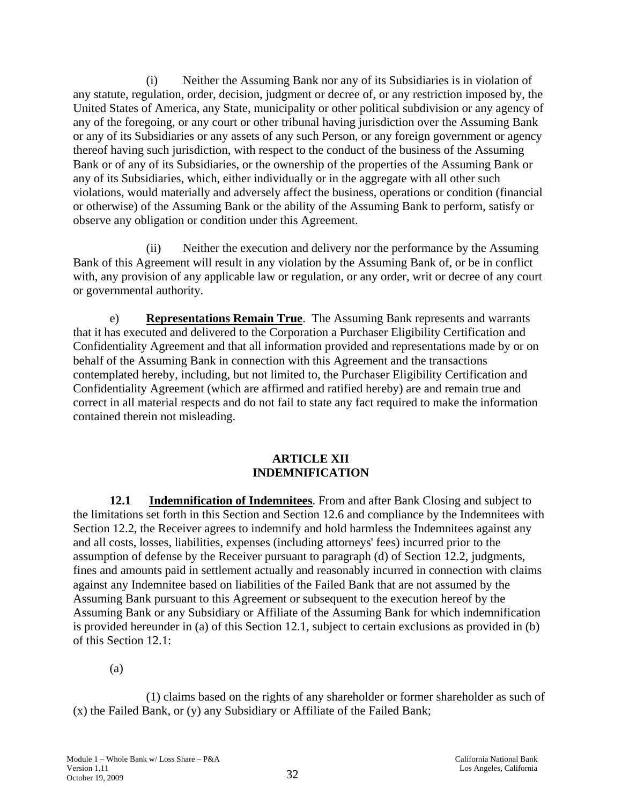<span id="page-35-0"></span> (i) Neither the Assuming Bank nor any of its Subsidiaries is in violation of any statute, regulation, order, decision, judgment or decree of, or any restriction imposed by, the United States of America, any State, municipality or other political subdivision or any agency of any of the foregoing, or any court or other tribunal having jurisdiction over the Assuming Bank or any of its Subsidiaries or any assets of any such Person, or any foreign government or agency thereof having such jurisdiction, with respect to the conduct of the business of the Assuming Bank or of any of its Subsidiaries, or the ownership of the properties of the Assuming Bank or any of its Subsidiaries, which, either individually or in the aggregate with all other such violations, would materially and adversely affect the business, operations or condition (financial or otherwise) of the Assuming Bank or the ability of the Assuming Bank to perform, satisfy or observe any obligation or condition under this Agreement.

(ii) Neither the execution and delivery nor the performance by the Assuming Bank of this Agreement will result in any violation by the Assuming Bank of, or be in conflict with, any provision of any applicable law or regulation, or any order, writ or decree of any court or governmental authority.

e) **Representations Remain True**. The Assuming Bank represents and warrants that it has executed and delivered to the Corporation a Purchaser Eligibility Certification and Confidentiality Agreement and that all information provided and representations made by or on behalf of the Assuming Bank in connection with this Agreement and the transactions contemplated hereby, including, but not limited to, the Purchaser Eligibility Certification and Confidentiality Agreement (which are affirmed and ratified hereby) are and remain true and correct in all material respects and do not fail to state any fact required to make the information contained therein not misleading.

#### **ARTICLE XII INDEMNIFICATION**

**12.1 Indemnification of Indemnitees**. From and after Bank Closing and subject to the limitations set forth in this Section and Section 12.6 and compliance by the Indemnitees with Section 12.2, the Receiver agrees to indemnify and hold harmless the Indemnitees against any and all costs, losses, liabilities, expenses (including attorneys' fees) incurred prior to the assumption of defense by the Receiver pursuant to paragraph (d) of Section 12.2, judgments, fines and amounts paid in settlement actually and reasonably incurred in connection with claims against any Indemnitee based on liabilities of the Failed Bank that are not assumed by the Assuming Bank pursuant to this Agreement or subsequent to the execution hereof by the Assuming Bank or any Subsidiary or Affiliate of the Assuming Bank for which indemnification is provided hereunder in (a) of this Section 12.1, subject to certain exclusions as provided in (b) of this Section 12.1:

(a)

(1) claims based on the rights of any shareholder or former shareholder as such of (x) the Failed Bank, or (y) any Subsidiary or Affiliate of the Failed Bank;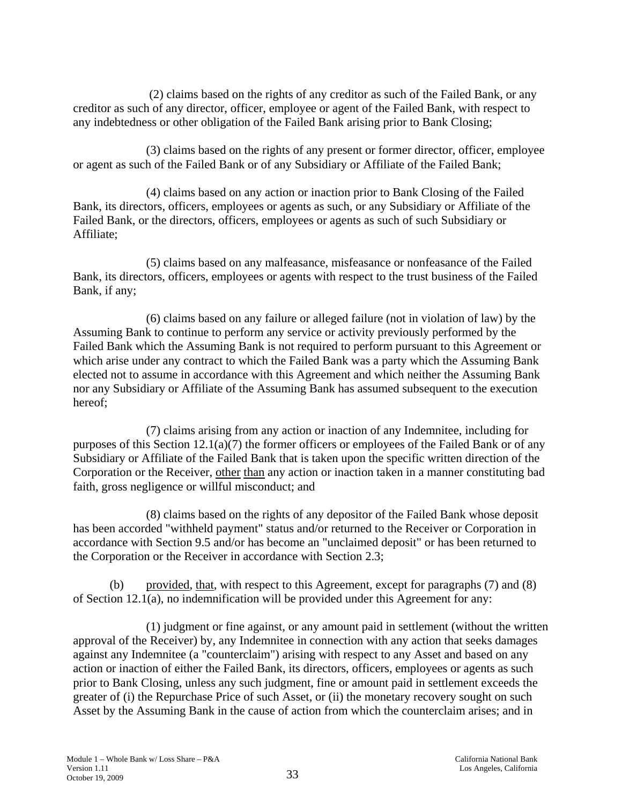(2) claims based on the rights of any creditor as such of the Failed Bank, or any creditor as such of any director, officer, employee or agent of the Failed Bank, with respect to any indebtedness or other obligation of the Failed Bank arising prior to Bank Closing;

(3) claims based on the rights of any present or former director, officer, employee or agent as such of the Failed Bank or of any Subsidiary or Affiliate of the Failed Bank;

(4) claims based on any action or inaction prior to Bank Closing of the Failed Bank, its directors, officers, employees or agents as such, or any Subsidiary or Affiliate of the Failed Bank, or the directors, officers, employees or agents as such of such Subsidiary or Affiliate;

(5) claims based on any malfeasance, misfeasance or nonfeasance of the Failed Bank, its directors, officers, employees or agents with respect to the trust business of the Failed Bank, if any;

(6) claims based on any failure or alleged failure (not in violation of law) by the Assuming Bank to continue to perform any service or activity previously performed by the Failed Bank which the Assuming Bank is not required to perform pursuant to this Agreement or which arise under any contract to which the Failed Bank was a party which the Assuming Bank elected not to assume in accordance with this Agreement and which neither the Assuming Bank nor any Subsidiary or Affiliate of the Assuming Bank has assumed subsequent to the execution hereof;

(7) claims arising from any action or inaction of any Indemnitee, including for purposes of this Section 12.1(a)(7) the former officers or employees of the Failed Bank or of any Subsidiary or Affiliate of the Failed Bank that is taken upon the specific written direction of the Corporation or the Receiver, other than any action or inaction taken in a manner constituting bad faith, gross negligence or willful misconduct; and

(8) claims based on the rights of any depositor of the Failed Bank whose deposit has been accorded "withheld payment" status and/or returned to the Receiver or Corporation in accordance with Section 9.5 and/or has become an "unclaimed deposit" or has been returned to the Corporation or the Receiver in accordance with Section 2.3;

(b) provided, that, with respect to this Agreement, except for paragraphs (7) and (8) of Section 12.1(a), no indemnification will be provided under this Agreement for any:

(1) judgment or fine against, or any amount paid in settlement (without the written approval of the Receiver) by, any Indemnitee in connection with any action that seeks damages against any Indemnitee (a "counterclaim") arising with respect to any Asset and based on any action or inaction of either the Failed Bank, its directors, officers, employees or agents as such prior to Bank Closing, unless any such judgment, fine or amount paid in settlement exceeds the greater of (i) the Repurchase Price of such Asset, or (ii) the monetary recovery sought on such Asset by the Assuming Bank in the cause of action from which the counterclaim arises; and in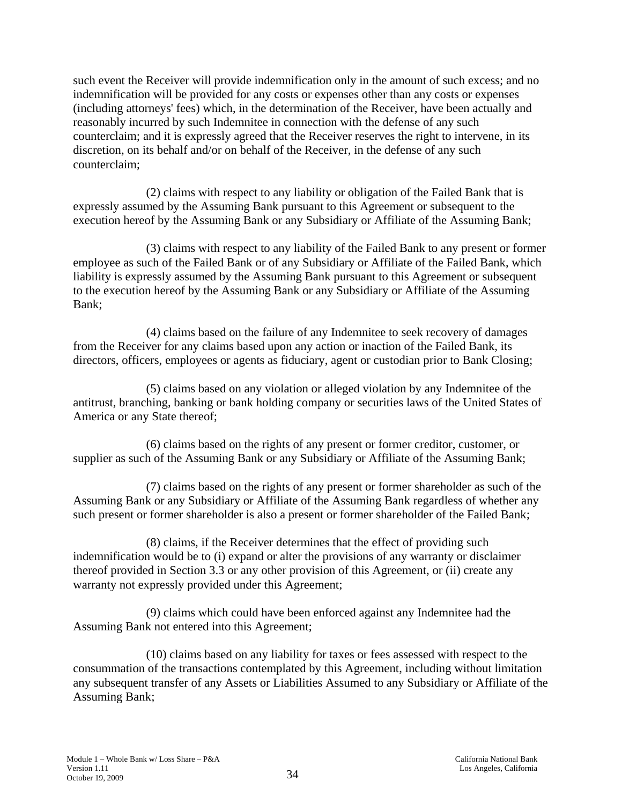such event the Receiver will provide indemnification only in the amount of such excess; and no indemnification will be provided for any costs or expenses other than any costs or expenses (including attorneys' fees) which, in the determination of the Receiver, have been actually and reasonably incurred by such Indemnitee in connection with the defense of any such counterclaim; and it is expressly agreed that the Receiver reserves the right to intervene, in its discretion, on its behalf and/or on behalf of the Receiver, in the defense of any such counterclaim;

(2) claims with respect to any liability or obligation of the Failed Bank that is expressly assumed by the Assuming Bank pursuant to this Agreement or subsequent to the execution hereof by the Assuming Bank or any Subsidiary or Affiliate of the Assuming Bank;

(3) claims with respect to any liability of the Failed Bank to any present or former employee as such of the Failed Bank or of any Subsidiary or Affiliate of the Failed Bank, which liability is expressly assumed by the Assuming Bank pursuant to this Agreement or subsequent to the execution hereof by the Assuming Bank or any Subsidiary or Affiliate of the Assuming Bank;

(4) claims based on the failure of any Indemnitee to seek recovery of damages from the Receiver for any claims based upon any action or inaction of the Failed Bank, its directors, officers, employees or agents as fiduciary, agent or custodian prior to Bank Closing;

(5) claims based on any violation or alleged violation by any Indemnitee of the antitrust, branching, banking or bank holding company or securities laws of the United States of America or any State thereof;

(6) claims based on the rights of any present or former creditor, customer, or supplier as such of the Assuming Bank or any Subsidiary or Affiliate of the Assuming Bank;

(7) claims based on the rights of any present or former shareholder as such of the Assuming Bank or any Subsidiary or Affiliate of the Assuming Bank regardless of whether any such present or former shareholder is also a present or former shareholder of the Failed Bank;

(8) claims, if the Receiver determines that the effect of providing such indemnification would be to (i) expand or alter the provisions of any warranty or disclaimer thereof provided in Section 3.3 or any other provision of this Agreement, or (ii) create any warranty not expressly provided under this Agreement;

(9) claims which could have been enforced against any Indemnitee had the Assuming Bank not entered into this Agreement;

(10) claims based on any liability for taxes or fees assessed with respect to the consummation of the transactions contemplated by this Agreement, including without limitation any subsequent transfer of any Assets or Liabilities Assumed to any Subsidiary or Affiliate of the Assuming Bank;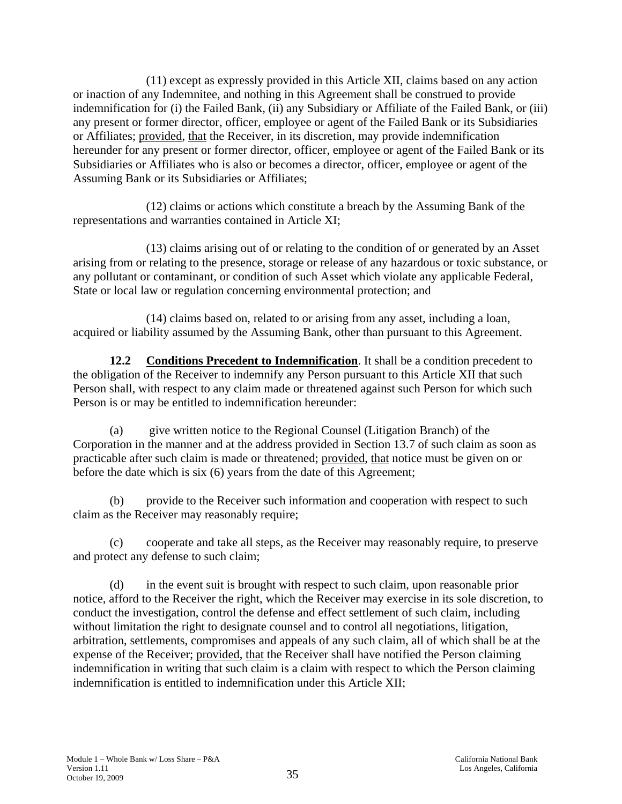(11) except as expressly provided in this Article XII, claims based on any action or inaction of any Indemnitee, and nothing in this Agreement shall be construed to provide indemnification for (i) the Failed Bank, (ii) any Subsidiary or Affiliate of the Failed Bank, or (iii) any present or former director, officer, employee or agent of the Failed Bank or its Subsidiaries or Affiliates; provided, that the Receiver, in its discretion, may provide indemnification hereunder for any present or former director, officer, employee or agent of the Failed Bank or its Subsidiaries or Affiliates who is also or becomes a director, officer, employee or agent of the Assuming Bank or its Subsidiaries or Affiliates;

(12) claims or actions which constitute a breach by the Assuming Bank of the representations and warranties contained in Article XI;

(13) claims arising out of or relating to the condition of or generated by an Asset arising from or relating to the presence, storage or release of any hazardous or toxic substance, or any pollutant or contaminant, or condition of such Asset which violate any applicable Federal, State or local law or regulation concerning environmental protection; and

(14) claims based on, related to or arising from any asset, including a loan, acquired or liability assumed by the Assuming Bank, other than pursuant to this Agreement.

**12.2 Conditions Precedent to Indemnification**. It shall be a condition precedent to the obligation of the Receiver to indemnify any Person pursuant to this Article XII that such Person shall, with respect to any claim made or threatened against such Person for which such Person is or may be entitled to indemnification hereunder:

(a) give written notice to the Regional Counsel (Litigation Branch) of the Corporation in the manner and at the address provided in Section 13.7 of such claim as soon as practicable after such claim is made or threatened; provided, that notice must be given on or before the date which is six (6) years from the date of this Agreement;

(b) provide to the Receiver such information and cooperation with respect to such claim as the Receiver may reasonably require;

(c) cooperate and take all steps, as the Receiver may reasonably require, to preserve and protect any defense to such claim;

(d) in the event suit is brought with respect to such claim, upon reasonable prior notice, afford to the Receiver the right, which the Receiver may exercise in its sole discretion, to conduct the investigation, control the defense and effect settlement of such claim, including without limitation the right to designate counsel and to control all negotiations, litigation, arbitration, settlements, compromises and appeals of any such claim, all of which shall be at the expense of the Receiver; provided, that the Receiver shall have notified the Person claiming indemnification in writing that such claim is a claim with respect to which the Person claiming indemnification is entitled to indemnification under this Article XII;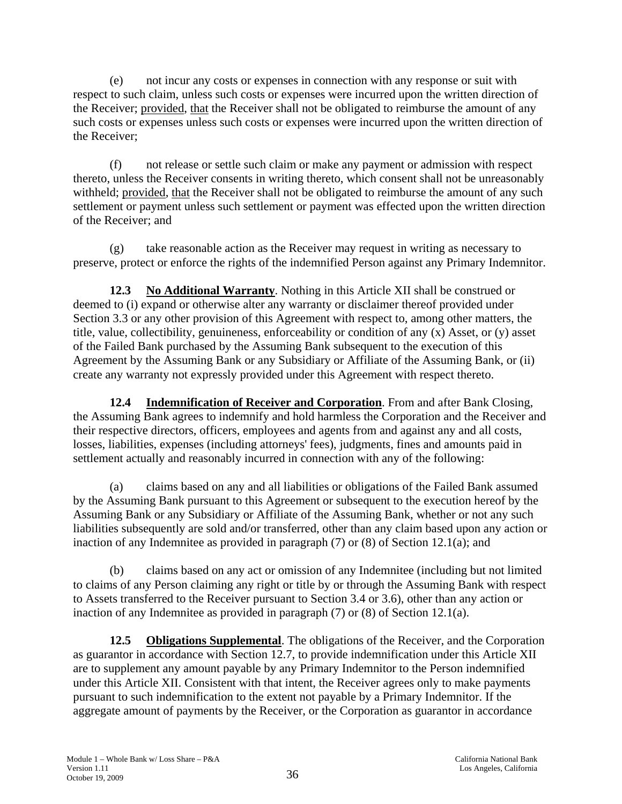(e) not incur any costs or expenses in connection with any response or suit with respect to such claim, unless such costs or expenses were incurred upon the written direction of the Receiver; provided, that the Receiver shall not be obligated to reimburse the amount of any such costs or expenses unless such costs or expenses were incurred upon the written direction of the Receiver;

(f) not release or settle such claim or make any payment or admission with respect thereto, unless the Receiver consents in writing thereto, which consent shall not be unreasonably withheld; provided, that the Receiver shall not be obligated to reimburse the amount of any such settlement or payment unless such settlement or payment was effected upon the written direction of the Receiver; and

(g) take reasonable action as the Receiver may request in writing as necessary to preserve, protect or enforce the rights of the indemnified Person against any Primary Indemnitor.

**12.3 No Additional Warranty**. Nothing in this Article XII shall be construed or deemed to (i) expand or otherwise alter any warranty or disclaimer thereof provided under Section 3.3 or any other provision of this Agreement with respect to, among other matters, the title, value, collectibility, genuineness, enforceability or condition of any (x) Asset, or (y) asset of the Failed Bank purchased by the Assuming Bank subsequent to the execution of this Agreement by the Assuming Bank or any Subsidiary or Affiliate of the Assuming Bank, or (ii) create any warranty not expressly provided under this Agreement with respect thereto.

**12.4 Indemnification of Receiver and Corporation**. From and after Bank Closing, the Assuming Bank agrees to indemnify and hold harmless the Corporation and the Receiver and their respective directors, officers, employees and agents from and against any and all costs, losses, liabilities, expenses (including attorneys' fees), judgments, fines and amounts paid in settlement actually and reasonably incurred in connection with any of the following:

(a) claims based on any and all liabilities or obligations of the Failed Bank assumed by the Assuming Bank pursuant to this Agreement or subsequent to the execution hereof by the Assuming Bank or any Subsidiary or Affiliate of the Assuming Bank, whether or not any such liabilities subsequently are sold and/or transferred, other than any claim based upon any action or inaction of any Indemnitee as provided in paragraph (7) or (8) of Section 12.1(a); and

(b) claims based on any act or omission of any Indemnitee (including but not limited to claims of any Person claiming any right or title by or through the Assuming Bank with respect to Assets transferred to the Receiver pursuant to Section 3.4 or 3.6), other than any action or inaction of any Indemnitee as provided in paragraph (7) or (8) of Section 12.1(a).

**12.5 Obligations Supplemental**. The obligations of the Receiver, and the Corporation as guarantor in accordance with Section 12.7, to provide indemnification under this Article XII are to supplement any amount payable by any Primary Indemnitor to the Person indemnified under this Article XII. Consistent with that intent, the Receiver agrees only to make payments pursuant to such indemnification to the extent not payable by a Primary Indemnitor. If the aggregate amount of payments by the Receiver, or the Corporation as guarantor in accordance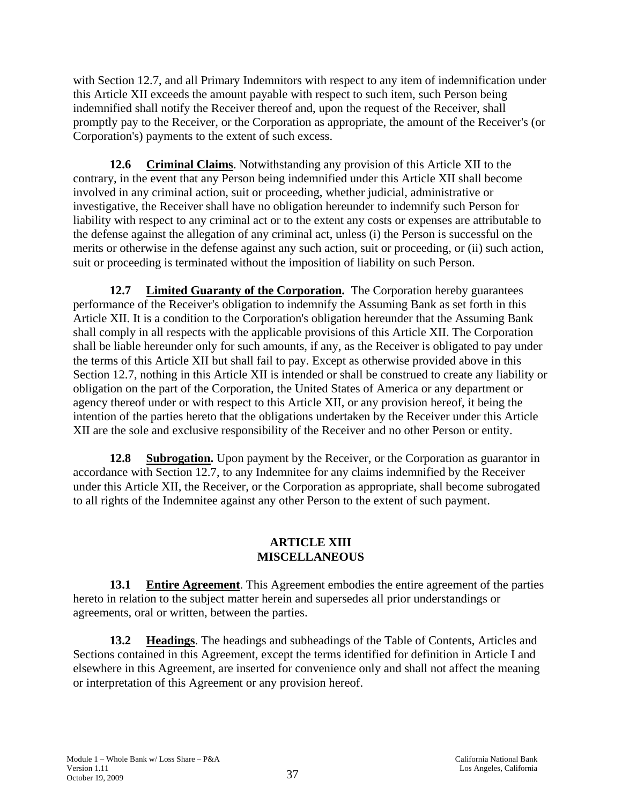with Section 12.7, and all Primary Indemnitors with respect to any item of indemnification under this Article XII exceeds the amount payable with respect to such item, such Person being indemnified shall notify the Receiver thereof and, upon the request of the Receiver, shall promptly pay to the Receiver, or the Corporation as appropriate, the amount of the Receiver's (or Corporation's) payments to the extent of such excess.

**12.6 Criminal Claims**. Notwithstanding any provision of this Article XII to the contrary, in the event that any Person being indemnified under this Article XII shall become involved in any criminal action, suit or proceeding, whether judicial, administrative or investigative, the Receiver shall have no obligation hereunder to indemnify such Person for liability with respect to any criminal act or to the extent any costs or expenses are attributable to the defense against the allegation of any criminal act, unless (i) the Person is successful on the merits or otherwise in the defense against any such action, suit or proceeding, or (ii) such action, suit or proceeding is terminated without the imposition of liability on such Person.

**12.7 Limited Guaranty of the Corporation.** The Corporation hereby guarantees performance of the Receiver's obligation to indemnify the Assuming Bank as set forth in this Article XII. It is a condition to the Corporation's obligation hereunder that the Assuming Bank shall comply in all respects with the applicable provisions of this Article XII. The Corporation shall be liable hereunder only for such amounts, if any, as the Receiver is obligated to pay under the terms of this Article XII but shall fail to pay. Except as otherwise provided above in this Section 12.7, nothing in this Article XII is intended or shall be construed to create any liability or obligation on the part of the Corporation, the United States of America or any department or agency thereof under or with respect to this Article XII, or any provision hereof, it being the intention of the parties hereto that the obligations undertaken by the Receiver under this Article XII are the sole and exclusive responsibility of the Receiver and no other Person or entity.

**12.8 Subrogation.** Upon payment by the Receiver, or the Corporation as guarantor in accordance with Section 12.7, to any Indemnitee for any claims indemnified by the Receiver under this Article XII, the Receiver, or the Corporation as appropriate, shall become subrogated to all rights of the Indemnitee against any other Person to the extent of such payment.

### **ARTICLE XIII MISCELLANEOUS**

**13.1** Entire Agreement. This Agreement embodies the entire agreement of the parties hereto in relation to the subject matter herein and supersedes all prior understandings or agreements, oral or written, between the parties.

**13.2 Headings**. The headings and subheadings of the Table of Contents, Articles and Sections contained in this Agreement, except the terms identified for definition in Article I and elsewhere in this Agreement, are inserted for convenience only and shall not affect the meaning or interpretation of this Agreement or any provision hereof.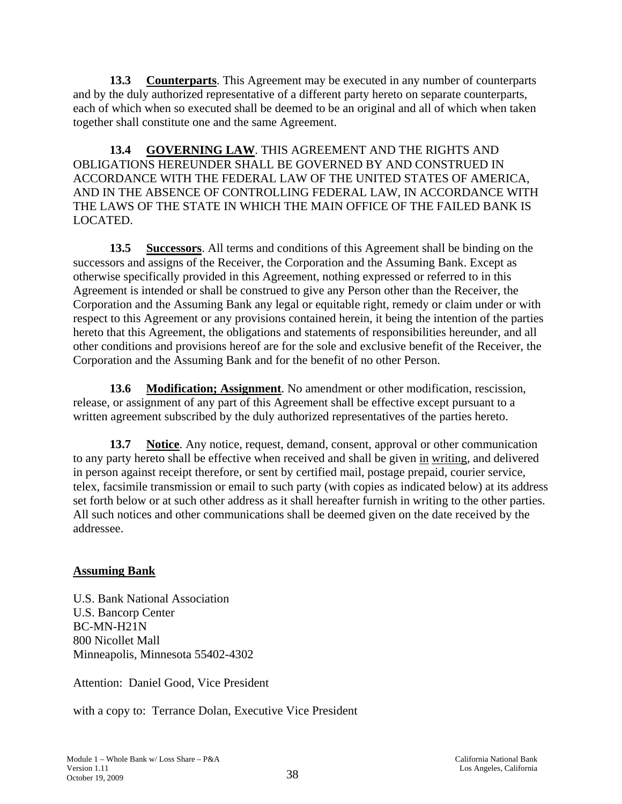**13.3** Counterparts. This Agreement may be executed in any number of counterparts and by the duly authorized representative of a different party hereto on separate counterparts, each of which when so executed shall be deemed to be an original and all of which when taken together shall constitute one and the same Agreement.

13.4 **GOVERNING LAW.** THIS AGREEMENT AND THE RIGHTS AND OBLIGATIONS HEREUNDER SHALL BE GOVERNED BY AND CONSTRUED IN ACCORDANCE WITH THE FEDERAL LAW OF THE UNITED STATES OF AMERICA, AND IN THE ABSENCE OF CONTROLLING FEDERAL LAW, IN ACCORDANCE WITH THE LAWS OF THE STATE IN WHICH THE MAIN OFFICE OF THE FAILED BANK IS LOCATED.

**13.5 Successors.** All terms and conditions of this Agreement shall be binding on the successors and assigns of the Receiver, the Corporation and the Assuming Bank. Except as otherwise specifically provided in this Agreement, nothing expressed or referred to in this Agreement is intended or shall be construed to give any Person other than the Receiver, the Corporation and the Assuming Bank any legal or equitable right, remedy or claim under or with respect to this Agreement or any provisions contained herein, it being the intention of the parties hereto that this Agreement, the obligations and statements of responsibilities hereunder, and all other conditions and provisions hereof are for the sole and exclusive benefit of the Receiver, the Corporation and the Assuming Bank and for the benefit of no other Person.

**13.6 Modification; Assignment**. No amendment or other modification, rescission, release, or assignment of any part of this Agreement shall be effective except pursuant to a written agreement subscribed by the duly authorized representatives of the parties hereto.

**13.7** Notice. Any notice, request, demand, consent, approval or other communication to any party hereto shall be effective when received and shall be given in writing, and delivered in person against receipt therefore, or sent by certified mail, postage prepaid, courier service, telex, facsimile transmission or email to such party (with copies as indicated below) at its address set forth below or at such other address as it shall hereafter furnish in writing to the other parties. All such notices and other communications shall be deemed given on the date received by the addressee.

#### **Assuming Bank**

U.S. Bank National Association U.S. Bancorp Center BC-MN-H21N 800 Nicollet Mall Minneapolis, Minnesota 55402-4302

Attention: Daniel Good, Vice President

with a copy to: Terrance Dolan, Executive Vice President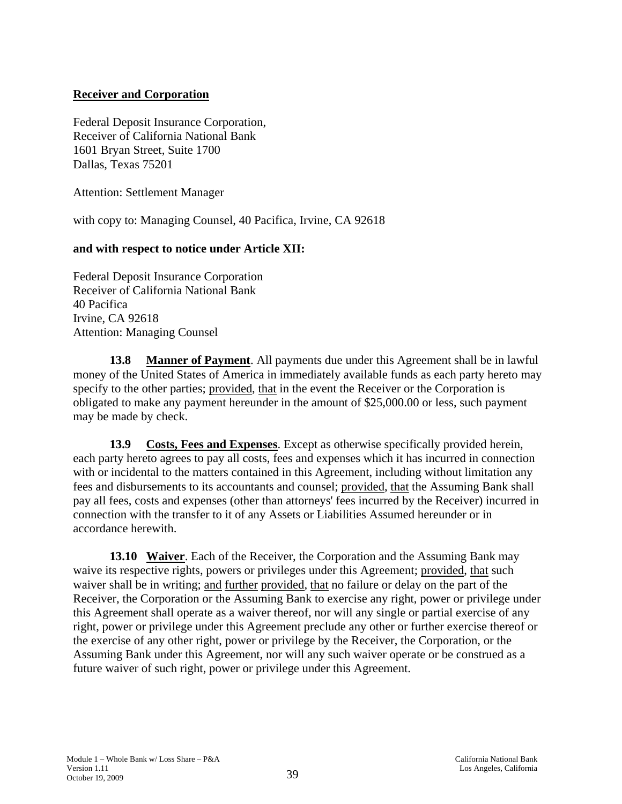### **Receiver and Corporation**

 Receiver of California National Bank 1601 Bryan Street, Suite 1700 Federal Deposit Insurance Corporation, Dallas, Texas 75201

Attention: Settlement Manager

with copy to: Managing Counsel, 40 Pacifica, Irvine, CA 92618

#### **and with respect to notice under Article XII:**

Federal Deposit Insurance Corporation Receiver of California National Bank 40 Pacifica Irvine, CA 92618 Attention: Managing Counsel

**13.8 Manner of Payment**. All payments due under this Agreement shall be in lawful money of the United States of America in immediately available funds as each party hereto may specify to the other parties; provided, that in the event the Receiver or the Corporation is obligated to make any payment hereunder in the amount of \$25,000.00 or less, such payment may be made by check.

**13.9 Costs, Fees and Expenses**. Except as otherwise specifically provided herein, each party hereto agrees to pay all costs, fees and expenses which it has incurred in connection with or incidental to the matters contained in this Agreement, including without limitation any fees and disbursements to its accountants and counsel; provided, that the Assuming Bank shall pay all fees, costs and expenses (other than attorneys' fees incurred by the Receiver) incurred in connection with the transfer to it of any Assets or Liabilities Assumed hereunder or in accordance herewith.

**13.10 Waiver**. Each of the Receiver, the Corporation and the Assuming Bank may waive its respective rights, powers or privileges under this Agreement; provided, that such waiver shall be in writing; and further provided, that no failure or delay on the part of the Receiver, the Corporation or the Assuming Bank to exercise any right, power or privilege under this Agreement shall operate as a waiver thereof, nor will any single or partial exercise of any right, power or privilege under this Agreement preclude any other or further exercise thereof or the exercise of any other right, power or privilege by the Receiver, the Corporation, or the Assuming Bank under this Agreement, nor will any such waiver operate or be construed as a future waiver of such right, power or privilege under this Agreement.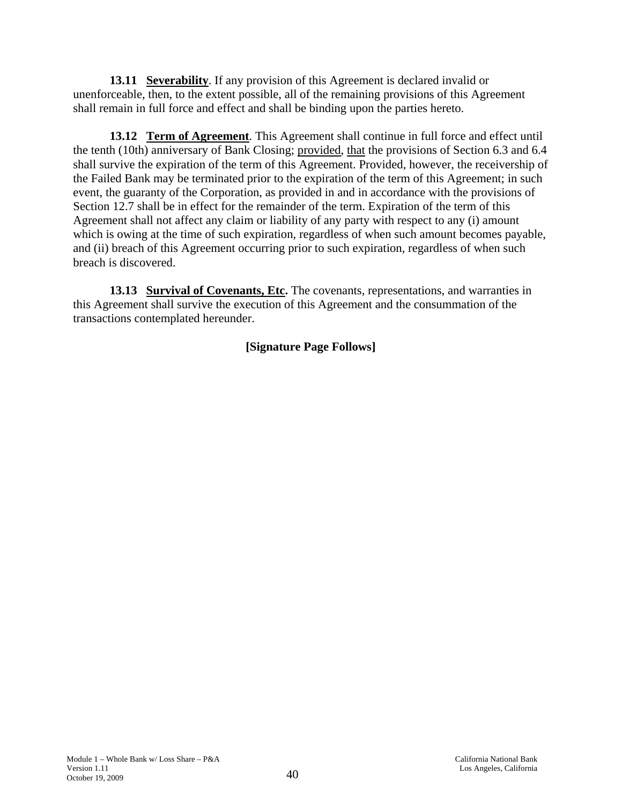**13.11 Severability**. If any provision of this Agreement is declared invalid or unenforceable, then, to the extent possible, all of the remaining provisions of this Agreement shall remain in full force and effect and shall be binding upon the parties hereto.

**13.12 Term of Agreement**. This Agreement shall continue in full force and effect until the tenth (10th) anniversary of Bank Closing; provided, that the provisions of Section 6.3 and 6.4 shall survive the expiration of the term of this Agreement. Provided, however, the receivership of the Failed Bank may be terminated prior to the expiration of the term of this Agreement; in such event, the guaranty of the Corporation, as provided in and in accordance with the provisions of Section 12.7 shall be in effect for the remainder of the term. Expiration of the term of this Agreement shall not affect any claim or liability of any party with respect to any (i) amount which is owing at the time of such expiration, regardless of when such amount becomes payable, and (ii) breach of this Agreement occurring prior to such expiration, regardless of when such breach is discovered.

**13.13 Survival of Covenants, Etc.** The covenants, representations, and warranties in this Agreement shall survive the execution of this Agreement and the consummation of the transactions contemplated hereunder.

# **[Signature Page Follows]**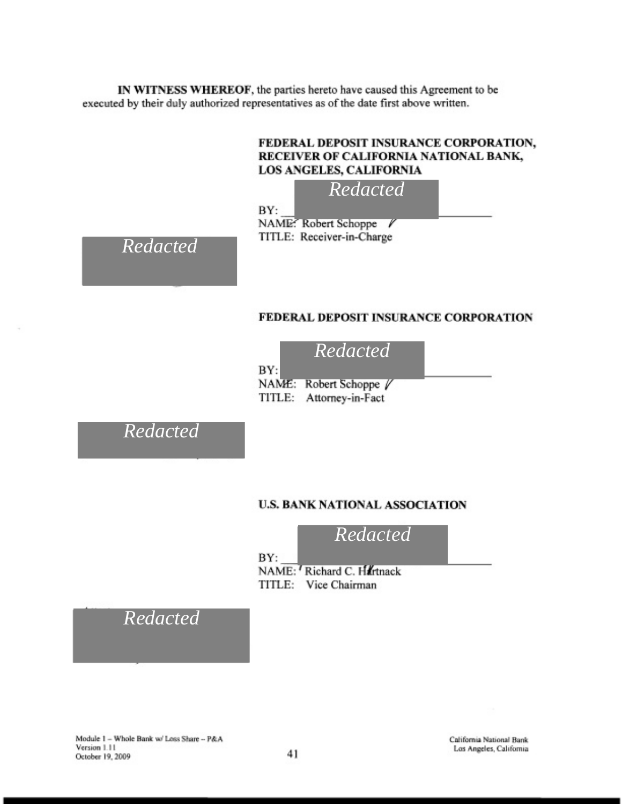**IN WITNESS WHEREOF,** the parties hereto have caused this Agreement to be executed by their duly authorized representatives as of the date first above written.

#### **FEDERAL DEPOSIT INSURANCE CORPORATION, RECEIVER OF CALIFORNIA NATIONAL BANK, LOS ANGELES, CALIFORNIA**

*Redacted*

 $BY:$ NAME: Robert Schoppe / TITLE: Receiver-in-Charge

*Redacted*

#### **FEDERAL DEPOSIT INSURANCE CORPORATION**

# *Redacted*

BY: NAME: Robert Schoppe / TITLE: Attorney-in-Fact

*Redacted*

#### **U.S. BANK NATIONAL ASSOCIATION**

*Redacted*

BY: **NAME:** Richard C. Hartnack TITLE: Vice Chairman

*Redacted*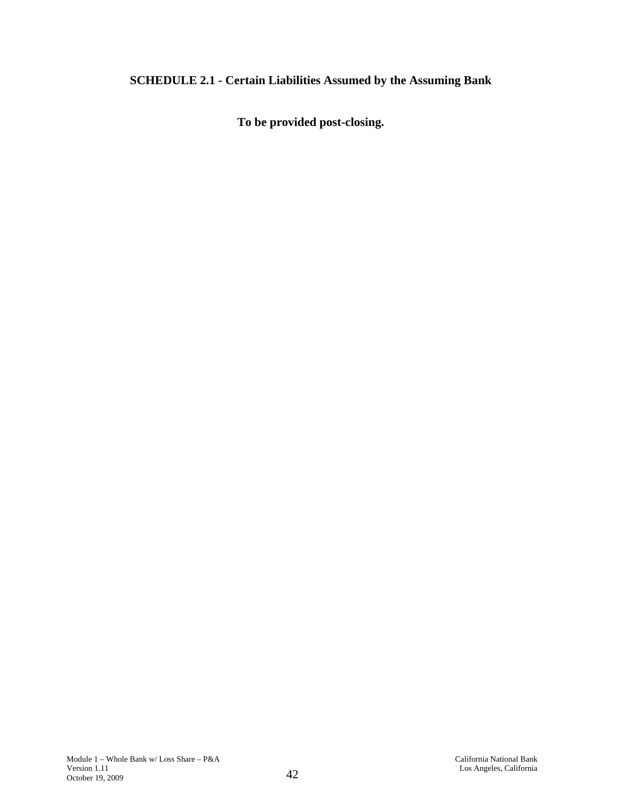# **SCHEDULE 2.1 - Certain Liabilities Assumed by the Assuming Bank**

**To be provided post-closing.**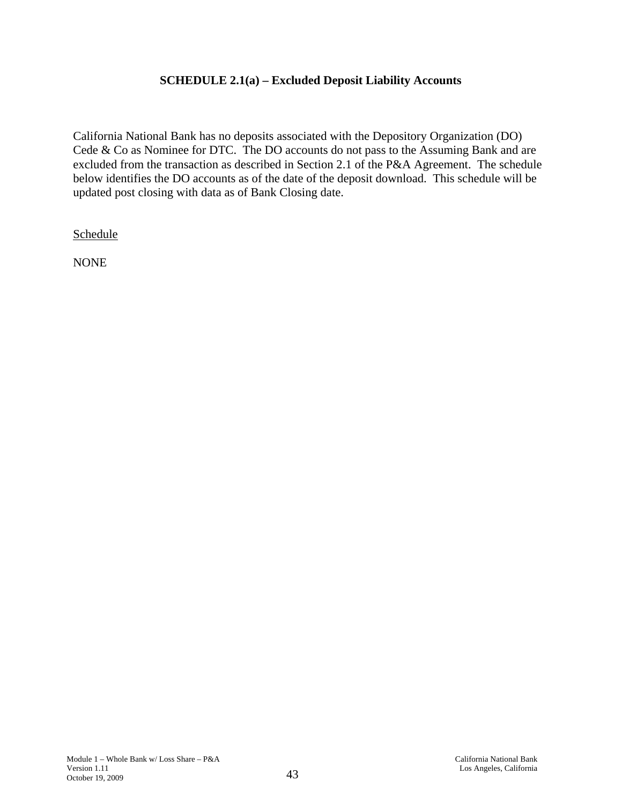#### **SCHEDULE 2.1(a) – Excluded Deposit Liability Accounts**

California National Bank has no deposits associated with the Depository Organization (DO) Cede & Co as Nominee for DTC. The DO accounts do not pass to the Assuming Bank and are excluded from the transaction as described in Section 2.1 of the P&A Agreement. The schedule below identifies the DO accounts as of the date of the deposit download. This schedule will be updated post closing with data as of Bank Closing date.

Schedule

NONE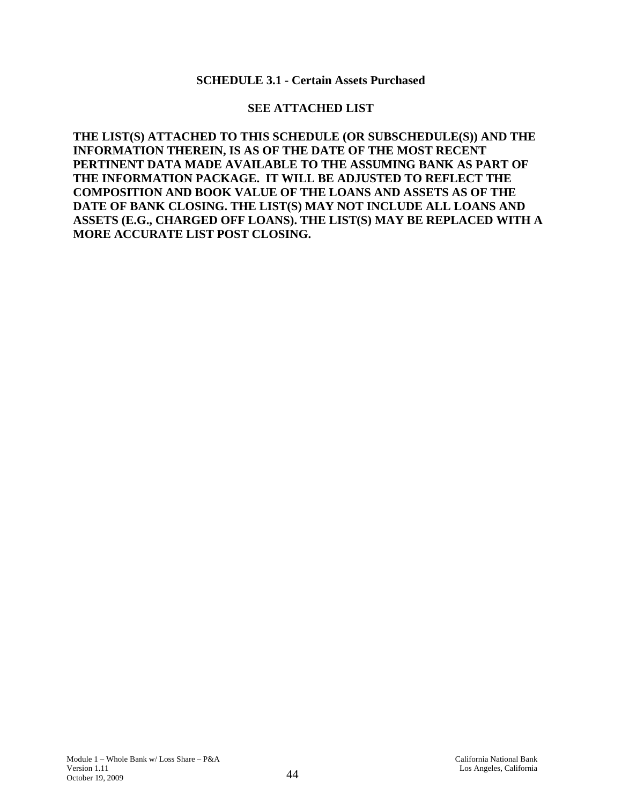#### **SCHEDULE 3.1 - Certain Assets Purchased**

#### **SEE ATTACHED LIST**

THE LIST(S) ATTACHED TO THIS SCHEDULE (OR SUBSCHEDULE(S)) AND THE **INFORMATION THEREIN, IS AS OF THE DATE OF THE MOST RECENT PERTINENT DATA MADE AVAILABLE TO THE ASSUMING BANK AS PART OF THE INFORMATION PACKAGE. IT WILL BE ADJUSTED TO REFLECT THE COMPOSITION AND BOOK VALUE OF THE LOANS AND ASSETS AS OF THE DATE OF BANK CLOSING. THE LIST(S) MAY NOT INCLUDE ALL LOANS AND ASSETS (E.G., CHARGED OFF LOANS). THE LIST(S) MAY BE REPLACED WITH A MORE ACCURATE LIST POST CLOSING.**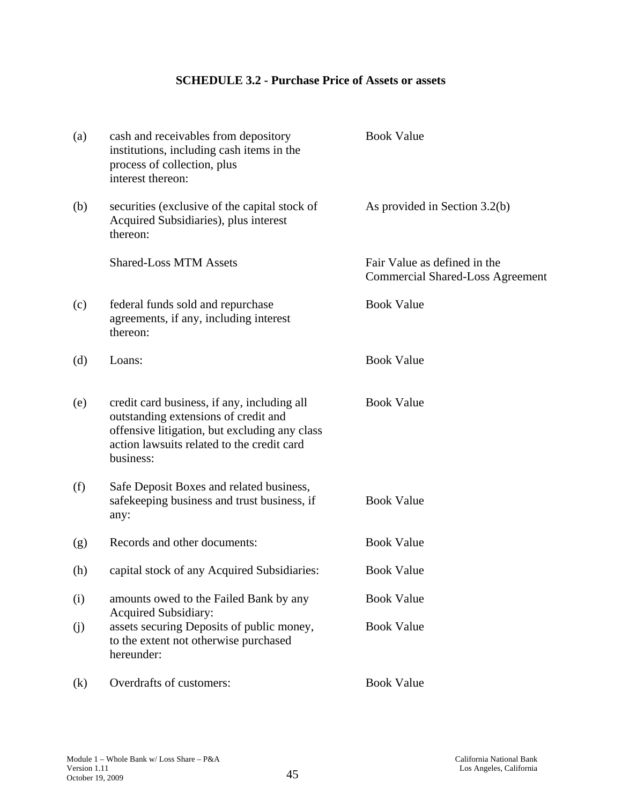# **SCHEDULE 3.2 - Purchase Price of Assets or assets**

| (a) | cash and receivables from depository<br>institutions, including cash items in the<br>process of collection, plus<br>interest thereon:                                                           | <b>Book Value</b>                                                       |
|-----|-------------------------------------------------------------------------------------------------------------------------------------------------------------------------------------------------|-------------------------------------------------------------------------|
| (b) | securities (exclusive of the capital stock of<br>Acquired Subsidiaries), plus interest<br>thereon:                                                                                              | As provided in Section 3.2(b)                                           |
|     | <b>Shared-Loss MTM Assets</b>                                                                                                                                                                   | Fair Value as defined in the<br><b>Commercial Shared-Loss Agreement</b> |
| (c) | federal funds sold and repurchase<br>agreements, if any, including interest<br>thereon:                                                                                                         | <b>Book Value</b>                                                       |
| (d) | Loans:                                                                                                                                                                                          | <b>Book Value</b>                                                       |
| (e) | credit card business, if any, including all<br>outstanding extensions of credit and<br>offensive litigation, but excluding any class<br>action lawsuits related to the credit card<br>business: | <b>Book Value</b>                                                       |
| (f) | Safe Deposit Boxes and related business,<br>safekeeping business and trust business, if<br>any:                                                                                                 | <b>Book Value</b>                                                       |
| (g) | Records and other documents:                                                                                                                                                                    | <b>Book Value</b>                                                       |
| (h) | capital stock of any Acquired Subsidiaries:                                                                                                                                                     | <b>Book Value</b>                                                       |
| (i) | amounts owed to the Failed Bank by any                                                                                                                                                          | <b>Book Value</b>                                                       |
| (j) | <b>Acquired Subsidiary:</b><br>assets securing Deposits of public money,<br>to the extent not otherwise purchased<br>hereunder:                                                                 | <b>Book Value</b>                                                       |
| (k) | Overdrafts of customers:                                                                                                                                                                        | <b>Book Value</b>                                                       |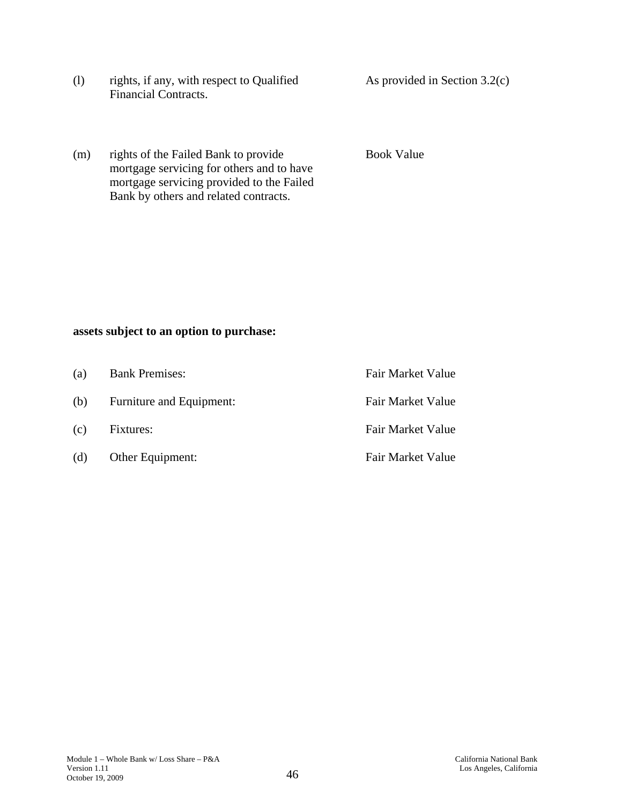(1) rights, if any, with respect to Qualified  $\qquad \qquad$  As provided in Section 3.2(c) Financial Contracts.

(m) rights of the Failed Bank to provide Book Value mortgage servicing for others and to have mortgage servicing provided to the Failed Bank by others and related contracts.

#### **assets subject to an option to purchase:**

| (a) | <b>Bank Premises:</b>    | Fair Market Value |
|-----|--------------------------|-------------------|
| (b) | Furniture and Equipment: | Fair Market Value |
| (c) | Fixtures:                | Fair Market Value |
| (d) | Other Equipment:         | Fair Market Value |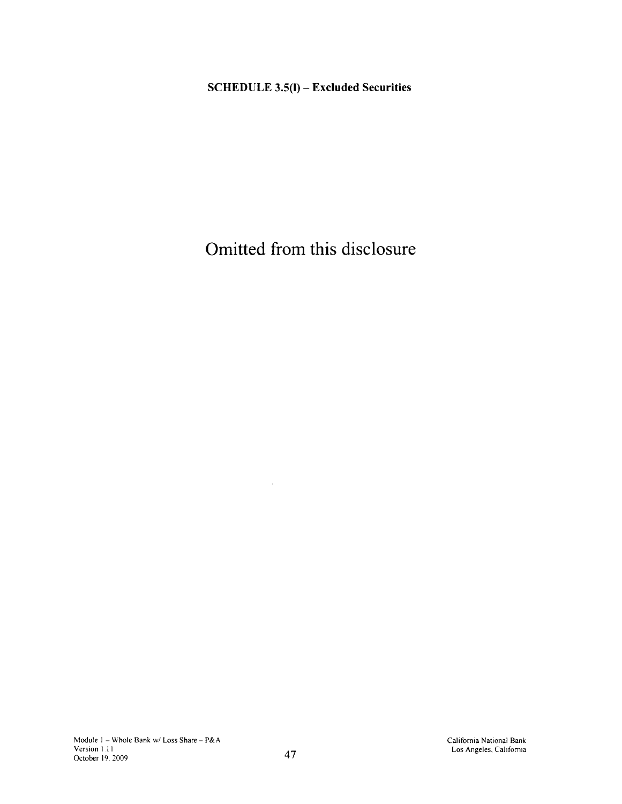## SCHEDULE 3.5(I) - Excluded Securities

# Omitted from this disclosure

 $\mathcal{L}^{\mathcal{L}}$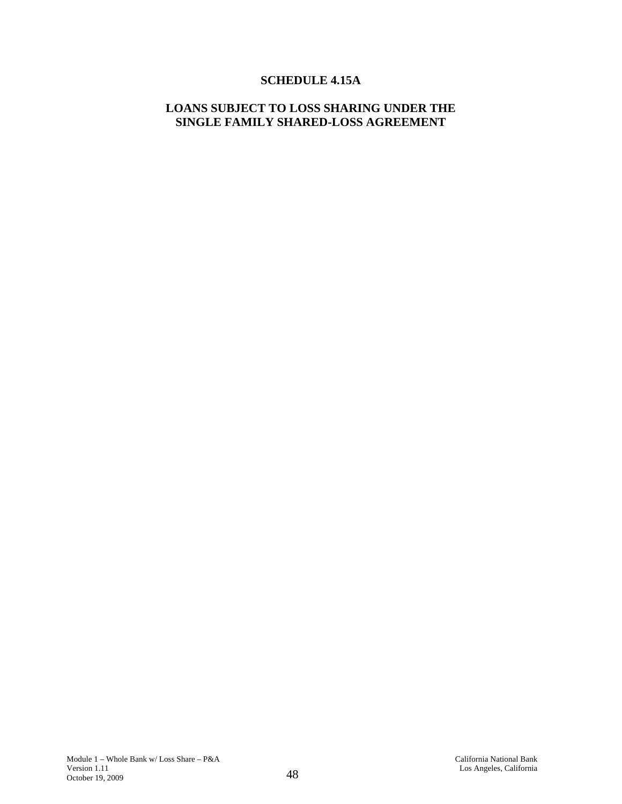#### **SCHEDULE 4.15A**

## **LOANS SUBJECT TO LOSS SHARING UNDER THE SINGLE FAMILY SHARED-LOSS AGREEMENT**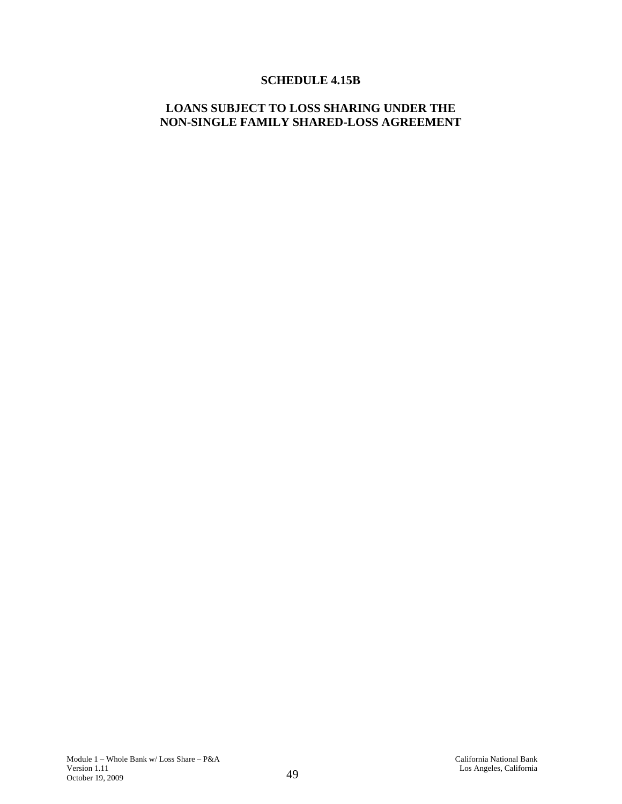#### **SCHEDULE 4.15B**

#### **LOANS SUBJECT TO LOSS SHARING UNDER THE NON-SINGLE FAMILY SHARED-LOSS AGREEMENT**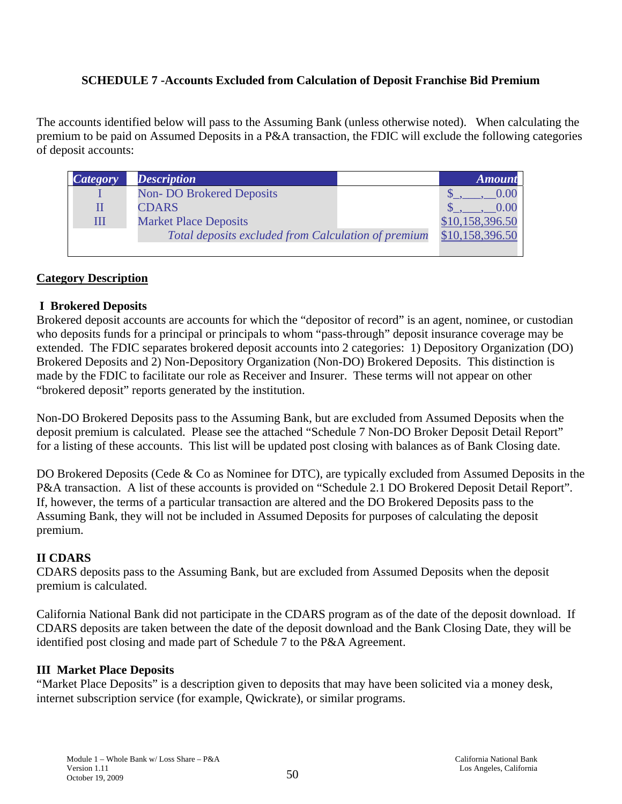### **SCHEDULE 7 -Accounts Excluded from Calculation of Deposit Franchise Bid Premium**

The accounts identified below will pass to the Assuming Bank (unless otherwise noted). When calculating the premium to be paid on Assumed Deposits in a P&A transaction, the FDIC will exclude the following categories of deposit accounts:

| <b>Category</b> | <b>Description</b>                                  |  | <b>Amount</b>   |
|-----------------|-----------------------------------------------------|--|-----------------|
|                 | <b>Non-DO Brokered Deposits</b>                     |  | 0.00            |
| Ш               | <b>CDARS</b>                                        |  | 0.00            |
| Ш               | <b>Market Place Deposits</b>                        |  | \$10,158,396.50 |
|                 | Total deposits excluded from Calculation of premium |  | \$10,158,396.50 |
|                 |                                                     |  |                 |

#### **Category Description**

#### **I Brokered Deposits**

Brokered deposit accounts are accounts for which the "depositor of record" is an agent, nominee, or custodian who deposits funds for a principal or principals to whom "pass-through" deposit insurance coverage may be extended. The FDIC separates brokered deposit accounts into 2 categories: 1) Depository Organization (DO) Brokered Deposits and 2) Non-Depository Organization (Non-DO) Brokered Deposits. This distinction is made by the FDIC to facilitate our role as Receiver and Insurer. These terms will not appear on other "brokered deposit" reports generated by the institution.

Non-DO Brokered Deposits pass to the Assuming Bank, but are excluded from Assumed Deposits when the deposit premium is calculated. Please see the attached "Schedule 7 Non-DO Broker Deposit Detail Report" for a listing of these accounts. This list will be updated post closing with balances as of Bank Closing date.

DO Brokered Deposits (Cede & Co as Nominee for DTC), are typically excluded from Assumed Deposits in the P&A transaction. A list of these accounts is provided on "Schedule 2.1 DO Brokered Deposit Detail Report". If, however, the terms of a particular transaction are altered and the DO Brokered Deposits pass to the Assuming Bank, they will not be included in Assumed Deposits for purposes of calculating the deposit premium.

#### **II CDARS**

CDARS deposits pass to the Assuming Bank, but are excluded from Assumed Deposits when the deposit premium is calculated.

California National Bank did not participate in the CDARS program as of the date of the deposit download. If CDARS deposits are taken between the date of the deposit download and the Bank Closing Date, they will be identified post closing and made part of Schedule 7 to the P&A Agreement.

#### **III Market Place Deposits**

"Market Place Deposits" is a description given to deposits that may have been solicited via a money desk, internet subscription service (for example, Qwickrate), or similar programs.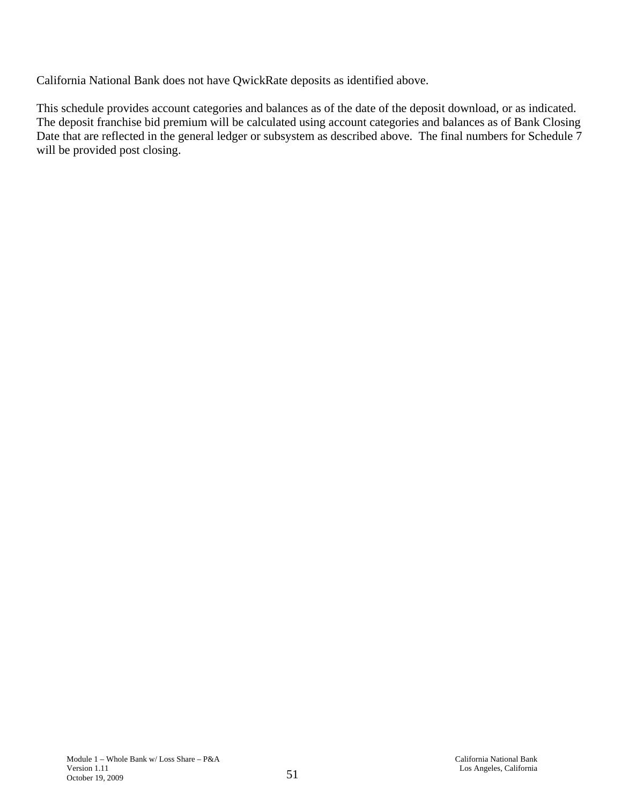California National Bank does not have QwickRate deposits as identified above.

This schedule provides account categories and balances as of the date of the deposit download, or as indicated. The deposit franchise bid premium will be calculated using account categories and balances as of Bank Closing Date that are reflected in the general ledger or subsystem as described above. The final numbers for Schedule 7 will be provided post closing.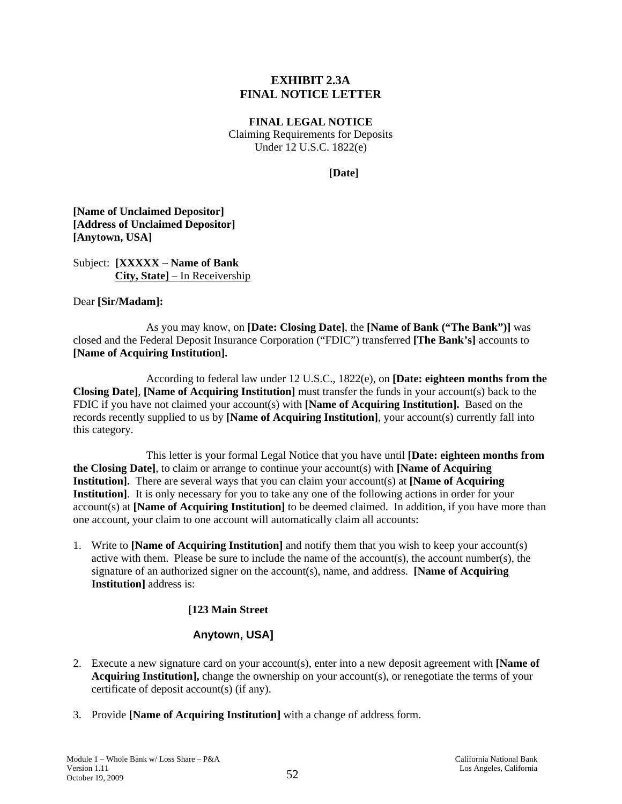#### **EXHIBIT 2.3A FINAL NOTICE LETTER**

#### **FINAL LEGAL NOTICE**

Claiming Requirements for Deposits Under 12 U.S.C. 1822(e)

**[Date]** 

**[Name of Unclaimed Depositor] [Address of Unclaimed Depositor] [Anytown, USA]** 

Subject: **[XXXXX – Name of Bank City, State]** – In Receivership

Dear **[Sir/Madam]:** 

As you may know, on **[Date: Closing Date]**, the **[Name of Bank ("The Bank")]** was closed and the Federal Deposit Insurance Corporation ("FDIC") transferred **[The Bank's]** accounts to **[Name of Acquiring Institution].** 

According to federal law under 12 U.S.C., 1822(e), on **[Date: eighteen months from the Closing Date]**, **[Name of Acquiring Institution]** must transfer the funds in your account(s) back to the FDIC if you have not claimed your account(s) with **[Name of Acquiring Institution].** Based on the records recently supplied to us by **[Name of Acquiring Institution]**, your account(s) currently fall into this category.

This letter is your formal Legal Notice that you have until **[Date: eighteen months from the Closing Date]**, to claim or arrange to continue your account(s) with **[Name of Acquiring Institution].** There are several ways that you can claim your account(s) at **[Name of Acquiring Institution]**. It is only necessary for you to take any one of the following actions in order for your account(s) at **[Name of Acquiring Institution]** to be deemed claimed. In addition, if you have more than one account, your claim to one account will automatically claim all accounts:

1. Write to **[Name of Acquiring Institution**] and notify them that you wish to keep your account(s) active with them. Please be sure to include the name of the account(s), the account number(s), the signature of an authorized signer on the account(s), name, and address. **[Name of Acquiring Institution]** address is:

#### **[123 Main Street**

#### **Anytown, USA]**

- 2. Execute a new signature card on your account(s), enter into a new deposit agreement with **[Name of Acquiring Institution],** change the ownership on your account(s), or renegotiate the terms of your certificate of deposit account(s) (if any).
- 3. Provide **[Name of Acquiring Institution]** with a change of address form.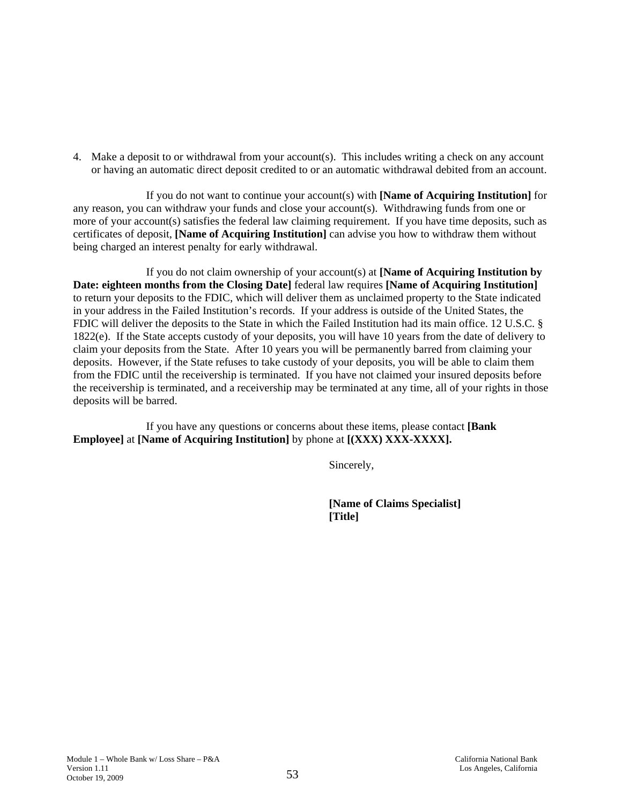4. Make a deposit to or withdrawal from your account(s). This includes writing a check on any account or having an automatic direct deposit credited to or an automatic withdrawal debited from an account.

If you do not want to continue your account(s) with **[Name of Acquiring Institution]** for any reason, you can withdraw your funds and close your account(s). Withdrawing funds from one or more of your account(s) satisfies the federal law claiming requirement. If you have time deposits, such as certificates of deposit, **[Name of Acquiring Institution]** can advise you how to withdraw them without being charged an interest penalty for early withdrawal.

If you do not claim ownership of your account(s) at **[Name of Acquiring Institution by Date: eighteen months from the Closing Date]** federal law requires **[Name of Acquiring Institution]**  to return your deposits to the FDIC, which will deliver them as unclaimed property to the State indicated in your address in the Failed Institution's records. If your address is outside of the United States, the FDIC will deliver the deposits to the State in which the Failed Institution had its main office. 12 U.S.C. § 1822(e). If the State accepts custody of your deposits, you will have 10 years from the date of delivery to claim your deposits from the State. After 10 years you will be permanently barred from claiming your deposits. However, if the State refuses to take custody of your deposits, you will be able to claim them from the FDIC until the receivership is terminated. If you have not claimed your insured deposits before the receivership is terminated, and a receivership may be terminated at any time, all of your rights in those deposits will be barred.

If you have any questions or concerns about these items, please contact **[Bank Employee]** at **[Name of Acquiring Institution]** by phone at **[(XXX) XXX-XXXX].** 

Sincerely,

**[Name of Claims Specialist] [Title]**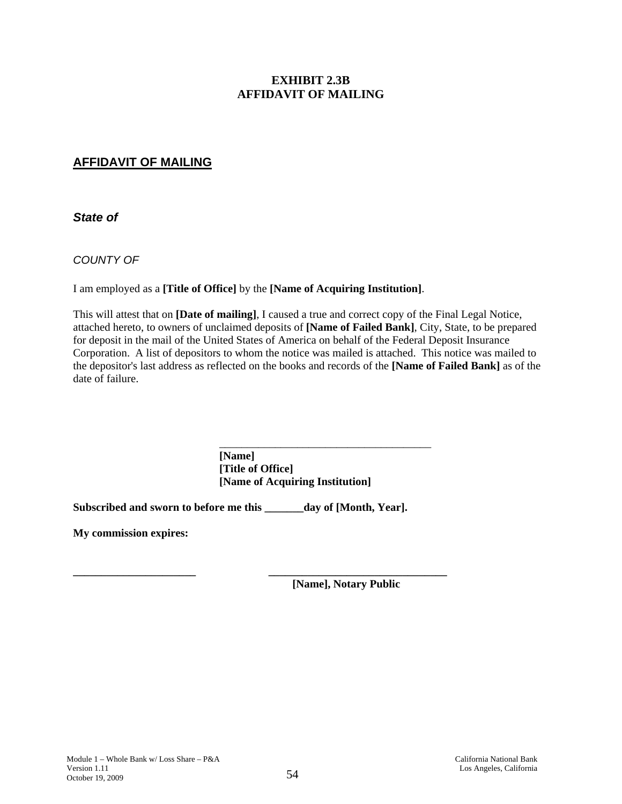#### **EXHIBIT 2.3B AFFIDAVIT OF MAILING**

#### **AFFIDAVIT OF MAILING**

*State of* 

*COUNTY OF* 

I am employed as a **[Title of Office]** by the **[Name of Acquiring Institution]**.

This will attest that on **[Date of mailing]**, I caused a true and correct copy of the Final Legal Notice, attached hereto, to owners of unclaimed deposits of **[Name of Failed Bank]**, City, State, to be prepared for deposit in the mail of the United States of America on behalf of the Federal Deposit Insurance Corporation. A list of depositors to whom the notice was mailed is attached. This notice was mailed to the depositor's last address as reflected on the books and records of the **[Name of Failed Bank]** as of the date of failure.

 $\overline{\phantom{a}}$  , and the contract of the contract of the contract of the contract of the contract of the contract of the contract of the contract of the contract of the contract of the contract of the contract of the contrac **[Name] [Title of Office] [Name of Acquiring Institution]** 

**Subscribed and sworn to before me this \_\_\_\_\_\_\_day of [Month, Year].** 

**My commission expires:** 

**\_\_\_\_\_\_\_\_\_\_\_\_\_\_\_\_\_\_\_\_\_\_ \_\_\_\_\_\_\_\_\_\_\_\_\_\_\_\_\_\_\_\_\_\_\_\_\_\_\_\_\_\_\_\_ [Name], Notary Public**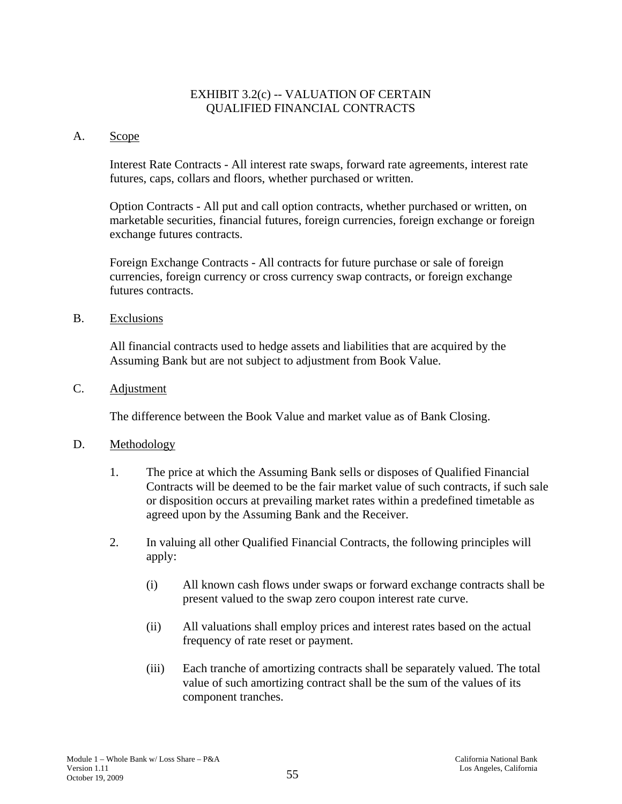#### EXHIBIT 3.2(c) -- VALUATION OF CERTAIN QUALIFIED FINANCIAL CONTRACTS

#### A. Scope

Interest Rate Contracts - All interest rate swaps, forward rate agreements, interest rate futures, caps, collars and floors, whether purchased or written.

Option Contracts - All put and call option contracts, whether purchased or written, on marketable securities, financial futures, foreign currencies, foreign exchange or foreign exchange futures contracts.

Foreign Exchange Contracts - All contracts for future purchase or sale of foreign currencies, foreign currency or cross currency swap contracts, or foreign exchange futures contracts.

#### B. Exclusions

All financial contracts used to hedge assets and liabilities that are acquired by the Assuming Bank but are not subject to adjustment from Book Value.

#### C. Adjustment

The difference between the Book Value and market value as of Bank Closing.

#### D. Methodology

- 1. The price at which the Assuming Bank sells or disposes of Qualified Financial Contracts will be deemed to be the fair market value of such contracts, if such sale or disposition occurs at prevailing market rates within a predefined timetable as agreed upon by the Assuming Bank and the Receiver.
- 2. In valuing all other Qualified Financial Contracts, the following principles will apply:
	- (i) All known cash flows under swaps or forward exchange contracts shall be present valued to the swap zero coupon interest rate curve.
	- (ii) All valuations shall employ prices and interest rates based on the actual frequency of rate reset or payment.
	- (iii) Each tranche of amortizing contracts shall be separately valued. The total value of such amortizing contract shall be the sum of the values of its component tranches.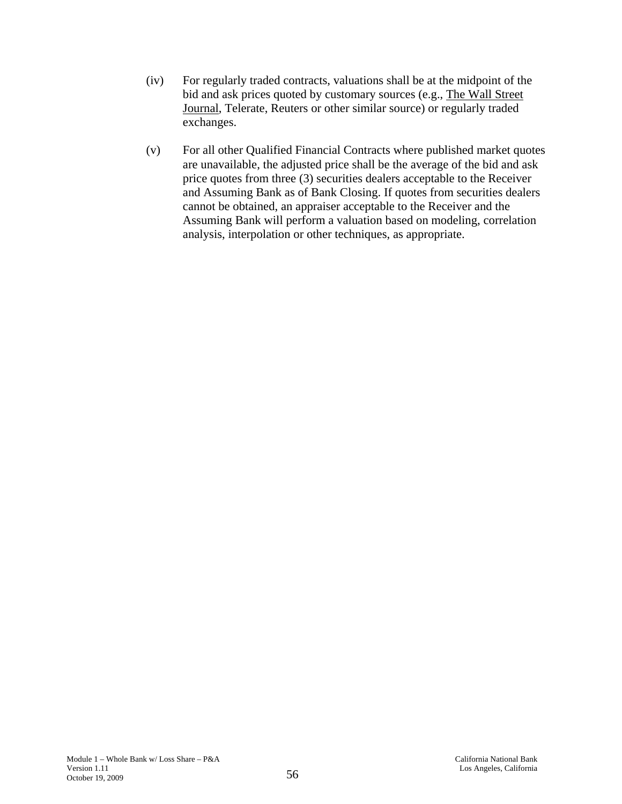- (iv) For regularly traded contracts, valuations shall be at the midpoint of the bid and ask prices quoted by customary sources (e.g., The Wall Street Journal, Telerate, Reuters or other similar source) or regularly traded exchanges.
- (v) For all other Qualified Financial Contracts where published market quotes are unavailable, the adjusted price shall be the average of the bid and ask price quotes from three (3) securities dealers acceptable to the Receiver and Assuming Bank as of Bank Closing. If quotes from securities dealers cannot be obtained, an appraiser acceptable to the Receiver and the Assuming Bank will perform a valuation based on modeling, correlation analysis, interpolation or other techniques, as appropriate.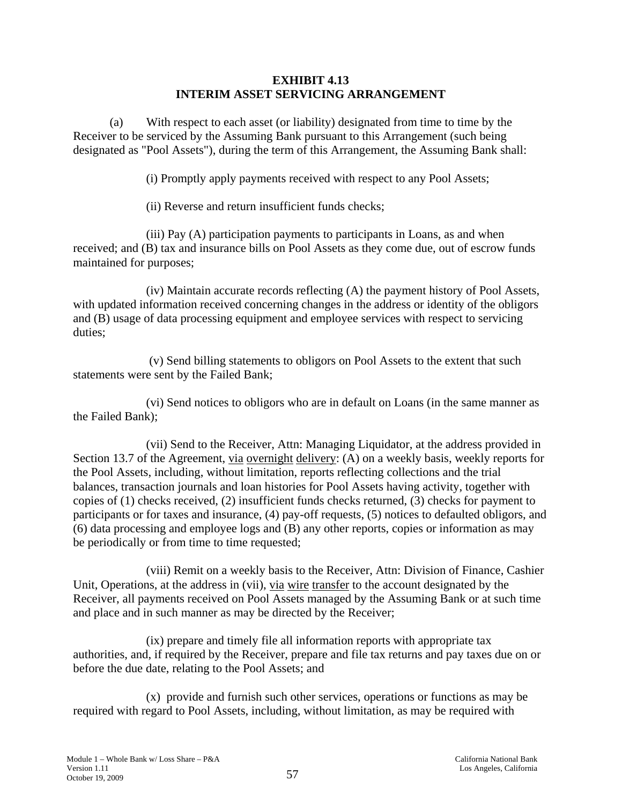#### **EXHIBIT 4.13 INTERIM ASSET SERVICING ARRANGEMENT**

(a) With respect to each asset (or liability) designated from time to time by the Receiver to be serviced by the Assuming Bank pursuant to this Arrangement (such being designated as "Pool Assets"), during the term of this Arrangement, the Assuming Bank shall:

(i) Promptly apply payments received with respect to any Pool Assets;

(ii) Reverse and return insufficient funds checks;

(iii) Pay (A) participation payments to participants in Loans, as and when received; and (B) tax and insurance bills on Pool Assets as they come due, out of escrow funds maintained for purposes;

(iv) Maintain accurate records reflecting (A) the payment history of Pool Assets, with updated information received concerning changes in the address or identity of the obligors and (B) usage of data processing equipment and employee services with respect to servicing duties;

 (v) Send billing statements to obligors on Pool Assets to the extent that such statements were sent by the Failed Bank;

(vi) Send notices to obligors who are in default on Loans (in the same manner as the Failed Bank);

(vii) Send to the Receiver, Attn: Managing Liquidator, at the address provided in Section 13.7 of the Agreement, via overnight delivery: (A) on a weekly basis, weekly reports for the Pool Assets, including, without limitation, reports reflecting collections and the trial balances, transaction journals and loan histories for Pool Assets having activity, together with copies of (1) checks received, (2) insufficient funds checks returned, (3) checks for payment to participants or for taxes and insurance, (4) pay-off requests, (5) notices to defaulted obligors, and (6) data processing and employee logs and (B) any other reports, copies or information as may be periodically or from time to time requested;

(viii) Remit on a weekly basis to the Receiver, Attn: Division of Finance, Cashier Unit, Operations, at the address in (vii), via wire transfer to the account designated by the Receiver, all payments received on Pool Assets managed by the Assuming Bank or at such time and place and in such manner as may be directed by the Receiver;

(ix) prepare and timely file all information reports with appropriate tax authorities, and, if required by the Receiver, prepare and file tax returns and pay taxes due on or before the due date, relating to the Pool Assets; and

(x) provide and furnish such other services, operations or functions as may be required with regard to Pool Assets, including, without limitation, as may be required with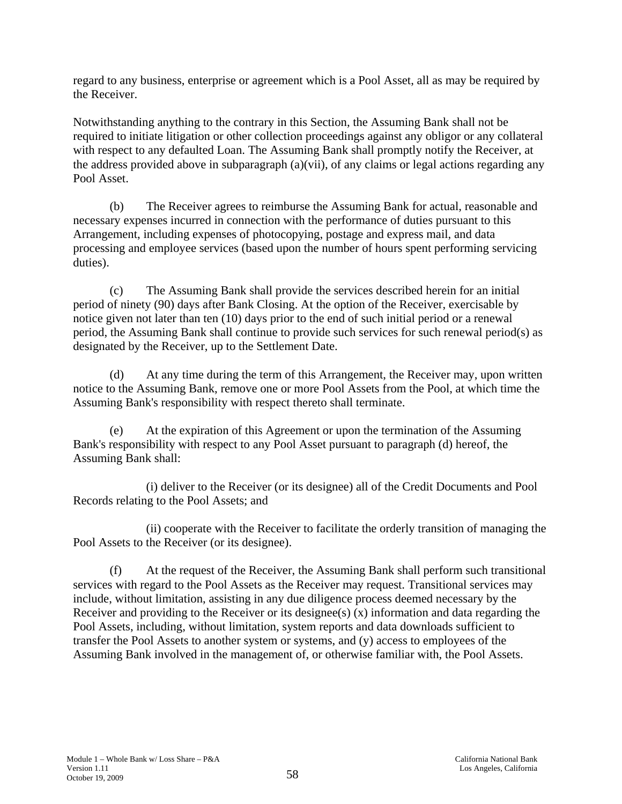regard to any business, enterprise or agreement which is a Pool Asset, all as may be required by the Receiver.

Notwithstanding anything to the contrary in this Section, the Assuming Bank shall not be required to initiate litigation or other collection proceedings against any obligor or any collateral with respect to any defaulted Loan. The Assuming Bank shall promptly notify the Receiver, at the address provided above in subparagraph (a)(vii), of any claims or legal actions regarding any Pool Asset.

(b) The Receiver agrees to reimburse the Assuming Bank for actual, reasonable and necessary expenses incurred in connection with the performance of duties pursuant to this Arrangement, including expenses of photocopying, postage and express mail, and data processing and employee services (based upon the number of hours spent performing servicing duties).

(c) The Assuming Bank shall provide the services described herein for an initial period of ninety (90) days after Bank Closing. At the option of the Receiver, exercisable by notice given not later than ten (10) days prior to the end of such initial period or a renewal period, the Assuming Bank shall continue to provide such services for such renewal period(s) as designated by the Receiver, up to the Settlement Date.

(d) At any time during the term of this Arrangement, the Receiver may, upon written notice to the Assuming Bank, remove one or more Pool Assets from the Pool, at which time the Assuming Bank's responsibility with respect thereto shall terminate.

(e) At the expiration of this Agreement or upon the termination of the Assuming Bank's responsibility with respect to any Pool Asset pursuant to paragraph (d) hereof, the Assuming Bank shall:

(i) deliver to the Receiver (or its designee) all of the Credit Documents and Pool Records relating to the Pool Assets; and

(ii) cooperate with the Receiver to facilitate the orderly transition of managing the Pool Assets to the Receiver (or its designee).

(f) At the request of the Receiver, the Assuming Bank shall perform such transitional services with regard to the Pool Assets as the Receiver may request. Transitional services may include, without limitation, assisting in any due diligence process deemed necessary by the Receiver and providing to the Receiver or its designee(s) (x) information and data regarding the Pool Assets, including, without limitation, system reports and data downloads sufficient to transfer the Pool Assets to another system or systems, and (y) access to employees of the Assuming Bank involved in the management of, or otherwise familiar with, the Pool Assets.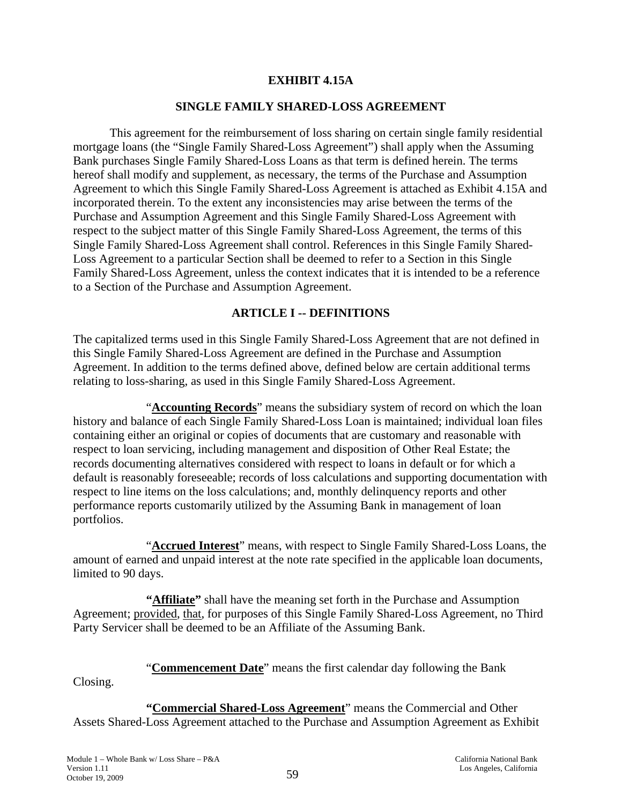#### **EXHIBIT 4.15A**

#### **SINGLE FAMILY SHARED-LOSS AGREEMENT**

This agreement for the reimbursement of loss sharing on certain single family residential mortgage loans (the "Single Family Shared-Loss Agreement") shall apply when the Assuming Bank purchases Single Family Shared-Loss Loans as that term is defined herein. The terms hereof shall modify and supplement, as necessary, the terms of the Purchase and Assumption Agreement to which this Single Family Shared-Loss Agreement is attached as Exhibit 4.15A and incorporated therein. To the extent any inconsistencies may arise between the terms of the Purchase and Assumption Agreement and this Single Family Shared-Loss Agreement with respect to the subject matter of this Single Family Shared-Loss Agreement, the terms of this Single Family Shared-Loss Agreement shall control. References in this Single Family Shared-Loss Agreement to a particular Section shall be deemed to refer to a Section in this Single Family Shared-Loss Agreement, unless the context indicates that it is intended to be a reference to a Section of the Purchase and Assumption Agreement.

#### **ARTICLE I -- DEFINITIONS**

The capitalized terms used in this Single Family Shared-Loss Agreement that are not defined in this Single Family Shared-Loss Agreement are defined in the Purchase and Assumption Agreement. In addition to the terms defined above, defined below are certain additional terms relating to loss-sharing, as used in this Single Family Shared-Loss Agreement.

"**Accounting Records**" means the subsidiary system of record on which the loan history and balance of each Single Family Shared-Loss Loan is maintained; individual loan files containing either an original or copies of documents that are customary and reasonable with respect to loan servicing, including management and disposition of Other Real Estate; the records documenting alternatives considered with respect to loans in default or for which a default is reasonably foreseeable; records of loss calculations and supporting documentation with respect to line items on the loss calculations; and, monthly delinquency reports and other performance reports customarily utilized by the Assuming Bank in management of loan portfolios.

"**Accrued Interest**" means, with respect to Single Family Shared-Loss Loans, the amount of earned and unpaid interest at the note rate specified in the applicable loan documents, limited to 90 days.

**"Affiliate"** shall have the meaning set forth in the Purchase and Assumption Agreement; provided, that, for purposes of this Single Family Shared-Loss Agreement, no Third Party Servicer shall be deemed to be an Affiliate of the Assuming Bank.

"**Commencement Date**" means the first calendar day following the Bank

Closing.

**"Commercial Shared-Loss Agreement**" means the Commercial and Other Assets Shared-Loss Agreement attached to the Purchase and Assumption Agreement as Exhibit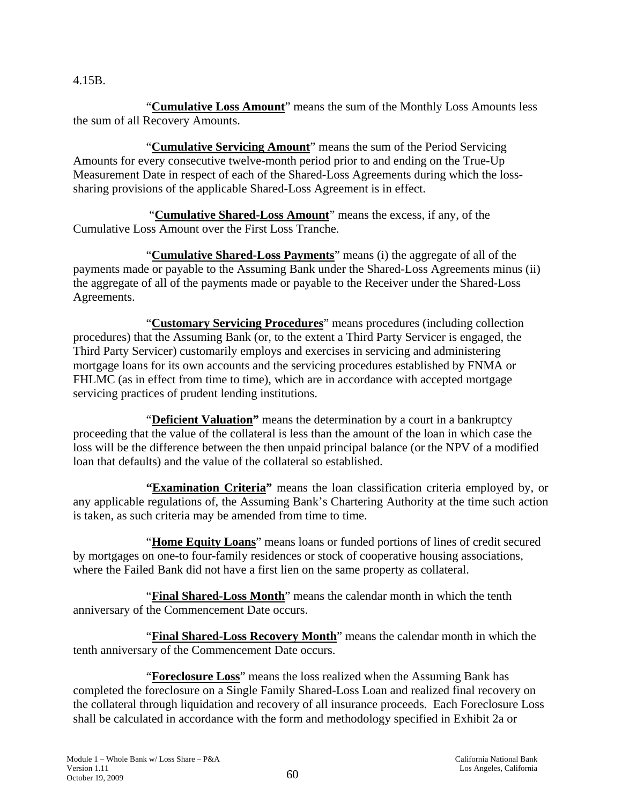4.15B.

"**Cumulative Loss Amount**" means the sum of the Monthly Loss Amounts less the sum of all Recovery Amounts.

"**Cumulative Servicing Amount**" means the sum of the Period Servicing Amounts for every consecutive twelve-month period prior to and ending on the True-Up Measurement Date in respect of each of the Shared-Loss Agreements during which the losssharing provisions of the applicable Shared-Loss Agreement is in effect.

"**Cumulative Shared-Loss Amount**" means the excess, if any, of the Cumulative Loss Amount over the First Loss Tranche.

"**Cumulative Shared-Loss Payments**" means (i) the aggregate of all of the payments made or payable to the Assuming Bank under the Shared-Loss Agreements minus (ii) the aggregate of all of the payments made or payable to the Receiver under the Shared-Loss Agreements.

"**Customary Servicing Procedures**" means procedures (including collection procedures) that the Assuming Bank (or, to the extent a Third Party Servicer is engaged, the Third Party Servicer) customarily employs and exercises in servicing and administering mortgage loans for its own accounts and the servicing procedures established by FNMA or FHLMC (as in effect from time to time), which are in accordance with accepted mortgage servicing practices of prudent lending institutions.

"**Deficient Valuation"** means the determination by a court in a bankruptcy proceeding that the value of the collateral is less than the amount of the loan in which case the loss will be the difference between the then unpaid principal balance (or the NPV of a modified loan that defaults) and the value of the collateral so established.

**"Examination Criteria"** means the loan classification criteria employed by, or any applicable regulations of, the Assuming Bank's Chartering Authority at the time such action is taken, as such criteria may be amended from time to time.

"**Home Equity Loans**" means loans or funded portions of lines of credit secured by mortgages on one-to four-family residences or stock of cooperative housing associations, where the Failed Bank did not have a first lien on the same property as collateral.

"**Final Shared-Loss Month**" means the calendar month in which the tenth anniversary of the Commencement Date occurs.

"**Final Shared-Loss Recovery Month**" means the calendar month in which the tenth anniversary of the Commencement Date occurs.

"**Foreclosure Loss**" means the loss realized when the Assuming Bank has completed the foreclosure on a Single Family Shared-Loss Loan and realized final recovery on the collateral through liquidation and recovery of all insurance proceeds. Each Foreclosure Loss shall be calculated in accordance with the form and methodology specified in Exhibit 2a or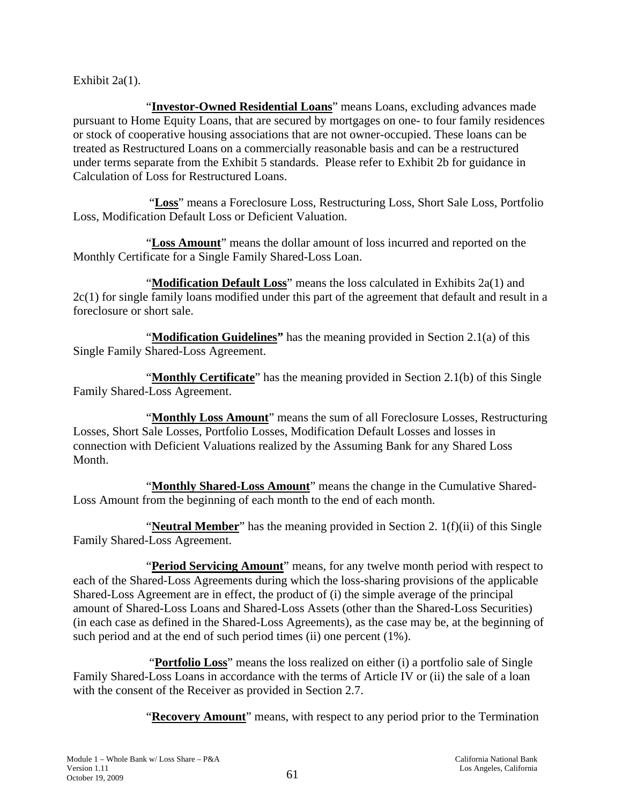Exhibit 2a(1).

"**Investor-Owned Residential Loans**" means Loans, excluding advances made pursuant to Home Equity Loans, that are secured by mortgages on one- to four family residences or stock of cooperative housing associations that are not owner-occupied. These loans can be treated as Restructured Loans on a commercially reasonable basis and can be a restructured under terms separate from the Exhibit 5 standards. Please refer to Exhibit 2b for guidance in Calculation of Loss for Restructured Loans.

"**Loss**" means a Foreclosure Loss, Restructuring Loss, Short Sale Loss, Portfolio Loss, Modification Default Loss or Deficient Valuation.

"**Loss Amount**" means the dollar amount of loss incurred and reported on the Monthly Certificate for a Single Family Shared-Loss Loan.

"**Modification Default Loss**" means the loss calculated in Exhibits 2a(1) and 2c(1) for single family loans modified under this part of the agreement that default and result in a foreclosure or short sale.

"**Modification Guidelines"** has the meaning provided in Section 2.1(a) of this Single Family Shared-Loss Agreement.

"**Monthly Certificate**" has the meaning provided in Section 2.1(b) of this Single Family Shared-Loss Agreement.

"**Monthly Loss Amount**" means the sum of all Foreclosure Losses, Restructuring Losses, Short Sale Losses, Portfolio Losses, Modification Default Losses and losses in connection with Deficient Valuations realized by the Assuming Bank for any Shared Loss Month.

"**Monthly Shared-Loss Amount**" means the change in the Cumulative Shared-Loss Amount from the beginning of each month to the end of each month.

"**Neutral Member**" has the meaning provided in Section 2. 1(f)(ii) of this Single Family Shared-Loss Agreement.

"**Period Servicing Amount**" means, for any twelve month period with respect to each of the Shared-Loss Agreements during which the loss-sharing provisions of the applicable Shared-Loss Agreement are in effect, the product of (i) the simple average of the principal amount of Shared-Loss Loans and Shared-Loss Assets (other than the Shared-Loss Securities) (in each case as defined in the Shared-Loss Agreements), as the case may be, at the beginning of such period and at the end of such period times (ii) one percent (1%).

"**Portfolio Loss**" means the loss realized on either (i) a portfolio sale of Single Family Shared-Loss Loans in accordance with the terms of Article IV or (ii) the sale of a loan with the consent of the Receiver as provided in Section 2.7.

"**Recovery Amount**" means, with respect to any period prior to the Termination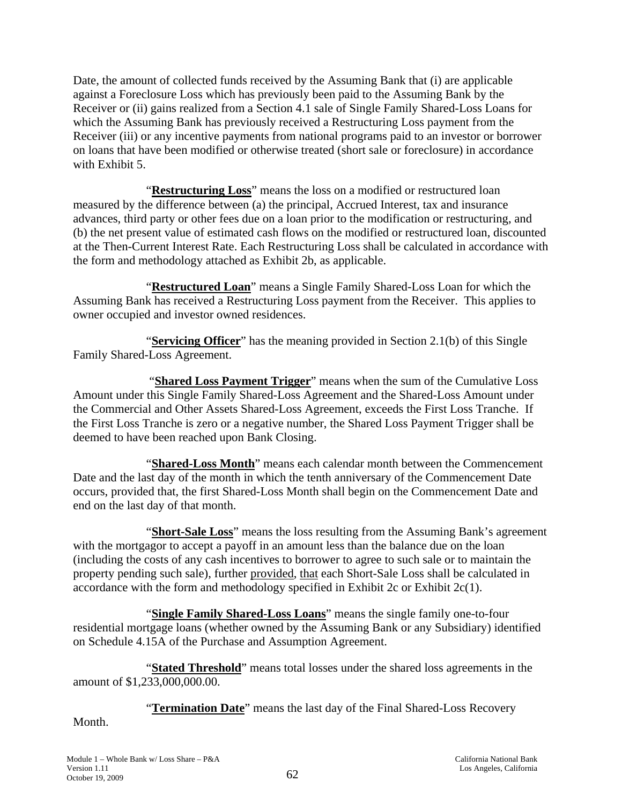Date, the amount of collected funds received by the Assuming Bank that (i) are applicable against a Foreclosure Loss which has previously been paid to the Assuming Bank by the Receiver or (ii) gains realized from a Section 4.1 sale of Single Family Shared-Loss Loans for which the Assuming Bank has previously received a Restructuring Loss payment from the Receiver (iii) or any incentive payments from national programs paid to an investor or borrower on loans that have been modified or otherwise treated (short sale or foreclosure) in accordance with Exhibit 5.

"**Restructuring Loss**" means the loss on a modified or restructured loan measured by the difference between (a) the principal, Accrued Interest, tax and insurance advances, third party or other fees due on a loan prior to the modification or restructuring, and (b) the net present value of estimated cash flows on the modified or restructured loan, discounted at the Then-Current Interest Rate. Each Restructuring Loss shall be calculated in accordance with the form and methodology attached as Exhibit 2b, as applicable.

"**Restructured Loan**" means a Single Family Shared-Loss Loan for which the Assuming Bank has received a Restructuring Loss payment from the Receiver. This applies to owner occupied and investor owned residences.

"**Servicing Officer**" has the meaning provided in Section 2.1(b) of this Single Family Shared-Loss Agreement.

"**Shared Loss Payment Trigger**" means when the sum of the Cumulative Loss Amount under this Single Family Shared-Loss Agreement and the Shared-Loss Amount under the Commercial and Other Assets Shared-Loss Agreement, exceeds the First Loss Tranche. If the First Loss Tranche is zero or a negative number, the Shared Loss Payment Trigger shall be deemed to have been reached upon Bank Closing.

"**Shared-Loss Month**" means each calendar month between the Commencement Date and the last day of the month in which the tenth anniversary of the Commencement Date occurs, provided that, the first Shared-Loss Month shall begin on the Commencement Date and end on the last day of that month.

"**Short-Sale Loss**" means the loss resulting from the Assuming Bank's agreement with the mortgagor to accept a payoff in an amount less than the balance due on the loan (including the costs of any cash incentives to borrower to agree to such sale or to maintain the property pending such sale), further provided, that each Short-Sale Loss shall be calculated in accordance with the form and methodology specified in Exhibit 2c or Exhibit 2c(1).

"**Single Family Shared-Loss Loans**" means the single family one-to-four residential mortgage loans (whether owned by the Assuming Bank or any Subsidiary) identified on Schedule 4.15A of the Purchase and Assumption Agreement.

"**Stated Threshold**" means total losses under the shared loss agreements in the amount of \$1,233,000,000.00.

"**Termination Date**" means the last day of the Final Shared-Loss Recovery Month.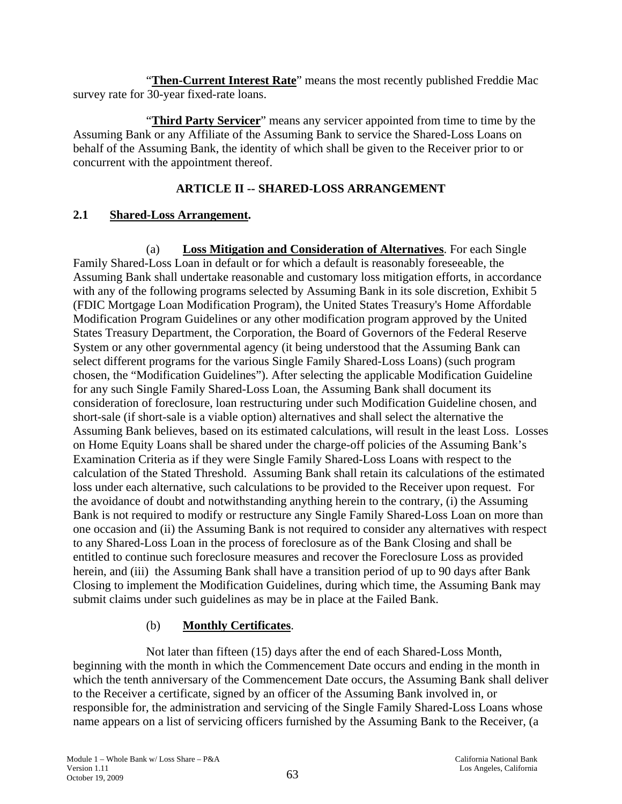"**Then-Current Interest Rate**" means the most recently published Freddie Mac survey rate for 30-year fixed-rate loans.

"**Third Party Servicer**" means any servicer appointed from time to time by the Assuming Bank or any Affiliate of the Assuming Bank to service the Shared-Loss Loans on behalf of the Assuming Bank, the identity of which shall be given to the Receiver prior to or concurrent with the appointment thereof.

### **ARTICLE II -- SHARED-LOSS ARRANGEMENT**

### **2.1 Shared-Loss Arrangement.**

(a) **Loss Mitigation and Consideration of Alternatives**. For each Single Family Shared-Loss Loan in default or for which a default is reasonably foreseeable, the Assuming Bank shall undertake reasonable and customary loss mitigation efforts, in accordance with any of the following programs selected by Assuming Bank in its sole discretion, Exhibit 5 (FDIC Mortgage Loan Modification Program), the United States Treasury's Home Affordable Modification Program Guidelines or any other modification program approved by the United States Treasury Department, the Corporation, the Board of Governors of the Federal Reserve System or any other governmental agency (it being understood that the Assuming Bank can select different programs for the various Single Family Shared-Loss Loans) (such program chosen, the "Modification Guidelines"). After selecting the applicable Modification Guideline for any such Single Family Shared-Loss Loan, the Assuming Bank shall document its consideration of foreclosure, loan restructuring under such Modification Guideline chosen, and short-sale (if short-sale is a viable option) alternatives and shall select the alternative the Assuming Bank believes, based on its estimated calculations, will result in the least Loss. Losses on Home Equity Loans shall be shared under the charge-off policies of the Assuming Bank's Examination Criteria as if they were Single Family Shared-Loss Loans with respect to the calculation of the Stated Threshold. Assuming Bank shall retain its calculations of the estimated loss under each alternative, such calculations to be provided to the Receiver upon request. For the avoidance of doubt and notwithstanding anything herein to the contrary, (i) the Assuming Bank is not required to modify or restructure any Single Family Shared-Loss Loan on more than one occasion and (ii) the Assuming Bank is not required to consider any alternatives with respect to any Shared-Loss Loan in the process of foreclosure as of the Bank Closing and shall be entitled to continue such foreclosure measures and recover the Foreclosure Loss as provided herein, and (iii) the Assuming Bank shall have a transition period of up to 90 days after Bank Closing to implement the Modification Guidelines, during which time, the Assuming Bank may submit claims under such guidelines as may be in place at the Failed Bank.

## (b) **Monthly Certificates**.

Not later than fifteen (15) days after the end of each Shared-Loss Month, beginning with the month in which the Commencement Date occurs and ending in the month in which the tenth anniversary of the Commencement Date occurs, the Assuming Bank shall deliver to the Receiver a certificate, signed by an officer of the Assuming Bank involved in, or responsible for, the administration and servicing of the Single Family Shared-Loss Loans whose name appears on a list of servicing officers furnished by the Assuming Bank to the Receiver, (a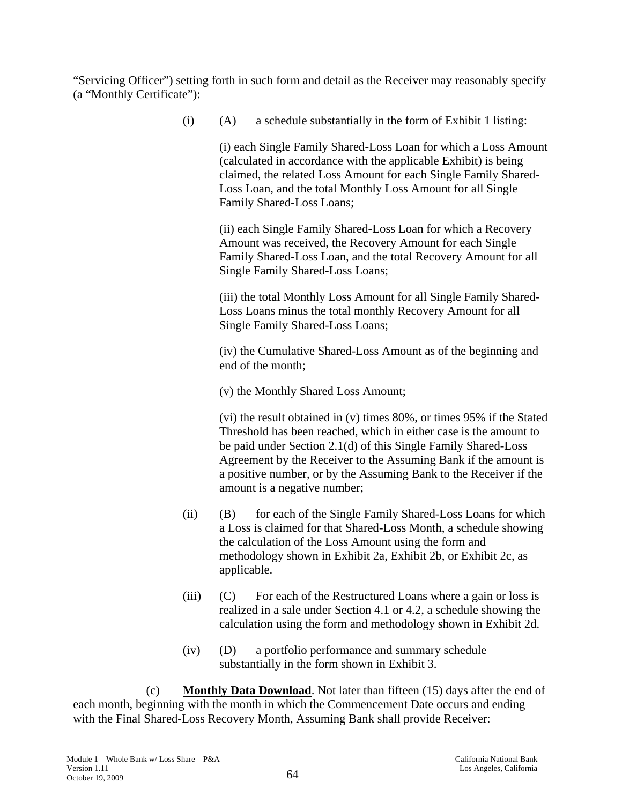"Servicing Officer") setting forth in such form and detail as the Receiver may reasonably specify (a "Monthly Certificate"):

 $(i)$  (A) a schedule substantially in the form of Exhibit 1 listing:

(i) each Single Family Shared-Loss Loan for which a Loss Amount (calculated in accordance with the applicable Exhibit) is being claimed, the related Loss Amount for each Single Family Shared-Loss Loan, and the total Monthly Loss Amount for all Single Family Shared-Loss Loans;

(ii) each Single Family Shared-Loss Loan for which a Recovery Amount was received, the Recovery Amount for each Single Family Shared-Loss Loan, and the total Recovery Amount for all Single Family Shared-Loss Loans;

(iii) the total Monthly Loss Amount for all Single Family Shared-Loss Loans minus the total monthly Recovery Amount for all Single Family Shared-Loss Loans;

(iv) the Cumulative Shared-Loss Amount as of the beginning and end of the month;

(v) the Monthly Shared Loss Amount;

(vi) the result obtained in (v) times 80%, or times 95% if the Stated Threshold has been reached, which in either case is the amount to be paid under Section 2.1(d) of this Single Family Shared-Loss Agreement by the Receiver to the Assuming Bank if the amount is a positive number, or by the Assuming Bank to the Receiver if the amount is a negative number;

- (ii) (B) for each of the Single Family Shared-Loss Loans for which a Loss is claimed for that Shared-Loss Month, a schedule showing the calculation of the Loss Amount using the form and methodology shown in Exhibit 2a, Exhibit 2b, or Exhibit 2c, as applicable.
- (iii) (C) For each of the Restructured Loans where a gain or loss is realized in a sale under Section 4.1 or 4.2, a schedule showing the calculation using the form and methodology shown in Exhibit 2d.
- (iv) (D) a portfolio performance and summary schedule substantially in the form shown in Exhibit 3.

(c) **Monthly Data Download**. Not later than fifteen (15) days after the end of each month, beginning with the month in which the Commencement Date occurs and ending with the Final Shared-Loss Recovery Month, Assuming Bank shall provide Receiver: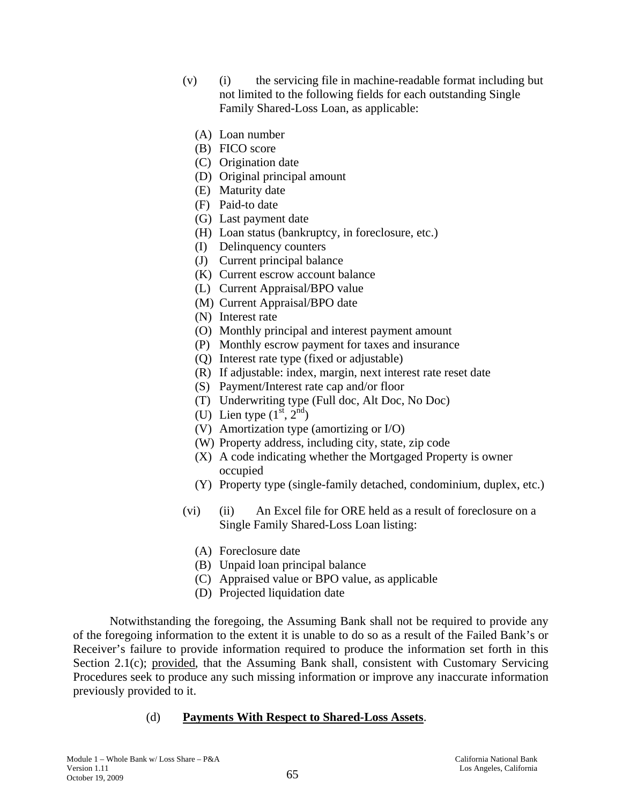- $(v)$  (i) the servicing file in machine-readable format including but not limited to the following fields for each outstanding Single Family Shared-Loss Loan, as applicable:
	- (A) Loan number
	- (B) FICO score
	- (C) Origination date
	- (D) Original principal amount
	- (E) Maturity date
	- (F) Paid-to date
	- (G) Last payment date
	- (H) Loan status (bankruptcy, in foreclosure, etc.)
	- (I) Delinquency counters
	- (J) Current principal balance
	- (K) Current escrow account balance
	- (L) Current Appraisal/BPO value
	- (M) Current Appraisal/BPO date
	- (N) Interest rate
	- (O) Monthly principal and interest payment amount
	- (P) Monthly escrow payment for taxes and insurance
	- (Q) Interest rate type (fixed or adjustable)
	- (R) If adjustable: index, margin, next interest rate reset date
	- (S) Payment/Interest rate cap and/or floor
	- (T) Underwriting type (Full doc, Alt Doc, No Doc)
	- (U) Lien type  $(1^{\overline{s}t}, 2^{\overline{n}d})$
	- (V) Amortization type (amortizing or I/O)
	- (W) Property address, including city, state, zip code
	- (X) A code indicating whether the Mortgaged Property is owner occupied
	- (Y) Property type (single-family detached, condominium, duplex, etc.)
- (vi) (ii) An Excel file for ORE held as a result of foreclosure on a Single Family Shared-Loss Loan listing:
	- (A) Foreclosure date
	- (B) Unpaid loan principal balance
	- (C) Appraised value or BPO value, as applicable
	- (D) Projected liquidation date

Notwithstanding the foregoing, the Assuming Bank shall not be required to provide any of the foregoing information to the extent it is unable to do so as a result of the Failed Bank's or Receiver's failure to provide information required to produce the information set forth in this Section 2.1(c); provided, that the Assuming Bank shall, consistent with Customary Servicing Procedures seek to produce any such missing information or improve any inaccurate information previously provided to it.

(d) **Payments With Respect to Shared-Loss Assets**.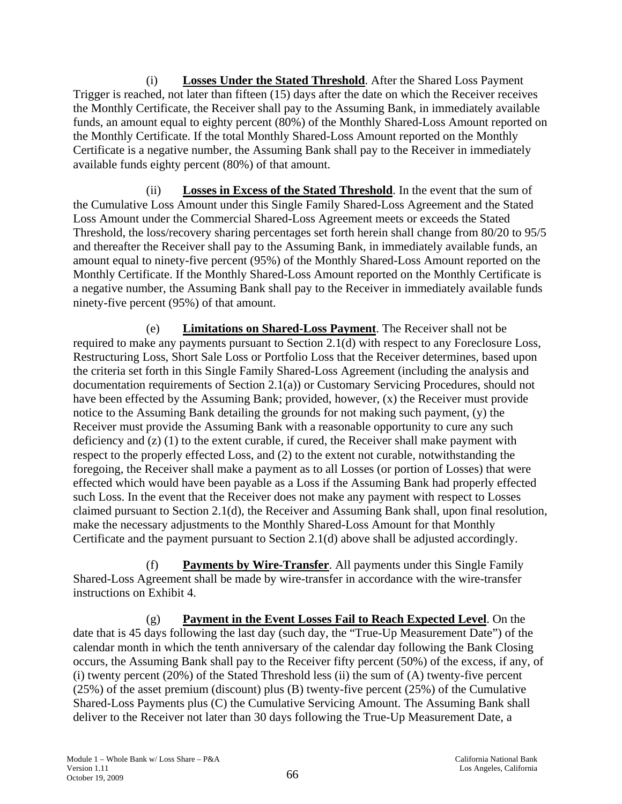(i) **Losses Under the Stated Threshold**. After the Shared Loss Payment Trigger is reached, not later than fifteen (15) days after the date on which the Receiver receives the Monthly Certificate, the Receiver shall pay to the Assuming Bank, in immediately available funds, an amount equal to eighty percent (80%) of the Monthly Shared-Loss Amount reported on the Monthly Certificate. If the total Monthly Shared-Loss Amount reported on the Monthly Certificate is a negative number, the Assuming Bank shall pay to the Receiver in immediately available funds eighty percent (80%) of that amount.

(ii) **Losses in Excess of the Stated Threshold**. In the event that the sum of the Cumulative Loss Amount under this Single Family Shared-Loss Agreement and the Stated Loss Amount under the Commercial Shared-Loss Agreement meets or exceeds the Stated Threshold, the loss/recovery sharing percentages set forth herein shall change from 80/20 to 95/5 and thereafter the Receiver shall pay to the Assuming Bank, in immediately available funds, an amount equal to ninety-five percent (95%) of the Monthly Shared-Loss Amount reported on the Monthly Certificate. If the Monthly Shared-Loss Amount reported on the Monthly Certificate is a negative number, the Assuming Bank shall pay to the Receiver in immediately available funds ninety-five percent (95%) of that amount.

(e) **Limitations on Shared-Loss Payment**. The Receiver shall not be required to make any payments pursuant to Section 2.1(d) with respect to any Foreclosure Loss, Restructuring Loss, Short Sale Loss or Portfolio Loss that the Receiver determines, based upon the criteria set forth in this Single Family Shared-Loss Agreement (including the analysis and documentation requirements of Section 2.1(a)) or Customary Servicing Procedures, should not have been effected by the Assuming Bank; provided, however, (x) the Receiver must provide notice to the Assuming Bank detailing the grounds for not making such payment, (y) the Receiver must provide the Assuming Bank with a reasonable opportunity to cure any such deficiency and (z) (1) to the extent curable, if cured, the Receiver shall make payment with respect to the properly effected Loss, and (2) to the extent not curable, notwithstanding the foregoing, the Receiver shall make a payment as to all Losses (or portion of Losses) that were effected which would have been payable as a Loss if the Assuming Bank had properly effected such Loss. In the event that the Receiver does not make any payment with respect to Losses claimed pursuant to Section 2.1(d), the Receiver and Assuming Bank shall, upon final resolution, make the necessary adjustments to the Monthly Shared-Loss Amount for that Monthly Certificate and the payment pursuant to Section 2.1(d) above shall be adjusted accordingly.

(f) **Payments by Wire-Transfer**. All payments under this Single Family Shared-Loss Agreement shall be made by wire-transfer in accordance with the wire-transfer instructions on Exhibit 4.

 (g) **Payment in the Event Losses Fail to Reach Expected Level**. On the date that is 45 days following the last day (such day, the "True-Up Measurement Date") of the calendar month in which the tenth anniversary of the calendar day following the Bank Closing occurs, the Assuming Bank shall pay to the Receiver fifty percent (50%) of the excess, if any, of  $(i)$  twenty percent (20%) of the Stated Threshold less  $(ii)$  the sum of  $(A)$  twenty-five percent (25%) of the asset premium (discount) plus (B) twenty-five percent (25%) of the Cumulative Shared-Loss Payments plus (C) the Cumulative Servicing Amount. The Assuming Bank shall deliver to the Receiver not later than 30 days following the True-Up Measurement Date, a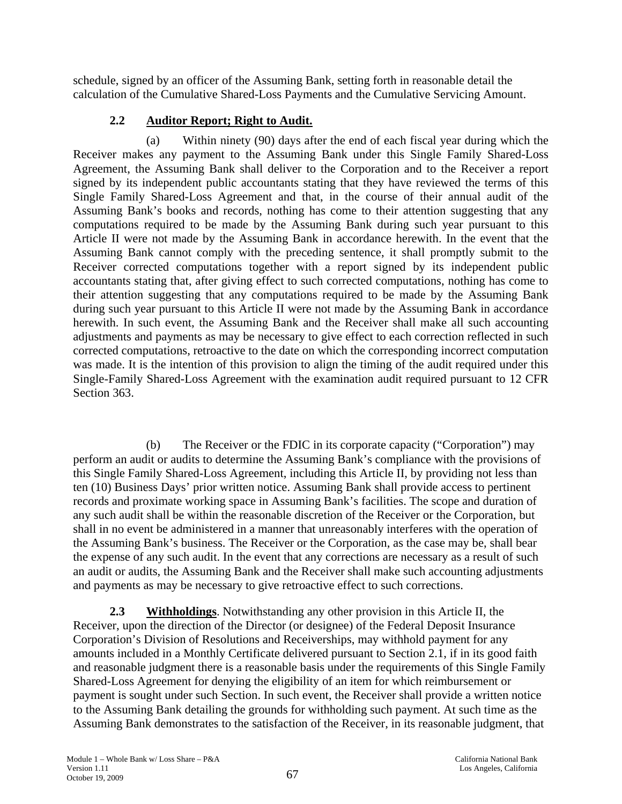schedule, signed by an officer of the Assuming Bank, setting forth in reasonable detail the calculation of the Cumulative Shared-Loss Payments and the Cumulative Servicing Amount.

# **2.2 Auditor Report; Right to Audit.**

(a) Within ninety (90) days after the end of each fiscal year during which the Receiver makes any payment to the Assuming Bank under this Single Family Shared-Loss Agreement, the Assuming Bank shall deliver to the Corporation and to the Receiver a report signed by its independent public accountants stating that they have reviewed the terms of this Single Family Shared-Loss Agreement and that, in the course of their annual audit of the Assuming Bank's books and records, nothing has come to their attention suggesting that any computations required to be made by the Assuming Bank during such year pursuant to this Article II were not made by the Assuming Bank in accordance herewith. In the event that the Assuming Bank cannot comply with the preceding sentence, it shall promptly submit to the Receiver corrected computations together with a report signed by its independent public accountants stating that, after giving effect to such corrected computations, nothing has come to their attention suggesting that any computations required to be made by the Assuming Bank during such year pursuant to this Article II were not made by the Assuming Bank in accordance herewith. In such event, the Assuming Bank and the Receiver shall make all such accounting adjustments and payments as may be necessary to give effect to each correction reflected in such corrected computations, retroactive to the date on which the corresponding incorrect computation was made. It is the intention of this provision to align the timing of the audit required under this Single-Family Shared-Loss Agreement with the examination audit required pursuant to 12 CFR Section 363.

(b) The Receiver or the FDIC in its corporate capacity ("Corporation") may perform an audit or audits to determine the Assuming Bank's compliance with the provisions of this Single Family Shared-Loss Agreement, including this Article II, by providing not less than ten (10) Business Days' prior written notice. Assuming Bank shall provide access to pertinent records and proximate working space in Assuming Bank's facilities. The scope and duration of any such audit shall be within the reasonable discretion of the Receiver or the Corporation, but shall in no event be administered in a manner that unreasonably interferes with the operation of the Assuming Bank's business. The Receiver or the Corporation, as the case may be, shall bear the expense of any such audit. In the event that any corrections are necessary as a result of such an audit or audits, the Assuming Bank and the Receiver shall make such accounting adjustments and payments as may be necessary to give retroactive effect to such corrections.

**2.3 Withholdings**. Notwithstanding any other provision in this Article II, the Receiver, upon the direction of the Director (or designee) of the Federal Deposit Insurance Corporation's Division of Resolutions and Receiverships, may withhold payment for any amounts included in a Monthly Certificate delivered pursuant to Section 2.1, if in its good faith and reasonable judgment there is a reasonable basis under the requirements of this Single Family Shared-Loss Agreement for denying the eligibility of an item for which reimbursement or payment is sought under such Section. In such event, the Receiver shall provide a written notice to the Assuming Bank detailing the grounds for withholding such payment. At such time as the Assuming Bank demonstrates to the satisfaction of the Receiver, in its reasonable judgment, that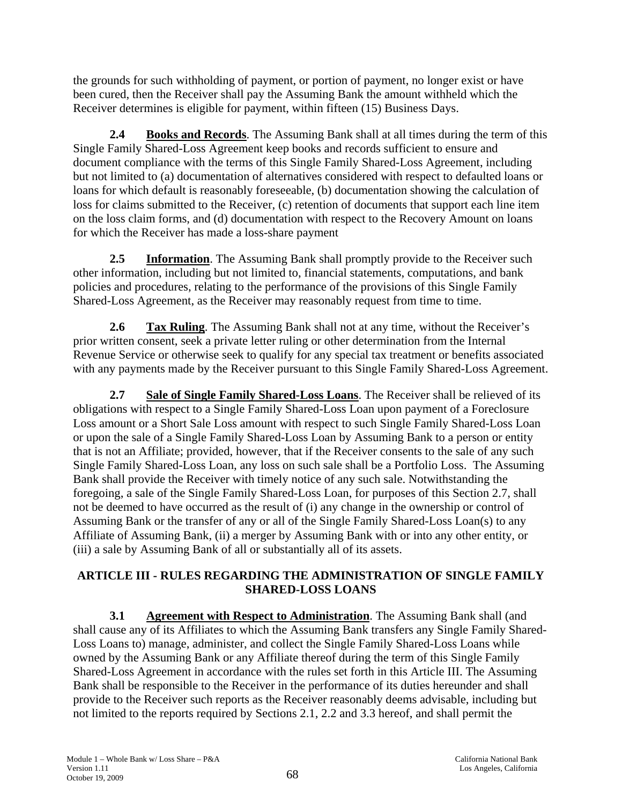the grounds for such withholding of payment, or portion of payment, no longer exist or have been cured, then the Receiver shall pay the Assuming Bank the amount withheld which the Receiver determines is eligible for payment, within fifteen (15) Business Days.

**2.4 Books and Records**. The Assuming Bank shall at all times during the term of this Single Family Shared-Loss Agreement keep books and records sufficient to ensure and document compliance with the terms of this Single Family Shared-Loss Agreement, including but not limited to (a) documentation of alternatives considered with respect to defaulted loans or loans for which default is reasonably foreseeable, (b) documentation showing the calculation of loss for claims submitted to the Receiver, (c) retention of documents that support each line item on the loss claim forms, and (d) documentation with respect to the Recovery Amount on loans for which the Receiver has made a loss-share payment

**2.5 Information**. The Assuming Bank shall promptly provide to the Receiver such other information, including but not limited to, financial statements, computations, and bank policies and procedures, relating to the performance of the provisions of this Single Family Shared-Loss Agreement, as the Receiver may reasonably request from time to time.

**2.6** Tax Ruling. The Assuming Bank shall not at any time, without the Receiver's prior written consent, seek a private letter ruling or other determination from the Internal Revenue Service or otherwise seek to qualify for any special tax treatment or benefits associated with any payments made by the Receiver pursuant to this Single Family Shared-Loss Agreement.

**2.7 Sale of Single Family Shared-Loss Loans**. The Receiver shall be relieved of its obligations with respect to a Single Family Shared-Loss Loan upon payment of a Foreclosure Loss amount or a Short Sale Loss amount with respect to such Single Family Shared-Loss Loan or upon the sale of a Single Family Shared-Loss Loan by Assuming Bank to a person or entity that is not an Affiliate; provided, however, that if the Receiver consents to the sale of any such Single Family Shared-Loss Loan, any loss on such sale shall be a Portfolio Loss. The Assuming Bank shall provide the Receiver with timely notice of any such sale. Notwithstanding the foregoing, a sale of the Single Family Shared-Loss Loan, for purposes of this Section 2.7, shall not be deemed to have occurred as the result of (i) any change in the ownership or control of Assuming Bank or the transfer of any or all of the Single Family Shared-Loss Loan(s) to any Affiliate of Assuming Bank, (ii) a merger by Assuming Bank with or into any other entity, or (iii) a sale by Assuming Bank of all or substantially all of its assets.

# **ARTICLE III - RULES REGARDING THE ADMINISTRATION OF SINGLE FAMILY SHARED-LOSS LOANS**

**3.1 Agreement with Respect to Administration**. The Assuming Bank shall (and shall cause any of its Affiliates to which the Assuming Bank transfers any Single Family Shared-Loss Loans to) manage, administer, and collect the Single Family Shared-Loss Loans while owned by the Assuming Bank or any Affiliate thereof during the term of this Single Family Shared-Loss Agreement in accordance with the rules set forth in this Article III. The Assuming Bank shall be responsible to the Receiver in the performance of its duties hereunder and shall provide to the Receiver such reports as the Receiver reasonably deems advisable, including but not limited to the reports required by Sections 2.1, 2.2 and 3.3 hereof, and shall permit the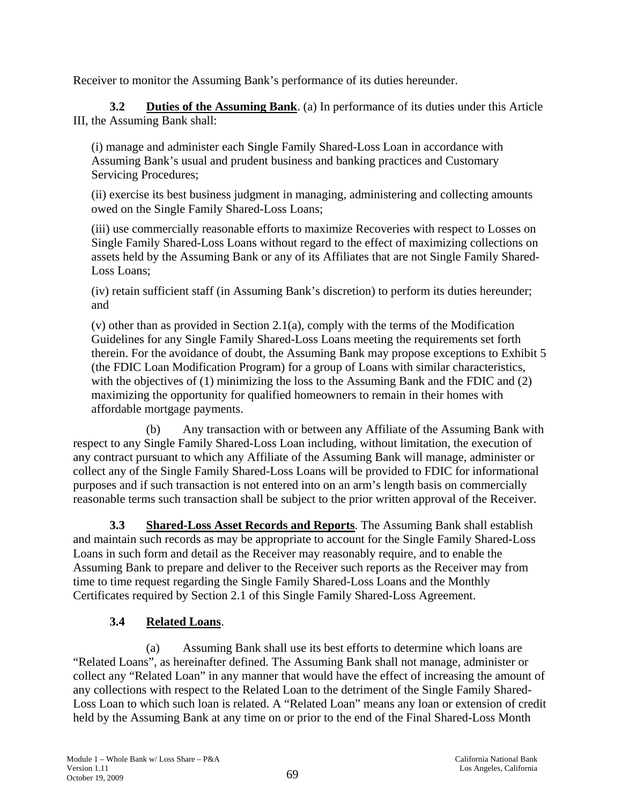Receiver to monitor the Assuming Bank's performance of its duties hereunder.

**3.2 Duties of the Assuming Bank**. (a) In performance of its duties under this Article III, the Assuming Bank shall:

(i) manage and administer each Single Family Shared-Loss Loan in accordance with Assuming Bank's usual and prudent business and banking practices and Customary Servicing Procedures;

(ii) exercise its best business judgment in managing, administering and collecting amounts owed on the Single Family Shared-Loss Loans;

(iii) use commercially reasonable efforts to maximize Recoveries with respect to Losses on Single Family Shared-Loss Loans without regard to the effect of maximizing collections on assets held by the Assuming Bank or any of its Affiliates that are not Single Family Shared-Loss Loans;

(iv) retain sufficient staff (in Assuming Bank's discretion) to perform its duties hereunder; and

(v) other than as provided in Section 2.1(a), comply with the terms of the Modification Guidelines for any Single Family Shared-Loss Loans meeting the requirements set forth therein. For the avoidance of doubt, the Assuming Bank may propose exceptions to Exhibit 5 (the FDIC Loan Modification Program) for a group of Loans with similar characteristics, with the objectives of (1) minimizing the loss to the Assuming Bank and the FDIC and (2) maximizing the opportunity for qualified homeowners to remain in their homes with affordable mortgage payments.

(b) Any transaction with or between any Affiliate of the Assuming Bank with respect to any Single Family Shared-Loss Loan including, without limitation, the execution of any contract pursuant to which any Affiliate of the Assuming Bank will manage, administer or collect any of the Single Family Shared-Loss Loans will be provided to FDIC for informational purposes and if such transaction is not entered into on an arm's length basis on commercially reasonable terms such transaction shall be subject to the prior written approval of the Receiver.

**3.3 Shared-Loss Asset Records and Reports**. The Assuming Bank shall establish and maintain such records as may be appropriate to account for the Single Family Shared-Loss Loans in such form and detail as the Receiver may reasonably require, and to enable the Assuming Bank to prepare and deliver to the Receiver such reports as the Receiver may from time to time request regarding the Single Family Shared-Loss Loans and the Monthly Certificates required by Section 2.1 of this Single Family Shared-Loss Agreement.

## **3.4 Related Loans**.

(a) Assuming Bank shall use its best efforts to determine which loans are "Related Loans", as hereinafter defined. The Assuming Bank shall not manage, administer or collect any "Related Loan" in any manner that would have the effect of increasing the amount of any collections with respect to the Related Loan to the detriment of the Single Family Shared-Loss Loan to which such loan is related. A "Related Loan" means any loan or extension of credit held by the Assuming Bank at any time on or prior to the end of the Final Shared-Loss Month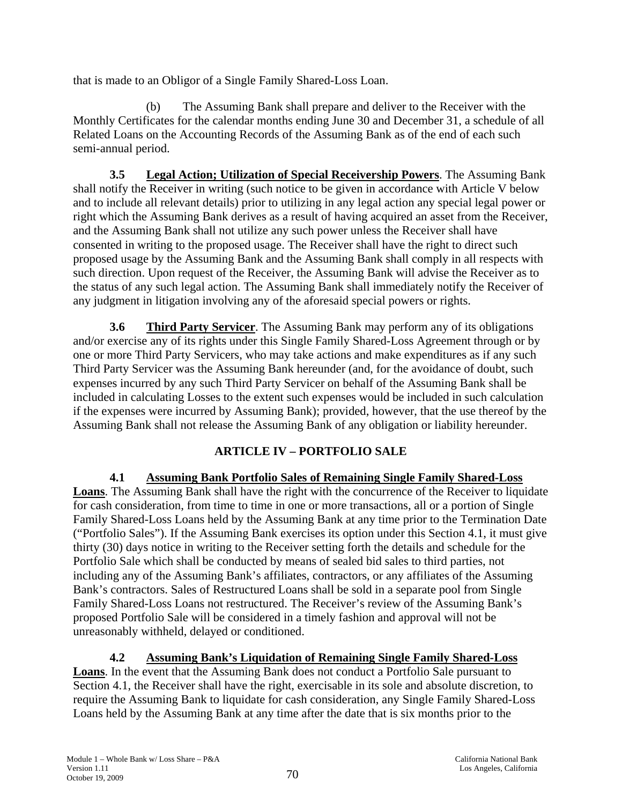that is made to an Obligor of a Single Family Shared-Loss Loan.

(b) The Assuming Bank shall prepare and deliver to the Receiver with the Monthly Certificates for the calendar months ending June 30 and December 31, a schedule of all Related Loans on the Accounting Records of the Assuming Bank as of the end of each such semi-annual period.

**3.5 Legal Action; Utilization of Special Receivership Powers**. The Assuming Bank shall notify the Receiver in writing (such notice to be given in accordance with Article V below and to include all relevant details) prior to utilizing in any legal action any special legal power or right which the Assuming Bank derives as a result of having acquired an asset from the Receiver, and the Assuming Bank shall not utilize any such power unless the Receiver shall have consented in writing to the proposed usage. The Receiver shall have the right to direct such proposed usage by the Assuming Bank and the Assuming Bank shall comply in all respects with such direction. Upon request of the Receiver, the Assuming Bank will advise the Receiver as to the status of any such legal action. The Assuming Bank shall immediately notify the Receiver of any judgment in litigation involving any of the aforesaid special powers or rights.

**3.6 Third Party Servicer**. The Assuming Bank may perform any of its obligations and/or exercise any of its rights under this Single Family Shared-Loss Agreement through or by one or more Third Party Servicers, who may take actions and make expenditures as if any such Third Party Servicer was the Assuming Bank hereunder (and, for the avoidance of doubt, such expenses incurred by any such Third Party Servicer on behalf of the Assuming Bank shall be included in calculating Losses to the extent such expenses would be included in such calculation if the expenses were incurred by Assuming Bank); provided, however, that the use thereof by the Assuming Bank shall not release the Assuming Bank of any obligation or liability hereunder.

## **ARTICLE IV – PORTFOLIO SALE**

**4.1 Assuming Bank Portfolio Sales of Remaining Single Family Shared-Loss** 

**Loans**. The Assuming Bank shall have the right with the concurrence of the Receiver to liquidate for cash consideration, from time to time in one or more transactions, all or a portion of Single Family Shared-Loss Loans held by the Assuming Bank at any time prior to the Termination Date ("Portfolio Sales"). If the Assuming Bank exercises its option under this Section 4.1, it must give thirty (30) days notice in writing to the Receiver setting forth the details and schedule for the Portfolio Sale which shall be conducted by means of sealed bid sales to third parties, not including any of the Assuming Bank's affiliates, contractors, or any affiliates of the Assuming Bank's contractors. Sales of Restructured Loans shall be sold in a separate pool from Single Family Shared-Loss Loans not restructured. The Receiver's review of the Assuming Bank's proposed Portfolio Sale will be considered in a timely fashion and approval will not be unreasonably withheld, delayed or conditioned.

## **4.2 Assuming Bank's Liquidation of Remaining Single Family Shared-Loss**

**Loans**. In the event that the Assuming Bank does not conduct a Portfolio Sale pursuant to Section 4.1, the Receiver shall have the right, exercisable in its sole and absolute discretion, to require the Assuming Bank to liquidate for cash consideration, any Single Family Shared-Loss Loans held by the Assuming Bank at any time after the date that is six months prior to the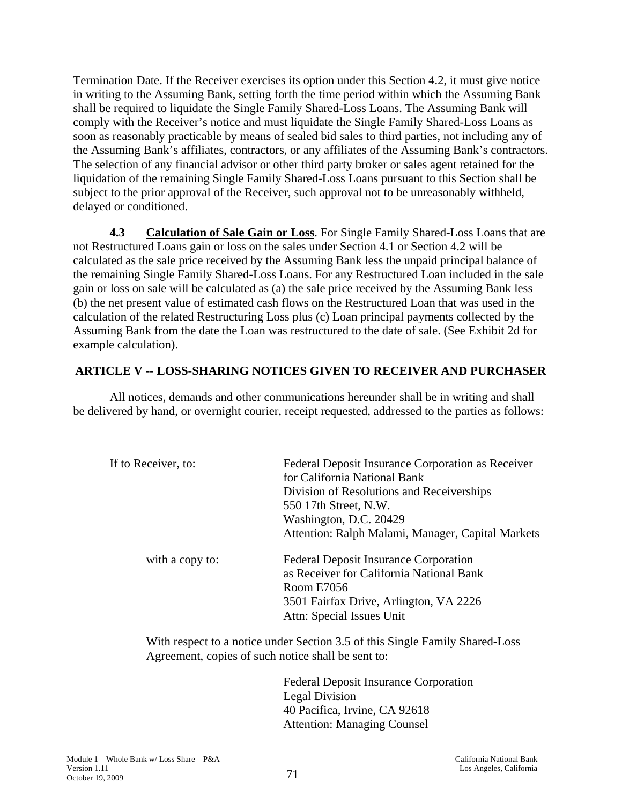Termination Date. If the Receiver exercises its option under this Section 4.2, it must give notice in writing to the Assuming Bank, setting forth the time period within which the Assuming Bank shall be required to liquidate the Single Family Shared-Loss Loans. The Assuming Bank will comply with the Receiver's notice and must liquidate the Single Family Shared-Loss Loans as soon as reasonably practicable by means of sealed bid sales to third parties, not including any of the Assuming Bank's affiliates, contractors, or any affiliates of the Assuming Bank's contractors. The selection of any financial advisor or other third party broker or sales agent retained for the liquidation of the remaining Single Family Shared-Loss Loans pursuant to this Section shall be subject to the prior approval of the Receiver, such approval not to be unreasonably withheld, delayed or conditioned.

**4.3 Calculation of Sale Gain or Loss**. For Single Family Shared-Loss Loans that are not Restructured Loans gain or loss on the sales under Section 4.1 or Section 4.2 will be calculated as the sale price received by the Assuming Bank less the unpaid principal balance of the remaining Single Family Shared-Loss Loans. For any Restructured Loan included in the sale gain or loss on sale will be calculated as (a) the sale price received by the Assuming Bank less (b) the net present value of estimated cash flows on the Restructured Loan that was used in the calculation of the related Restructuring Loss plus (c) Loan principal payments collected by the Assuming Bank from the date the Loan was restructured to the date of sale. (See Exhibit 2d for example calculation).

### **ARTICLE V -- LOSS-SHARING NOTICES GIVEN TO RECEIVER AND PURCHASER**

All notices, demands and other communications hereunder shall be in writing and shall be delivered by hand, or overnight courier, receipt requested, addressed to the parties as follows:

| If to Receiver, to: | Federal Deposit Insurance Corporation as Receiver<br>for California National Bank<br>Division of Resolutions and Receiverships<br>550 17th Street, N.W.<br>Washington, D.C. 20429 |
|---------------------|-----------------------------------------------------------------------------------------------------------------------------------------------------------------------------------|
|                     | Attention: Ralph Malami, Manager, Capital Markets                                                                                                                                 |
| with a copy to:     | <b>Federal Deposit Insurance Corporation</b><br>as Receiver for California National Bank<br>Room E7056<br>3501 Fairfax Drive, Arlington, VA 2226<br>Attn: Special Issues Unit     |

With respect to a notice under Section 3.5 of this Single Family Shared-Loss Agreement, copies of such notice shall be sent to:

> Federal Deposit Insurance Corporation Legal Division 40 Pacifica, Irvine, CA 92618 Attention: Managing Counsel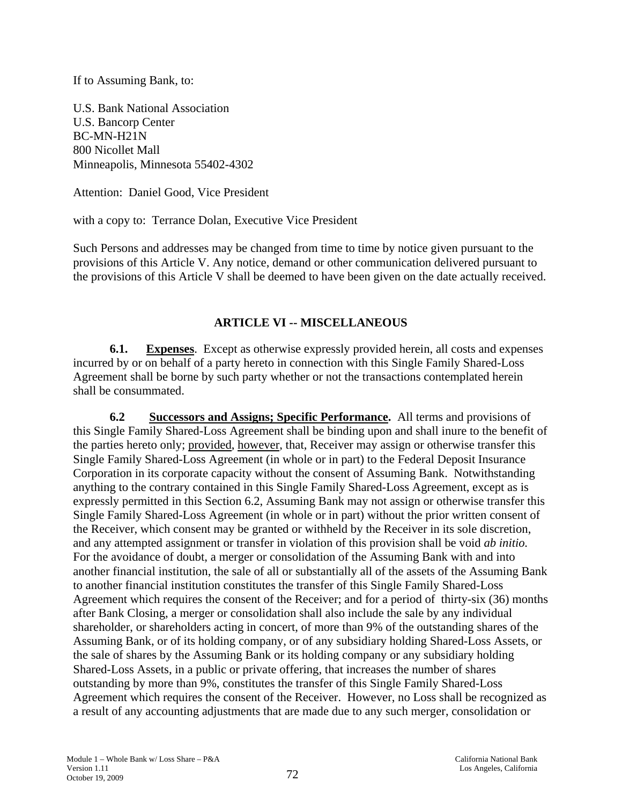If to Assuming Bank, to:

U.S. Bank National Association U.S. Bancorp Center BC-MN-H21N 800 Nicollet Mall Minneapolis, Minnesota 55402-4302

Attention: Daniel Good, Vice President

with a copy to: Terrance Dolan, Executive Vice President

Such Persons and addresses may be changed from time to time by notice given pursuant to the provisions of this Article V. Any notice, demand or other communication delivered pursuant to the provisions of this Article V shall be deemed to have been given on the date actually received.

## **ARTICLE VI -- MISCELLANEOUS**

**6.1. Expenses**. Except as otherwise expressly provided herein, all costs and expenses incurred by or on behalf of a party hereto in connection with this Single Family Shared-Loss Agreement shall be borne by such party whether or not the transactions contemplated herein shall be consummated.

**6.2 Successors and Assigns; Specific Performance.** All terms and provisions of this Single Family Shared-Loss Agreement shall be binding upon and shall inure to the benefit of the parties hereto only; provided, however, that, Receiver may assign or otherwise transfer this Single Family Shared-Loss Agreement (in whole or in part) to the Federal Deposit Insurance Corporation in its corporate capacity without the consent of Assuming Bank. Notwithstanding anything to the contrary contained in this Single Family Shared-Loss Agreement, except as is expressly permitted in this Section 6.2, Assuming Bank may not assign or otherwise transfer this Single Family Shared-Loss Agreement (in whole or in part) without the prior written consent of the Receiver, which consent may be granted or withheld by the Receiver in its sole discretion, and any attempted assignment or transfer in violation of this provision shall be void *ab initio.*  For the avoidance of doubt, a merger or consolidation of the Assuming Bank with and into another financial institution, the sale of all or substantially all of the assets of the Assuming Bank to another financial institution constitutes the transfer of this Single Family Shared-Loss Agreement which requires the consent of the Receiver; and for a period of thirty-six (36) months after Bank Closing, a merger or consolidation shall also include the sale by any individual shareholder, or shareholders acting in concert, of more than 9% of the outstanding shares of the Assuming Bank, or of its holding company, or of any subsidiary holding Shared-Loss Assets, or the sale of shares by the Assuming Bank or its holding company or any subsidiary holding Shared-Loss Assets, in a public or private offering, that increases the number of shares outstanding by more than 9%, constitutes the transfer of this Single Family Shared-Loss Agreement which requires the consent of the Receiver. However, no Loss shall be recognized as a result of any accounting adjustments that are made due to any such merger, consolidation or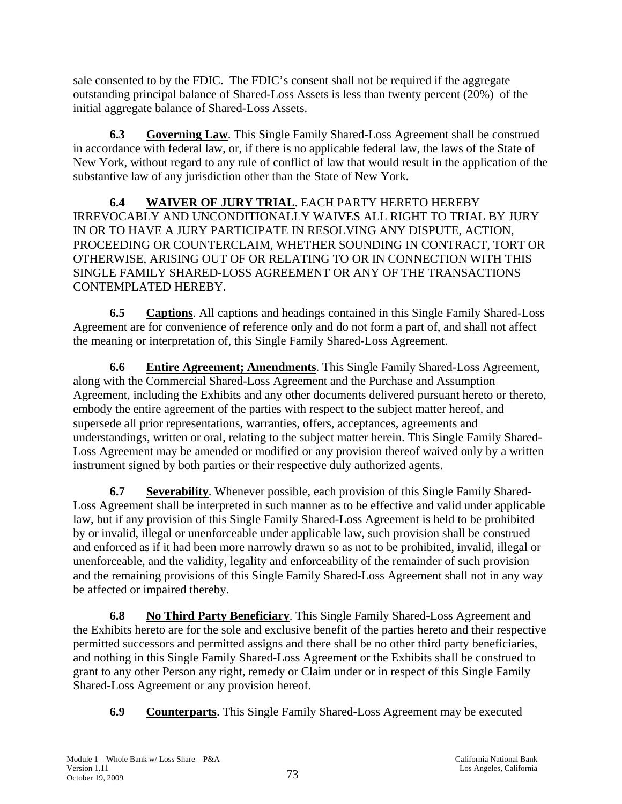sale consented to by the FDIC. The FDIC's consent shall not be required if the aggregate outstanding principal balance of Shared-Loss Assets is less than twenty percent (20%) of the initial aggregate balance of Shared-Loss Assets.

**6.3 Governing Law**. This Single Family Shared-Loss Agreement shall be construed in accordance with federal law, or, if there is no applicable federal law, the laws of the State of New York, without regard to any rule of conflict of law that would result in the application of the substantive law of any jurisdiction other than the State of New York.

**6.4 WAIVER OF JURY TRIAL**. EACH PARTY HERETO HEREBY IRREVOCABLY AND UNCONDITIONALLY WAIVES ALL RIGHT TO TRIAL BY JURY IN OR TO HAVE A JURY PARTICIPATE IN RESOLVING ANY DISPUTE, ACTION, PROCEEDING OR COUNTERCLAIM, WHETHER SOUNDING IN CONTRACT, TORT OR OTHERWISE, ARISING OUT OF OR RELATING TO OR IN CONNECTION WITH THIS SINGLE FAMILY SHARED-LOSS AGREEMENT OR ANY OF THE TRANSACTIONS CONTEMPLATED HEREBY.

**6.5 Captions**. All captions and headings contained in this Single Family Shared-Loss Agreement are for convenience of reference only and do not form a part of, and shall not affect the meaning or interpretation of, this Single Family Shared-Loss Agreement.

**6.6 Entire Agreement; Amendments**. This Single Family Shared-Loss Agreement, along with the Commercial Shared-Loss Agreement and the Purchase and Assumption Agreement, including the Exhibits and any other documents delivered pursuant hereto or thereto, embody the entire agreement of the parties with respect to the subject matter hereof, and supersede all prior representations, warranties, offers, acceptances, agreements and understandings, written or oral, relating to the subject matter herein. This Single Family Shared-Loss Agreement may be amended or modified or any provision thereof waived only by a written instrument signed by both parties or their respective duly authorized agents.

**6.7 Severability**. Whenever possible, each provision of this Single Family Shared-Loss Agreement shall be interpreted in such manner as to be effective and valid under applicable law, but if any provision of this Single Family Shared-Loss Agreement is held to be prohibited by or invalid, illegal or unenforceable under applicable law, such provision shall be construed and enforced as if it had been more narrowly drawn so as not to be prohibited, invalid, illegal or unenforceable, and the validity, legality and enforceability of the remainder of such provision and the remaining provisions of this Single Family Shared-Loss Agreement shall not in any way be affected or impaired thereby.

**6.8 No Third Party Beneficiary.** This Single Family Shared-Loss Agreement and the Exhibits hereto are for the sole and exclusive benefit of the parties hereto and their respective permitted successors and permitted assigns and there shall be no other third party beneficiaries, and nothing in this Single Family Shared-Loss Agreement or the Exhibits shall be construed to grant to any other Person any right, remedy or Claim under or in respect of this Single Family Shared-Loss Agreement or any provision hereof.

**6.9 Counterparts**. This Single Family Shared-Loss Agreement may be executed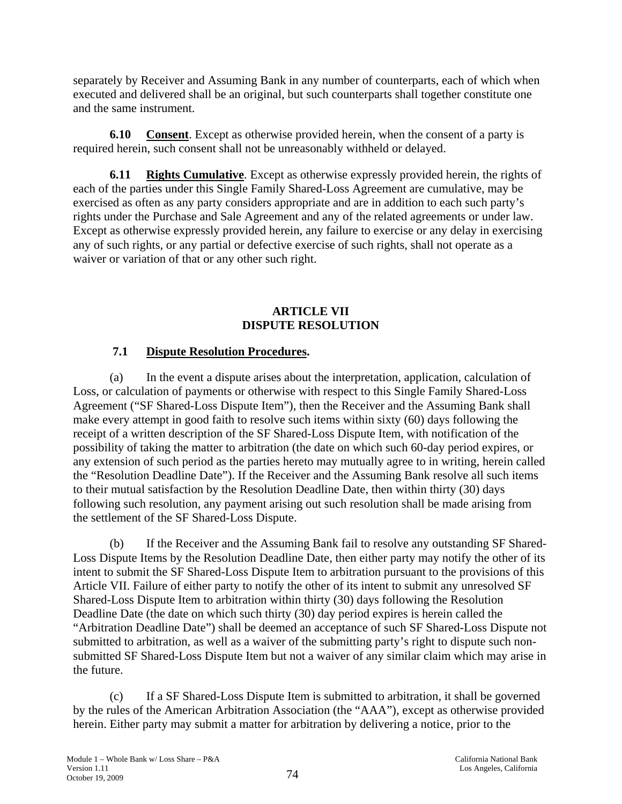separately by Receiver and Assuming Bank in any number of counterparts, each of which when executed and delivered shall be an original, but such counterparts shall together constitute one and the same instrument.

**6.10 Consent**. Except as otherwise provided herein, when the consent of a party is required herein, such consent shall not be unreasonably withheld or delayed.

**6.11 Rights Cumulative**. Except as otherwise expressly provided herein, the rights of each of the parties under this Single Family Shared-Loss Agreement are cumulative, may be exercised as often as any party considers appropriate and are in addition to each such party's rights under the Purchase and Sale Agreement and any of the related agreements or under law. Except as otherwise expressly provided herein, any failure to exercise or any delay in exercising any of such rights, or any partial or defective exercise of such rights, shall not operate as a waiver or variation of that or any other such right.

## **ARTICLE VII DISPUTE RESOLUTION**

# **7.1 Dispute Resolution Procedures.**

(a) In the event a dispute arises about the interpretation, application, calculation of Loss, or calculation of payments or otherwise with respect to this Single Family Shared-Loss Agreement ("SF Shared-Loss Dispute Item"), then the Receiver and the Assuming Bank shall make every attempt in good faith to resolve such items within sixty (60) days following the receipt of a written description of the SF Shared-Loss Dispute Item, with notification of the possibility of taking the matter to arbitration (the date on which such 60-day period expires, or any extension of such period as the parties hereto may mutually agree to in writing, herein called the "Resolution Deadline Date"). If the Receiver and the Assuming Bank resolve all such items to their mutual satisfaction by the Resolution Deadline Date, then within thirty (30) days following such resolution, any payment arising out such resolution shall be made arising from the settlement of the SF Shared-Loss Dispute.

(b) If the Receiver and the Assuming Bank fail to resolve any outstanding SF Shared-Loss Dispute Items by the Resolution Deadline Date, then either party may notify the other of its intent to submit the SF Shared-Loss Dispute Item to arbitration pursuant to the provisions of this Article VII. Failure of either party to notify the other of its intent to submit any unresolved SF Shared-Loss Dispute Item to arbitration within thirty (30) days following the Resolution Deadline Date (the date on which such thirty (30) day period expires is herein called the "Arbitration Deadline Date") shall be deemed an acceptance of such SF Shared-Loss Dispute not submitted to arbitration, as well as a waiver of the submitting party's right to dispute such nonsubmitted SF Shared-Loss Dispute Item but not a waiver of any similar claim which may arise in the future.

(c) If a SF Shared-Loss Dispute Item is submitted to arbitration, it shall be governed by the rules of the American Arbitration Association (the "AAA"), except as otherwise provided herein. Either party may submit a matter for arbitration by delivering a notice, prior to the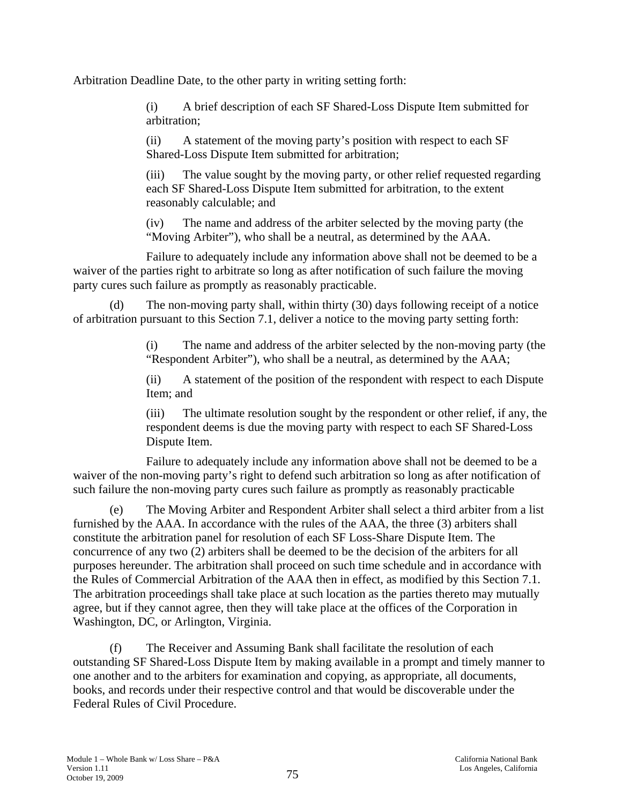Arbitration Deadline Date, to the other party in writing setting forth:

(i) A brief description of each SF Shared-Loss Dispute Item submitted for arbitration;

(ii) A statement of the moving party's position with respect to each SF Shared-Loss Dispute Item submitted for arbitration;

(iii) The value sought by the moving party, or other relief requested regarding each SF Shared-Loss Dispute Item submitted for arbitration, to the extent reasonably calculable; and

(iv) The name and address of the arbiter selected by the moving party (the "Moving Arbiter"), who shall be a neutral, as determined by the AAA.

Failure to adequately include any information above shall not be deemed to be a waiver of the parties right to arbitrate so long as after notification of such failure the moving party cures such failure as promptly as reasonably practicable.

(d) The non-moving party shall, within thirty (30) days following receipt of a notice of arbitration pursuant to this Section 7.1, deliver a notice to the moving party setting forth:

> (i) The name and address of the arbiter selected by the non-moving party (the "Respondent Arbiter"), who shall be a neutral, as determined by the AAA;

> (ii) A statement of the position of the respondent with respect to each Dispute Item; and

> (iii) The ultimate resolution sought by the respondent or other relief, if any, the respondent deems is due the moving party with respect to each SF Shared-Loss Dispute Item.

Failure to adequately include any information above shall not be deemed to be a waiver of the non-moving party's right to defend such arbitration so long as after notification of such failure the non-moving party cures such failure as promptly as reasonably practicable

(e) The Moving Arbiter and Respondent Arbiter shall select a third arbiter from a list furnished by the AAA. In accordance with the rules of the AAA, the three (3) arbiters shall constitute the arbitration panel for resolution of each SF Loss-Share Dispute Item. The concurrence of any two (2) arbiters shall be deemed to be the decision of the arbiters for all purposes hereunder. The arbitration shall proceed on such time schedule and in accordance with the Rules of Commercial Arbitration of the AAA then in effect, as modified by this Section 7.1. The arbitration proceedings shall take place at such location as the parties thereto may mutually agree, but if they cannot agree, then they will take place at the offices of the Corporation in Washington, DC, or Arlington, Virginia.

(f) The Receiver and Assuming Bank shall facilitate the resolution of each outstanding SF Shared-Loss Dispute Item by making available in a prompt and timely manner to one another and to the arbiters for examination and copying, as appropriate, all documents, books, and records under their respective control and that would be discoverable under the Federal Rules of Civil Procedure.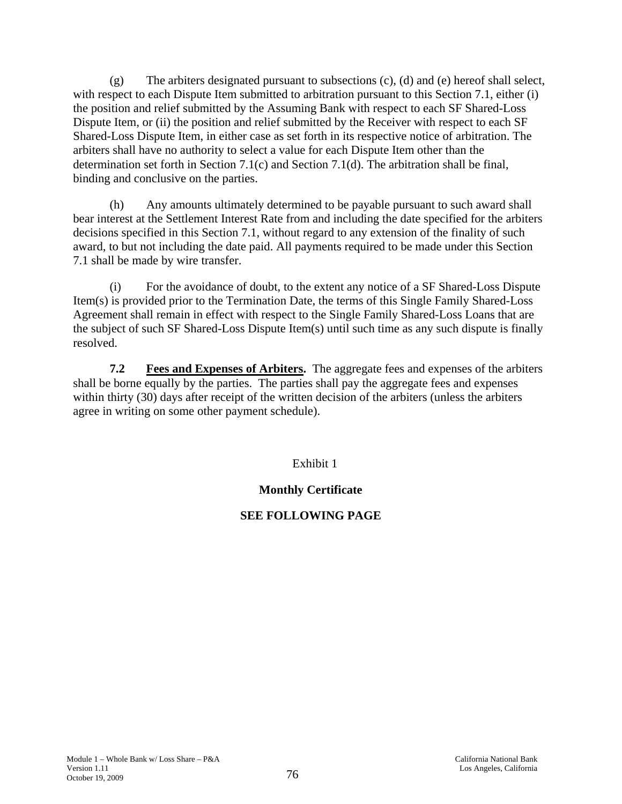(g) The arbiters designated pursuant to subsections (c), (d) and (e) hereof shall select, with respect to each Dispute Item submitted to arbitration pursuant to this Section 7.1, either (i) the position and relief submitted by the Assuming Bank with respect to each SF Shared-Loss Dispute Item, or (ii) the position and relief submitted by the Receiver with respect to each SF Shared-Loss Dispute Item, in either case as set forth in its respective notice of arbitration. The arbiters shall have no authority to select a value for each Dispute Item other than the determination set forth in Section 7.1(c) and Section 7.1(d). The arbitration shall be final, binding and conclusive on the parties.

(h) Any amounts ultimately determined to be payable pursuant to such award shall bear interest at the Settlement Interest Rate from and including the date specified for the arbiters decisions specified in this Section 7.1, without regard to any extension of the finality of such award, to but not including the date paid. All payments required to be made under this Section 7.1 shall be made by wire transfer.

(i) For the avoidance of doubt, to the extent any notice of a SF Shared-Loss Dispute Item(s) is provided prior to the Termination Date, the terms of this Single Family Shared-Loss Agreement shall remain in effect with respect to the Single Family Shared-Loss Loans that are the subject of such SF Shared-Loss Dispute Item(s) until such time as any such dispute is finally resolved.

**7.2 Fees and Expenses of Arbiters.** The aggregate fees and expenses of the arbiters shall be borne equally by the parties. The parties shall pay the aggregate fees and expenses within thirty (30) days after receipt of the written decision of the arbiters (unless the arbiters agree in writing on some other payment schedule).

Exhibit 1

# **Monthly Certificate**

# **SEE FOLLOWING PAGE**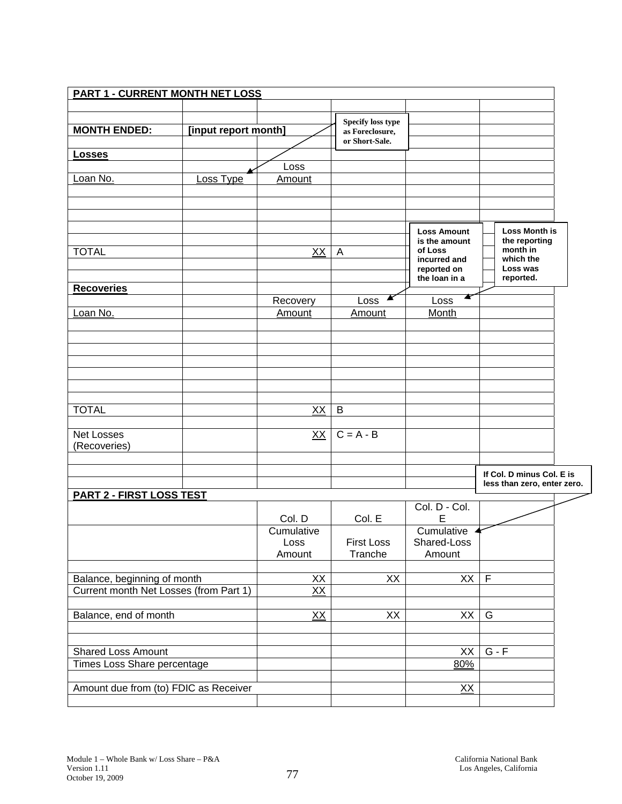| <b>PART 1 - CURRENT MONTH NET LOSS</b> |                      |            |                                   |                          |                             |
|----------------------------------------|----------------------|------------|-----------------------------------|--------------------------|-----------------------------|
|                                        |                      |            |                                   |                          |                             |
|                                        |                      |            | Specify loss type                 |                          |                             |
| <b>MONTH ENDED:</b>                    | [input report month] |            | as Foreclosure,<br>or Short-Sale. |                          |                             |
| <b>Losses</b>                          |                      |            |                                   |                          |                             |
|                                        |                      | Loss       |                                   |                          |                             |
| Loan No.                               | Loss Type            | Amount     |                                   |                          |                             |
|                                        |                      |            |                                   |                          |                             |
|                                        |                      |            |                                   |                          |                             |
|                                        |                      |            |                                   |                          |                             |
|                                        |                      |            |                                   | <b>Loss Amount</b>       | <b>Loss Month is</b>        |
|                                        |                      |            |                                   | is the amount<br>of Loss | the reporting<br>month in   |
| <b>TOTAL</b>                           |                      | XX         | A                                 | incurred and             | which the                   |
|                                        |                      |            |                                   | reported on              | Loss was                    |
| <b>Recoveries</b>                      |                      |            |                                   | the loan in a            | reported.                   |
|                                        |                      | Recovery   | $Loss \nightharpoonup$            | ×<br>Loss                |                             |
| Loan No.                               |                      | Amount     | Amount                            | Month                    |                             |
|                                        |                      |            |                                   |                          |                             |
|                                        |                      |            |                                   |                          |                             |
|                                        |                      |            |                                   |                          |                             |
|                                        |                      |            |                                   |                          |                             |
|                                        |                      |            |                                   |                          |                             |
|                                        |                      |            |                                   |                          |                             |
|                                        |                      |            |                                   |                          |                             |
| <b>TOTAL</b>                           |                      | XX         | $\mathsf B$                       |                          |                             |
| <b>Net Losses</b>                      |                      | XX         | $C = A - B$                       |                          |                             |
| (Recoveries)                           |                      |            |                                   |                          |                             |
|                                        |                      |            |                                   |                          |                             |
|                                        |                      |            |                                   |                          | If Col. D minus Col. E is   |
|                                        |                      |            |                                   |                          | less than zero, enter zero. |
| <b>PART 2 - FIRST LOSS TEST</b>        |                      |            |                                   |                          |                             |
|                                        |                      |            |                                   | Col. D - Col.            |                             |
|                                        |                      | Col. D     | Col. E                            | Е                        |                             |
|                                        |                      | Cumulative |                                   | Cumulative               |                             |
|                                        |                      | Loss       | <b>First Loss</b>                 | Shared-Loss              |                             |
|                                        |                      | Amount     | Tranche                           | Amount                   |                             |
| Balance, beginning of month            |                      | XX         | XX                                | XX                       | $\mathsf F$                 |
| Current month Net Losses (from Part 1) |                      | XX         |                                   |                          |                             |
|                                        |                      |            |                                   |                          |                             |
| Balance, end of month                  |                      | XX         | XX                                | XX                       | G                           |
|                                        |                      |            |                                   |                          |                             |
|                                        |                      |            |                                   |                          |                             |
| <b>Shared Loss Amount</b>              |                      |            |                                   | XX                       | $G - F$                     |
| Times Loss Share percentage            |                      |            |                                   | 80%                      |                             |
|                                        |                      |            |                                   |                          |                             |
| Amount due from (to) FDIC as Receiver  |                      |            |                                   | XX                       |                             |
|                                        |                      |            |                                   |                          |                             |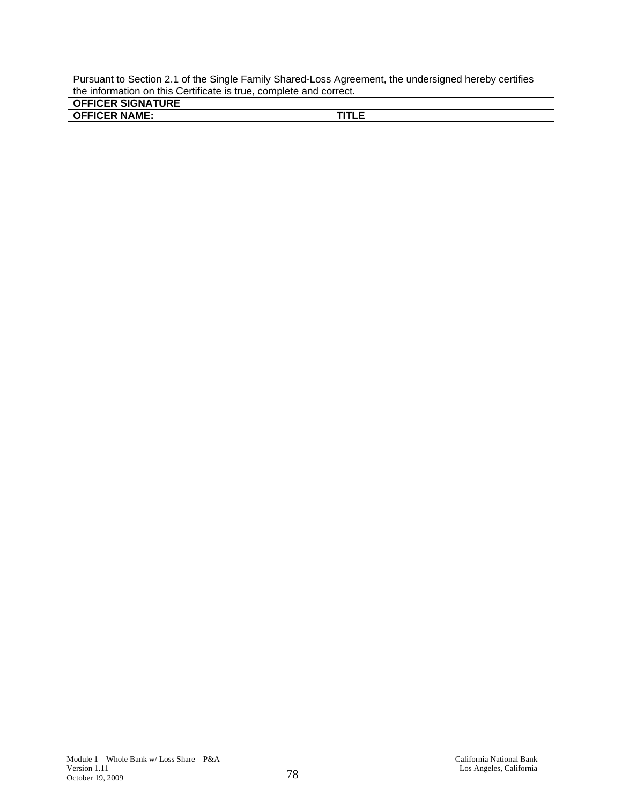| Pursuant to Section 2.1 of the Single Family Shared-Loss Agreement, the undersigned hereby certifies |              |  |  |
|------------------------------------------------------------------------------------------------------|--------------|--|--|
| the information on this Certificate is true, complete and correct.                                   |              |  |  |
| <b>OFFICER SIGNATURE</b>                                                                             |              |  |  |
| <b>OFFICER NAME:</b>                                                                                 | <b>TITLE</b> |  |  |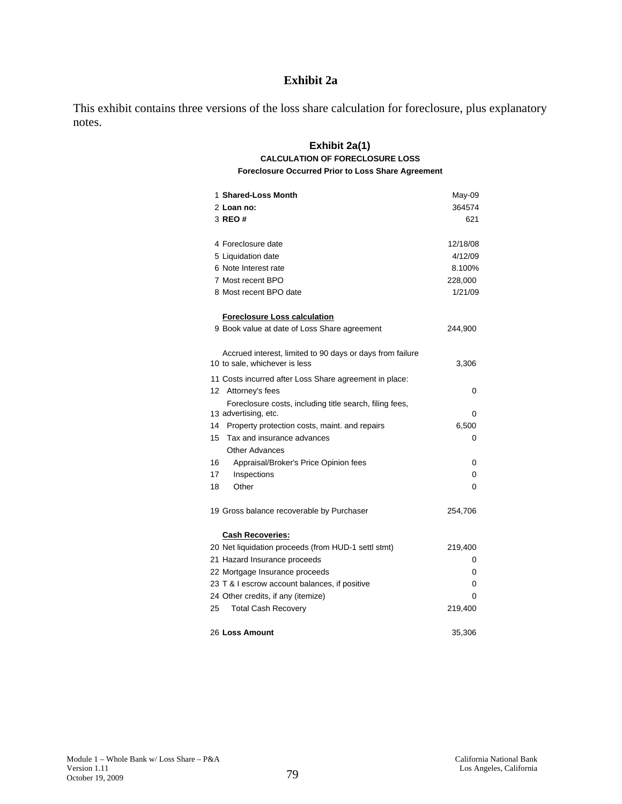### **Exhibit 2a**

This exhibit contains three versions of the loss share calculation for foreclosure, plus explanatory notes.

#### **Exhibit 2a(1) CALCULATION OF FORECLOSURE LOSS Foreclosure Occurred Prior to Loss Share Agreement**

|    | 1 Shared-Loss Month<br>2 Loan no:<br>3 REO #              | May-09<br>364574<br>621 |
|----|-----------------------------------------------------------|-------------------------|
|    | 4 Foreclosure date                                        | 12/18/08                |
|    | 5 Liquidation date                                        | 4/12/09                 |
|    | 6 Note Interest rate                                      | 8.100%                  |
|    | 7 Most recent BPO                                         | 228,000                 |
|    | 8 Most recent BPO date                                    | 1/21/09                 |
|    | <b>Foreclosure Loss calculation</b>                       |                         |
|    | 9 Book value at date of Loss Share agreement              | 244,900                 |
|    | Accrued interest, limited to 90 days or days from failure |                         |
|    | 10 to sale, whichever is less                             | 3,306                   |
|    | 11 Costs incurred after Loss Share agreement in place:    |                         |
| 12 | Attorney's fees                                           | 0                       |
|    | Foreclosure costs, including title search, filing fees,   |                         |
|    | 13 advertising, etc.                                      | 0                       |
| 14 | Property protection costs, maint. and repairs             | 6,500                   |
| 15 | Tax and insurance advances                                | 0                       |
|    | <b>Other Advances</b>                                     |                         |
| 16 | Appraisal/Broker's Price Opinion fees                     | 0                       |
| 17 | Inspections                                               | 0                       |
| 18 | Other                                                     | 0                       |
|    | 19 Gross balance recoverable by Purchaser                 | 254,706                 |
|    | <b>Cash Recoveries:</b>                                   |                         |
|    | 20 Net liquidation proceeds (from HUD-1 settl stmt)       | 219,400                 |
|    | 21 Hazard Insurance proceeds                              | 0                       |
|    | 22 Mortgage Insurance proceeds                            | 0                       |
|    | 23 T & I escrow account balances, if positive             | 0                       |
|    | 24 Other credits, if any (itemize)                        | 0                       |
| 25 | <b>Total Cash Recovery</b>                                | 219,400                 |
|    | 26 Loss Amount                                            | 35,306                  |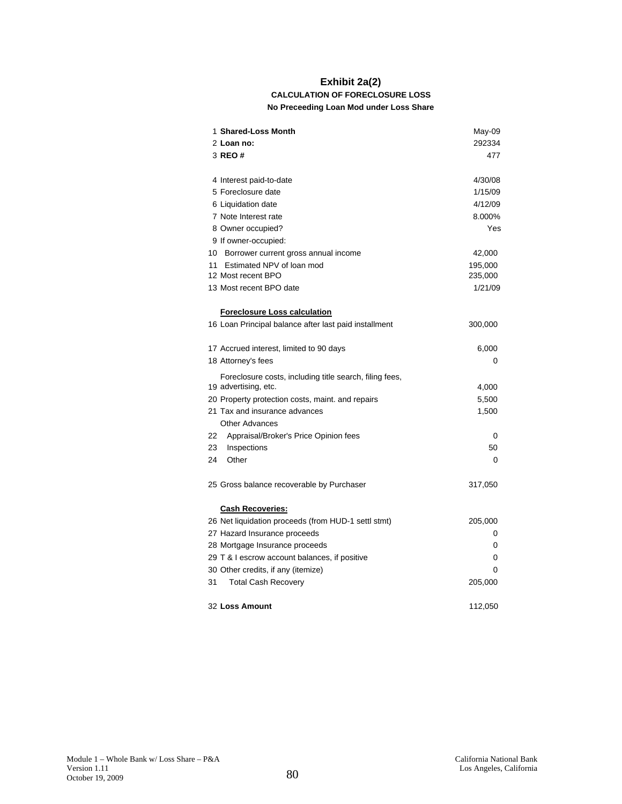#### **Exhibit 2a(2)**

#### **CALCULATION OF FORECLOSURE LOSS**

#### **No Preceeding Loan Mod under Loss Share**

| 1 Shared-Loss Month                                                             | May-09         |
|---------------------------------------------------------------------------------|----------------|
| 2 Loan no:                                                                      | 292334         |
| 3 REO #                                                                         | 477            |
| 4 Interest paid-to-date                                                         | 4/30/08        |
| 5 Foreclosure date                                                              | 1/15/09        |
| 6 Liquidation date                                                              | 4/12/09        |
| 7 Note Interest rate                                                            | 8.000%         |
| 8 Owner occupied?                                                               | Yes            |
| 9 If owner-occupied:                                                            |                |
| 10<br>Borrower current gross annual income                                      | 42,000         |
| Estimated NPV of loan mod<br>11                                                 | 195,000        |
| 12 Most recent BPO                                                              | 235,000        |
| 13 Most recent BPO date                                                         | 1/21/09        |
| <b>Foreclosure Loss calculation</b>                                             |                |
| 16 Loan Principal balance after last paid installment                           | 300,000        |
| 17 Accrued interest, limited to 90 days                                         | 6,000          |
| 18 Attorney's fees                                                              | 0              |
| Foreclosure costs, including title search, filing fees,<br>19 advertising, etc. |                |
| 20 Property protection costs, maint. and repairs                                | 4,000<br>5,500 |
| 21 Tax and insurance advances                                                   | 1,500          |
| <b>Other Advances</b>                                                           |                |
| 22<br>Appraisal/Broker's Price Opinion fees                                     | 0              |
| 23<br>Inspections                                                               | 50             |
| 24<br>Other                                                                     | 0              |
| 25 Gross balance recoverable by Purchaser                                       | 317,050        |
| <b>Cash Recoveries:</b>                                                         |                |
| 26 Net liquidation proceeds (from HUD-1 settl stmt)                             | 205,000        |
| 27 Hazard Insurance proceeds                                                    | 0              |
| 28 Mortgage Insurance proceeds                                                  | 0              |
| 29 T & I escrow account balances, if positive                                   | 0              |
| 30 Other credits, if any (itemize)                                              | 0              |
| 31<br><b>Total Cash Recovery</b>                                                | 205,000        |
| 32 Loss Amount                                                                  | 112,050        |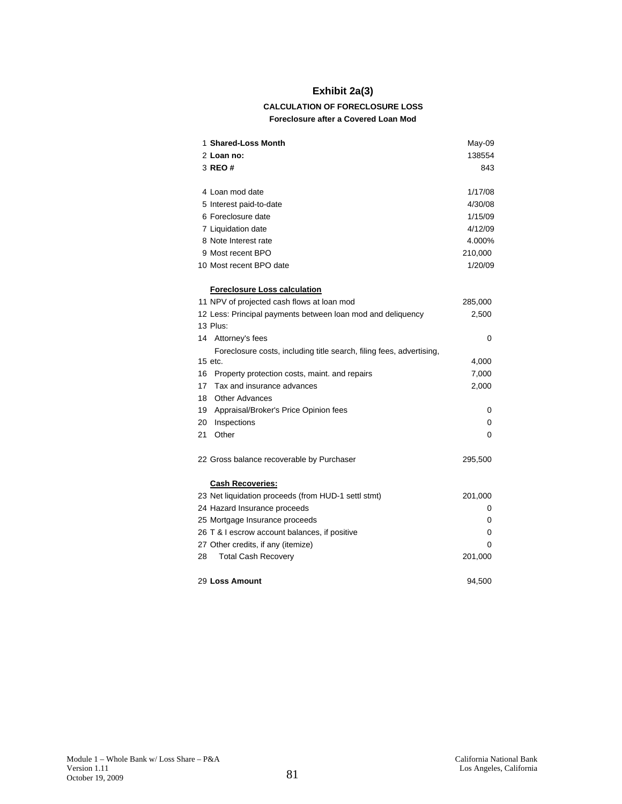## **Exhibit 2a(3)**

#### **CALCULATION OF FORECLOSURE LOSS Foreclosure after a Covered Loan Mod**

|    | 1 Shared-Loss Month                                                  | May-09  |
|----|----------------------------------------------------------------------|---------|
|    | 2 Loan no:                                                           | 138554  |
|    | 3 REO #                                                              | 843     |
|    |                                                                      |         |
|    | 4 Loan mod date                                                      | 1/17/08 |
|    | 5 Interest paid-to-date                                              | 4/30/08 |
|    | 6 Foreclosure date                                                   | 1/15/09 |
|    | 7 Liquidation date                                                   | 4/12/09 |
|    | 8 Note Interest rate                                                 | 4.000%  |
|    | 9 Most recent BPO                                                    | 210,000 |
|    | 10 Most recent BPO date                                              | 1/20/09 |
|    |                                                                      |         |
|    | <b>Foreclosure Loss calculation</b>                                  |         |
|    | 11 NPV of projected cash flows at loan mod                           | 285,000 |
|    | 12 Less: Principal payments between loan mod and deliquency          | 2,500   |
|    | 13 Plus:                                                             |         |
| 14 | Attorney's fees                                                      | 0       |
|    | Foreclosure costs, including title search, filing fees, advertising, |         |
|    | 15 etc.                                                              | 4,000   |
| 16 | Property protection costs, maint. and repairs                        | 7,000   |
| 17 | Tax and insurance advances                                           | 2,000   |
| 18 | <b>Other Advances</b>                                                |         |
| 19 | Appraisal/Broker's Price Opinion fees                                | 0       |
| 20 | Inspections                                                          | 0       |
| 21 | Other                                                                | 0       |
|    |                                                                      |         |
|    | 22 Gross balance recoverable by Purchaser                            | 295,500 |
|    |                                                                      |         |
|    | <b>Cash Recoveries:</b>                                              |         |
|    | 23 Net liquidation proceeds (from HUD-1 settl stmt)                  | 201,000 |
|    | 24 Hazard Insurance proceeds                                         | 0       |
|    | 25 Mortgage Insurance proceeds                                       | 0       |
|    | 26 T & I escrow account balances, if positive                        | 0       |
|    | 27 Other credits, if any (itemize)                                   | 0       |
| 28 | <b>Total Cash Recovery</b>                                           | 201,000 |
|    | 29 Loss Amount                                                       | 94,500  |
|    |                                                                      |         |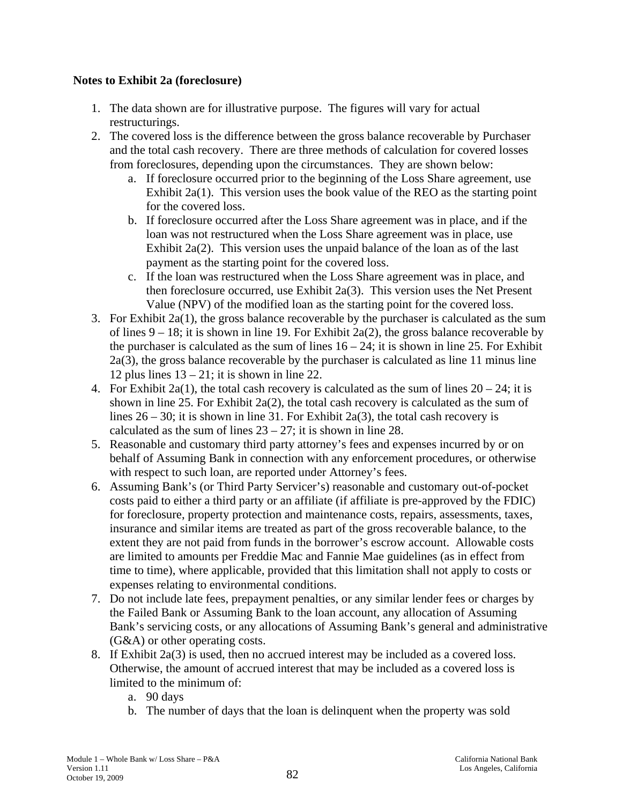## **Notes to Exhibit 2a (foreclosure)**

- 1. The data shown are for illustrative purpose. The figures will vary for actual restructurings.
- 2. The covered loss is the difference between the gross balance recoverable by Purchaser and the total cash recovery. There are three methods of calculation for covered losses from foreclosures, depending upon the circumstances. They are shown below:
	- a. If foreclosure occurred prior to the beginning of the Loss Share agreement, use Exhibit 2a(1). This version uses the book value of the REO as the starting point for the covered loss.
	- b. If foreclosure occurred after the Loss Share agreement was in place, and if the loan was not restructured when the Loss Share agreement was in place, use Exhibit 2a(2). This version uses the unpaid balance of the loan as of the last payment as the starting point for the covered loss.
	- c. If the loan was restructured when the Loss Share agreement was in place, and then foreclosure occurred, use Exhibit 2a(3). This version uses the Net Present Value (NPV) of the modified loan as the starting point for the covered loss.
- 3. For Exhibit  $2a(1)$ , the gross balance recoverable by the purchaser is calculated as the sum of lines  $9 - 18$ ; it is shown in line 19. For Exhibit 2a(2), the gross balance recoverable by the purchaser is calculated as the sum of lines  $16 - 24$ ; it is shown in line 25. For Exhibit 2a(3), the gross balance recoverable by the purchaser is calculated as line 11 minus line 12 plus lines  $13 - 21$ ; it is shown in line 22.
- 4. For Exhibit 2a(1), the total cash recovery is calculated as the sum of lines  $20 24$ ; it is shown in line 25. For Exhibit 2a(2), the total cash recovery is calculated as the sum of lines  $26 - 30$ ; it is shown in line 31. For Exhibit 2a(3), the total cash recovery is calculated as the sum of lines  $23 - 27$ ; it is shown in line 28.
- 5. Reasonable and customary third party attorney's fees and expenses incurred by or on behalf of Assuming Bank in connection with any enforcement procedures, or otherwise with respect to such loan, are reported under Attorney's fees.
- 6. Assuming Bank's (or Third Party Servicer's) reasonable and customary out-of-pocket costs paid to either a third party or an affiliate (if affiliate is pre-approved by the FDIC) for foreclosure, property protection and maintenance costs, repairs, assessments, taxes, insurance and similar items are treated as part of the gross recoverable balance, to the extent they are not paid from funds in the borrower's escrow account. Allowable costs are limited to amounts per Freddie Mac and Fannie Mae guidelines (as in effect from time to time), where applicable, provided that this limitation shall not apply to costs or expenses relating to environmental conditions.
- 7. Do not include late fees, prepayment penalties, or any similar lender fees or charges by the Failed Bank or Assuming Bank to the loan account, any allocation of Assuming Bank's servicing costs, or any allocations of Assuming Bank's general and administrative (G&A) or other operating costs.
- 8. If Exhibit  $2a(3)$  is used, then no accrued interest may be included as a covered loss. Otherwise, the amount of accrued interest that may be included as a covered loss is limited to the minimum of:
	- a. 90 days
	- b. The number of days that the loan is delinquent when the property was sold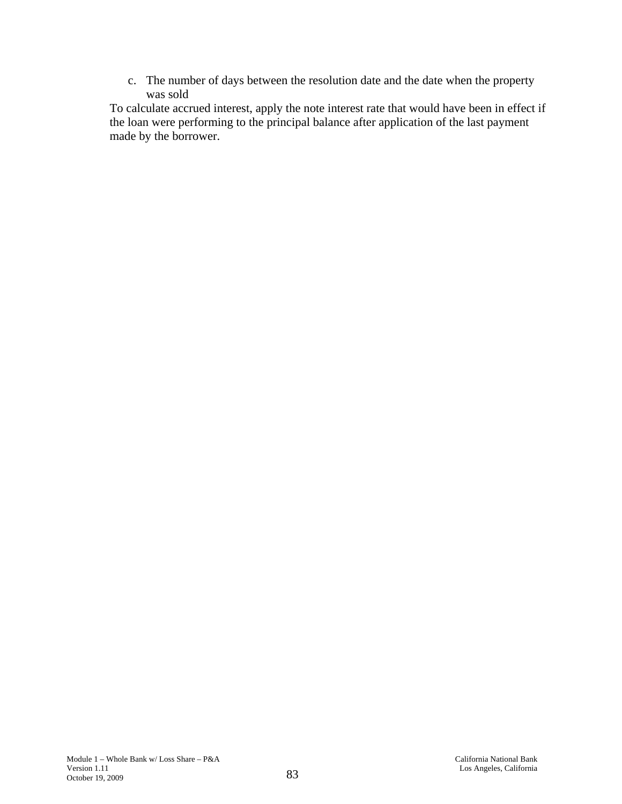c. The number of days between the resolution date and the date when the property was sold

To calculate accrued interest, apply the note interest rate that would have been in effect if the loan were performing to the principal balance after application of the last payment made by the borrower.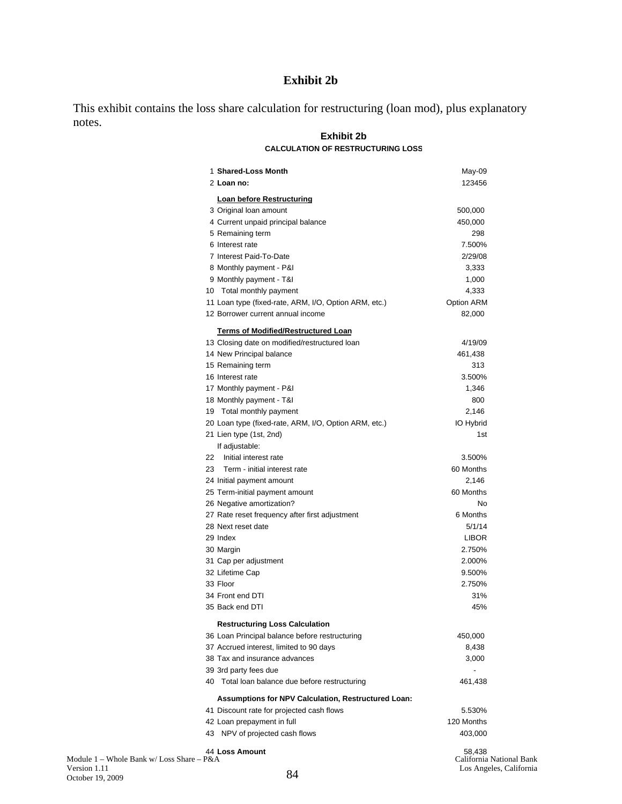## **Exhibit 2b**

This exhibit contains the loss share calculation for restructuring (loan mod), plus explanatory notes.

#### **Exhibit 2b CALCULATION OF RESTRUCTURING LOSS**

| 1 Shared-Loss Month                                   | May-09                                                        |
|-------------------------------------------------------|---------------------------------------------------------------|
| 2 Loan no:                                            | 123456                                                        |
|                                                       |                                                               |
| <b>Loan before Restructuring</b>                      |                                                               |
| 3 Original loan amount                                | 500,000                                                       |
| 4 Current unpaid principal balance                    | 450,000                                                       |
| 5 Remaining term                                      | 298                                                           |
| 6 Interest rate                                       | 7.500%                                                        |
| 7 Interest Paid-To-Date                               | 2/29/08                                                       |
| 8 Monthly payment - P&I                               | 3,333                                                         |
| 9 Monthly payment - T&I                               | 1,000                                                         |
| Total monthly payment<br>10                           | 4,333                                                         |
| 11 Loan type (fixed-rate, ARM, I/O, Option ARM, etc.) | <b>Option ARM</b>                                             |
| 12 Borrower current annual income                     | 82,000                                                        |
| <b>Terms of Modified/Restructured Loan</b>            |                                                               |
| 13 Closing date on modified/restructured loan         | 4/19/09                                                       |
| 14 New Principal balance                              | 461,438                                                       |
| 15 Remaining term                                     | 313                                                           |
| 16 Interest rate                                      | 3.500%                                                        |
| 17 Monthly payment - P&I                              | 1,346                                                         |
| 18 Monthly payment - T&I                              | 800                                                           |
| Total monthly payment<br>19                           | 2,146                                                         |
| 20 Loan type (fixed-rate, ARM, I/O, Option ARM, etc.) | IO Hybrid                                                     |
| 21 Lien type (1st, 2nd)                               | 1st                                                           |
| If adjustable:                                        |                                                               |
| 22<br>Initial interest rate                           | 3.500%                                                        |
| 23<br>Term - initial interest rate                    | 60 Months                                                     |
|                                                       |                                                               |
| 24 Initial payment amount                             | 2,146<br>60 Months                                            |
| 25 Term-initial payment amount                        | No                                                            |
| 26 Negative amortization?                             |                                                               |
| 27 Rate reset frequency after first adjustment        | 6 Months                                                      |
| 28 Next reset date                                    | 5/1/14                                                        |
| 29 Index                                              | <b>LIBOR</b>                                                  |
| 30 Margin                                             | 2.750%                                                        |
| 31 Cap per adjustment                                 | 2.000%                                                        |
| 32 Lifetime Cap                                       | 9.500%                                                        |
| 33 Floor                                              | 2.750%                                                        |
| 34 Front end DTI                                      | 31%                                                           |
| 35 Back end DTI                                       | 45%                                                           |
| <b>Restructuring Loss Calculation</b>                 |                                                               |
| 36 Loan Principal balance before restructuring        | 450,000                                                       |
| 37 Accrued interest, limited to 90 days               | 8,438                                                         |
| 38 Tax and insurance advances                         | 3,000                                                         |
| 39 3rd party fees due                                 |                                                               |
| 40 Total loan balance due before restructuring        | 461,438                                                       |
| Assumptions for NPV Calculation, Restructured Loan:   |                                                               |
| 41 Discount rate for projected cash flows             | 5.530%                                                        |
| 42 Loan prepayment in full                            | 120 Months                                                    |
| 43<br>NPV of projected cash flows                     | 403,000                                                       |
| 44 Loss Amount<br>- P&A<br>O <sub>A</sub>             | 58,438<br>California National Bank<br>Los Angeles, California |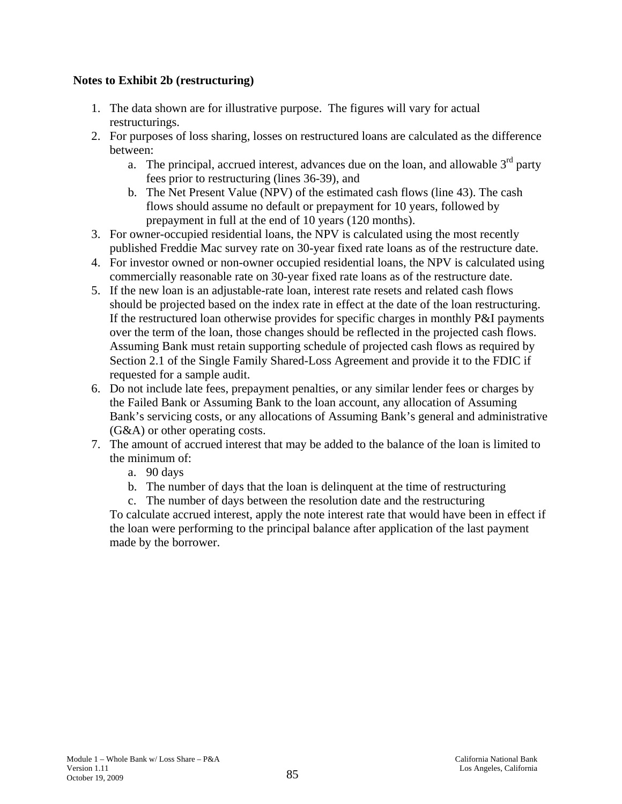## **Notes to Exhibit 2b (restructuring)**

- 1. The data shown are for illustrative purpose. The figures will vary for actual restructurings.
- 2. For purposes of loss sharing, losses on restructured loans are calculated as the difference between:
	- a. The principal, accrued interest, advances due on the loan, and allowable  $3<sup>rd</sup>$  party fees prior to restructuring (lines 36-39), and
	- b. The Net Present Value (NPV) of the estimated cash flows (line 43). The cash flows should assume no default or prepayment for 10 years, followed by prepayment in full at the end of 10 years (120 months).
- 3. For owner-occupied residential loans, the NPV is calculated using the most recently published Freddie Mac survey rate on 30-year fixed rate loans as of the restructure date.
- 4. For investor owned or non-owner occupied residential loans, the NPV is calculated using commercially reasonable rate on 30-year fixed rate loans as of the restructure date.
- 5. If the new loan is an adjustable-rate loan, interest rate resets and related cash flows should be projected based on the index rate in effect at the date of the loan restructuring. If the restructured loan otherwise provides for specific charges in monthly P&I payments over the term of the loan, those changes should be reflected in the projected cash flows. Assuming Bank must retain supporting schedule of projected cash flows as required by Section 2.1 of the Single Family Shared-Loss Agreement and provide it to the FDIC if requested for a sample audit.
- 6. Do not include late fees, prepayment penalties, or any similar lender fees or charges by the Failed Bank or Assuming Bank to the loan account, any allocation of Assuming Bank's servicing costs, or any allocations of Assuming Bank's general and administrative (G&A) or other operating costs.
- 7. The amount of accrued interest that may be added to the balance of the loan is limited to the minimum of:
	- a. 90 days
	- b. The number of days that the loan is delinquent at the time of restructuring

c. The number of days between the resolution date and the restructuring To calculate accrued interest, apply the note interest rate that would have been in effect if the loan were performing to the principal balance after application of the last payment made by the borrower.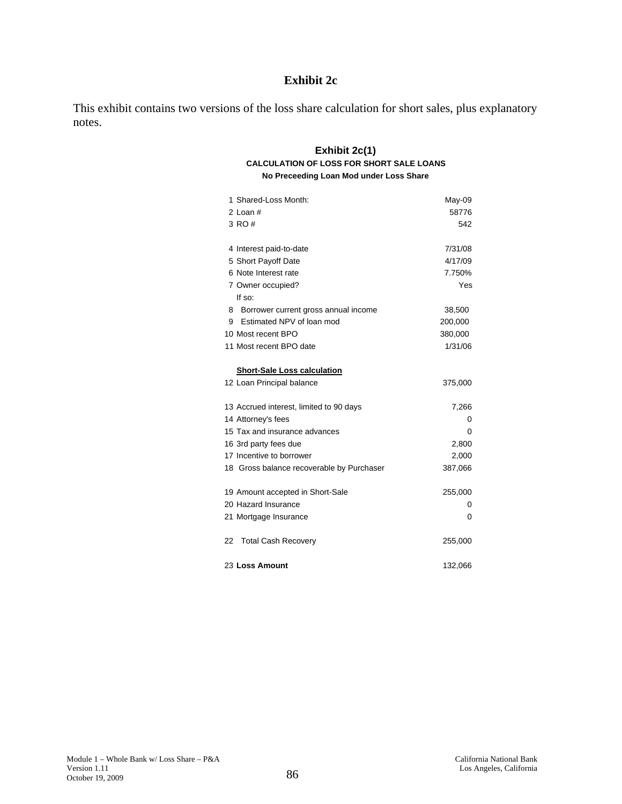### **Exhibit 2c**

This exhibit contains two versions of the loss share calculation for short sales, plus explanatory notes.

#### **Exhibit 2c(1) CALCULATION OF LOSS FOR SHORT SALE LOANS No Preceeding Loan Mod under Loss Share**

| 1 Shared-Loss Month:                      | May-09  |
|-------------------------------------------|---------|
| 2 Loan #                                  | 58776   |
| 3 RO #                                    | 542     |
|                                           |         |
| 4 Interest paid-to-date                   | 7/31/08 |
| 5 Short Payoff Date                       | 4/17/09 |
| 6 Note Interest rate                      | 7.750%  |
| 7 Owner occupied?                         | Yes     |
| If so:                                    |         |
| Borrower current gross annual income<br>8 | 38,500  |
| Estimated NPV of loan mod<br>9            | 200,000 |
| 10 Most recent BPO                        | 380,000 |
| 11 Most recent BPO date                   | 1/31/06 |
|                                           |         |
| <b>Short-Sale Loss calculation</b>        |         |
| 12 Loan Principal balance                 | 375,000 |
|                                           |         |
| 13 Accrued interest, limited to 90 days   | 7,266   |
| 14 Attorney's fees                        | 0       |
| 15 Tax and insurance advances             | 0       |
| 16 3rd party fees due                     | 2,800   |
| 17 Incentive to borrower                  | 2,000   |
| 18 Gross balance recoverable by Purchaser | 387,066 |
|                                           |         |
| 19 Amount accepted in Short-Sale          | 255,000 |
| 20 Hazard Insurance                       | 0       |
| 21 Mortgage Insurance                     | 0       |
|                                           |         |
| 22 Total Cash Recovery                    | 255,000 |
|                                           |         |
| 23 Loss Amount                            | 132,066 |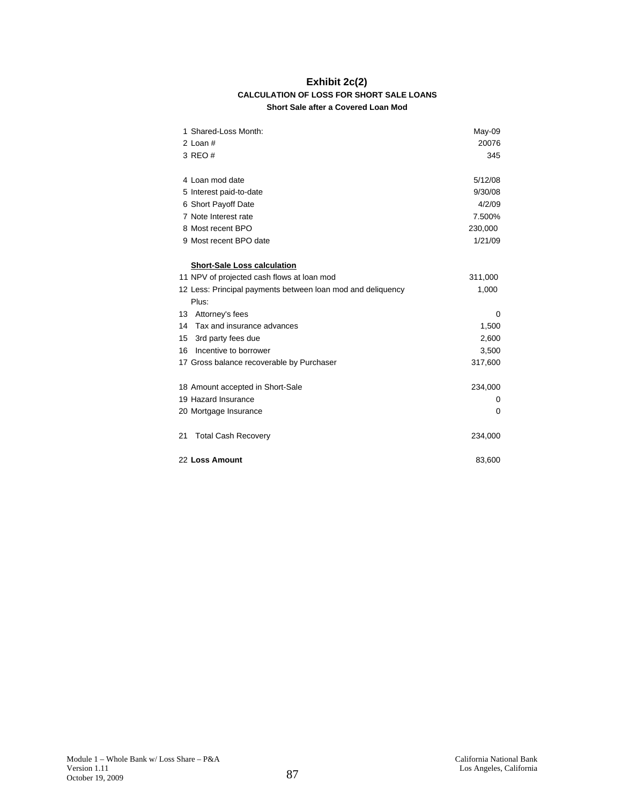#### **Exhibit 2c(2) CALCULATION OF LOSS FOR SHORT SALE LOANS Short Sale after a Covered Loan Mod**

| 1 Shared-Loss Month:                                        | May-09  |
|-------------------------------------------------------------|---------|
| 2 Loan $#$                                                  | 20076   |
| 3 REO #                                                     | 345     |
|                                                             |         |
| 4 Loan mod date                                             | 5/12/08 |
| 5 Interest paid-to-date                                     | 9/30/08 |
| 6 Short Payoff Date                                         | 4/2/09  |
| 7 Note Interest rate                                        | 7.500%  |
| 8 Most recent BPO                                           | 230,000 |
| 9 Most recent BPO date                                      | 1/21/09 |
|                                                             |         |
| <b>Short-Sale Loss calculation</b>                          |         |
| 11 NPV of projected cash flows at loan mod                  | 311,000 |
| 12 Less: Principal payments between loan mod and deliquency | 1,000   |
| Plus:                                                       |         |
| Attorney's fees<br>13                                       | 0       |
| Tax and insurance advances<br>14                            | 1,500   |
| 15<br>3rd party fees due                                    | 2,600   |
| Incentive to borrower<br>16                                 | 3,500   |
| 17 Gross balance recoverable by Purchaser                   | 317,600 |
|                                                             |         |
| 18 Amount accepted in Short-Sale                            | 234,000 |
| 19 Hazard Insurance                                         | 0       |
| 20 Mortgage Insurance                                       | 0       |
|                                                             |         |
| <b>Total Cash Recovery</b><br>21                            | 234,000 |
|                                                             |         |
| 22 Loss Amount                                              | 83,600  |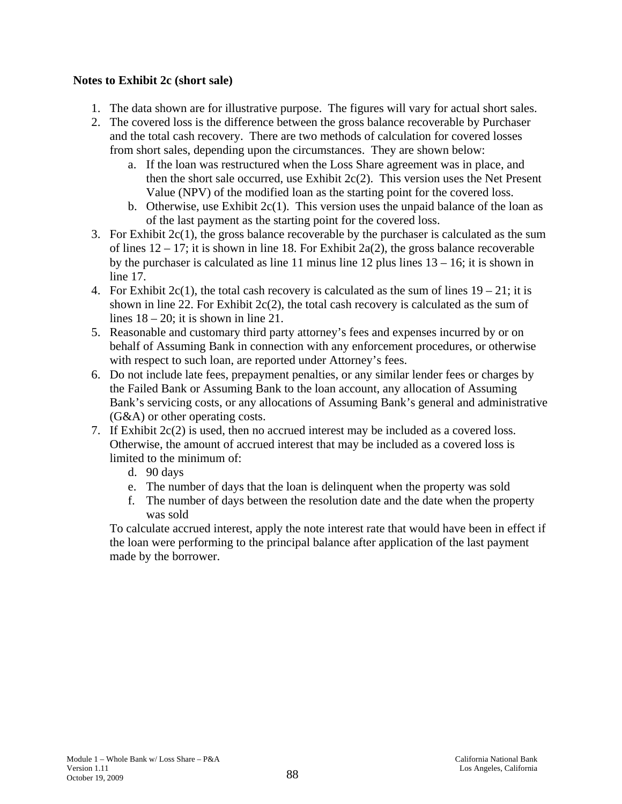## **Notes to Exhibit 2c (short sale)**

- 1. The data shown are for illustrative purpose. The figures will vary for actual short sales.
- 2. The covered loss is the difference between the gross balance recoverable by Purchaser and the total cash recovery. There are two methods of calculation for covered losses from short sales, depending upon the circumstances. They are shown below:
	- a. If the loan was restructured when the Loss Share agreement was in place, and then the short sale occurred, use Exhibit  $2c(2)$ . This version uses the Net Present Value (NPV) of the modified loan as the starting point for the covered loss.
	- b. Otherwise, use Exhibit  $2c(1)$ . This version uses the unpaid balance of the loan as of the last payment as the starting point for the covered loss.
- 3. For Exhibit  $2c(1)$ , the gross balance recoverable by the purchaser is calculated as the sum of lines  $12 - 17$ ; it is shown in line 18. For Exhibit 2a(2), the gross balance recoverable by the purchaser is calculated as line 11 minus line  $12$  plus lines  $13 - 16$ ; it is shown in line 17.
- 4. For Exhibit 2c(1), the total cash recovery is calculated as the sum of lines  $19 21$ ; it is shown in line 22. For Exhibit  $2c(2)$ , the total cash recovery is calculated as the sum of lines  $18 - 20$ ; it is shown in line 21.
- 5. Reasonable and customary third party attorney's fees and expenses incurred by or on behalf of Assuming Bank in connection with any enforcement procedures, or otherwise with respect to such loan, are reported under Attorney's fees.
- 6. Do not include late fees, prepayment penalties, or any similar lender fees or charges by the Failed Bank or Assuming Bank to the loan account, any allocation of Assuming Bank's servicing costs, or any allocations of Assuming Bank's general and administrative (G&A) or other operating costs.
- 7. If Exhibit  $2c(2)$  is used, then no accrued interest may be included as a covered loss. Otherwise, the amount of accrued interest that may be included as a covered loss is limited to the minimum of:
	- d. 90 days
	- e. The number of days that the loan is delinquent when the property was sold
	- f. The number of days between the resolution date and the date when the property was sold

To calculate accrued interest, apply the note interest rate that would have been in effect if the loan were performing to the principal balance after application of the last payment made by the borrower.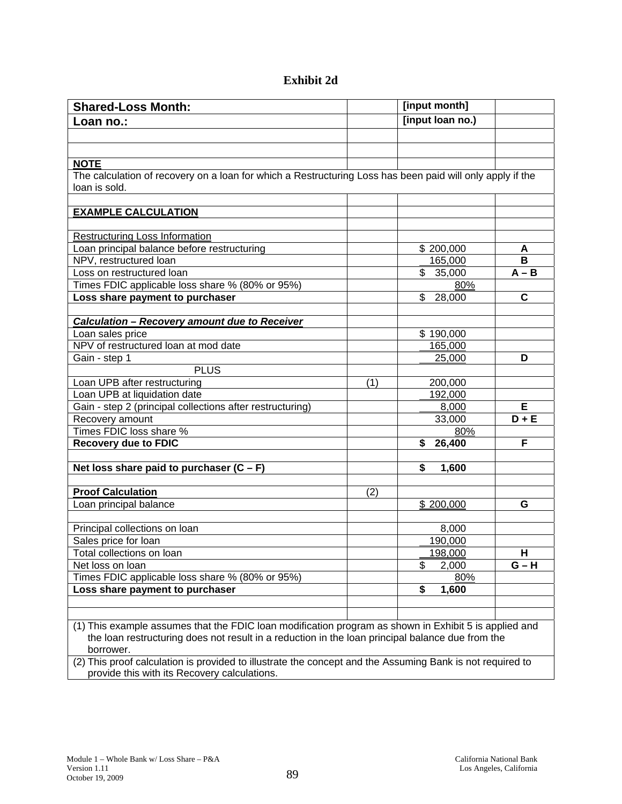## **Exhibit 2d**

| [input month]<br><b>Shared-Loss Month:</b>                                                                    |     |                        |         |
|---------------------------------------------------------------------------------------------------------------|-----|------------------------|---------|
| [input loan no.)<br>Loan no.:                                                                                 |     |                        |         |
|                                                                                                               |     |                        |         |
|                                                                                                               |     |                        |         |
| <b>NOTE</b>                                                                                                   |     |                        |         |
| The calculation of recovery on a loan for which a Restructuring Loss has been paid will only apply if the     |     |                        |         |
| loan is sold.                                                                                                 |     |                        |         |
|                                                                                                               |     |                        |         |
| <b>EXAMPLE CALCULATION</b>                                                                                    |     |                        |         |
|                                                                                                               |     |                        |         |
| <b>Restructuring Loss Information</b>                                                                         |     |                        |         |
| Loan principal balance before restructuring                                                                   |     | \$200,000              | A       |
| NPV, restructured loan                                                                                        |     | 165,000                | B       |
| Loss on restructured loan                                                                                     |     | $\overline{\$}$ 35,000 | $A - B$ |
| Times FDIC applicable loss share % (80% or 95%)                                                               |     | 80%                    |         |
| Loss share payment to purchaser                                                                               |     | \$28,000               | C       |
|                                                                                                               |     |                        |         |
| Calculation - Recovery amount due to Receiver                                                                 |     |                        |         |
| Loan sales price                                                                                              |     | \$190,000              |         |
| NPV of restructured loan at mod date                                                                          |     | 165,000                |         |
| Gain - step 1                                                                                                 |     | 25,000                 | D       |
| <b>PLUS</b>                                                                                                   |     |                        |         |
| Loan UPB after restructuring                                                                                  | (1) | 200,000<br>192,000     |         |
| Loan UPB at liquidation date<br>Gain - step 2 (principal collections after restructuring)                     |     | 8,000                  | Е       |
| Recovery amount                                                                                               |     | 33,000                 | $D + E$ |
| Times FDIC loss share %                                                                                       |     | 80%                    |         |
| <b>Recovery due to FDIC</b>                                                                                   |     | \$26,400               | F       |
|                                                                                                               |     |                        |         |
| Net loss share paid to purchaser $(C - F)$                                                                    |     | \$<br>1,600            |         |
|                                                                                                               |     |                        |         |
| <b>Proof Calculation</b>                                                                                      | (2) |                        |         |
| Loan principal balance                                                                                        |     | \$200,000              | G       |
|                                                                                                               |     |                        |         |
| Principal collections on loan                                                                                 |     | 8,000                  |         |
| Sales price for loan                                                                                          |     | 190,000                |         |
| Total collections on loan                                                                                     |     | 198,000                | H       |
| Net loss on loan                                                                                              |     | \$<br>2,000            | $G - H$ |
| Times FDIC applicable loss share % (80% or 95%)                                                               |     | 80%                    |         |
| Loss share payment to purchaser                                                                               |     | 1,600<br>\$            |         |
|                                                                                                               |     |                        |         |
|                                                                                                               |     |                        |         |
| (1) This example assumes that the FDIC loan modification program as shown in Exhibit 5 is applied and         |     |                        |         |
| the loan restructuring does not result in a reduction in the loan principal balance due from the<br>borrower. |     |                        |         |
| (2) This proof calculation is provided to illustrate the concept and the Assuming Bank is not required to     |     |                        |         |
| provide this with its Recovery calculations.                                                                  |     |                        |         |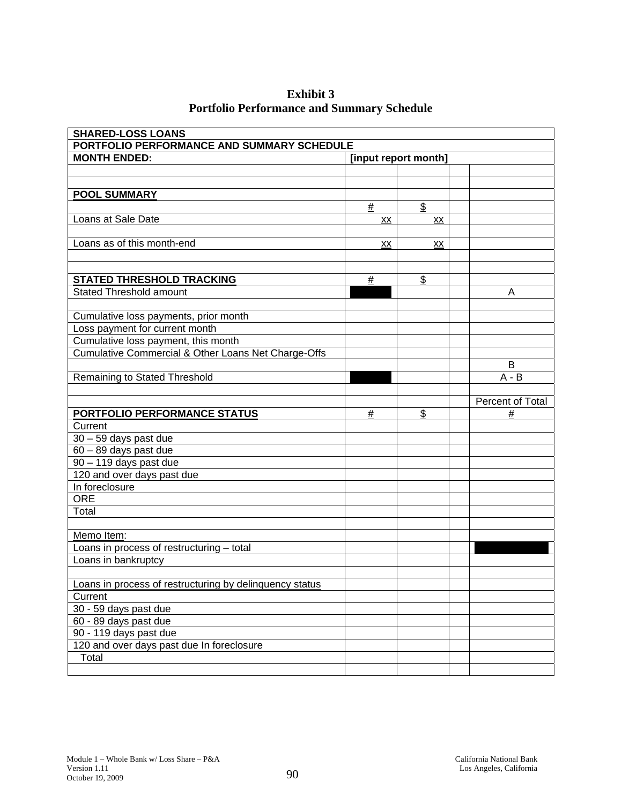| <b>SHARED-LOSS LOANS</b><br>PORTFOLIO PERFORMANCE AND SUMMARY SCHEDULE |                      |    |                  |
|------------------------------------------------------------------------|----------------------|----|------------------|
| <b>MONTH ENDED:</b>                                                    | [input report month] |    |                  |
|                                                                        |                      |    |                  |
|                                                                        |                      |    |                  |
| <b>POOL SUMMARY</b>                                                    |                      |    |                  |
|                                                                        | $\#$                 | \$ |                  |
| Loans at Sale Date                                                     | XX                   | XX |                  |
|                                                                        |                      |    |                  |
| Loans as of this month-end                                             | XX                   | XX |                  |
|                                                                        |                      |    |                  |
| <b>STATED THRESHOLD TRACKING</b>                                       | $\#$                 | \$ |                  |
| <b>Stated Threshold amount</b>                                         |                      |    | A                |
|                                                                        |                      |    |                  |
| Cumulative loss payments, prior month                                  |                      |    |                  |
| Loss payment for current month                                         |                      |    |                  |
| Cumulative loss payment, this month                                    |                      |    |                  |
| Cumulative Commercial & Other Loans Net Charge-Offs                    |                      |    |                  |
|                                                                        |                      |    | B                |
| Remaining to Stated Threshold                                          |                      |    | $A - B$          |
|                                                                        |                      |    |                  |
|                                                                        |                      |    | Percent of Total |
| <b>PORTFOLIO PERFORMANCE STATUS</b>                                    | $\#$                 | \$ | $\#$             |
| Current                                                                |                      |    |                  |
| $30 - 59$ days past due                                                |                      |    |                  |
| $60 - 89$ days past due                                                |                      |    |                  |
| $90 - 119$ days past due                                               |                      |    |                  |
| 120 and over days past due                                             |                      |    |                  |
| In foreclosure                                                         |                      |    |                  |
| <b>ORE</b>                                                             |                      |    |                  |
| Total                                                                  |                      |    |                  |
|                                                                        |                      |    |                  |
| Memo Item:                                                             |                      |    |                  |
| Loans in process of restructuring - total                              |                      |    |                  |
| Loans in bankruptcy                                                    |                      |    |                  |
|                                                                        |                      |    |                  |
| Loans in process of restructuring by delinquency status                |                      |    |                  |
| Current                                                                |                      |    |                  |
| 30 - 59 days past due                                                  |                      |    |                  |
| 60 - 89 days past due                                                  |                      |    |                  |
| 90 - 119 days past due                                                 |                      |    |                  |
| 120 and over days past due In foreclosure                              |                      |    |                  |
| Total                                                                  |                      |    |                  |

## **Exhibit 3 Portfolio Performance and Summary Schedule**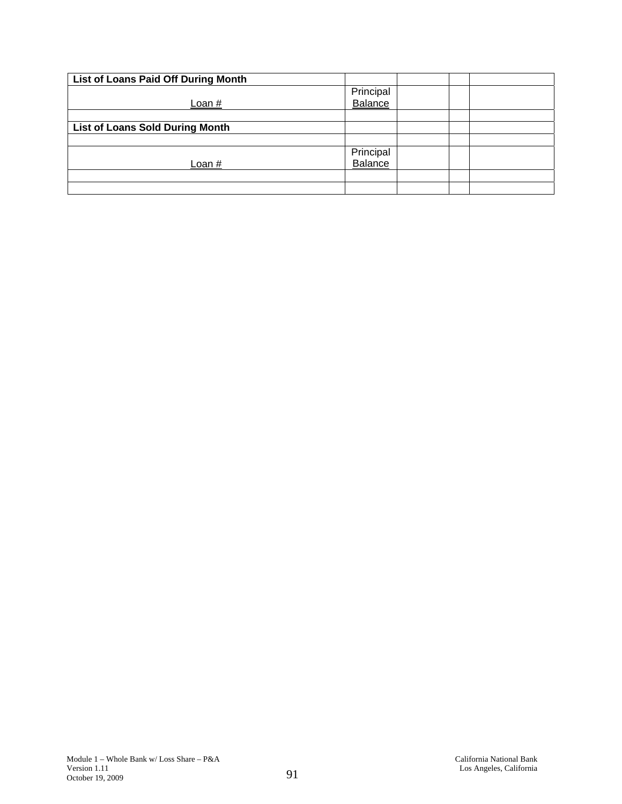| List of Loans Paid Off During Month    |                      |  |  |
|----------------------------------------|----------------------|--|--|
|                                        | Principal            |  |  |
| Loan #                                 | Balance              |  |  |
|                                        |                      |  |  |
| <b>List of Loans Sold During Month</b> |                      |  |  |
|                                        |                      |  |  |
|                                        | Principal<br>Balance |  |  |
| Loan #                                 |                      |  |  |
|                                        |                      |  |  |
|                                        |                      |  |  |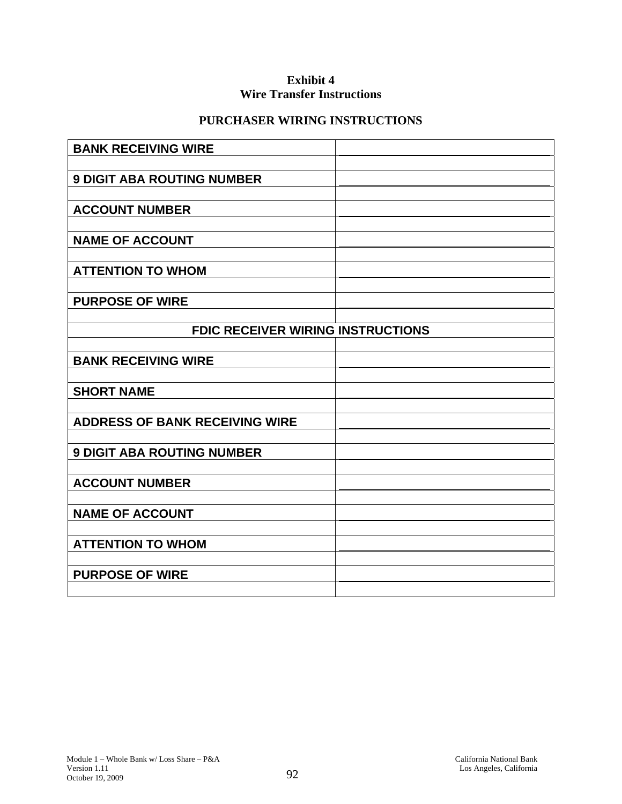## **Exhibit 4 Wire Transfer Instructions**

# **PURCHASER WIRING INSTRUCTIONS**

| <b>BANK RECEIVING WIRE</b>            |  |
|---------------------------------------|--|
|                                       |  |
| <b>9 DIGIT ABA ROUTING NUMBER</b>     |  |
|                                       |  |
| <b>ACCOUNT NUMBER</b>                 |  |
|                                       |  |
| <b>NAME OF ACCOUNT</b>                |  |
|                                       |  |
| <b>ATTENTION TO WHOM</b>              |  |
| <b>PURPOSE OF WIRE</b>                |  |
|                                       |  |
| FDIC RECEIVER WIRING INSTRUCTIONS     |  |
|                                       |  |
| <b>BANK RECEIVING WIRE</b>            |  |
|                                       |  |
| <b>SHORT NAME</b>                     |  |
|                                       |  |
| <b>ADDRESS OF BANK RECEIVING WIRE</b> |  |
|                                       |  |
| <b>9 DIGIT ABA ROUTING NUMBER</b>     |  |
|                                       |  |
| <b>ACCOUNT NUMBER</b>                 |  |
|                                       |  |
| <b>NAME OF ACCOUNT</b>                |  |
| <b>ATTENTION TO WHOM</b>              |  |
|                                       |  |
| <b>PURPOSE OF WIRE</b>                |  |
|                                       |  |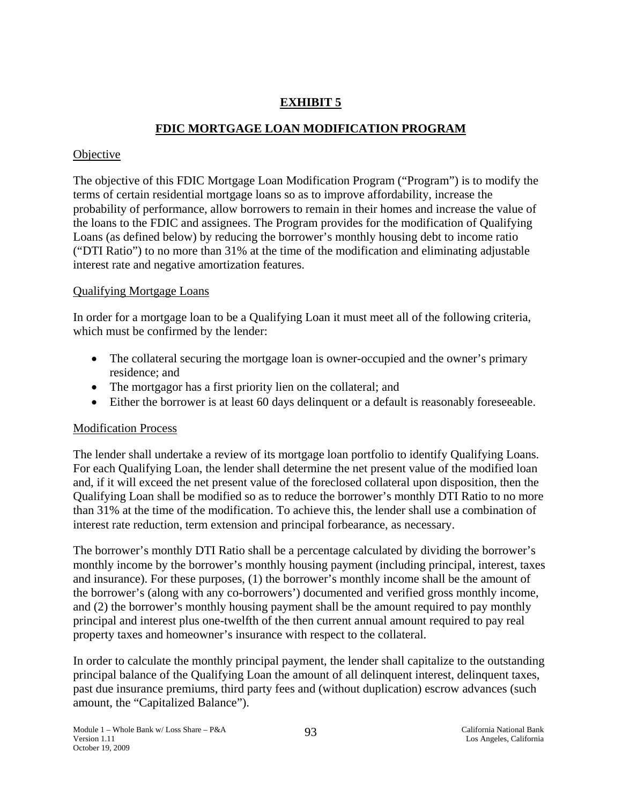# **EXHIBIT 5**

# **FDIC MORTGAGE LOAN MODIFICATION PROGRAM**

## **Objective**

The objective of this FDIC Mortgage Loan Modification Program ("Program") is to modify the terms of certain residential mortgage loans so as to improve affordability, increase the probability of performance, allow borrowers to remain in their homes and increase the value of the loans to the FDIC and assignees. The Program provides for the modification of Qualifying Loans (as defined below) by reducing the borrower's monthly housing debt to income ratio ("DTI Ratio") to no more than 31% at the time of the modification and eliminating adjustable interest rate and negative amortization features.

## Qualifying Mortgage Loans

In order for a mortgage loan to be a Qualifying Loan it must meet all of the following criteria, which must be confirmed by the lender:

- The collateral securing the mortgage loan is owner-occupied and the owner's primary residence; and
- The mortgagor has a first priority lien on the collateral; and
- Either the borrower is at least 60 days delinquent or a default is reasonably foreseeable.

## Modification Process

The lender shall undertake a review of its mortgage loan portfolio to identify Qualifying Loans. For each Qualifying Loan, the lender shall determine the net present value of the modified loan and, if it will exceed the net present value of the foreclosed collateral upon disposition, then the Qualifying Loan shall be modified so as to reduce the borrower's monthly DTI Ratio to no more than 31% at the time of the modification. To achieve this, the lender shall use a combination of interest rate reduction, term extension and principal forbearance, as necessary.

The borrower's monthly DTI Ratio shall be a percentage calculated by dividing the borrower's monthly income by the borrower's monthly housing payment (including principal, interest, taxes and insurance). For these purposes, (1) the borrower's monthly income shall be the amount of the borrower's (along with any co-borrowers') documented and verified gross monthly income, and (2) the borrower's monthly housing payment shall be the amount required to pay monthly principal and interest plus one-twelfth of the then current annual amount required to pay real property taxes and homeowner's insurance with respect to the collateral.

In order to calculate the monthly principal payment, the lender shall capitalize to the outstanding principal balance of the Qualifying Loan the amount of all delinquent interest, delinquent taxes, past due insurance premiums, third party fees and (without duplication) escrow advances (such amount, the "Capitalized Balance").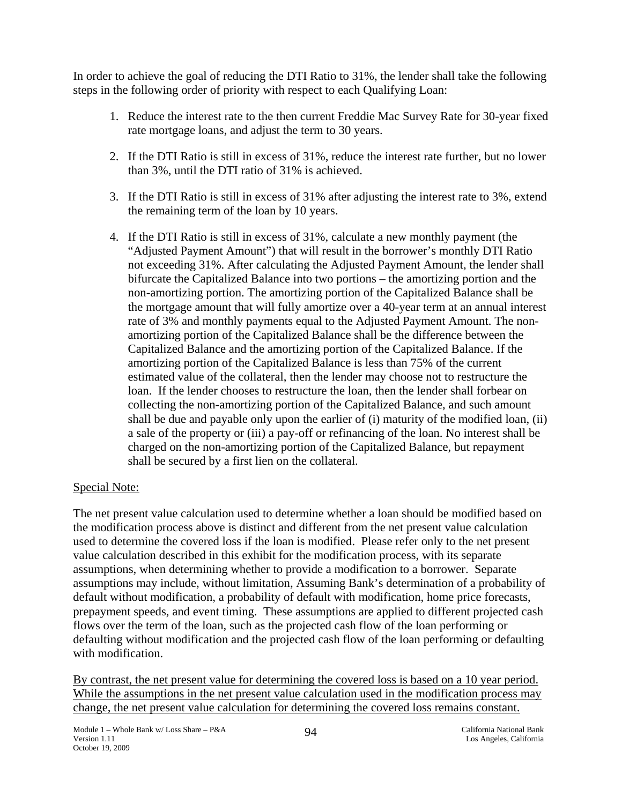In order to achieve the goal of reducing the DTI Ratio to 31%, the lender shall take the following steps in the following order of priority with respect to each Qualifying Loan:

- 1. Reduce the interest rate to the then current Freddie Mac Survey Rate for 30-year fixed rate mortgage loans, and adjust the term to 30 years.
- 2. If the DTI Ratio is still in excess of 31%, reduce the interest rate further, but no lower than 3%, until the DTI ratio of 31% is achieved.
- 3. If the DTI Ratio is still in excess of 31% after adjusting the interest rate to 3%, extend the remaining term of the loan by 10 years.
- 4. If the DTI Ratio is still in excess of 31%, calculate a new monthly payment (the "Adjusted Payment Amount") that will result in the borrower's monthly DTI Ratio not exceeding 31%. After calculating the Adjusted Payment Amount, the lender shall bifurcate the Capitalized Balance into two portions – the amortizing portion and the non-amortizing portion. The amortizing portion of the Capitalized Balance shall be the mortgage amount that will fully amortize over a 40-year term at an annual interest rate of 3% and monthly payments equal to the Adjusted Payment Amount. The nonamortizing portion of the Capitalized Balance shall be the difference between the Capitalized Balance and the amortizing portion of the Capitalized Balance. If the amortizing portion of the Capitalized Balance is less than 75% of the current estimated value of the collateral, then the lender may choose not to restructure the loan. If the lender chooses to restructure the loan, then the lender shall forbear on collecting the non-amortizing portion of the Capitalized Balance, and such amount shall be due and payable only upon the earlier of (i) maturity of the modified loan, (ii) a sale of the property or (iii) a pay-off or refinancing of the loan. No interest shall be charged on the non-amortizing portion of the Capitalized Balance, but repayment shall be secured by a first lien on the collateral.

## Special Note:

The net present value calculation used to determine whether a loan should be modified based on the modification process above is distinct and different from the net present value calculation used to determine the covered loss if the loan is modified. Please refer only to the net present value calculation described in this exhibit for the modification process, with its separate assumptions, when determining whether to provide a modification to a borrower. Separate assumptions may include, without limitation, Assuming Bank's determination of a probability of default without modification, a probability of default with modification, home price forecasts, prepayment speeds, and event timing. These assumptions are applied to different projected cash flows over the term of the loan, such as the projected cash flow of the loan performing or defaulting without modification and the projected cash flow of the loan performing or defaulting with modification.

change, the net present value calculation for determining the covered loss remains constant.<br>
Module 1 – Whole Bank w/ Loss Share – P&A California National Bank Los Angeles, California National Bank Los Angeles, California By contrast, the net present value for determining the covered loss is based on a 10 year period. While the assumptions in the net present value calculation used in the modification process may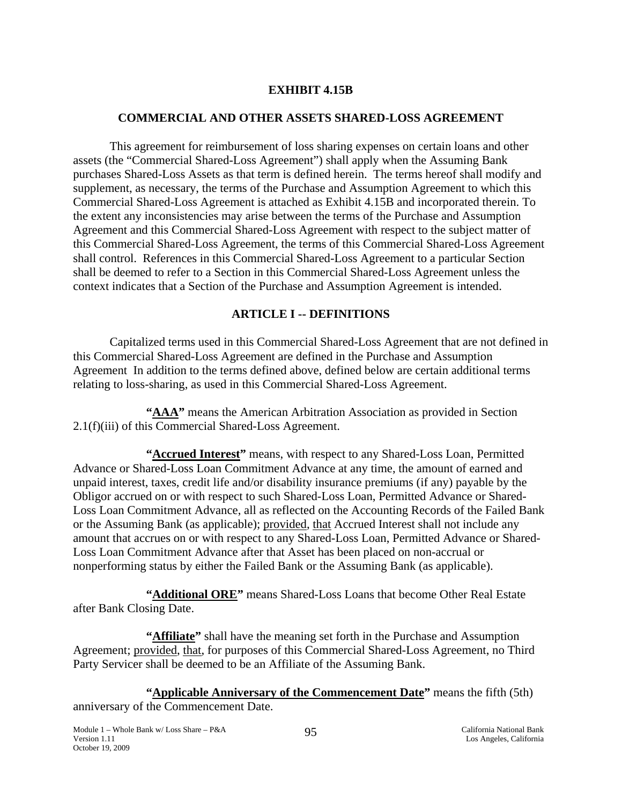### **EXHIBIT 4.15B**

### **COMMERCIAL AND OTHER ASSETS SHARED-LOSS AGREEMENT**

This agreement for reimbursement of loss sharing expenses on certain loans and other assets (the "Commercial Shared-Loss Agreement") shall apply when the Assuming Bank purchases Shared-Loss Assets as that term is defined herein. The terms hereof shall modify and supplement, as necessary, the terms of the Purchase and Assumption Agreement to which this Commercial Shared-Loss Agreement is attached as Exhibit 4.15B and incorporated therein. To the extent any inconsistencies may arise between the terms of the Purchase and Assumption Agreement and this Commercial Shared-Loss Agreement with respect to the subject matter of this Commercial Shared-Loss Agreement, the terms of this Commercial Shared-Loss Agreement shall control. References in this Commercial Shared-Loss Agreement to a particular Section shall be deemed to refer to a Section in this Commercial Shared-Loss Agreement unless the context indicates that a Section of the Purchase and Assumption Agreement is intended.

### **ARTICLE I -- DEFINITIONS**

Capitalized terms used in this Commercial Shared-Loss Agreement that are not defined in this Commercial Shared-Loss Agreement are defined in the Purchase and Assumption Agreement In addition to the terms defined above, defined below are certain additional terms relating to loss-sharing, as used in this Commercial Shared-Loss Agreement.

**"AAA"** means the American Arbitration Association as provided in Section 2.1(f)(iii) of this Commercial Shared-Loss Agreement.

**"Accrued Interest"** means, with respect to any Shared-Loss Loan, Permitted Advance or Shared-Loss Loan Commitment Advance at any time, the amount of earned and unpaid interest, taxes, credit life and/or disability insurance premiums (if any) payable by the Obligor accrued on or with respect to such Shared-Loss Loan, Permitted Advance or Shared-Loss Loan Commitment Advance, all as reflected on the Accounting Records of the Failed Bank or the Assuming Bank (as applicable); provided, that Accrued Interest shall not include any amount that accrues on or with respect to any Shared-Loss Loan, Permitted Advance or Shared-Loss Loan Commitment Advance after that Asset has been placed on non-accrual or nonperforming status by either the Failed Bank or the Assuming Bank (as applicable).

"**Additional ORE**" means Shared-Loss Loans that become Other Real Estate after Bank Closing Date.

"**Affiliate**" shall have the meaning set forth in the Purchase and Assumption Agreement; provided, that, for purposes of this Commercial Shared-Loss Agreement, no Third Party Servicer shall be deemed to be an Affiliate of the Assuming Bank.

**Examplicable Anniversary of the Commencement Date**" means the fifth (5th) anniversary of the Commencement Date.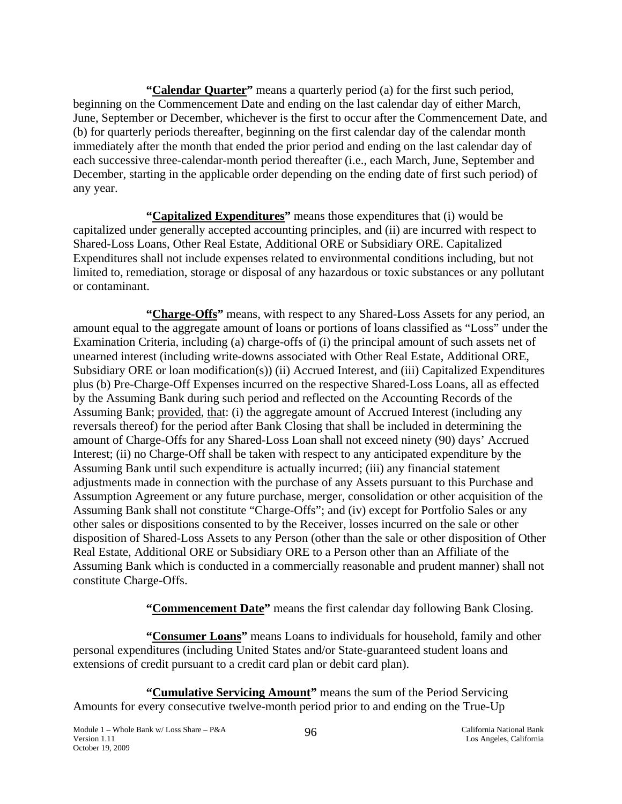**"Calendar Quarter"** means a quarterly period (a) for the first such period, beginning on the Commencement Date and ending on the last calendar day of either March, June, September or December, whichever is the first to occur after the Commencement Date, and (b) for quarterly periods thereafter, beginning on the first calendar day of the calendar month immediately after the month that ended the prior period and ending on the last calendar day of each successive three-calendar-month period thereafter (i.e., each March, June, September and December, starting in the applicable order depending on the ending date of first such period) of any year.

**"Capitalized Expenditures"** means those expenditures that (i) would be capitalized under generally accepted accounting principles, and (ii) are incurred with respect to Shared-Loss Loans, Other Real Estate, Additional ORE or Subsidiary ORE. Capitalized Expenditures shall not include expenses related to environmental conditions including, but not limited to, remediation, storage or disposal of any hazardous or toxic substances or any pollutant or contaminant.

**"Charge-Offs"** means, with respect to any Shared-Loss Assets for any period, an amount equal to the aggregate amount of loans or portions of loans classified as "Loss" under the Examination Criteria, including (a) charge-offs of (i) the principal amount of such assets net of unearned interest (including write-downs associated with Other Real Estate, Additional ORE, Subsidiary ORE or loan modification(s)) (ii) Accrued Interest, and (iii) Capitalized Expenditures plus (b) Pre-Charge-Off Expenses incurred on the respective Shared-Loss Loans, all as effected by the Assuming Bank during such period and reflected on the Accounting Records of the Assuming Bank; provided, that: (i) the aggregate amount of Accrued Interest (including any reversals thereof) for the period after Bank Closing that shall be included in determining the amount of Charge-Offs for any Shared-Loss Loan shall not exceed ninety (90) days' Accrued Interest; (ii) no Charge-Off shall be taken with respect to any anticipated expenditure by the Assuming Bank until such expenditure is actually incurred; (iii) any financial statement adjustments made in connection with the purchase of any Assets pursuant to this Purchase and Assumption Agreement or any future purchase, merger, consolidation or other acquisition of the Assuming Bank shall not constitute "Charge-Offs"; and (iv) except for Portfolio Sales or any other sales or dispositions consented to by the Receiver, losses incurred on the sale or other disposition of Shared-Loss Assets to any Person (other than the sale or other disposition of Other Real Estate, Additional ORE or Subsidiary ORE to a Person other than an Affiliate of the Assuming Bank which is conducted in a commercially reasonable and prudent manner) shall not constitute Charge-Offs.

**"Commencement Date"** means the first calendar day following Bank Closing.

**"Consumer Loans"** means Loans to individuals for household, family and other personal expenditures (including United States and/or State-guaranteed student loans and extensions of credit pursuant to a credit card plan or debit card plan).

**"Cumulative Servicing Amount"** means the sum of the Period Servicing Amounts for every consecutive twelve-month period prior to and ending on the True-Up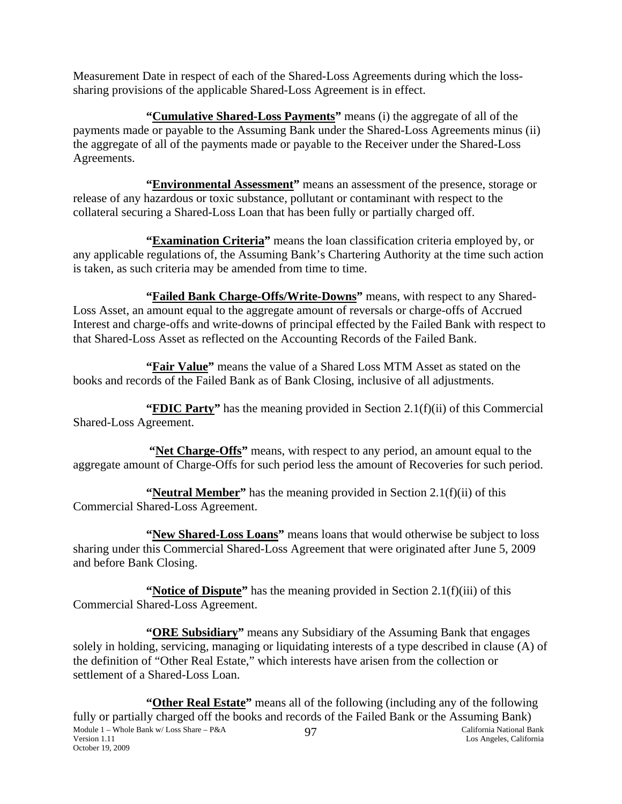Measurement Date in respect of each of the Shared-Loss Agreements during which the losssharing provisions of the applicable Shared-Loss Agreement is in effect.

**"Cumulative Shared-Loss Payments"** means (i) the aggregate of all of the payments made or payable to the Assuming Bank under the Shared-Loss Agreements minus (ii) the aggregate of all of the payments made or payable to the Receiver under the Shared-Loss Agreements.

**"Environmental Assessment"** means an assessment of the presence, storage or release of any hazardous or toxic substance, pollutant or contaminant with respect to the collateral securing a Shared-Loss Loan that has been fully or partially charged off.

**"Examination Criteria"** means the loan classification criteria employed by, or any applicable regulations of, the Assuming Bank's Chartering Authority at the time such action is taken, as such criteria may be amended from time to time.

**"Failed Bank Charge-Offs/Write-Downs"** means, with respect to any Shared-Loss Asset, an amount equal to the aggregate amount of reversals or charge-offs of Accrued Interest and charge-offs and write-downs of principal effected by the Failed Bank with respect to that Shared-Loss Asset as reflected on the Accounting Records of the Failed Bank.

**"Fair Value"** means the value of a Shared Loss MTM Asset as stated on the books and records of the Failed Bank as of Bank Closing, inclusive of all adjustments.

**"FDIC Party"** has the meaning provided in Section 2.1(f)(ii) of this Commercial Shared-Loss Agreement.

**"Net Charge-Offs"** means, with respect to any period, an amount equal to the aggregate amount of Charge-Offs for such period less the amount of Recoveries for such period.

 Commercial Shared-Loss Agreement. **"Neutral Member"** has the meaning provided in Section 2.1(f)(ii) of this

**"New Shared-Loss Loans"** means loans that would otherwise be subject to loss sharing under this Commercial Shared-Loss Agreement that were originated after June 5, 2009 and before Bank Closing.

**"Notice of Dispute"** has the meaning provided in Section 2.1(f)(iii) of this Commercial Shared-Loss Agreement.

**"ORE Subsidiary"** means any Subsidiary of the Assuming Bank that engages solely in holding, servicing, managing or liquidating interests of a type described in clause (A) of the definition of "Other Real Estate," which interests have arisen from the collection or settlement of a Shared-Loss Loan.

**"Other Real Estate"** means all of the following (including any of the following fully or partially charged off the books and records of the Failed Bank or the Assuming Bank) Module 1 – Whole Bank w/ Loss Share – P&A California National Bank California National Bank Version 1.11 California National Bank Version 1.11 Los Angeles, California October 19, 2009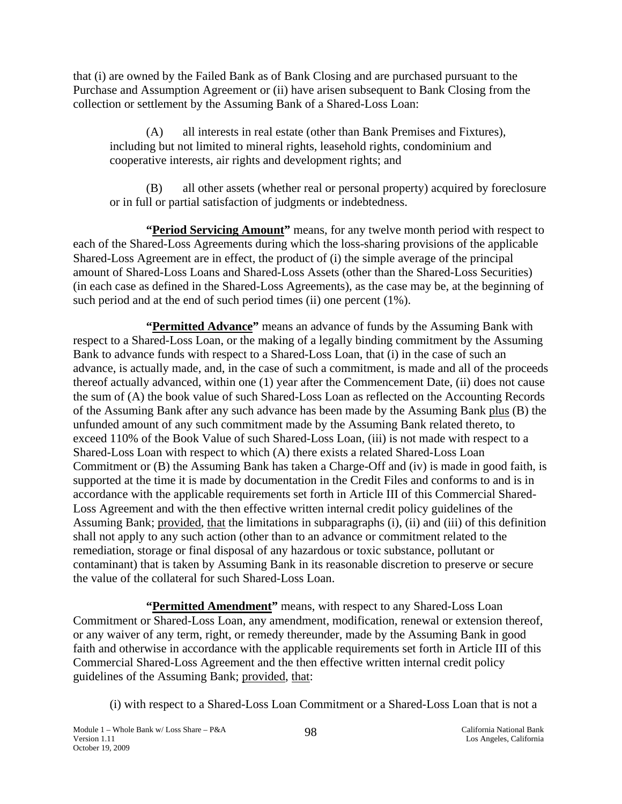that (i) are owned by the Failed Bank as of Bank Closing and are purchased pursuant to the Purchase and Assumption Agreement or (ii) have arisen subsequent to Bank Closing from the collection or settlement by the Assuming Bank of a Shared-Loss Loan:

(A) all interests in real estate (other than Bank Premises and Fixtures), including but not limited to mineral rights, leasehold rights, condominium and cooperative interests, air rights and development rights; and

(B) all other assets (whether real or personal property) acquired by foreclosure or in full or partial satisfaction of judgments or indebtedness.

**"Period Servicing Amount"** means, for any twelve month period with respect to each of the Shared-Loss Agreements during which the loss-sharing provisions of the applicable Shared-Loss Agreement are in effect, the product of (i) the simple average of the principal amount of Shared-Loss Loans and Shared-Loss Assets (other than the Shared-Loss Securities) (in each case as defined in the Shared-Loss Agreements), as the case may be, at the beginning of such period and at the end of such period times (ii) one percent (1%).

**"Permitted Advance"** means an advance of funds by the Assuming Bank with respect to a Shared-Loss Loan, or the making of a legally binding commitment by the Assuming Bank to advance funds with respect to a Shared-Loss Loan, that (i) in the case of such an advance, is actually made, and, in the case of such a commitment, is made and all of the proceeds thereof actually advanced, within one (1) year after the Commencement Date, (ii) does not cause the sum of (A) the book value of such Shared-Loss Loan as reflected on the Accounting Records of the Assuming Bank after any such advance has been made by the Assuming Bank plus (B) the unfunded amount of any such commitment made by the Assuming Bank related thereto, to exceed 110% of the Book Value of such Shared-Loss Loan, (iii) is not made with respect to a Shared-Loss Loan with respect to which (A) there exists a related Shared-Loss Loan Commitment or (B) the Assuming Bank has taken a Charge-Off and (iv) is made in good faith, is supported at the time it is made by documentation in the Credit Files and conforms to and is in accordance with the applicable requirements set forth in Article III of this Commercial Shared-Loss Agreement and with the then effective written internal credit policy guidelines of the Assuming Bank; provided, that the limitations in subparagraphs (i), (ii) and (iii) of this definition shall not apply to any such action (other than to an advance or commitment related to the remediation, storage or final disposal of any hazardous or toxic substance, pollutant or contaminant) that is taken by Assuming Bank in its reasonable discretion to preserve or secure the value of the collateral for such Shared-Loss Loan.

**"Permitted Amendment"** means, with respect to any Shared-Loss Loan Commitment or Shared-Loss Loan, any amendment, modification, renewal or extension thereof, or any waiver of any term, right, or remedy thereunder, made by the Assuming Bank in good faith and otherwise in accordance with the applicable requirements set forth in Article III of this Commercial Shared-Loss Agreement and the then effective written internal credit policy guidelines of the Assuming Bank; provided, that:

(i) with respect to a Shared-Loss Loan Commitment or a Shared-Loss Loan that is not a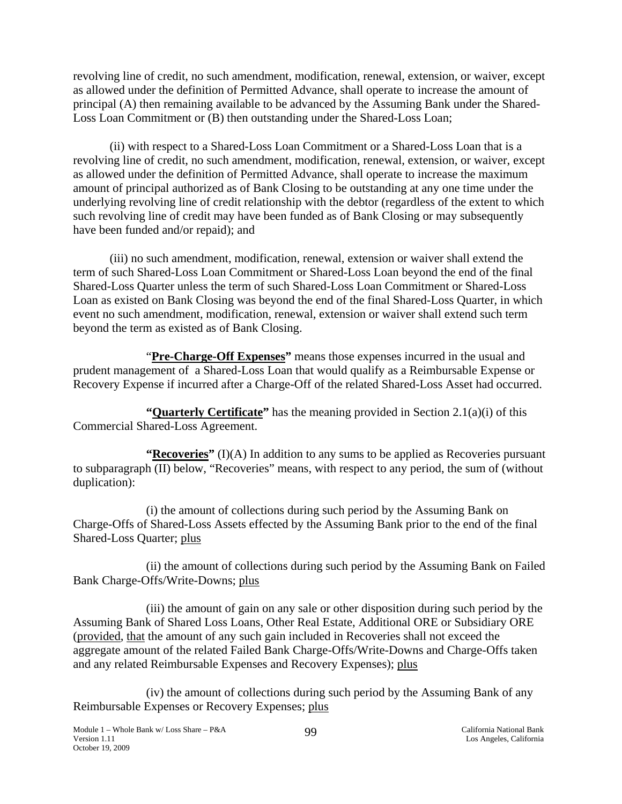revolving line of credit, no such amendment, modification, renewal, extension, or waiver, except as allowed under the definition of Permitted Advance, shall operate to increase the amount of principal (A) then remaining available to be advanced by the Assuming Bank under the Shared-Loss Loan Commitment or (B) then outstanding under the Shared-Loss Loan;

(ii) with respect to a Shared-Loss Loan Commitment or a Shared-Loss Loan that is a revolving line of credit, no such amendment, modification, renewal, extension, or waiver, except as allowed under the definition of Permitted Advance, shall operate to increase the maximum amount of principal authorized as of Bank Closing to be outstanding at any one time under the underlying revolving line of credit relationship with the debtor (regardless of the extent to which such revolving line of credit may have been funded as of Bank Closing or may subsequently have been funded and/or repaid); and

(iii) no such amendment, modification, renewal, extension or waiver shall extend the term of such Shared-Loss Loan Commitment or Shared-Loss Loan beyond the end of the final Shared-Loss Quarter unless the term of such Shared-Loss Loan Commitment or Shared-Loss Loan as existed on Bank Closing was beyond the end of the final Shared-Loss Quarter, in which event no such amendment, modification, renewal, extension or waiver shall extend such term beyond the term as existed as of Bank Closing.

"**Pre-Charge-Off Expenses"** means those expenses incurred in the usual and prudent management of a Shared-Loss Loan that would qualify as a Reimbursable Expense or Recovery Expense if incurred after a Charge-Off of the related Shared-Loss Asset had occurred.

**"Quarterly Certificate"** has the meaning provided in Section 2.1(a)(i) of this Commercial Shared-Loss Agreement.

**"Recoveries"** (I)(A) In addition to any sums to be applied as Recoveries pursuant to subparagraph (II) below, "Recoveries" means, with respect to any period, the sum of (without duplication):

**Shared-Loss Quarter; plus** (i) the amount of collections during such period by the Assuming Bank on Charge-Offs of Shared-Loss Assets effected by the Assuming Bank prior to the end of the final

(ii) the amount of collections during such period by the Assuming Bank on Failed Bank Charge-Offs/Write-Downs; plus

(iii) the amount of gain on any sale or other disposition during such period by the Assuming Bank of Shared Loss Loans, Other Real Estate, Additional ORE or Subsidiary ORE (provided, that the amount of any such gain included in Recoveries shall not exceed the aggregate amount of the related Failed Bank Charge-Offs/Write-Downs and Charge-Offs taken and any related Reimbursable Expenses and Recovery Expenses); plus

(iv) the amount of collections during such period by the Assuming Bank of any Reimbursable Expenses or Recovery Expenses; plus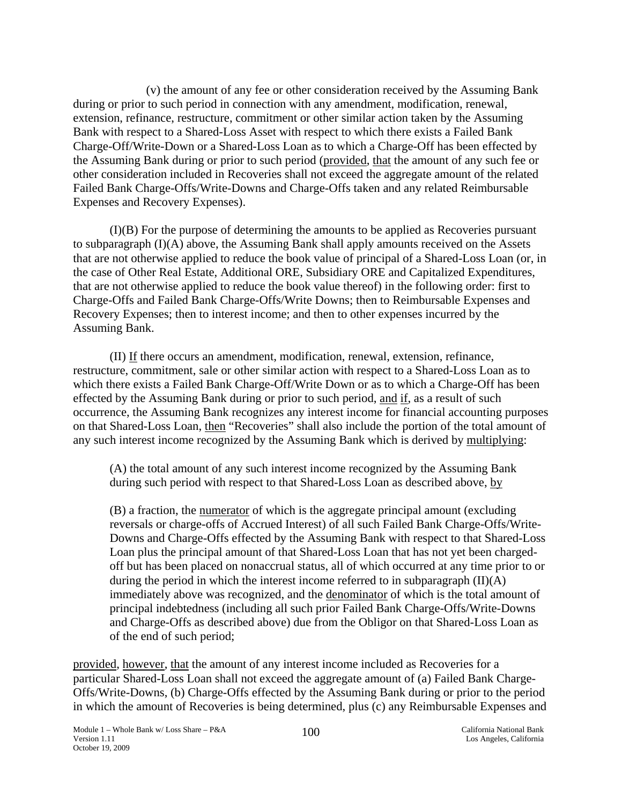(v) the amount of any fee or other consideration received by the Assuming Bank during or prior to such period in connection with any amendment, modification, renewal, extension, refinance, restructure, commitment or other similar action taken by the Assuming Bank with respect to a Shared-Loss Asset with respect to which there exists a Failed Bank Charge-Off/Write-Down or a Shared-Loss Loan as to which a Charge-Off has been effected by the Assuming Bank during or prior to such period (provided, that the amount of any such fee or other consideration included in Recoveries shall not exceed the aggregate amount of the related Failed Bank Charge-Offs/Write-Downs and Charge-Offs taken and any related Reimbursable Expenses and Recovery Expenses).

(I)(B) For the purpose of determining the amounts to be applied as Recoveries pursuant to subparagraph  $(I)(A)$  above, the Assuming Bank shall apply amounts received on the Assets that are not otherwise applied to reduce the book value of principal of a Shared-Loss Loan (or, in the case of Other Real Estate, Additional ORE, Subsidiary ORE and Capitalized Expenditures, that are not otherwise applied to reduce the book value thereof) in the following order: first to Charge-Offs and Failed Bank Charge-Offs/Write Downs; then to Reimbursable Expenses and Recovery Expenses; then to interest income; and then to other expenses incurred by the Assuming Bank.

(II) If there occurs an amendment, modification, renewal, extension, refinance, restructure, commitment, sale or other similar action with respect to a Shared-Loss Loan as to which there exists a Failed Bank Charge-Off/Write Down or as to which a Charge-Off has been effected by the Assuming Bank during or prior to such period, and if, as a result of such occurrence, the Assuming Bank recognizes any interest income for financial accounting purposes on that Shared-Loss Loan, then "Recoveries" shall also include the portion of the total amount of any such interest income recognized by the Assuming Bank which is derived by multiplying:

(A) the total amount of any such interest income recognized by the Assuming Bank during such period with respect to that Shared-Loss Loan as described above, by

(B) a fraction, the numerator of which is the aggregate principal amount (excluding reversals or charge-offs of Accrued Interest) of all such Failed Bank Charge-Offs/Write-Downs and Charge-Offs effected by the Assuming Bank with respect to that Shared-Loss Loan plus the principal amount of that Shared-Loss Loan that has not yet been chargedoff but has been placed on nonaccrual status, all of which occurred at any time prior to or during the period in which the interest income referred to in subparagraph (II)(A) immediately above was recognized, and the denominator of which is the total amount of principal indebtedness (including all such prior Failed Bank Charge-Offs/Write-Downs and Charge-Offs as described above) due from the Obligor on that Shared-Loss Loan as of the end of such period;

provided, however, that the amount of any interest income included as Recoveries for a particular Shared-Loss Loan shall not exceed the aggregate amount of (a) Failed Bank Charge-Offs/Write-Downs, (b) Charge-Offs effected by the Assuming Bank during or prior to the period in which the amount of Recoveries is being determined, plus (c) any Reimbursable Expenses and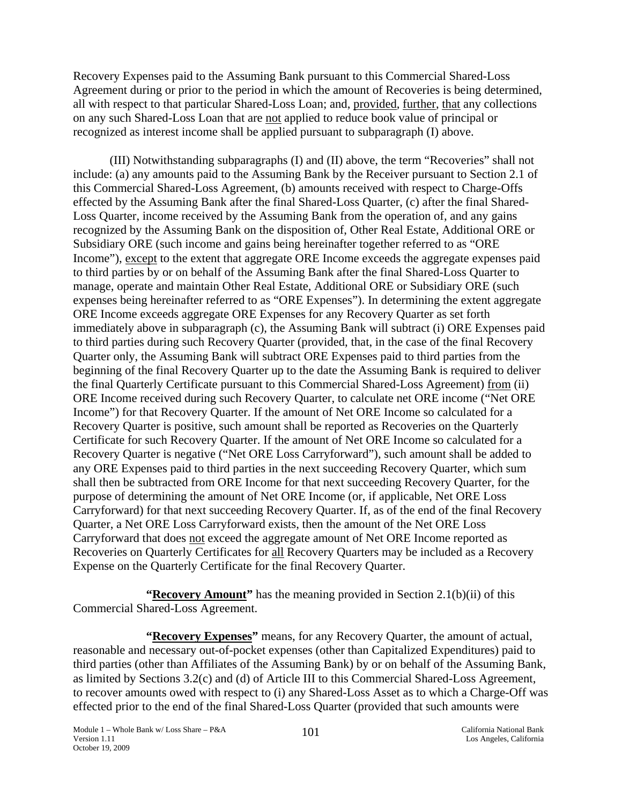Recovery Expenses paid to the Assuming Bank pursuant to this Commercial Shared-Loss Agreement during or prior to the period in which the amount of Recoveries is being determined, all with respect to that particular Shared-Loss Loan; and, provided, further, that any collections on any such Shared-Loss Loan that are not applied to reduce book value of principal or recognized as interest income shall be applied pursuant to subparagraph (I) above.

(III) Notwithstanding subparagraphs (I) and (II) above, the term "Recoveries" shall not include: (a) any amounts paid to the Assuming Bank by the Receiver pursuant to Section 2.1 of this Commercial Shared-Loss Agreement, (b) amounts received with respect to Charge-Offs effected by the Assuming Bank after the final Shared-Loss Quarter, (c) after the final Shared-Loss Quarter, income received by the Assuming Bank from the operation of, and any gains recognized by the Assuming Bank on the disposition of, Other Real Estate, Additional ORE or Subsidiary ORE (such income and gains being hereinafter together referred to as "ORE Income"), except to the extent that aggregate ORE Income exceeds the aggregate expenses paid to third parties by or on behalf of the Assuming Bank after the final Shared-Loss Quarter to manage, operate and maintain Other Real Estate, Additional ORE or Subsidiary ORE (such expenses being hereinafter referred to as "ORE Expenses"). In determining the extent aggregate ORE Income exceeds aggregate ORE Expenses for any Recovery Quarter as set forth immediately above in subparagraph (c), the Assuming Bank will subtract (i) ORE Expenses paid to third parties during such Recovery Quarter (provided, that, in the case of the final Recovery Quarter only, the Assuming Bank will subtract ORE Expenses paid to third parties from the beginning of the final Recovery Quarter up to the date the Assuming Bank is required to deliver the final Quarterly Certificate pursuant to this Commercial Shared-Loss Agreement) from (ii) ORE Income received during such Recovery Quarter, to calculate net ORE income ("Net ORE Income") for that Recovery Quarter. If the amount of Net ORE Income so calculated for a Recovery Quarter is positive, such amount shall be reported as Recoveries on the Quarterly Certificate for such Recovery Quarter. If the amount of Net ORE Income so calculated for a Recovery Quarter is negative ("Net ORE Loss Carryforward"), such amount shall be added to any ORE Expenses paid to third parties in the next succeeding Recovery Quarter, which sum shall then be subtracted from ORE Income for that next succeeding Recovery Quarter, for the purpose of determining the amount of Net ORE Income (or, if applicable, Net ORE Loss Carryforward) for that next succeeding Recovery Quarter. If, as of the end of the final Recovery Quarter, a Net ORE Loss Carryforward exists, then the amount of the Net ORE Loss Carryforward that does not exceed the aggregate amount of Net ORE Income reported as Recoveries on Quarterly Certificates for all Recovery Quarters may be included as a Recovery Expense on the Quarterly Certificate for the final Recovery Quarter.

**"Recovery Amount"** has the meaning provided in Section 2.1(b)(ii) of this Commercial Shared-Loss Agreement.

**"Recovery Expenses"** means, for any Recovery Quarter, the amount of actual, reasonable and necessary out-of-pocket expenses (other than Capitalized Expenditures) paid to third parties (other than Affiliates of the Assuming Bank) by or on behalf of the Assuming Bank, as limited by Sections 3.2(c) and (d) of Article III to this Commercial Shared-Loss Agreement, to recover amounts owed with respect to (i) any Shared-Loss Asset as to which a Charge-Off was effected prior to the end of the final Shared-Loss Quarter (provided that such amounts were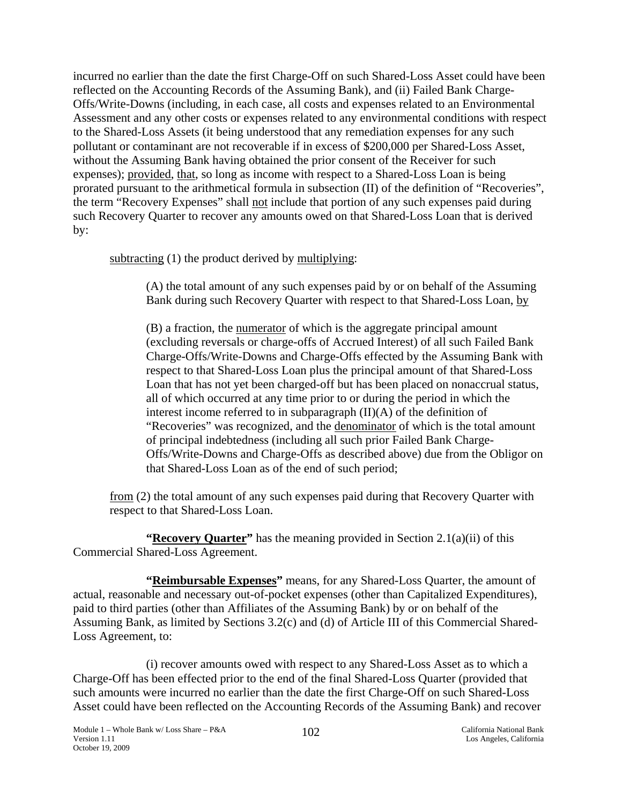incurred no earlier than the date the first Charge-Off on such Shared-Loss Asset could have been reflected on the Accounting Records of the Assuming Bank), and (ii) Failed Bank Charge-Offs/Write-Downs (including, in each case, all costs and expenses related to an Environmental Assessment and any other costs or expenses related to any environmental conditions with respect to the Shared-Loss Assets (it being understood that any remediation expenses for any such pollutant or contaminant are not recoverable if in excess of \$200,000 per Shared-Loss Asset, without the Assuming Bank having obtained the prior consent of the Receiver for such expenses); provided, that, so long as income with respect to a Shared-Loss Loan is being prorated pursuant to the arithmetical formula in subsection (II) of the definition of "Recoveries", the term "Recovery Expenses" shall not include that portion of any such expenses paid during such Recovery Quarter to recover any amounts owed on that Shared-Loss Loan that is derived by:

subtracting (1) the product derived by multiplying:

(A) the total amount of any such expenses paid by or on behalf of the Assuming Bank during such Recovery Quarter with respect to that Shared-Loss Loan, by

(B) a fraction, the numerator of which is the aggregate principal amount (excluding reversals or charge-offs of Accrued Interest) of all such Failed Bank Charge-Offs/Write-Downs and Charge-Offs effected by the Assuming Bank with respect to that Shared-Loss Loan plus the principal amount of that Shared-Loss Loan that has not yet been charged-off but has been placed on nonaccrual status, all of which occurred at any time prior to or during the period in which the interest income referred to in subparagraph  $(II)(A)$  of the definition of "Recoveries" was recognized, and the denominator of which is the total amount of principal indebtedness (including all such prior Failed Bank Charge-Offs/Write-Downs and Charge-Offs as described above) due from the Obligor on that Shared-Loss Loan as of the end of such period;

from (2) the total amount of any such expenses paid during that Recovery Quarter with respect to that Shared-Loss Loan.

**"Recovery Quarter"** has the meaning provided in Section 2.1(a)(ii) of this Commercial Shared-Loss Agreement.

**"Reimbursable Expenses"** means, for any Shared-Loss Quarter, the amount of actual, reasonable and necessary out-of-pocket expenses (other than Capitalized Expenditures), paid to third parties (other than Affiliates of the Assuming Bank) by or on behalf of the Assuming Bank, as limited by Sections 3.2(c) and (d) of Article III of this Commercial Shared-Loss Agreement, to:

(i) recover amounts owed with respect to any Shared-Loss Asset as to which a Charge-Off has been effected prior to the end of the final Shared-Loss Quarter (provided that such amounts were incurred no earlier than the date the first Charge-Off on such Shared-Loss Asset could have been reflected on the Accounting Records of the Assuming Bank) and recover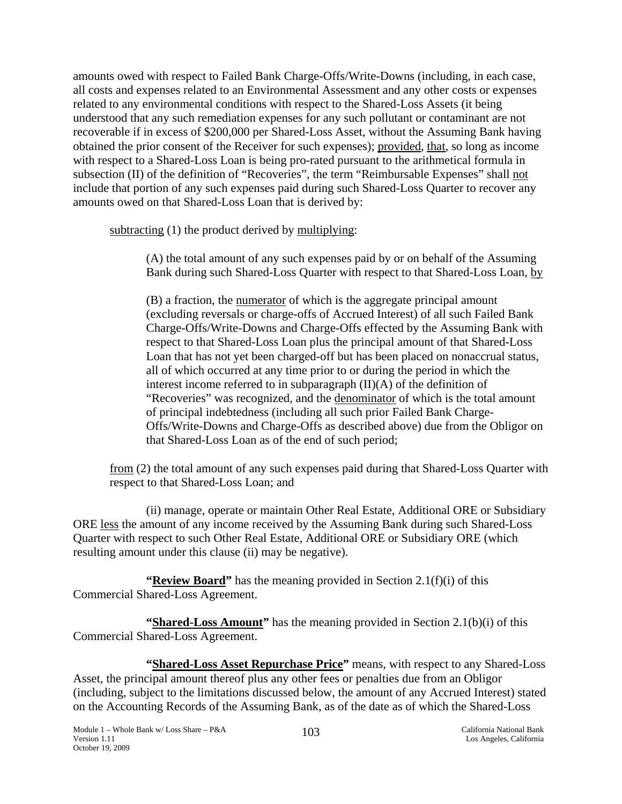amounts owed with respect to Failed Bank Charge-Offs/Write-Downs (including, in each case, all costs and expenses related to an Environmental Assessment and any other costs or expenses related to any environmental conditions with respect to the Shared-Loss Assets (it being understood that any such remediation expenses for any such pollutant or contaminant are not recoverable if in excess of \$200,000 per Shared-Loss Asset, without the Assuming Bank having obtained the prior consent of the Receiver for such expenses); provided, that, so long as income with respect to a Shared-Loss Loan is being pro-rated pursuant to the arithmetical formula in subsection (II) of the definition of "Recoveries", the term "Reimbursable Expenses" shall not include that portion of any such expenses paid during such Shared-Loss Quarter to recover any amounts owed on that Shared-Loss Loan that is derived by:

subtracting (1) the product derived by multiplying:

(A) the total amount of any such expenses paid by or on behalf of the Assuming Bank during such Shared-Loss Quarter with respect to that Shared-Loss Loan, by

(B) a fraction, the numerator of which is the aggregate principal amount (excluding reversals or charge-offs of Accrued Interest) of all such Failed Bank Charge-Offs/Write-Downs and Charge-Offs effected by the Assuming Bank with respect to that Shared-Loss Loan plus the principal amount of that Shared-Loss Loan that has not yet been charged-off but has been placed on nonaccrual status, all of which occurred at any time prior to or during the period in which the interest income referred to in subparagraph (II)(A) of the definition of "Recoveries" was recognized, and the denominator of which is the total amount of principal indebtedness (including all such prior Failed Bank Charge-Offs/Write-Downs and Charge-Offs as described above) due from the Obligor on that Shared-Loss Loan as of the end of such period;

from (2) the total amount of any such expenses paid during that Shared-Loss Quarter with respect to that Shared-Loss Loan; and

(ii) manage, operate or maintain Other Real Estate, Additional ORE or Subsidiary ORE less the amount of any income received by the Assuming Bank during such Shared-Loss Quarter with respect to such Other Real Estate, Additional ORE or Subsidiary ORE (which resulting amount under this clause (ii) may be negative).

**"Review Board"** has the meaning provided in Section 2.1(f)(i) of this Commercial Shared-Loss Agreement.

**"Shared-Loss Amount"** has the meaning provided in Section 2.1(b)(i) of this Commercial Shared-Loss Agreement.

**"Shared-Loss Asset Repurchase Price"** means, with respect to any Shared-Loss Asset, the principal amount thereof plus any other fees or penalties due from an Obligor (including, subject to the limitations discussed below, the amount of any Accrued Interest) stated on the Accounting Records of the Assuming Bank, as of the date as of which the Shared-Loss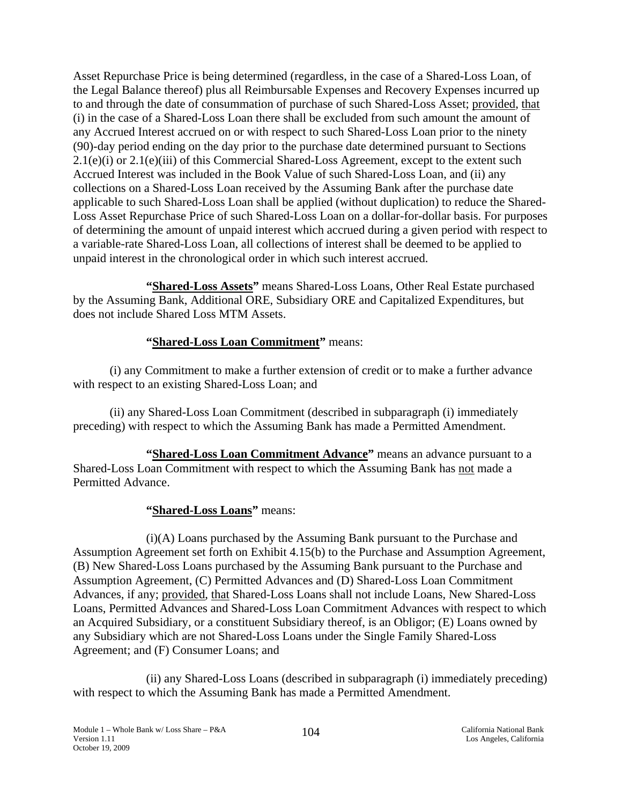Asset Repurchase Price is being determined (regardless, in the case of a Shared-Loss Loan, of the Legal Balance thereof) plus all Reimbursable Expenses and Recovery Expenses incurred up to and through the date of consummation of purchase of such Shared-Loss Asset; provided, that (i) in the case of a Shared-Loss Loan there shall be excluded from such amount the amount of any Accrued Interest accrued on or with respect to such Shared-Loss Loan prior to the ninety (90)-day period ending on the day prior to the purchase date determined pursuant to Sections 2.1(e)(i) or 2.1(e)(iii) of this Commercial Shared-Loss Agreement, except to the extent such Accrued Interest was included in the Book Value of such Shared-Loss Loan, and (ii) any collections on a Shared-Loss Loan received by the Assuming Bank after the purchase date applicable to such Shared-Loss Loan shall be applied (without duplication) to reduce the Shared-Loss Asset Repurchase Price of such Shared-Loss Loan on a dollar-for-dollar basis. For purposes of determining the amount of unpaid interest which accrued during a given period with respect to a variable-rate Shared-Loss Loan, all collections of interest shall be deemed to be applied to unpaid interest in the chronological order in which such interest accrued.

**"Shared-Loss Assets"** means Shared-Loss Loans, Other Real Estate purchased by the Assuming Bank, Additional ORE, Subsidiary ORE and Capitalized Expenditures, but does not include Shared Loss MTM Assets.

## "Shared-Loss Loan Commitment" means:

(i) any Commitment to make a further extension of credit or to make a further advance with respect to an existing Shared-Loss Loan; and

(ii) any Shared-Loss Loan Commitment (described in subparagraph (i) immediately preceding) with respect to which the Assuming Bank has made a Permitted Amendment.

**"Shared-Loss Loan Commitment Advance"** means an advance pursuant to a Shared-Loss Loan Commitment with respect to which the Assuming Bank has not made a Permitted Advance.

## **"Shared-Loss Loans"** means:

(i)(A) Loans purchased by the Assuming Bank pursuant to the Purchase and Assumption Agreement set forth on Exhibit 4.15(b) to the Purchase and Assumption Agreement, (B) New Shared-Loss Loans purchased by the Assuming Bank pursuant to the Purchase and Assumption Agreement, (C) Permitted Advances and (D) Shared-Loss Loan Commitment Advances, if any; provided, that Shared-Loss Loans shall not include Loans, New Shared-Loss Loans, Permitted Advances and Shared-Loss Loan Commitment Advances with respect to which an Acquired Subsidiary, or a constituent Subsidiary thereof, is an Obligor; (E) Loans owned by any Subsidiary which are not Shared-Loss Loans under the Single Family Shared-Loss Agreement; and (F) Consumer Loans; and

(ii) any Shared-Loss Loans (described in subparagraph (i) immediately preceding) with respect to which the Assuming Bank has made a Permitted Amendment.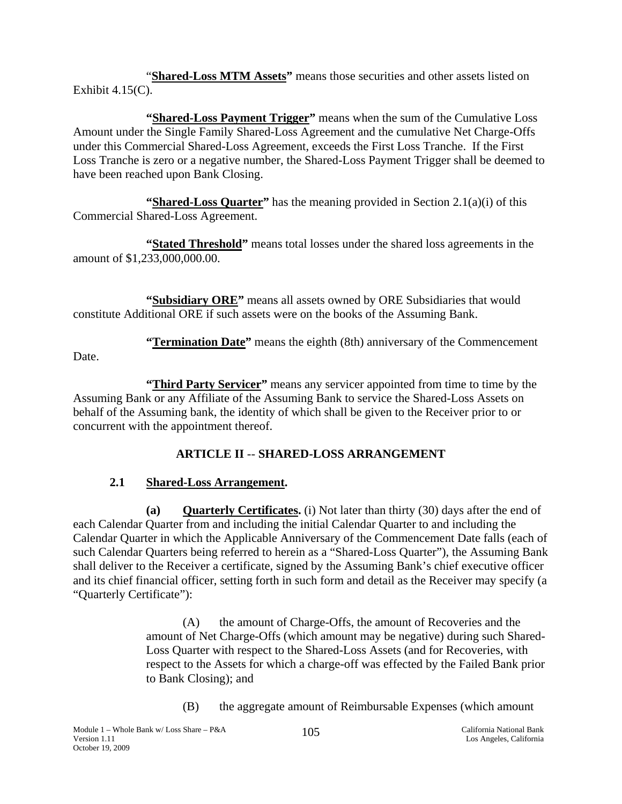"Shared-Loss MTM Assets" means those securities and other assets listed on Exhibit  $4.15(C)$ .

**"Shared-Loss Payment Trigger"** means when the sum of the Cumulative Loss Amount under the Single Family Shared-Loss Agreement and the cumulative Net Charge-Offs under this Commercial Shared-Loss Agreement, exceeds the First Loss Tranche. If the First Loss Tranche is zero or a negative number, the Shared-Loss Payment Trigger shall be deemed to have been reached upon Bank Closing.

**"Shared-Loss Quarter"** has the meaning provided in Section 2.1(a)(i) of this Commercial Shared-Loss Agreement.

**"Stated Threshold"** means total losses under the shared loss agreements in the amount of \$1,233,000,000.00.

**"Subsidiary ORE"** means all assets owned by ORE Subsidiaries that would constitute Additional ORE if such assets were on the books of the Assuming Bank.

**"Termination Date"** means the eighth (8th) anniversary of the Commencement Date.

**"Third Party Servicer"** means any servicer appointed from time to time by the Assuming Bank or any Affiliate of the Assuming Bank to service the Shared-Loss Assets on behalf of the Assuming bank, the identity of which shall be given to the Receiver prior to or concurrent with the appointment thereof.

# **ARTICLE II** -- **SHARED-LOSS ARRANGEMENT**

# **2.1 Shared-Loss Arrangement.**

**(a) Quarterly Certificates.** (i) Not later than thirty (30) days after the end of each Calendar Quarter from and including the initial Calendar Quarter to and including the Calendar Quarter in which the Applicable Anniversary of the Commencement Date falls (each of such Calendar Quarters being referred to herein as a "Shared-Loss Quarter"), the Assuming Bank shall deliver to the Receiver a certificate, signed by the Assuming Bank's chief executive officer and its chief financial officer, setting forth in such form and detail as the Receiver may specify (a "Quarterly Certificate"):

> (A) the amount of Charge-Offs, the amount of Recoveries and the amount of Net Charge-Offs (which amount may be negative) during such Shared-Loss Quarter with respect to the Shared-Loss Assets (and for Recoveries, with respect to the Assets for which a charge-off was effected by the Failed Bank prior to Bank Closing); and

(B) the aggregate amount of Reimbursable Expenses (which amount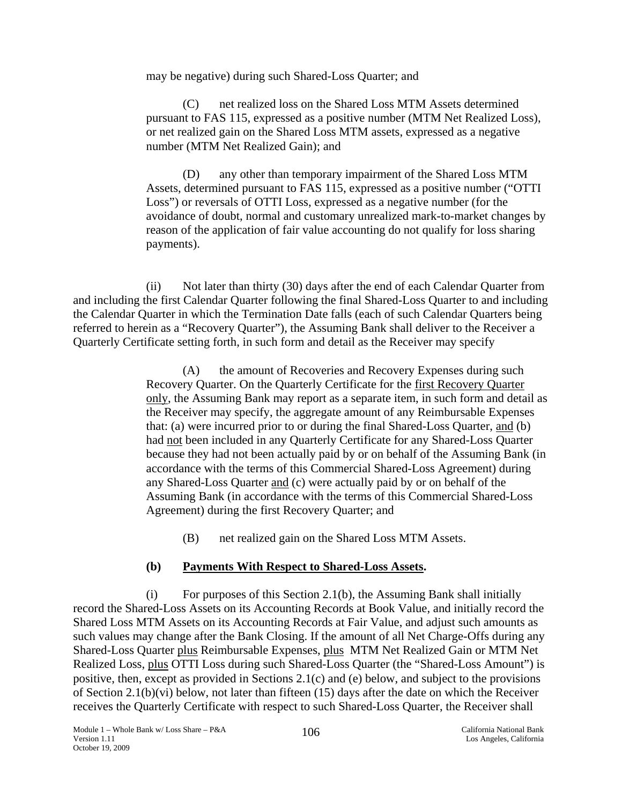may be negative) during such Shared-Loss Quarter; and

(C) net realized loss on the Shared Loss MTM Assets determined pursuant to FAS 115, expressed as a positive number (MTM Net Realized Loss), or net realized gain on the Shared Loss MTM assets, expressed as a negative number (MTM Net Realized Gain); and

(D) any other than temporary impairment of the Shared Loss MTM Assets, determined pursuant to FAS 115, expressed as a positive number ("OTTI Loss") or reversals of OTTI Loss, expressed as a negative number (for the avoidance of doubt, normal and customary unrealized mark-to-market changes by reason of the application of fair value accounting do not qualify for loss sharing payments).

(ii) Not later than thirty (30) days after the end of each Calendar Quarter from and including the first Calendar Quarter following the final Shared-Loss Quarter to and including the Calendar Quarter in which the Termination Date falls (each of such Calendar Quarters being referred to herein as a "Recovery Quarter"), the Assuming Bank shall deliver to the Receiver a Quarterly Certificate setting forth, in such form and detail as the Receiver may specify

> (A) the amount of Recoveries and Recovery Expenses during such Recovery Quarter. On the Quarterly Certificate for the first Recovery Quarter only, the Assuming Bank may report as a separate item, in such form and detail as the Receiver may specify, the aggregate amount of any Reimbursable Expenses that: (a) were incurred prior to or during the final Shared-Loss Quarter, and (b) had not been included in any Quarterly Certificate for any Shared-Loss Quarter because they had not been actually paid by or on behalf of the Assuming Bank (in accordance with the terms of this Commercial Shared-Loss Agreement) during any Shared-Loss Quarter and (c) were actually paid by or on behalf of the Assuming Bank (in accordance with the terms of this Commercial Shared-Loss Agreement) during the first Recovery Quarter; and

(B) net realized gain on the Shared Loss MTM Assets.

# **(b) Payments With Respect to Shared-Loss Assets.**

(i) For purposes of this Section 2.1(b), the Assuming Bank shall initially record the Shared-Loss Assets on its Accounting Records at Book Value, and initially record the Shared Loss MTM Assets on its Accounting Records at Fair Value, and adjust such amounts as such values may change after the Bank Closing. If the amount of all Net Charge-Offs during any Shared-Loss Quarter plus Reimbursable Expenses, plus MTM Net Realized Gain or MTM Net Realized Loss, plus OTTI Loss during such Shared-Loss Quarter (the "Shared-Loss Amount") is positive, then, except as provided in Sections 2.1(c) and (e) below, and subject to the provisions of Section 2.1(b)(vi) below, not later than fifteen (15) days after the date on which the Receiver receives the Quarterly Certificate with respect to such Shared-Loss Quarter, the Receiver shall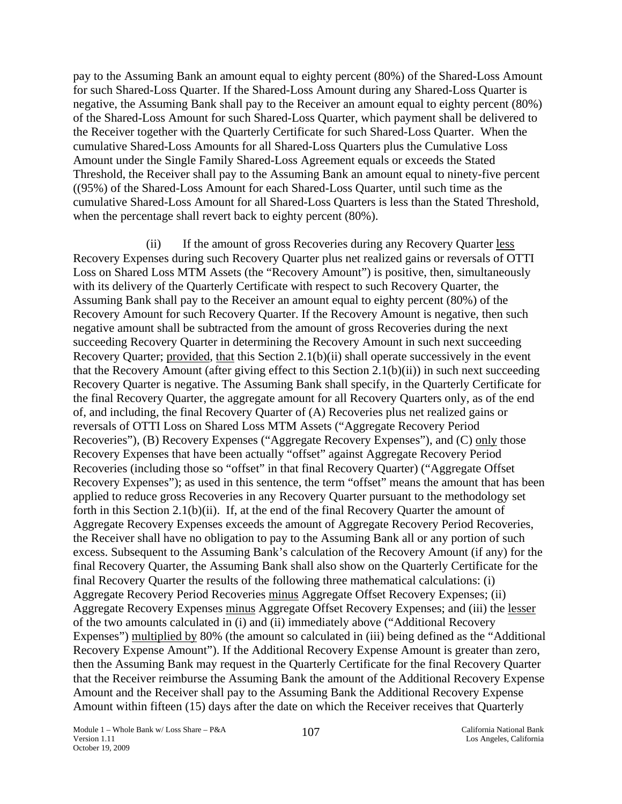pay to the Assuming Bank an amount equal to eighty percent (80%) of the Shared-Loss Amount for such Shared-Loss Quarter. If the Shared-Loss Amount during any Shared-Loss Quarter is negative, the Assuming Bank shall pay to the Receiver an amount equal to eighty percent (80%) of the Shared-Loss Amount for such Shared-Loss Quarter, which payment shall be delivered to the Receiver together with the Quarterly Certificate for such Shared-Loss Quarter. When the cumulative Shared-Loss Amounts for all Shared-Loss Quarters plus the Cumulative Loss Amount under the Single Family Shared-Loss Agreement equals or exceeds the Stated Threshold, the Receiver shall pay to the Assuming Bank an amount equal to ninety-five percent ((95%) of the Shared-Loss Amount for each Shared-Loss Quarter, until such time as the cumulative Shared-Loss Amount for all Shared-Loss Quarters is less than the Stated Threshold, when the percentage shall revert back to eighty percent (80%).

(ii) If the amount of gross Recoveries during any Recovery Quarter less Recovery Expenses during such Recovery Quarter plus net realized gains or reversals of OTTI Loss on Shared Loss MTM Assets (the "Recovery Amount") is positive, then, simultaneously with its delivery of the Quarterly Certificate with respect to such Recovery Quarter, the Assuming Bank shall pay to the Receiver an amount equal to eighty percent (80%) of the Recovery Amount for such Recovery Quarter. If the Recovery Amount is negative, then such negative amount shall be subtracted from the amount of gross Recoveries during the next succeeding Recovery Quarter in determining the Recovery Amount in such next succeeding Recovery Quarter; provided, that this Section 2.1(b)(ii) shall operate successively in the event that the Recovery Amount (after giving effect to this Section 2.1(b)(ii)) in such next succeeding Recovery Quarter is negative. The Assuming Bank shall specify, in the Quarterly Certificate for the final Recovery Quarter, the aggregate amount for all Recovery Quarters only, as of the end of, and including, the final Recovery Quarter of (A) Recoveries plus net realized gains or reversals of OTTI Loss on Shared Loss MTM Assets ("Aggregate Recovery Period Recoveries"), (B) Recovery Expenses ("Aggregate Recovery Expenses"), and (C) only those Recovery Expenses that have been actually "offset" against Aggregate Recovery Period Recoveries (including those so "offset" in that final Recovery Quarter) ("Aggregate Offset Recovery Expenses"); as used in this sentence, the term "offset" means the amount that has been applied to reduce gross Recoveries in any Recovery Quarter pursuant to the methodology set forth in this Section 2.1(b)(ii). If, at the end of the final Recovery Quarter the amount of Aggregate Recovery Expenses exceeds the amount of Aggregate Recovery Period Recoveries, the Receiver shall have no obligation to pay to the Assuming Bank all or any portion of such excess. Subsequent to the Assuming Bank's calculation of the Recovery Amount (if any) for the final Recovery Quarter, the Assuming Bank shall also show on the Quarterly Certificate for the final Recovery Quarter the results of the following three mathematical calculations: (i) Aggregate Recovery Period Recoveries minus Aggregate Offset Recovery Expenses; (ii) Aggregate Recovery Expenses minus Aggregate Offset Recovery Expenses; and (iii) the lesser of the two amounts calculated in (i) and (ii) immediately above ("Additional Recovery Expenses") multiplied by 80% (the amount so calculated in (iii) being defined as the "Additional Recovery Expense Amount"). If the Additional Recovery Expense Amount is greater than zero, then the Assuming Bank may request in the Quarterly Certificate for the final Recovery Quarter that the Receiver reimburse the Assuming Bank the amount of the Additional Recovery Expense Amount and the Receiver shall pay to the Assuming Bank the Additional Recovery Expense Amount within fifteen (15) days after the date on which the Receiver receives that Quarterly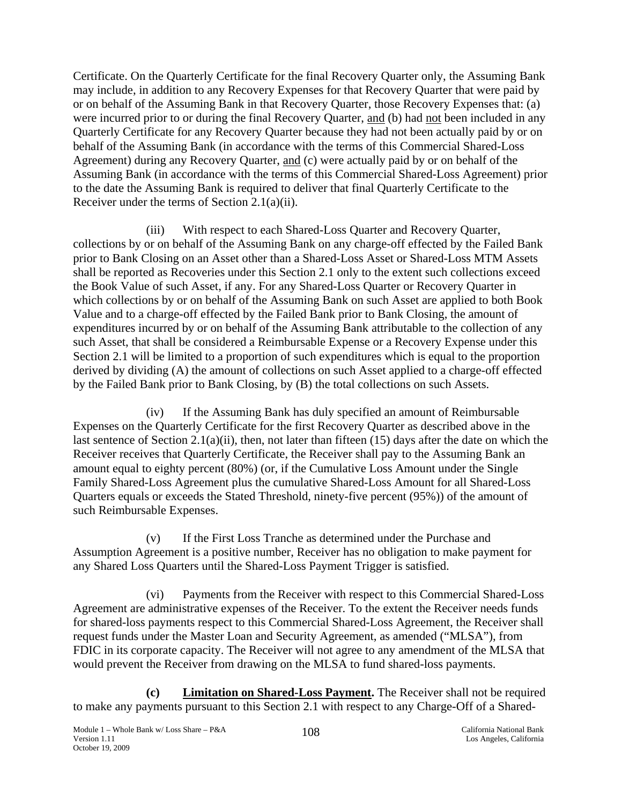Certificate. On the Quarterly Certificate for the final Recovery Quarter only, the Assuming Bank may include, in addition to any Recovery Expenses for that Recovery Quarter that were paid by or on behalf of the Assuming Bank in that Recovery Quarter, those Recovery Expenses that: (a) were incurred prior to or during the final Recovery Quarter, and (b) had not been included in any Quarterly Certificate for any Recovery Quarter because they had not been actually paid by or on behalf of the Assuming Bank (in accordance with the terms of this Commercial Shared-Loss Agreement) during any Recovery Quarter, and (c) were actually paid by or on behalf of the Assuming Bank (in accordance with the terms of this Commercial Shared-Loss Agreement) prior to the date the Assuming Bank is required to deliver that final Quarterly Certificate to the Receiver under the terms of Section 2.1(a)(ii).

(iii) With respect to each Shared-Loss Quarter and Recovery Quarter, collections by or on behalf of the Assuming Bank on any charge-off effected by the Failed Bank prior to Bank Closing on an Asset other than a Shared-Loss Asset or Shared-Loss MTM Assets shall be reported as Recoveries under this Section 2.1 only to the extent such collections exceed the Book Value of such Asset, if any. For any Shared-Loss Quarter or Recovery Quarter in which collections by or on behalf of the Assuming Bank on such Asset are applied to both Book Value and to a charge-off effected by the Failed Bank prior to Bank Closing, the amount of expenditures incurred by or on behalf of the Assuming Bank attributable to the collection of any such Asset, that shall be considered a Reimbursable Expense or a Recovery Expense under this Section 2.1 will be limited to a proportion of such expenditures which is equal to the proportion derived by dividing (A) the amount of collections on such Asset applied to a charge-off effected by the Failed Bank prior to Bank Closing, by (B) the total collections on such Assets.

(iv) If the Assuming Bank has duly specified an amount of Reimbursable Expenses on the Quarterly Certificate for the first Recovery Quarter as described above in the last sentence of Section 2.1(a)(ii), then, not later than fifteen (15) days after the date on which the Receiver receives that Quarterly Certificate, the Receiver shall pay to the Assuming Bank an amount equal to eighty percent (80%) (or, if the Cumulative Loss Amount under the Single Family Shared-Loss Agreement plus the cumulative Shared-Loss Amount for all Shared-Loss Quarters equals or exceeds the Stated Threshold, ninety-five percent (95%)) of the amount of such Reimbursable Expenses.

(v) If the First Loss Tranche as determined under the Purchase and Assumption Agreement is a positive number, Receiver has no obligation to make payment for any Shared Loss Quarters until the Shared-Loss Payment Trigger is satisfied.

(vi) Payments from the Receiver with respect to this Commercial Shared-Loss Agreement are administrative expenses of the Receiver. To the extent the Receiver needs funds for shared-loss payments respect to this Commercial Shared-Loss Agreement, the Receiver shall request funds under the Master Loan and Security Agreement, as amended ("MLSA"), from FDIC in its corporate capacity. The Receiver will not agree to any amendment of the MLSA that would prevent the Receiver from drawing on the MLSA to fund shared-loss payments.

**(c) Limitation on Shared-Loss Payment.** The Receiver shall not be required to make any payments pursuant to this Section 2.1 with respect to any Charge-Off of a Shared-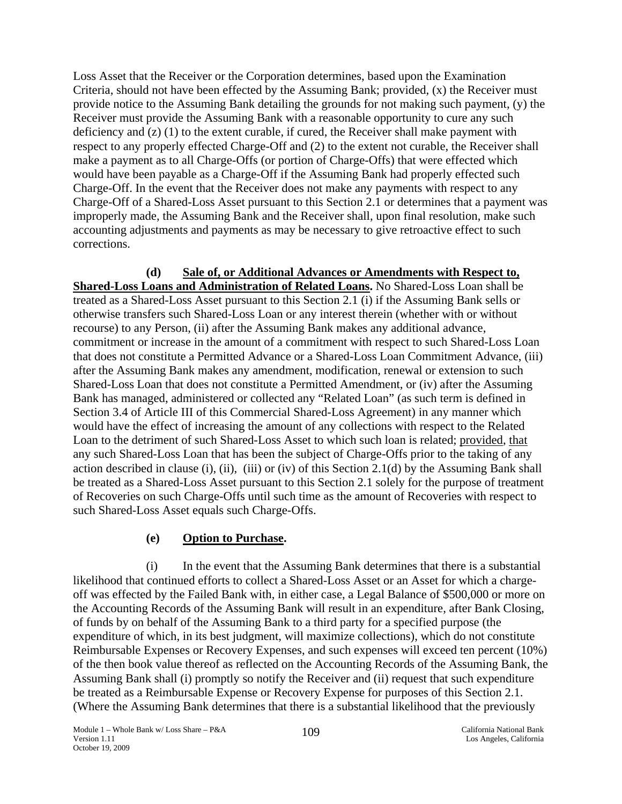Loss Asset that the Receiver or the Corporation determines, based upon the Examination Criteria, should not have been effected by the Assuming Bank; provided, (x) the Receiver must provide notice to the Assuming Bank detailing the grounds for not making such payment, (y) the Receiver must provide the Assuming Bank with a reasonable opportunity to cure any such deficiency and (z) (1) to the extent curable, if cured, the Receiver shall make payment with respect to any properly effected Charge-Off and (2) to the extent not curable, the Receiver shall make a payment as to all Charge-Offs (or portion of Charge-Offs) that were effected which would have been payable as a Charge-Off if the Assuming Bank had properly effected such Charge-Off. In the event that the Receiver does not make any payments with respect to any Charge-Off of a Shared-Loss Asset pursuant to this Section 2.1 or determines that a payment was improperly made, the Assuming Bank and the Receiver shall, upon final resolution, make such accounting adjustments and payments as may be necessary to give retroactive effect to such corrections.

Loan to the detriment of such Shared-Loss Asset to which such loan is related; provided, that **(d) Sale of, or Additional Advances or Amendments with Respect to, Shared-Loss Loans and Administration of Related Loans.** No Shared-Loss Loan shall be treated as a Shared-Loss Asset pursuant to this Section 2.1 (i) if the Assuming Bank sells or otherwise transfers such Shared-Loss Loan or any interest therein (whether with or without recourse) to any Person, (ii) after the Assuming Bank makes any additional advance, commitment or increase in the amount of a commitment with respect to such Shared-Loss Loan that does not constitute a Permitted Advance or a Shared-Loss Loan Commitment Advance, (iii) after the Assuming Bank makes any amendment, modification, renewal or extension to such Shared-Loss Loan that does not constitute a Permitted Amendment, or (iv) after the Assuming Bank has managed, administered or collected any "Related Loan" (as such term is defined in Section 3.4 of Article III of this Commercial Shared-Loss Agreement) in any manner which would have the effect of increasing the amount of any collections with respect to the Related any such Shared-Loss Loan that has been the subject of Charge-Offs prior to the taking of any action described in clause (i), (ii), (iii) or (iv) of this Section 2.1(d) by the Assuming Bank shall be treated as a Shared-Loss Asset pursuant to this Section 2.1 solely for the purpose of treatment of Recoveries on such Charge-Offs until such time as the amount of Recoveries with respect to such Shared-Loss Asset equals such Charge-Offs.

#### **(e) Option to Purchase.**

(i) In the event that the Assuming Bank determines that there is a substantial likelihood that continued efforts to collect a Shared-Loss Asset or an Asset for which a chargeoff was effected by the Failed Bank with, in either case, a Legal Balance of \$500,000 or more on the Accounting Records of the Assuming Bank will result in an expenditure, after Bank Closing, of funds by on behalf of the Assuming Bank to a third party for a specified purpose (the expenditure of which, in its best judgment, will maximize collections), which do not constitute Reimbursable Expenses or Recovery Expenses, and such expenses will exceed ten percent (10%) of the then book value thereof as reflected on the Accounting Records of the Assuming Bank, the Assuming Bank shall (i) promptly so notify the Receiver and (ii) request that such expenditure be treated as a Reimbursable Expense or Recovery Expense for purposes of this Section 2.1. (Where the Assuming Bank determines that there is a substantial likelihood that the previously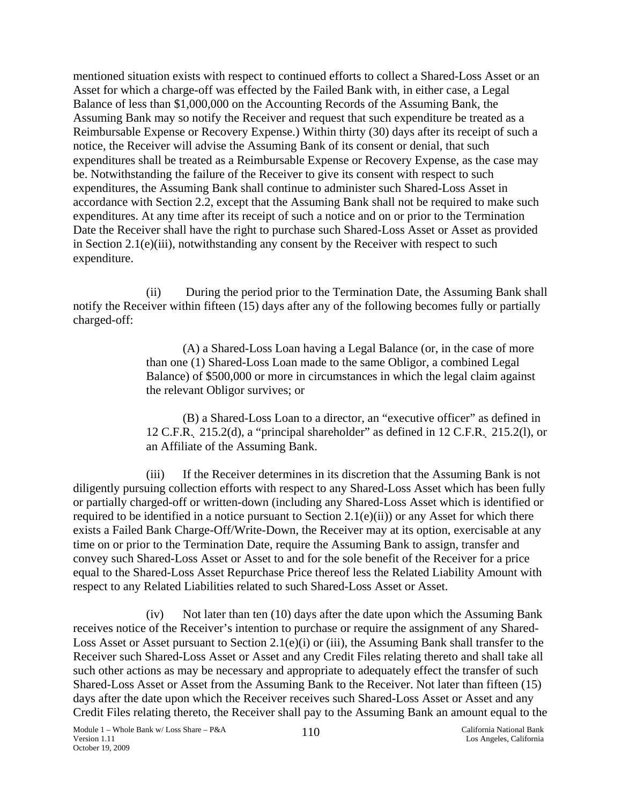mentioned situation exists with respect to continued efforts to collect a Shared-Loss Asset or an Asset for which a charge-off was effected by the Failed Bank with, in either case, a Legal Balance of less than \$1,000,000 on the Accounting Records of the Assuming Bank, the Assuming Bank may so notify the Receiver and request that such expenditure be treated as a Reimbursable Expense or Recovery Expense.) Within thirty (30) days after its receipt of such a notice, the Receiver will advise the Assuming Bank of its consent or denial, that such expenditures shall be treated as a Reimbursable Expense or Recovery Expense, as the case may be. Notwithstanding the failure of the Receiver to give its consent with respect to such expenditures, the Assuming Bank shall continue to administer such Shared-Loss Asset in accordance with Section 2.2, except that the Assuming Bank shall not be required to make such expenditures. At any time after its receipt of such a notice and on or prior to the Termination Date the Receiver shall have the right to purchase such Shared-Loss Asset or Asset as provided in Section 2.1(e)(iii), notwithstanding any consent by the Receiver with respect to such expenditure.

(ii) During the period prior to the Termination Date, the Assuming Bank shall notify the Receiver within fifteen (15) days after any of the following becomes fully or partially charged-off:

> (A) a Shared-Loss Loan having a Legal Balance (or, in the case of more than one (1) Shared-Loss Loan made to the same Obligor, a combined Legal Balance) of \$500,000 or more in circumstances in which the legal claim against the relevant Obligor survives; or

(B) a Shared-Loss Loan to a director, an "executive officer" as defined in 12 C.F.R. 215.2(d), a "principal shareholder" as defined in 12 C.F.R. 215.2(l), or an Affiliate of the Assuming Bank.

(iii) If the Receiver determines in its discretion that the Assuming Bank is not diligently pursuing collection efforts with respect to any Shared-Loss Asset which has been fully or partially charged-off or written-down (including any Shared-Loss Asset which is identified or required to be identified in a notice pursuant to Section  $2.1(e)(ii)$  or any Asset for which there exists a Failed Bank Charge-Off/Write-Down, the Receiver may at its option, exercisable at any time on or prior to the Termination Date, require the Assuming Bank to assign, transfer and convey such Shared-Loss Asset or Asset to and for the sole benefit of the Receiver for a price equal to the Shared-Loss Asset Repurchase Price thereof less the Related Liability Amount with respect to any Related Liabilities related to such Shared-Loss Asset or Asset.

(iv) Not later than ten (10) days after the date upon which the Assuming Bank receives notice of the Receiver's intention to purchase or require the assignment of any Shared-Loss Asset or Asset pursuant to Section 2.1(e)(i) or (iii), the Assuming Bank shall transfer to the Receiver such Shared-Loss Asset or Asset and any Credit Files relating thereto and shall take all such other actions as may be necessary and appropriate to adequately effect the transfer of such Shared-Loss Asset or Asset from the Assuming Bank to the Receiver. Not later than fifteen (15) days after the date upon which the Receiver receives such Shared-Loss Asset or Asset and any Credit Files relating thereto, the Receiver shall pay to the Assuming Bank an amount equal to the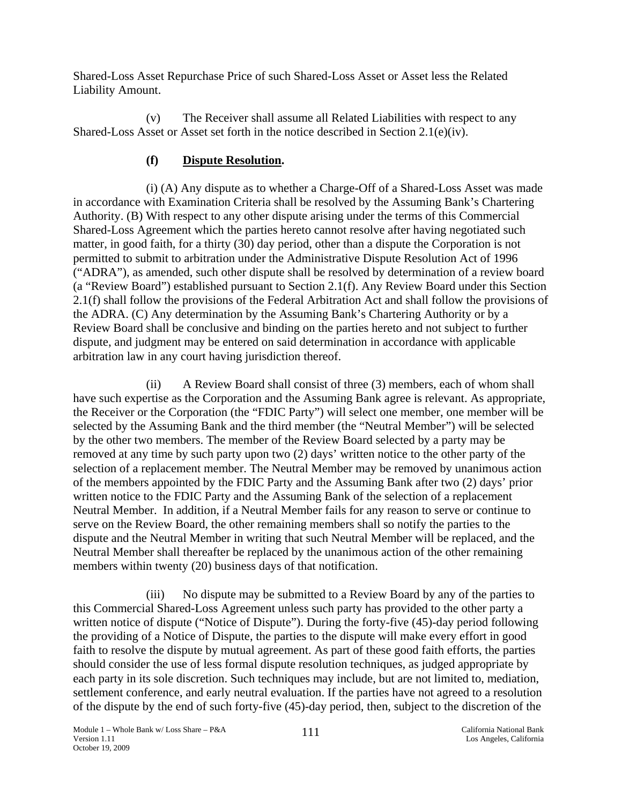Shared-Loss Asset Repurchase Price of such Shared-Loss Asset or Asset less the Related Liability Amount.

(v) The Receiver shall assume all Related Liabilities with respect to any Shared-Loss Asset or Asset set forth in the notice described in Section 2.1(e)(iv).

### **(f) Dispute Resolution.**

(i) (A) Any dispute as to whether a Charge-Off of a Shared-Loss Asset was made in accordance with Examination Criteria shall be resolved by the Assuming Bank's Chartering Authority. (B) With respect to any other dispute arising under the terms of this Commercial Shared-Loss Agreement which the parties hereto cannot resolve after having negotiated such matter, in good faith, for a thirty (30) day period, other than a dispute the Corporation is not permitted to submit to arbitration under the Administrative Dispute Resolution Act of 1996 ("ADRA"), as amended, such other dispute shall be resolved by determination of a review board (a "Review Board") established pursuant to Section 2.1(f). Any Review Board under this Section 2.1(f) shall follow the provisions of the Federal Arbitration Act and shall follow the provisions of the ADRA. (C) Any determination by the Assuming Bank's Chartering Authority or by a Review Board shall be conclusive and binding on the parties hereto and not subject to further dispute, and judgment may be entered on said determination in accordance with applicable arbitration law in any court having jurisdiction thereof.

(ii) A Review Board shall consist of three (3) members, each of whom shall have such expertise as the Corporation and the Assuming Bank agree is relevant. As appropriate, the Receiver or the Corporation (the "FDIC Party") will select one member, one member will be selected by the Assuming Bank and the third member (the "Neutral Member") will be selected by the other two members. The member of the Review Board selected by a party may be removed at any time by such party upon two (2) days' written notice to the other party of the selection of a replacement member. The Neutral Member may be removed by unanimous action of the members appointed by the FDIC Party and the Assuming Bank after two (2) days' prior written notice to the FDIC Party and the Assuming Bank of the selection of a replacement Neutral Member. In addition, if a Neutral Member fails for any reason to serve or continue to serve on the Review Board, the other remaining members shall so notify the parties to the dispute and the Neutral Member in writing that such Neutral Member will be replaced, and the Neutral Member shall thereafter be replaced by the unanimous action of the other remaining members within twenty (20) business days of that notification.

(iii) No dispute may be submitted to a Review Board by any of the parties to this Commercial Shared-Loss Agreement unless such party has provided to the other party a written notice of dispute ("Notice of Dispute"). During the forty-five (45)-day period following the providing of a Notice of Dispute, the parties to the dispute will make every effort in good faith to resolve the dispute by mutual agreement. As part of these good faith efforts, the parties should consider the use of less formal dispute resolution techniques, as judged appropriate by each party in its sole discretion. Such techniques may include, but are not limited to, mediation, settlement conference, and early neutral evaluation. If the parties have not agreed to a resolution of the dispute by the end of such forty-five (45)-day period, then, subject to the discretion of the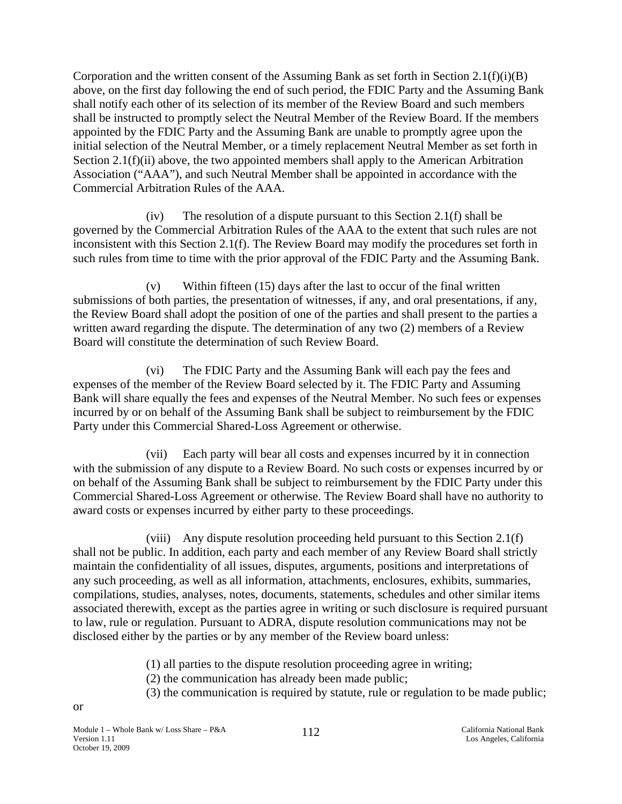Corporation and the written consent of the Assuming Bank as set forth in Section 2.1(f)(i)(B) above, on the first day following the end of such period, the FDIC Party and the Assuming Bank shall notify each other of its selection of its member of the Review Board and such members shall be instructed to promptly select the Neutral Member of the Review Board. If the members appointed by the FDIC Party and the Assuming Bank are unable to promptly agree upon the initial selection of the Neutral Member, or a timely replacement Neutral Member as set forth in Section 2.1(f)(ii) above, the two appointed members shall apply to the American Arbitration Association ("AAA"), and such Neutral Member shall be appointed in accordance with the Commercial Arbitration Rules of the AAA.

(iv) The resolution of a dispute pursuant to this Section 2.1(f) shall be governed by the Commercial Arbitration Rules of the AAA to the extent that such rules are not inconsistent with this Section 2.1(f). The Review Board may modify the procedures set forth in such rules from time to time with the prior approval of the FDIC Party and the Assuming Bank.

(v) Within fifteen (15) days after the last to occur of the final written submissions of both parties, the presentation of witnesses, if any, and oral presentations, if any, the Review Board shall adopt the position of one of the parties and shall present to the parties a written award regarding the dispute. The determination of any two (2) members of a Review Board will constitute the determination of such Review Board.

(vi) The FDIC Party and the Assuming Bank will each pay the fees and expenses of the member of the Review Board selected by it. The FDIC Party and Assuming Bank will share equally the fees and expenses of the Neutral Member. No such fees or expenses incurred by or on behalf of the Assuming Bank shall be subject to reimbursement by the FDIC Party under this Commercial Shared-Loss Agreement or otherwise.

(vii) Each party will bear all costs and expenses incurred by it in connection with the submission of any dispute to a Review Board. No such costs or expenses incurred by or on behalf of the Assuming Bank shall be subject to reimbursement by the FDIC Party under this Commercial Shared-Loss Agreement or otherwise. The Review Board shall have no authority to award costs or expenses incurred by either party to these proceedings.

(viii) Any dispute resolution proceeding held pursuant to this Section 2.1(f) shall not be public. In addition, each party and each member of any Review Board shall strictly maintain the confidentiality of all issues, disputes, arguments, positions and interpretations of any such proceeding, as well as all information, attachments, enclosures, exhibits, summaries, compilations, studies, analyses, notes, documents, statements, schedules and other similar items associated therewith, except as the parties agree in writing or such disclosure is required pursuant to law, rule or regulation. Pursuant to ADRA, dispute resolution communications may not be disclosed either by the parties or by any member of the Review board unless:

(1) all parties to the dispute resolution proceeding agree in writing;

- (2) the communication has already been made public;
- (3) the communication is required by statute, rule or regulation to be made public;

or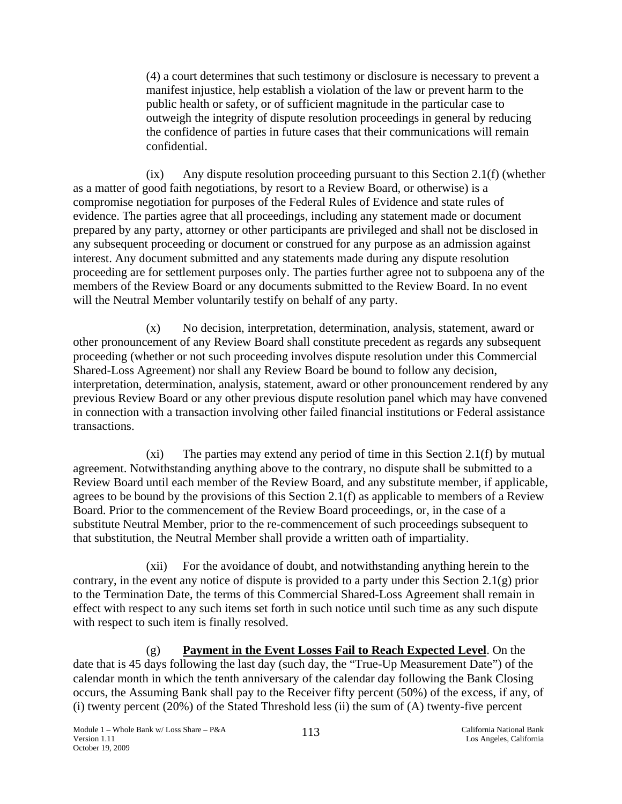(4) a court determines that such testimony or disclosure is necessary to prevent a manifest injustice, help establish a violation of the law or prevent harm to the public health or safety, or of sufficient magnitude in the particular case to outweigh the integrity of dispute resolution proceedings in general by reducing the confidence of parties in future cases that their communications will remain confidential.

 $(ix)$  Any dispute resolution proceeding pursuant to this Section 2.1(f) (whether as a matter of good faith negotiations, by resort to a Review Board, or otherwise) is a compromise negotiation for purposes of the Federal Rules of Evidence and state rules of evidence. The parties agree that all proceedings, including any statement made or document prepared by any party, attorney or other participants are privileged and shall not be disclosed in any subsequent proceeding or document or construed for any purpose as an admission against interest. Any document submitted and any statements made during any dispute resolution proceeding are for settlement purposes only. The parties further agree not to subpoena any of the members of the Review Board or any documents submitted to the Review Board. In no event will the Neutral Member voluntarily testify on behalf of any party.

(x) No decision, interpretation, determination, analysis, statement, award or other pronouncement of any Review Board shall constitute precedent as regards any subsequent proceeding (whether or not such proceeding involves dispute resolution under this Commercial Shared-Loss Agreement) nor shall any Review Board be bound to follow any decision, interpretation, determination, analysis, statement, award or other pronouncement rendered by any previous Review Board or any other previous dispute resolution panel which may have convened in connection with a transaction involving other failed financial institutions or Federal assistance transactions.

(xi) The parties may extend any period of time in this Section 2.1(f) by mutual agreement. Notwithstanding anything above to the contrary, no dispute shall be submitted to a Review Board until each member of the Review Board, and any substitute member, if applicable, agrees to be bound by the provisions of this Section 2.1(f) as applicable to members of a Review Board. Prior to the commencement of the Review Board proceedings, or, in the case of a substitute Neutral Member, prior to the re-commencement of such proceedings subsequent to that substitution, the Neutral Member shall provide a written oath of impartiality.

(xii) For the avoidance of doubt, and notwithstanding anything herein to the contrary, in the event any notice of dispute is provided to a party under this Section 2.1(g) prior to the Termination Date, the terms of this Commercial Shared-Loss Agreement shall remain in effect with respect to any such items set forth in such notice until such time as any such dispute with respect to such item is finally resolved.

 (g) **Payment in the Event Losses Fail to Reach Expected Level**. On the date that is 45 days following the last day (such day, the "True-Up Measurement Date") of the calendar month in which the tenth anniversary of the calendar day following the Bank Closing occurs, the Assuming Bank shall pay to the Receiver fifty percent (50%) of the excess, if any, of  $(i)$  twenty percent (20%) of the Stated Threshold less  $(ii)$  the sum of  $(A)$  twenty-five percent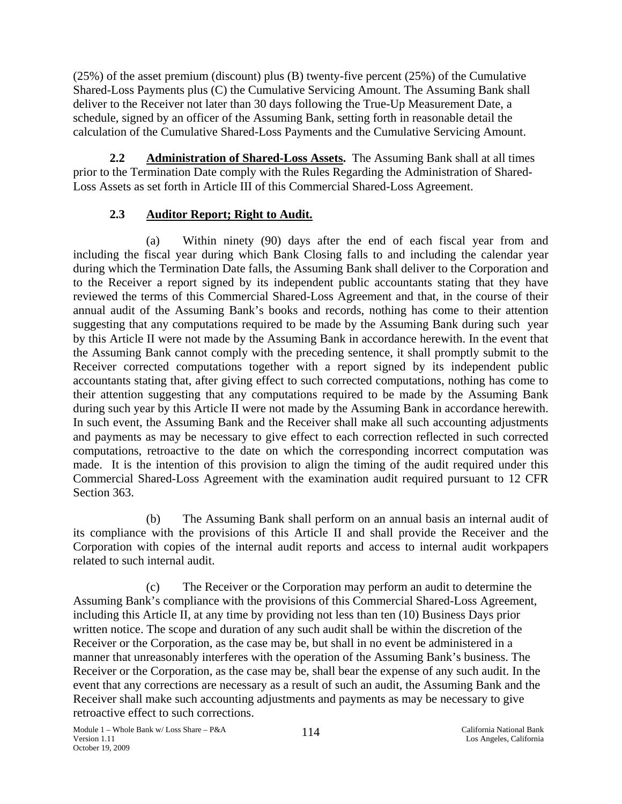(25%) of the asset premium (discount) plus (B) twenty-five percent (25%) of the Cumulative Shared-Loss Payments plus (C) the Cumulative Servicing Amount. The Assuming Bank shall deliver to the Receiver not later than 30 days following the True-Up Measurement Date, a schedule, signed by an officer of the Assuming Bank, setting forth in reasonable detail the calculation of the Cumulative Shared-Loss Payments and the Cumulative Servicing Amount.

**2.2 Administration of Shared-Loss Assets.** The Assuming Bank shall at all times prior to the Termination Date comply with the Rules Regarding the Administration of Shared-Loss Assets as set forth in Article III of this Commercial Shared-Loss Agreement.

# **2.3 Auditor Report; Right to Audit.**

(a) Within ninety (90) days after the end of each fiscal year from and including the fiscal year during which Bank Closing falls to and including the calendar year during which the Termination Date falls, the Assuming Bank shall deliver to the Corporation and to the Receiver a report signed by its independent public accountants stating that they have reviewed the terms of this Commercial Shared-Loss Agreement and that, in the course of their annual audit of the Assuming Bank's books and records, nothing has come to their attention suggesting that any computations required to be made by the Assuming Bank during such year by this Article II were not made by the Assuming Bank in accordance herewith. In the event that the Assuming Bank cannot comply with the preceding sentence, it shall promptly submit to the Receiver corrected computations together with a report signed by its independent public accountants stating that, after giving effect to such corrected computations, nothing has come to their attention suggesting that any computations required to be made by the Assuming Bank during such year by this Article II were not made by the Assuming Bank in accordance herewith. In such event, the Assuming Bank and the Receiver shall make all such accounting adjustments and payments as may be necessary to give effect to each correction reflected in such corrected computations, retroactive to the date on which the corresponding incorrect computation was made. It is the intention of this provision to align the timing of the audit required under this Commercial Shared-Loss Agreement with the examination audit required pursuant to 12 CFR Section 363.

(b) The Assuming Bank shall perform on an annual basis an internal audit of its compliance with the provisions of this Article II and shall provide the Receiver and the Corporation with copies of the internal audit reports and access to internal audit workpapers related to such internal audit.

(c) The Receiver or the Corporation may perform an audit to determine the Assuming Bank's compliance with the provisions of this Commercial Shared-Loss Agreement, including this Article II, at any time by providing not less than ten (10) Business Days prior written notice. The scope and duration of any such audit shall be within the discretion of the Receiver or the Corporation, as the case may be, but shall in no event be administered in a manner that unreasonably interferes with the operation of the Assuming Bank's business. The Receiver or the Corporation, as the case may be, shall bear the expense of any such audit. In the event that any corrections are necessary as a result of such an audit, the Assuming Bank and the Receiver shall make such accounting adjustments and payments as may be necessary to give retroactive effect to such corrections.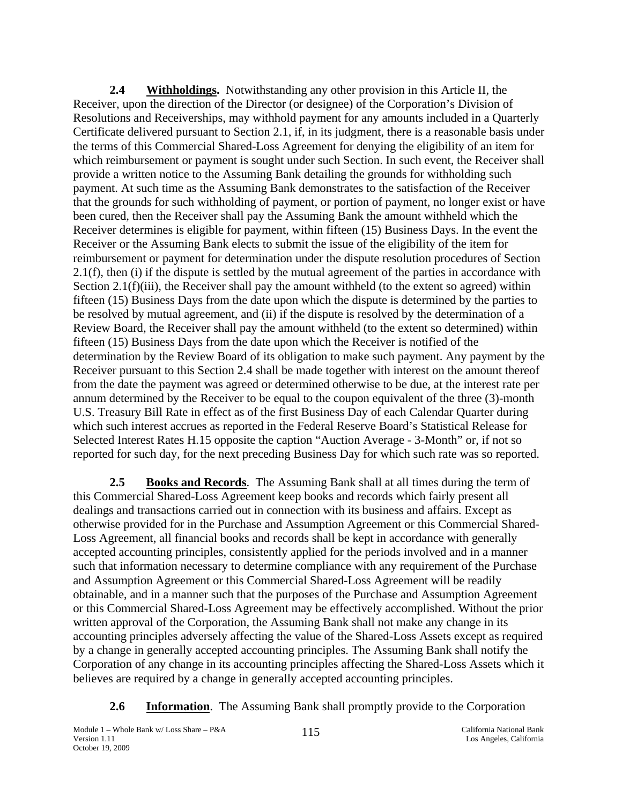**2.4 Withholdings.** Notwithstanding any other provision in this Article II, the Receiver, upon the direction of the Director (or designee) of the Corporation's Division of Resolutions and Receiverships, may withhold payment for any amounts included in a Quarterly Certificate delivered pursuant to Section 2.1, if, in its judgment, there is a reasonable basis under the terms of this Commercial Shared-Loss Agreement for denying the eligibility of an item for which reimbursement or payment is sought under such Section. In such event, the Receiver shall provide a written notice to the Assuming Bank detailing the grounds for withholding such payment. At such time as the Assuming Bank demonstrates to the satisfaction of the Receiver that the grounds for such withholding of payment, or portion of payment, no longer exist or have been cured, then the Receiver shall pay the Assuming Bank the amount withheld which the Receiver determines is eligible for payment, within fifteen (15) Business Days. In the event the Receiver or the Assuming Bank elects to submit the issue of the eligibility of the item for reimbursement or payment for determination under the dispute resolution procedures of Section 2.1(f), then (i) if the dispute is settled by the mutual agreement of the parties in accordance with Section 2.1(f)(iii), the Receiver shall pay the amount withheld (to the extent so agreed) within fifteen (15) Business Days from the date upon which the dispute is determined by the parties to be resolved by mutual agreement, and (ii) if the dispute is resolved by the determination of a Review Board, the Receiver shall pay the amount withheld (to the extent so determined) within fifteen (15) Business Days from the date upon which the Receiver is notified of the determination by the Review Board of its obligation to make such payment. Any payment by the Receiver pursuant to this Section 2.4 shall be made together with interest on the amount thereof from the date the payment was agreed or determined otherwise to be due, at the interest rate per annum determined by the Receiver to be equal to the coupon equivalent of the three (3)-month U.S. Treasury Bill Rate in effect as of the first Business Day of each Calendar Quarter during which such interest accrues as reported in the Federal Reserve Board's Statistical Release for Selected Interest Rates H.15 opposite the caption "Auction Average - 3-Month" or, if not so reported for such day, for the next preceding Business Day for which such rate was so reported.

**2.5 Books and Records**. The Assuming Bank shall at all times during the term of this Commercial Shared-Loss Agreement keep books and records which fairly present all dealings and transactions carried out in connection with its business and affairs. Except as otherwise provided for in the Purchase and Assumption Agreement or this Commercial Shared-Loss Agreement, all financial books and records shall be kept in accordance with generally accepted accounting principles, consistently applied for the periods involved and in a manner such that information necessary to determine compliance with any requirement of the Purchase and Assumption Agreement or this Commercial Shared-Loss Agreement will be readily obtainable, and in a manner such that the purposes of the Purchase and Assumption Agreement or this Commercial Shared-Loss Agreement may be effectively accomplished. Without the prior written approval of the Corporation, the Assuming Bank shall not make any change in its accounting principles adversely affecting the value of the Shared-Loss Assets except as required by a change in generally accepted accounting principles. The Assuming Bank shall notify the Corporation of any change in its accounting principles affecting the Shared-Loss Assets which it believes are required by a change in generally accepted accounting principles.

**2.6 Information**. The Assuming Bank shall promptly provide to the Corporation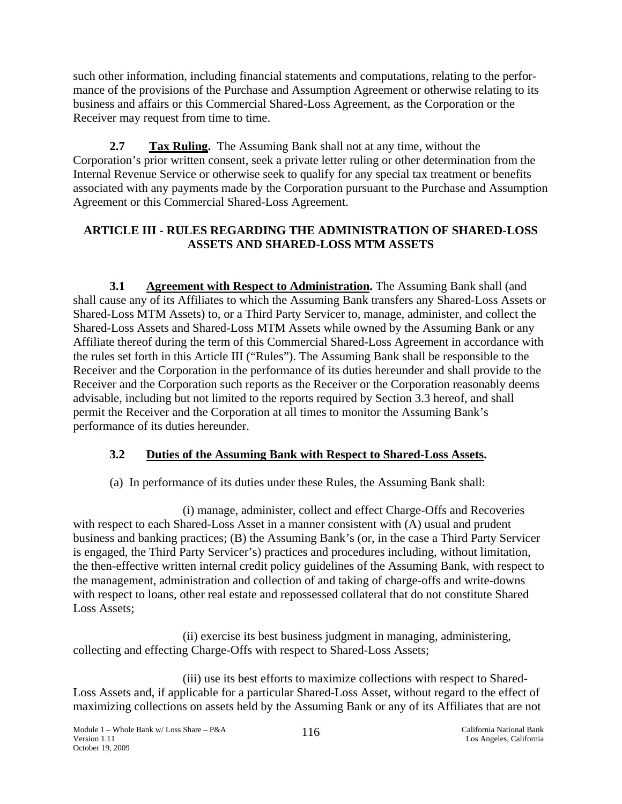such other information, including financial statements and computations, relating to the performance of the provisions of the Purchase and Assumption Agreement or otherwise relating to its business and affairs or this Commercial Shared-Loss Agreement, as the Corporation or the Receiver may request from time to time.

**2.7 Tax Ruling.** The Assuming Bank shall not at any time, without the Corporation's prior written consent, seek a private letter ruling or other determination from the Internal Revenue Service or otherwise seek to qualify for any special tax treatment or benefits associated with any payments made by the Corporation pursuant to the Purchase and Assumption Agreement or this Commercial Shared-Loss Agreement.

# **ARTICLE III - RULES REGARDING THE ADMINISTRATION OF SHARED-LOSS ASSETS AND SHARED-LOSS MTM ASSETS**

**3.1** Agreement with Respect to Administration. The Assuming Bank shall (and shall cause any of its Affiliates to which the Assuming Bank transfers any Shared-Loss Assets or Shared-Loss MTM Assets) to, or a Third Party Servicer to, manage, administer, and collect the Shared-Loss Assets and Shared-Loss MTM Assets while owned by the Assuming Bank or any Affiliate thereof during the term of this Commercial Shared-Loss Agreement in accordance with the rules set forth in this Article III ("Rules"). The Assuming Bank shall be responsible to the Receiver and the Corporation in the performance of its duties hereunder and shall provide to the Receiver and the Corporation such reports as the Receiver or the Corporation reasonably deems advisable, including but not limited to the reports required by Section 3.3 hereof, and shall permit the Receiver and the Corporation at all times to monitor the Assuming Bank's performance of its duties hereunder.

# **3.2 Duties of the Assuming Bank with Respect to Shared-Loss Assets.**

(a) In performance of its duties under these Rules, the Assuming Bank shall:

(i) manage, administer, collect and effect Charge-Offs and Recoveries with respect to each Shared-Loss Asset in a manner consistent with  $(A)$  usual and prudent business and banking practices; (B) the Assuming Bank's (or, in the case a Third Party Servicer is engaged, the Third Party Servicer's) practices and procedures including, without limitation, the then-effective written internal credit policy guidelines of the Assuming Bank, with respect to the management, administration and collection of and taking of charge-offs and write-downs with respect to loans, other real estate and repossessed collateral that do not constitute Shared Loss Assets;

(ii) exercise its best business judgment in managing, administering, collecting and effecting Charge-Offs with respect to Shared-Loss Assets;

(iii) use its best efforts to maximize collections with respect to Shared-Loss Assets and, if applicable for a particular Shared-Loss Asset, without regard to the effect of maximizing collections on assets held by the Assuming Bank or any of its Affiliates that are not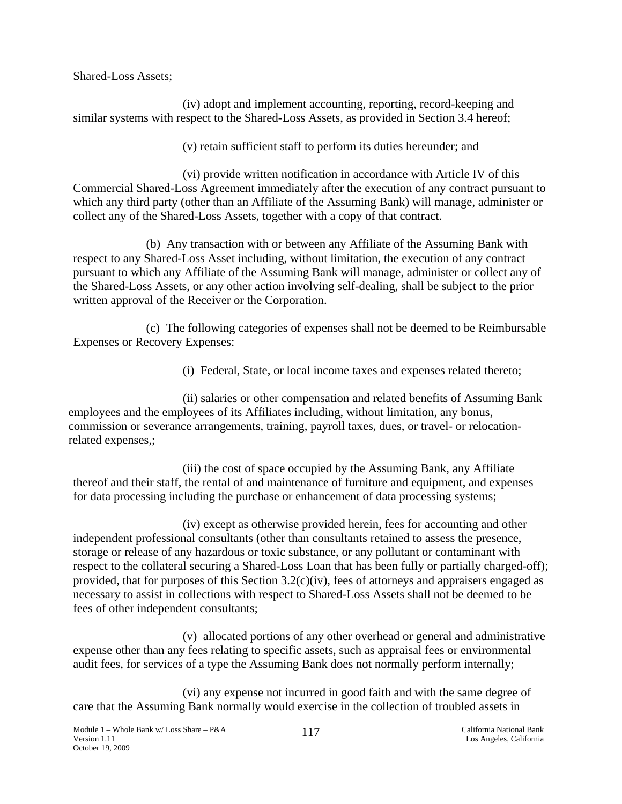Shared-Loss Assets;

(iv) adopt and implement accounting, reporting, record-keeping and similar systems with respect to the Shared-Loss Assets, as provided in Section 3.4 hereof;

(v) retain sufficient staff to perform its duties hereunder; and

(vi) provide written notification in accordance with Article IV of this Commercial Shared-Loss Agreement immediately after the execution of any contract pursuant to which any third party (other than an Affiliate of the Assuming Bank) will manage, administer or collect any of the Shared-Loss Assets, together with a copy of that contract.

(b) Any transaction with or between any Affiliate of the Assuming Bank with respect to any Shared-Loss Asset including, without limitation, the execution of any contract pursuant to which any Affiliate of the Assuming Bank will manage, administer or collect any of the Shared-Loss Assets, or any other action involving self-dealing, shall be subject to the prior written approval of the Receiver or the Corporation.

(c) The following categories of expenses shall not be deemed to be Reimbursable Expenses or Recovery Expenses:

(i) Federal, State, or local income taxes and expenses related thereto;

(ii) salaries or other compensation and related benefits of Assuming Bank employees and the employees of its Affiliates including, without limitation, any bonus, commission or severance arrangements, training, payroll taxes, dues, or travel- or relocationrelated expenses,;

(iii) the cost of space occupied by the Assuming Bank, any Affiliate thereof and their staff, the rental of and maintenance of furniture and equipment, and expenses for data processing including the purchase or enhancement of data processing systems;

(iv) except as otherwise provided herein, fees for accounting and other independent professional consultants (other than consultants retained to assess the presence, storage or release of any hazardous or toxic substance, or any pollutant or contaminant with respect to the collateral securing a Shared-Loss Loan that has been fully or partially charged-off); provided, that for purposes of this Section 3.2(c)(iv), fees of attorneys and appraisers engaged as necessary to assist in collections with respect to Shared-Loss Assets shall not be deemed to be fees of other independent consultants;

(v) allocated portions of any other overhead or general and administrative expense other than any fees relating to specific assets, such as appraisal fees or environmental audit fees, for services of a type the Assuming Bank does not normally perform internally;

(vi) any expense not incurred in good faith and with the same degree of care that the Assuming Bank normally would exercise in the collection of troubled assets in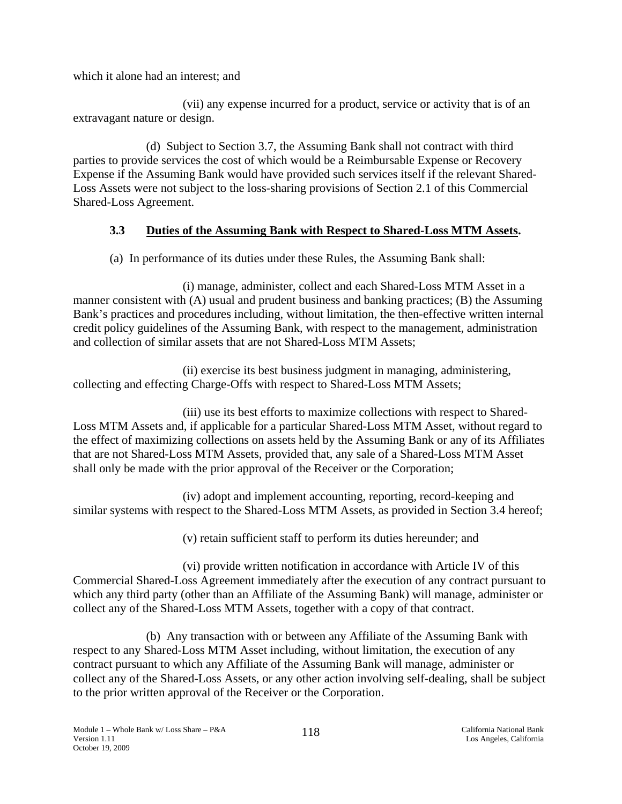which it alone had an interest; and

(vii) any expense incurred for a product, service or activity that is of an extravagant nature or design.

(d) Subject to Section 3.7, the Assuming Bank shall not contract with third parties to provide services the cost of which would be a Reimbursable Expense or Recovery Expense if the Assuming Bank would have provided such services itself if the relevant Shared-Loss Assets were not subject to the loss-sharing provisions of Section 2.1 of this Commercial Shared-Loss Agreement.

# **3.3 Duties of the Assuming Bank with Respect to Shared-Loss MTM Assets.**

(a) In performance of its duties under these Rules, the Assuming Bank shall:

(i) manage, administer, collect and each Shared-Loss MTM Asset in a manner consistent with  $(A)$  usual and prudent business and banking practices;  $(B)$  the Assuming Bank's practices and procedures including, without limitation, the then-effective written internal credit policy guidelines of the Assuming Bank, with respect to the management, administration and collection of similar assets that are not Shared-Loss MTM Assets;

(ii) exercise its best business judgment in managing, administering, collecting and effecting Charge-Offs with respect to Shared-Loss MTM Assets;

(iii) use its best efforts to maximize collections with respect to Shared-Loss MTM Assets and, if applicable for a particular Shared-Loss MTM Asset, without regard to the effect of maximizing collections on assets held by the Assuming Bank or any of its Affiliates that are not Shared-Loss MTM Assets, provided that, any sale of a Shared-Loss MTM Asset shall only be made with the prior approval of the Receiver or the Corporation;

(iv) adopt and implement accounting, reporting, record-keeping and similar systems with respect to the Shared-Loss MTM Assets, as provided in Section 3.4 hereof;

(v) retain sufficient staff to perform its duties hereunder; and

(vi) provide written notification in accordance with Article IV of this Commercial Shared-Loss Agreement immediately after the execution of any contract pursuant to which any third party (other than an Affiliate of the Assuming Bank) will manage, administer or collect any of the Shared-Loss MTM Assets, together with a copy of that contract.

(b) Any transaction with or between any Affiliate of the Assuming Bank with respect to any Shared-Loss MTM Asset including, without limitation, the execution of any contract pursuant to which any Affiliate of the Assuming Bank will manage, administer or collect any of the Shared-Loss Assets, or any other action involving self-dealing, shall be subject to the prior written approval of the Receiver or the Corporation.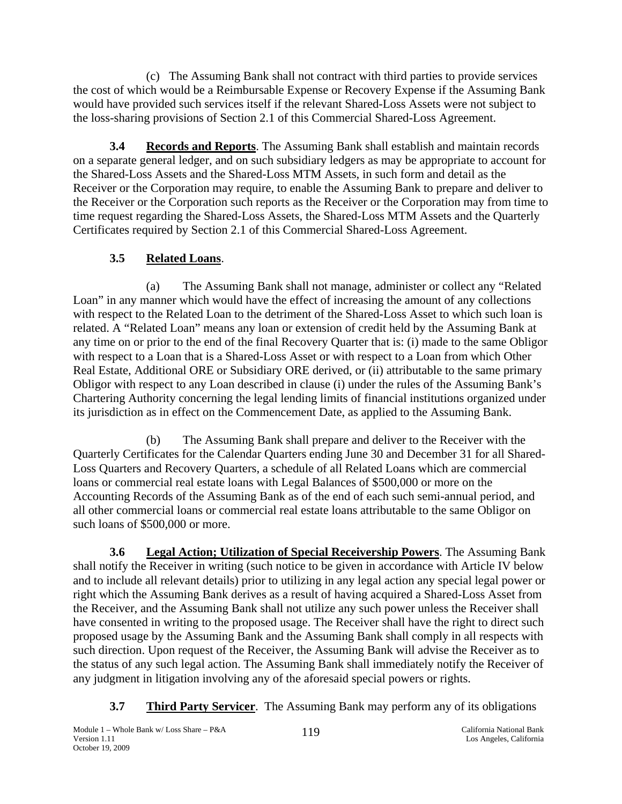(c) The Assuming Bank shall not contract with third parties to provide services the cost of which would be a Reimbursable Expense or Recovery Expense if the Assuming Bank would have provided such services itself if the relevant Shared-Loss Assets were not subject to the loss-sharing provisions of Section 2.1 of this Commercial Shared-Loss Agreement.

**3.4 Records and Reports**. The Assuming Bank shall establish and maintain records on a separate general ledger, and on such subsidiary ledgers as may be appropriate to account for the Shared-Loss Assets and the Shared-Loss MTM Assets, in such form and detail as the Receiver or the Corporation may require, to enable the Assuming Bank to prepare and deliver to the Receiver or the Corporation such reports as the Receiver or the Corporation may from time to time request regarding the Shared-Loss Assets, the Shared-Loss MTM Assets and the Quarterly Certificates required by Section 2.1 of this Commercial Shared-Loss Agreement.

# **3.5 Related Loans**.

(a) The Assuming Bank shall not manage, administer or collect any "Related Loan" in any manner which would have the effect of increasing the amount of any collections with respect to the Related Loan to the detriment of the Shared-Loss Asset to which such loan is related. A "Related Loan" means any loan or extension of credit held by the Assuming Bank at any time on or prior to the end of the final Recovery Quarter that is: (i) made to the same Obligor with respect to a Loan that is a Shared-Loss Asset or with respect to a Loan from which Other Real Estate, Additional ORE or Subsidiary ORE derived, or (ii) attributable to the same primary Obligor with respect to any Loan described in clause (i) under the rules of the Assuming Bank's Chartering Authority concerning the legal lending limits of financial institutions organized under its jurisdiction as in effect on the Commencement Date, as applied to the Assuming Bank.

(b) The Assuming Bank shall prepare and deliver to the Receiver with the Quarterly Certificates for the Calendar Quarters ending June 30 and December 31 for all Shared-Loss Quarters and Recovery Quarters, a schedule of all Related Loans which are commercial loans or commercial real estate loans with Legal Balances of \$500,000 or more on the Accounting Records of the Assuming Bank as of the end of each such semi-annual period, and all other commercial loans or commercial real estate loans attributable to the same Obligor on such loans of \$500,000 or more.

**3.6 Legal Action; Utilization of Special Receivership Powers**. The Assuming Bank shall notify the Receiver in writing (such notice to be given in accordance with Article IV below and to include all relevant details) prior to utilizing in any legal action any special legal power or right which the Assuming Bank derives as a result of having acquired a Shared-Loss Asset from the Receiver, and the Assuming Bank shall not utilize any such power unless the Receiver shall have consented in writing to the proposed usage. The Receiver shall have the right to direct such proposed usage by the Assuming Bank and the Assuming Bank shall comply in all respects with such direction. Upon request of the Receiver, the Assuming Bank will advise the Receiver as to the status of any such legal action. The Assuming Bank shall immediately notify the Receiver of any judgment in litigation involving any of the aforesaid special powers or rights.

**3.7 Third Party Servicer**. The Assuming Bank may perform any of its obligations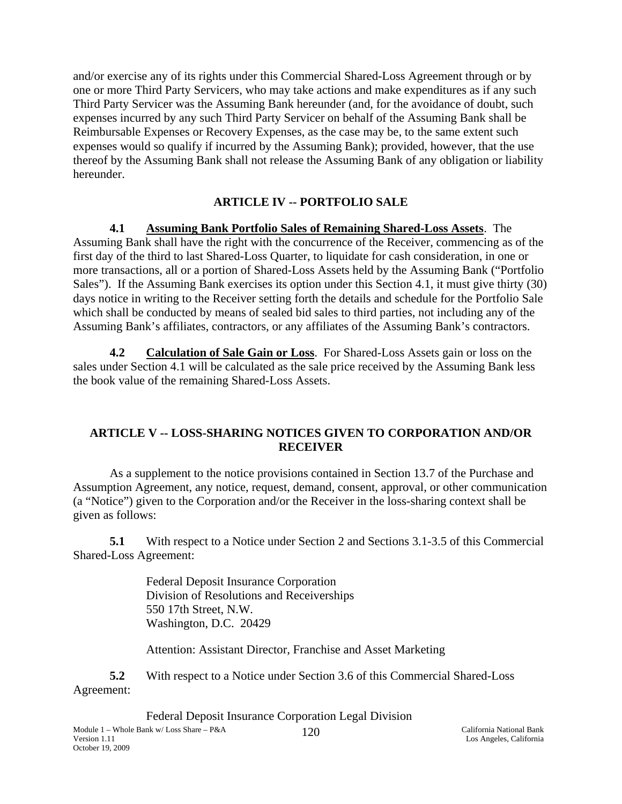and/or exercise any of its rights under this Commercial Shared-Loss Agreement through or by one or more Third Party Servicers, who may take actions and make expenditures as if any such Third Party Servicer was the Assuming Bank hereunder (and, for the avoidance of doubt, such expenses incurred by any such Third Party Servicer on behalf of the Assuming Bank shall be Reimbursable Expenses or Recovery Expenses, as the case may be, to the same extent such expenses would so qualify if incurred by the Assuming Bank); provided, however, that the use thereof by the Assuming Bank shall not release the Assuming Bank of any obligation or liability hereunder.

### **ARTICLE IV -- PORTFOLIO SALE**

**4.1 Assuming Bank Portfolio Sales of Remaining Shared-Loss Assets**. The Assuming Bank shall have the right with the concurrence of the Receiver, commencing as of the first day of the third to last Shared-Loss Quarter, to liquidate for cash consideration, in one or more transactions, all or a portion of Shared-Loss Assets held by the Assuming Bank ("Portfolio Sales"). If the Assuming Bank exercises its option under this Section 4.1, it must give thirty (30) days notice in writing to the Receiver setting forth the details and schedule for the Portfolio Sale which shall be conducted by means of sealed bid sales to third parties, not including any of the Assuming Bank's affiliates, contractors, or any affiliates of the Assuming Bank's contractors.

**4.2 Calculation of Sale Gain or Loss**. For Shared-Loss Assets gain or loss on the sales under Section 4.1 will be calculated as the sale price received by the Assuming Bank less the book value of the remaining Shared-Loss Assets.

#### **ARTICLE V -- LOSS-SHARING NOTICES GIVEN TO CORPORATION AND/OR RECEIVER**

As a supplement to the notice provisions contained in Section 13.7 of the Purchase and Assumption Agreement, any notice, request, demand, consent, approval, or other communication (a "Notice") given to the Corporation and/or the Receiver in the loss-sharing context shall be given as follows:

**5.1** With respect to a Notice under Section 2 and Sections 3.1-3.5 of this Commercial Shared-Loss Agreement:

> Federal Deposit Insurance Corporation Division of Resolutions and Receiverships 550 17th Street, N.W. Washington, D.C. 20429

Attention: Assistant Director, Franchise and Asset Marketing

**5.2** With respect to a Notice under Section 3.6 of this Commercial Shared-Loss Agreement:

Federal Deposit Insurance Corporation Legal Division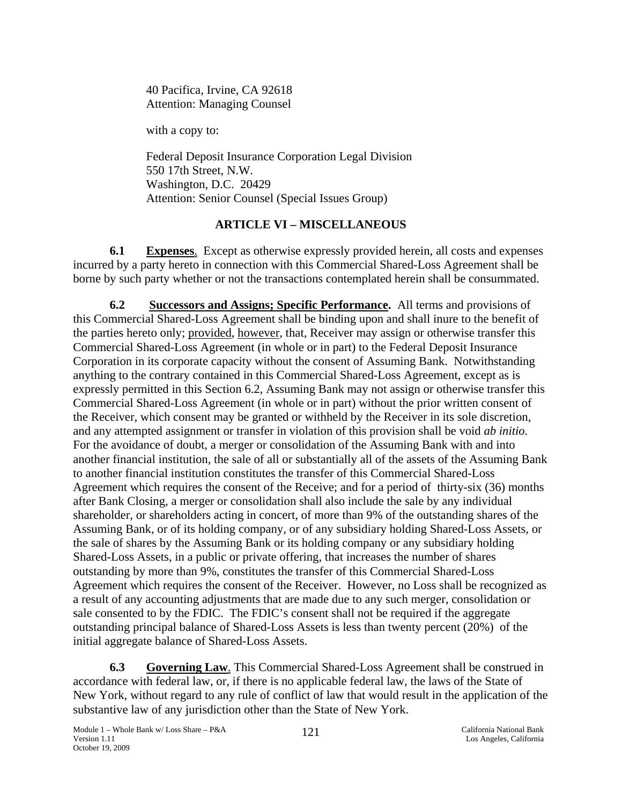40 Pacifica, Irvine, CA 92618 Attention: Managing Counsel

with a copy to:

Federal Deposit Insurance Corporation Legal Division 550 17th Street, N.W. Washington, D.C. 20429 Attention: Senior Counsel (Special Issues Group)

# **ARTICLE VI – MISCELLANEOUS**

**6.1** Expenses. Except as otherwise expressly provided herein, all costs and expenses incurred by a party hereto in connection with this Commercial Shared-Loss Agreement shall be borne by such party whether or not the transactions contemplated herein shall be consummated.

**6.2 Successors and Assigns; Specific Performance.** All terms and provisions of this Commercial Shared-Loss Agreement shall be binding upon and shall inure to the benefit of the parties hereto only; provided, however, that, Receiver may assign or otherwise transfer this Commercial Shared-Loss Agreement (in whole or in part) to the Federal Deposit Insurance Corporation in its corporate capacity without the consent of Assuming Bank. Notwithstanding anything to the contrary contained in this Commercial Shared-Loss Agreement, except as is expressly permitted in this Section 6.2, Assuming Bank may not assign or otherwise transfer this Commercial Shared-Loss Agreement (in whole or in part) without the prior written consent of the Receiver, which consent may be granted or withheld by the Receiver in its sole discretion, and any attempted assignment or transfer in violation of this provision shall be void *ab initio.*  For the avoidance of doubt, a merger or consolidation of the Assuming Bank with and into another financial institution, the sale of all or substantially all of the assets of the Assuming Bank to another financial institution constitutes the transfer of this Commercial Shared-Loss Agreement which requires the consent of the Receive; and for a period of thirty-six (36) months after Bank Closing, a merger or consolidation shall also include the sale by any individual shareholder, or shareholders acting in concert, of more than 9% of the outstanding shares of the Assuming Bank, or of its holding company, or of any subsidiary holding Shared-Loss Assets, or the sale of shares by the Assuming Bank or its holding company or any subsidiary holding Shared-Loss Assets, in a public or private offering, that increases the number of shares outstanding by more than 9%, constitutes the transfer of this Commercial Shared-Loss Agreement which requires the consent of the Receiver. However, no Loss shall be recognized as a result of any accounting adjustments that are made due to any such merger, consolidation or sale consented to by the FDIC. The FDIC's consent shall not be required if the aggregate outstanding principal balance of Shared-Loss Assets is less than twenty percent (20%) of the initial aggregate balance of Shared-Loss Assets.

**6.3 Governing Law**. This Commercial Shared-Loss Agreement shall be construed in accordance with federal law, or, if there is no applicable federal law, the laws of the State of New York, without regard to any rule of conflict of law that would result in the application of the substantive law of any jurisdiction other than the State of New York.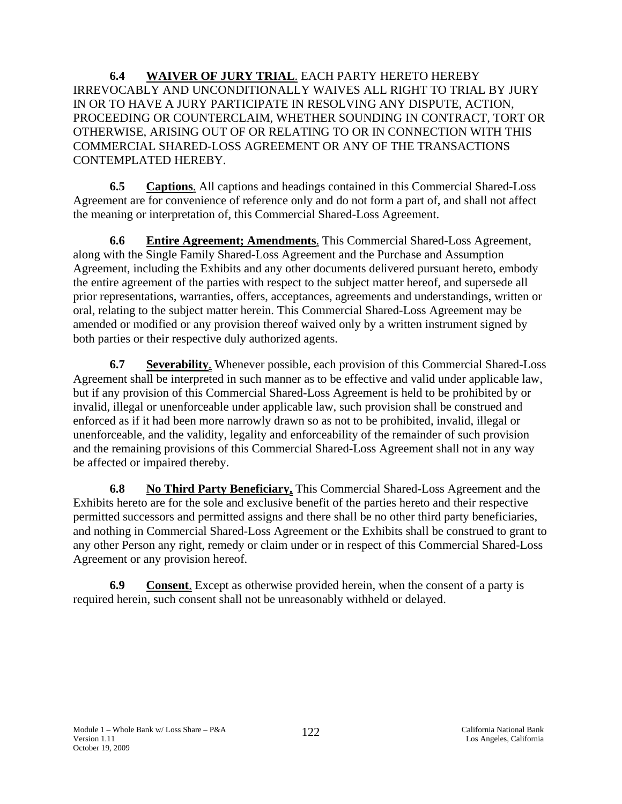**6.4 WAIVER OF JURY TRIAL**. EACH PARTY HERETO HEREBY IRREVOCABLY AND UNCONDITIONALLY WAIVES ALL RIGHT TO TRIAL BY JURY IN OR TO HAVE A JURY PARTICIPATE IN RESOLVING ANY DISPUTE, ACTION, PROCEEDING OR COUNTERCLAIM, WHETHER SOUNDING IN CONTRACT, TORT OR OTHERWISE, ARISING OUT OF OR RELATING TO OR IN CONNECTION WITH THIS COMMERCIAL SHARED-LOSS AGREEMENT OR ANY OF THE TRANSACTIONS CONTEMPLATED HEREBY.

**6.5 Captions**. All captions and headings contained in this Commercial Shared-Loss Agreement are for convenience of reference only and do not form a part of, and shall not affect the meaning or interpretation of, this Commercial Shared-Loss Agreement.

**6.6 Entire Agreement; Amendments**. This Commercial Shared-Loss Agreement, along with the Single Family Shared-Loss Agreement and the Purchase and Assumption Agreement, including the Exhibits and any other documents delivered pursuant hereto, embody the entire agreement of the parties with respect to the subject matter hereof, and supersede all prior representations, warranties, offers, acceptances, agreements and understandings, written or oral, relating to the subject matter herein. This Commercial Shared-Loss Agreement may be amended or modified or any provision thereof waived only by a written instrument signed by both parties or their respective duly authorized agents.

**6.7 Severability**. Whenever possible, each provision of this Commercial Shared-Loss Agreement shall be interpreted in such manner as to be effective and valid under applicable law, but if any provision of this Commercial Shared-Loss Agreement is held to be prohibited by or invalid, illegal or unenforceable under applicable law, such provision shall be construed and enforced as if it had been more narrowly drawn so as not to be prohibited, invalid, illegal or unenforceable, and the validity, legality and enforceability of the remainder of such provision and the remaining provisions of this Commercial Shared-Loss Agreement shall not in any way be affected or impaired thereby.

**6.8 No Third Party Beneficiary.** This Commercial Shared-Loss Agreement and the Exhibits hereto are for the sole and exclusive benefit of the parties hereto and their respective permitted successors and permitted assigns and there shall be no other third party beneficiaries, and nothing in Commercial Shared-Loss Agreement or the Exhibits shall be construed to grant to any other Person any right, remedy or claim under or in respect of this Commercial Shared-Loss Agreement or any provision hereof.

**6.9** Consent. Except as otherwise provided herein, when the consent of a party is required herein, such consent shall not be unreasonably withheld or delayed.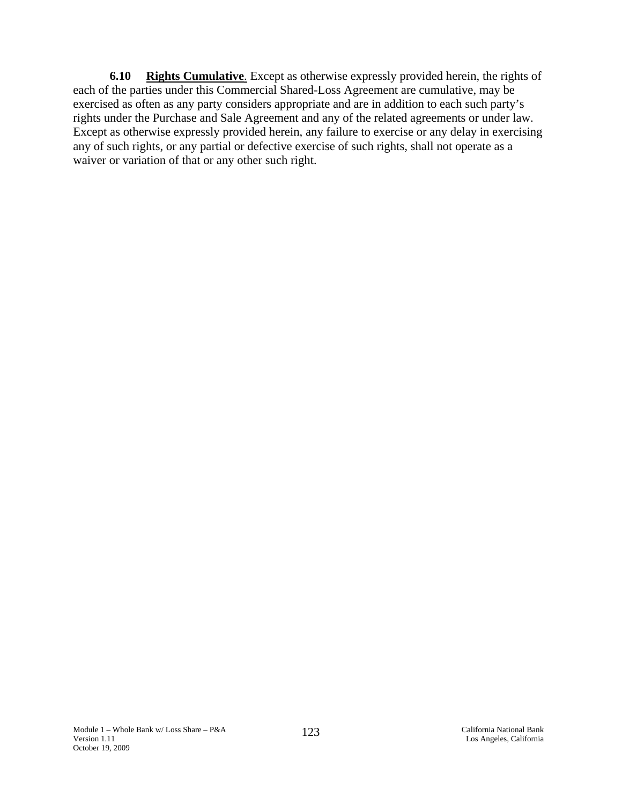**6.10 Rights Cumulative.** Except as otherwise expressly provided herein, the rights of each of the parties under this Commercial Shared-Loss Agreement are cumulative, may be exercised as often as any party considers appropriate and are in addition to each such party's rights under the Purchase and Sale Agreement and any of the related agreements or under law. Except as otherwise expressly provided herein, any failure to exercise or any delay in exercising any of such rights, or any partial or defective exercise of such rights, shall not operate as a waiver or variation of that or any other such right.